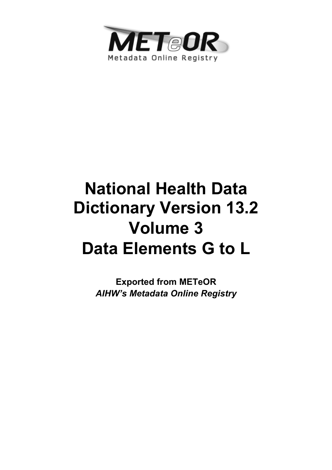

# **National Health Data Dictionary Version 13.2 Volume 3 Data Elements G to L**

**Exported from METeOR**  *AIHW's Metadata Online Registry*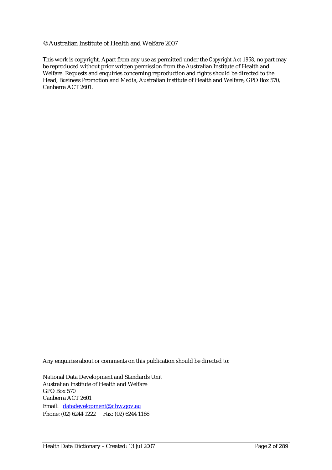#### © Australian Institute of Health and Welfare 2007

This work is copyright. Apart from any use as permitted under the *Copyright Act 1968*, no part may be reproduced without prior written permission from the Australian Institute of Health and Welfare. Requests and enquiries concerning reproduction and rights should be directed to the Head, Business Promotion and Media, Australian Institute of Health and Welfare, GPO Box 570, Canberra ACT 2601.

Any enquiries about or comments on this publication should be directed to:

National Data Development and Standards Unit Australian Institute of Health and Welfare GPO Box 570 Canberra ACT 2601 Email: datadevelopment@aihw.gov.au Phone: (02) 6244 1222 Fax: (02) 6244 1166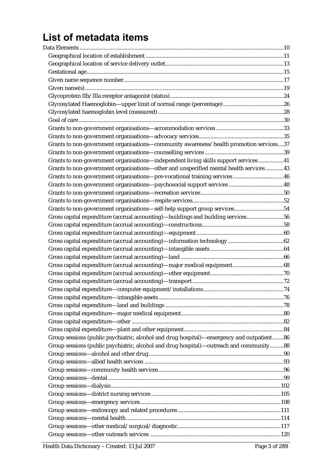# List of metadata items

| Grants to non-government organisations-community awareness/health promotion services37    |  |
|-------------------------------------------------------------------------------------------|--|
|                                                                                           |  |
| Grants to non-government organisations-independent living skills support services41       |  |
| Grants to non-government organisations-other and unspecified mental health services43     |  |
| Grants to non-government organisations-pre-vocational training services 46                |  |
|                                                                                           |  |
|                                                                                           |  |
|                                                                                           |  |
| Grants to non-government organisations-self-help support group services54                 |  |
| Gross capital expenditure (accrual accounting)-buildings and building services56          |  |
|                                                                                           |  |
|                                                                                           |  |
|                                                                                           |  |
|                                                                                           |  |
|                                                                                           |  |
|                                                                                           |  |
|                                                                                           |  |
|                                                                                           |  |
|                                                                                           |  |
|                                                                                           |  |
|                                                                                           |  |
|                                                                                           |  |
|                                                                                           |  |
|                                                                                           |  |
| Group sessions (public psychiatric, alcohol and drug hospital)—emergency and outpatient86 |  |
| Group sessions (public psychiatric, alcohol and drug hospital)—outreach and community88   |  |
|                                                                                           |  |
|                                                                                           |  |
|                                                                                           |  |
|                                                                                           |  |
|                                                                                           |  |
|                                                                                           |  |
|                                                                                           |  |
|                                                                                           |  |
|                                                                                           |  |
|                                                                                           |  |
|                                                                                           |  |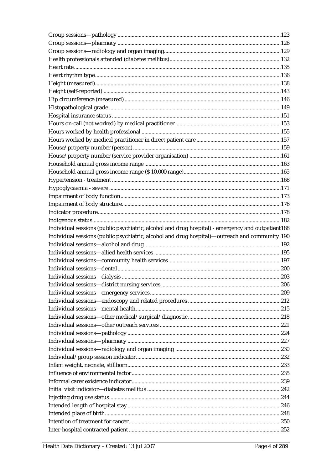| Individual sessions (public psychiatric, alcohol and drug hospital) - emergency and outpatient188 |  |
|---------------------------------------------------------------------------------------------------|--|
|                                                                                                   |  |
|                                                                                                   |  |
| Individual sessions (public psychiatric, alcohol and drug hospital)—outreach and community.190    |  |
|                                                                                                   |  |
|                                                                                                   |  |
|                                                                                                   |  |
|                                                                                                   |  |
|                                                                                                   |  |
|                                                                                                   |  |
|                                                                                                   |  |
|                                                                                                   |  |
|                                                                                                   |  |
|                                                                                                   |  |
|                                                                                                   |  |
|                                                                                                   |  |
|                                                                                                   |  |
|                                                                                                   |  |
|                                                                                                   |  |
|                                                                                                   |  |
|                                                                                                   |  |
|                                                                                                   |  |
|                                                                                                   |  |
|                                                                                                   |  |
|                                                                                                   |  |
|                                                                                                   |  |
|                                                                                                   |  |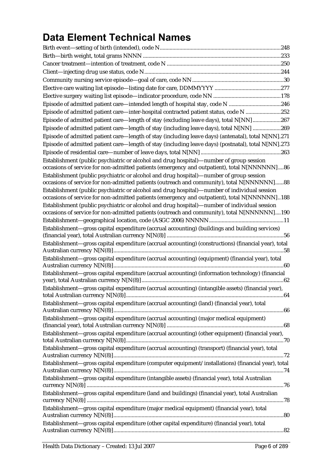# **Data Element Technical Names**

| Episode of admitted patient care—intended length of hospital stay, code N 246                                                                                                                 |  |
|-----------------------------------------------------------------------------------------------------------------------------------------------------------------------------------------------|--|
| Episode of admitted patient care—inter-hospital contracted patient status, code N 252                                                                                                         |  |
| Episode of admitted patient care-length of stay (excluding leave days), total N[NN] 267                                                                                                       |  |
| Episode of admitted patient care-length of stay (including leave days), total N[NN] 269                                                                                                       |  |
| Episode of admitted patient care—length of stay (including leave days) (antenatal), total N[NN].271                                                                                           |  |
| Episode of admitted patient care—length of stay (including leave days) (postnatal), total N[NN].273                                                                                           |  |
|                                                                                                                                                                                               |  |
| Establishment (public psychiatric or alcohol and drug hospital)—number of group session                                                                                                       |  |
| occasions of service for non-admitted patients (emergency and outpatient), total N[NNNNNN]86                                                                                                  |  |
| Establishment (public psychiatric or alcohol and drug hospital)—number of group session                                                                                                       |  |
| occasions of service for non-admitted patients (outreach and community), total N[NNNNNN]88                                                                                                    |  |
| Establishment (public psychiatric or alcohol and drug hospital)—number of individual session<br>occasions of service for non-admitted patients (emergency and outpatient), total N[NNNNNN]188 |  |
| Establishment (public psychiatric or alcohol and drug hospital)—number of individual session                                                                                                  |  |
| occasions of service for non-admitted patients (outreach and community), total N[NNNNNN]190                                                                                                   |  |
|                                                                                                                                                                                               |  |
| Establishment-gross capital expenditure (accrual accounting) (buildings and building services)                                                                                                |  |
|                                                                                                                                                                                               |  |
| Establishment-gross capital expenditure (accrual accounting) (constructions) (financial year), total                                                                                          |  |
| Establishment-gross capital expenditure (accrual accounting) (equipment) (financial year), total                                                                                              |  |
| Establishment-gross capital expenditure (accrual accounting) (information technology) (financial                                                                                              |  |
|                                                                                                                                                                                               |  |
| Establishment-gross capital expenditure (accrual accounting) (intangible assets) (financial year),                                                                                            |  |
| Establishment—gross capital expenditure (accrual accounting) (land) (financial year), total                                                                                                   |  |
|                                                                                                                                                                                               |  |
| Establishment-gross capital expenditure (accrual accounting) (major medical equipment)                                                                                                        |  |
| Establishment—gross capital expenditure (accrual accounting) (other equipment) (financial year),                                                                                              |  |
| Establishment-gross capital expenditure (accrual accounting) (transport) (financial year), total                                                                                              |  |
| Establishment—gross capital expenditure (computer equipment/installations) (financial year), total                                                                                            |  |
| Establishment-gross capital expenditure (intangible assets) (financial year), total Australian                                                                                                |  |
| Establishment—gross capital expenditure (land and buildings) (financial year), total Australian                                                                                               |  |
|                                                                                                                                                                                               |  |
| Establishment—gross capital expenditure (major medical equipment) (financial year), total                                                                                                     |  |
| Establishment—gross capital expenditure (other capital expenditure) (financial year), total                                                                                                   |  |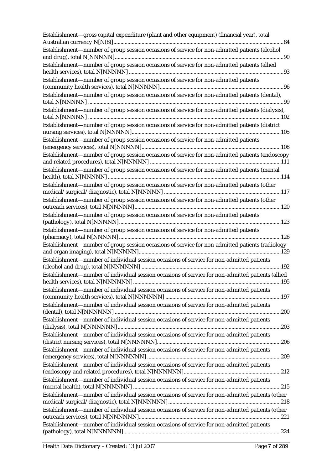| Establishment-gross capital expenditure (plant and other equipment) (financial year), total                                                                                                 |
|---------------------------------------------------------------------------------------------------------------------------------------------------------------------------------------------|
| Establishment-number of group session occasions of service for non-admitted patients (alcohol                                                                                               |
| Establishment-number of group session occasions of service for non-admitted patients (allied                                                                                                |
| Establishment-number of group session occasions of service for non-admitted patients                                                                                                        |
| Establishment-number of group session occasions of service for non-admitted patients (dental),                                                                                              |
| Establishment-number of group session occasions of service for non-admitted patients (dialysis),                                                                                            |
| Establishment-number of group session occasions of service for non-admitted patients (district                                                                                              |
| Establishment-number of group session occasions of service for non-admitted patients                                                                                                        |
| Establishment-number of group session occasions of service for non-admitted patients (endoscopy                                                                                             |
| Establishment-number of group session occasions of service for non-admitted patients (mental<br>Establishment-number of group session occasions of service for non-admitted patients (other |
| Establishment-number of group session occasions of service for non-admitted patients (other                                                                                                 |
| Establishment-number of group session occasions of service for non-admitted patients                                                                                                        |
| Establishment-number of group session occasions of service for non-admitted patients                                                                                                        |
|                                                                                                                                                                                             |
| Establishment-number of group session occasions of service for non-admitted patients (radiology                                                                                             |
| Establishment-number of individual session occasions of service for non-admitted patients                                                                                                   |
| Establishment-number of individual session occasions of service for non-admitted patients (allied                                                                                           |
| Establishment—number of individual session occasions of service for non-admitted patients                                                                                                   |
| Establishment—number of individual session occasions of service for non-admitted patients                                                                                                   |
| Establishment—number of individual session occasions of service for non-admitted patients                                                                                                   |
| Establishment-number of individual session occasions of service for non-admitted patients                                                                                                   |
| Establishment-number of individual session occasions of service for non-admitted patients                                                                                                   |
| Establishment—number of individual session occasions of service for non-admitted patients                                                                                                   |
|                                                                                                                                                                                             |
| Establishment—number of individual session occasions of service for non-admitted patients                                                                                                   |
| Establishment-number of individual session occasions of service for non-admitted patients (other                                                                                            |
| Establishment-number of individual session occasions of service for non-admitted patients (other                                                                                            |
| Establishment—number of individual session occasions of service for non-admitted patients                                                                                                   |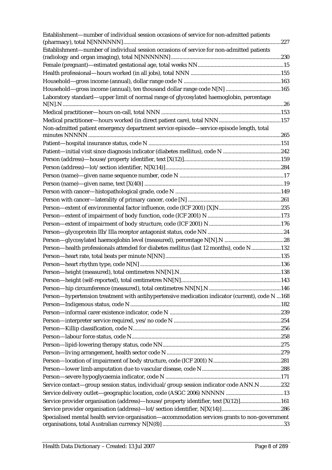| Laboratory standard—upper limit of normal range of glycosylated haemoglobin, percentage<br>Non-admitted patient emergency department service episode-service episode length, total<br>Person-health professionals attended for diabetes mellitus (last 12 months), code N132<br>Person-hypertension treatment with antihypertensive medication indicator (current), code N  168<br>Service contact-group session status, individual/group session indicator code ANN.N232<br>Service provider organisation (address)—house/property identifier, text [X(12)]161<br>Specialised mental health service organisation-accommodation services grants to non-government | Establishment-number of individual session occasions of service for non-admitted patients |  |
|-------------------------------------------------------------------------------------------------------------------------------------------------------------------------------------------------------------------------------------------------------------------------------------------------------------------------------------------------------------------------------------------------------------------------------------------------------------------------------------------------------------------------------------------------------------------------------------------------------------------------------------------------------------------|-------------------------------------------------------------------------------------------|--|
|                                                                                                                                                                                                                                                                                                                                                                                                                                                                                                                                                                                                                                                                   | Establishment-number of individual session occasions of service for non-admitted patients |  |
|                                                                                                                                                                                                                                                                                                                                                                                                                                                                                                                                                                                                                                                                   |                                                                                           |  |
|                                                                                                                                                                                                                                                                                                                                                                                                                                                                                                                                                                                                                                                                   |                                                                                           |  |
|                                                                                                                                                                                                                                                                                                                                                                                                                                                                                                                                                                                                                                                                   |                                                                                           |  |
|                                                                                                                                                                                                                                                                                                                                                                                                                                                                                                                                                                                                                                                                   |                                                                                           |  |
|                                                                                                                                                                                                                                                                                                                                                                                                                                                                                                                                                                                                                                                                   |                                                                                           |  |
|                                                                                                                                                                                                                                                                                                                                                                                                                                                                                                                                                                                                                                                                   |                                                                                           |  |
|                                                                                                                                                                                                                                                                                                                                                                                                                                                                                                                                                                                                                                                                   |                                                                                           |  |
|                                                                                                                                                                                                                                                                                                                                                                                                                                                                                                                                                                                                                                                                   |                                                                                           |  |
|                                                                                                                                                                                                                                                                                                                                                                                                                                                                                                                                                                                                                                                                   |                                                                                           |  |
|                                                                                                                                                                                                                                                                                                                                                                                                                                                                                                                                                                                                                                                                   |                                                                                           |  |
|                                                                                                                                                                                                                                                                                                                                                                                                                                                                                                                                                                                                                                                                   |                                                                                           |  |
|                                                                                                                                                                                                                                                                                                                                                                                                                                                                                                                                                                                                                                                                   |                                                                                           |  |
|                                                                                                                                                                                                                                                                                                                                                                                                                                                                                                                                                                                                                                                                   |                                                                                           |  |
|                                                                                                                                                                                                                                                                                                                                                                                                                                                                                                                                                                                                                                                                   |                                                                                           |  |
|                                                                                                                                                                                                                                                                                                                                                                                                                                                                                                                                                                                                                                                                   |                                                                                           |  |
|                                                                                                                                                                                                                                                                                                                                                                                                                                                                                                                                                                                                                                                                   |                                                                                           |  |
|                                                                                                                                                                                                                                                                                                                                                                                                                                                                                                                                                                                                                                                                   |                                                                                           |  |
|                                                                                                                                                                                                                                                                                                                                                                                                                                                                                                                                                                                                                                                                   |                                                                                           |  |
|                                                                                                                                                                                                                                                                                                                                                                                                                                                                                                                                                                                                                                                                   |                                                                                           |  |
|                                                                                                                                                                                                                                                                                                                                                                                                                                                                                                                                                                                                                                                                   |                                                                                           |  |
|                                                                                                                                                                                                                                                                                                                                                                                                                                                                                                                                                                                                                                                                   |                                                                                           |  |
|                                                                                                                                                                                                                                                                                                                                                                                                                                                                                                                                                                                                                                                                   |                                                                                           |  |
|                                                                                                                                                                                                                                                                                                                                                                                                                                                                                                                                                                                                                                                                   |                                                                                           |  |
|                                                                                                                                                                                                                                                                                                                                                                                                                                                                                                                                                                                                                                                                   |                                                                                           |  |
|                                                                                                                                                                                                                                                                                                                                                                                                                                                                                                                                                                                                                                                                   |                                                                                           |  |
|                                                                                                                                                                                                                                                                                                                                                                                                                                                                                                                                                                                                                                                                   |                                                                                           |  |
|                                                                                                                                                                                                                                                                                                                                                                                                                                                                                                                                                                                                                                                                   |                                                                                           |  |
|                                                                                                                                                                                                                                                                                                                                                                                                                                                                                                                                                                                                                                                                   |                                                                                           |  |
|                                                                                                                                                                                                                                                                                                                                                                                                                                                                                                                                                                                                                                                                   |                                                                                           |  |
|                                                                                                                                                                                                                                                                                                                                                                                                                                                                                                                                                                                                                                                                   |                                                                                           |  |
|                                                                                                                                                                                                                                                                                                                                                                                                                                                                                                                                                                                                                                                                   |                                                                                           |  |
|                                                                                                                                                                                                                                                                                                                                                                                                                                                                                                                                                                                                                                                                   |                                                                                           |  |
|                                                                                                                                                                                                                                                                                                                                                                                                                                                                                                                                                                                                                                                                   |                                                                                           |  |
|                                                                                                                                                                                                                                                                                                                                                                                                                                                                                                                                                                                                                                                                   |                                                                                           |  |
|                                                                                                                                                                                                                                                                                                                                                                                                                                                                                                                                                                                                                                                                   |                                                                                           |  |
|                                                                                                                                                                                                                                                                                                                                                                                                                                                                                                                                                                                                                                                                   |                                                                                           |  |
|                                                                                                                                                                                                                                                                                                                                                                                                                                                                                                                                                                                                                                                                   |                                                                                           |  |
|                                                                                                                                                                                                                                                                                                                                                                                                                                                                                                                                                                                                                                                                   |                                                                                           |  |
|                                                                                                                                                                                                                                                                                                                                                                                                                                                                                                                                                                                                                                                                   |                                                                                           |  |
|                                                                                                                                                                                                                                                                                                                                                                                                                                                                                                                                                                                                                                                                   |                                                                                           |  |
|                                                                                                                                                                                                                                                                                                                                                                                                                                                                                                                                                                                                                                                                   |                                                                                           |  |
|                                                                                                                                                                                                                                                                                                                                                                                                                                                                                                                                                                                                                                                                   |                                                                                           |  |
|                                                                                                                                                                                                                                                                                                                                                                                                                                                                                                                                                                                                                                                                   |                                                                                           |  |
|                                                                                                                                                                                                                                                                                                                                                                                                                                                                                                                                                                                                                                                                   |                                                                                           |  |
|                                                                                                                                                                                                                                                                                                                                                                                                                                                                                                                                                                                                                                                                   |                                                                                           |  |
|                                                                                                                                                                                                                                                                                                                                                                                                                                                                                                                                                                                                                                                                   |                                                                                           |  |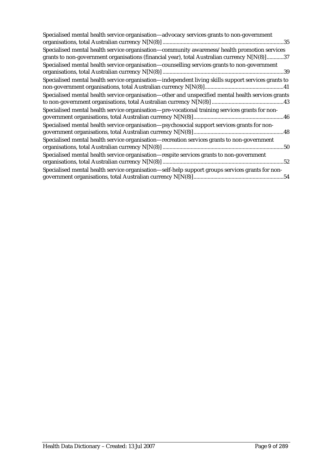| Specialised mental health service organisation-advocacy services grants to non-government                                                                                                    |
|----------------------------------------------------------------------------------------------------------------------------------------------------------------------------------------------|
| Specialised mental health service organisation—community awareness/health promotion services<br>grants to non-government organisations (financial year), total Australian currency N[N(8)]37 |
| Specialised mental health service organisation—counselling services grants to non-government                                                                                                 |
| Specialised mental health service organisation—independent living skills support services grants to                                                                                          |
| Specialised mental health service organisation-other and unspecified mental health services grants                                                                                           |
| Specialised mental health service organisation-pre-vocational training services grants for non-                                                                                              |
| Specialised mental health service organisation-psychosocial support services grants for non-                                                                                                 |
| Specialised mental health service organisation-recreation services grants to non-government                                                                                                  |
| Specialised mental health service organisation-respite services grants to non-government                                                                                                     |
| Specialised mental health service organisation-self-help support groups services grants for non-                                                                                             |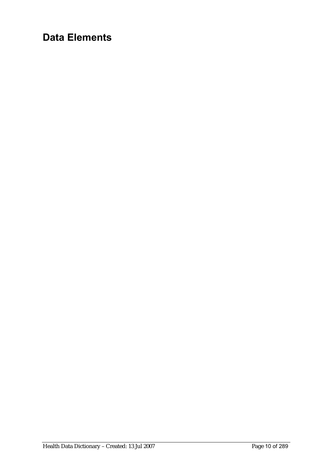# **Data Elements**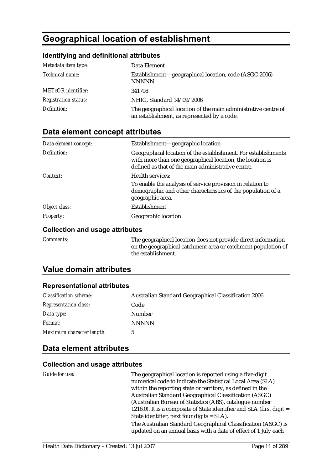# **Geographical location of establishment**

#### **Identifying and definitional attributes**

| Metadata item type:         | Data Element                                                                                                  |
|-----------------------------|---------------------------------------------------------------------------------------------------------------|
| Technical name:             | Establishment—geographical location, code (ASGC 2006)<br><b>NNNNN</b>                                         |
| METeOR identifier:          | 341798                                                                                                        |
| <b>Registration status:</b> | NHIG, Standard 14/09/2006                                                                                     |
| Definition:                 | The geographical location of the main administrative centre of<br>an establishment, as represented by a code. |

#### **Data element concept attributes**

| Data element concept: | Establishment—geographic location                                                                                                                                                 |
|-----------------------|-----------------------------------------------------------------------------------------------------------------------------------------------------------------------------------|
| Definition:           | Geographical location of the establishment. For establishments<br>with more than one geographical location, the location is<br>defined as that of the main administrative centre. |
| Context:              | <b>Health services:</b>                                                                                                                                                           |
|                       | To enable the analysis of service provision in relation to<br>demographic and other characteristics of the population of a<br>geographic area.                                    |
| Object class:         | <b>Establishment</b>                                                                                                                                                              |
| <b>Property:</b>      | Geographic location                                                                                                                                                               |

#### **Collection and usage attributes**

*Comments:* The geographical location does not provide direct information on the geographical catchment area or catchment population of the establishment.

#### **Value domain attributes**

#### **Representational attributes**

| <b>Classification scheme:</b> | Australian Standard Geographical Classification 2006 |
|-------------------------------|------------------------------------------------------|
| <b>Representation class:</b>  | Code                                                 |
| Data type:                    | Number                                               |
| <i>Format:</i>                | <b>NNNNN</b>                                         |
| Maximum character length:     | G.                                                   |

#### **Data element attributes**

| Guide for use: | The geographical location is reported using a five-digit                                                                         |
|----------------|----------------------------------------------------------------------------------------------------------------------------------|
|                | numerical code to indicate the Statistical Local Area (SLA)                                                                      |
|                | within the reporting state or territory, as defined in the                                                                       |
|                | Australian Standard Geographical Classification (ASGC)                                                                           |
|                | (Australian Bureau of Statistics (ABS), catalogue number                                                                         |
|                | 1216.0). It is a composite of State identifier and SLA (first digit $=$                                                          |
|                | State identifier, next four digits = SLA).                                                                                       |
|                | The Australian Standard Geographical Classification (ASGC) is<br>updated on an annual basis with a date of effect of 1 July each |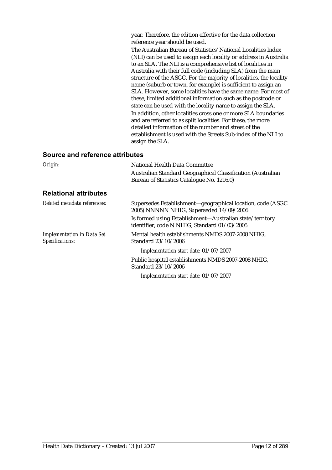year. Therefore, the edition effective for the data collection reference year should be used.

The Australian Bureau of Statistics' National Localities Index (NLI) can be used to assign each locality or address in Australia to an SLA. The NLI is a comprehensive list of localities in Australia with their full code (including SLA) from the main structure of the ASGC. For the majority of localities, the locality name (suburb or town, for example) is sufficient to assign an SLA. However, some localities have the same name. For most of these, limited additional information such as the postcode or state can be used with the locality name to assign the SLA. In addition, other localities cross one or more SLA boundaries and are referred to as split localities. For these, the more detailed information of the number and street of the establishment is used with the Streets Sub-index of the NLI to assign the SLA.

#### **Source and reference attributes**

| Origin:                                              | National Health Data Committee                                                                           |  |
|------------------------------------------------------|----------------------------------------------------------------------------------------------------------|--|
|                                                      | Australian Standard Geographical Classification (Australian                                              |  |
|                                                      | Bureau of Statistics Catalogue No. 1216.0)                                                               |  |
| <b>Relational attributes</b>                         |                                                                                                          |  |
| Related metadata references:                         | Supersedes Establishment—geographical location, code (ASGC<br>2005) NNNNN NHIG, Superseded 14/09/2006    |  |
|                                                      | Is formed using Establishment-Australian state/territory<br>identifier, code N NHIG, Standard 01/03/2005 |  |
| <b>Implementation in Data Set</b><br>Specifications: | Mental health establishments NMDS 2007-2008 NHIG,<br>Standard 23/10/2006                                 |  |
|                                                      | Implementation start date: 01/07/2007                                                                    |  |
|                                                      | Public hospital establishments NMDS 2007-2008 NHIG,<br>Standard 23/10/2006                               |  |
|                                                      | Implementation start date: 01/07/2007                                                                    |  |

Health Data Dictionary – Created: 13 Jul 2007 Page 12 of 289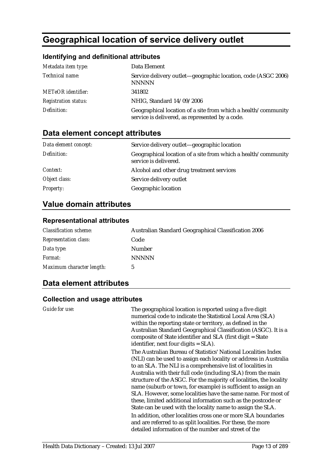# **Geographical location of service delivery outlet**

#### **Identifying and definitional attributes**

| Metadata item type:         | Data Element                                                                                                     |
|-----------------------------|------------------------------------------------------------------------------------------------------------------|
| Technical name:             | Service delivery outlet-geographic location, code (ASGC 2006)<br><b>NNNNN</b>                                    |
| <b>METeOR</b> identifier:   | 341802                                                                                                           |
| <b>Registration status:</b> | NHIG, Standard 14/09/2006                                                                                        |
| Definition:                 | Geographical location of a site from which a health/community<br>service is delivered, as represented by a code. |

# **Data element concept attributes**

| Data element concept: | Service delivery outlet—geographic location                                            |
|-----------------------|----------------------------------------------------------------------------------------|
| Definition:           | Geographical location of a site from which a health/community<br>service is delivered. |
| <i>Context:</i>       | Alcohol and other drug treatment services                                              |
| Object class:         | Service delivery outlet                                                                |
| <b>Property:</b>      | Geographic location                                                                    |

### **Value domain attributes**

#### **Representational attributes**

| <b>Classification scheme:</b> | Australian Standard Geographical Classification 2006 |
|-------------------------------|------------------------------------------------------|
| <b>Representation class:</b>  | Code                                                 |
| Data type:                    | <b>Number</b>                                        |
| <i>Format:</i>                | <b>NNNNN</b>                                         |
| Maximum character length:     | 5                                                    |

#### **Data element attributes**

| Guide for use: | The geographical location is reported using a five digit<br>numerical code to indicate the Statistical Local Area (SLA)<br>within the reporting state or territory, as defined in the<br>Australian Standard Geographical Classification (ASGC). It is a<br>composite of State identifier and SLA (first digit = State<br>identifier, next four digits $= SLA$ ).                                                                                                                                                                            |
|----------------|----------------------------------------------------------------------------------------------------------------------------------------------------------------------------------------------------------------------------------------------------------------------------------------------------------------------------------------------------------------------------------------------------------------------------------------------------------------------------------------------------------------------------------------------|
|                | The Australian Bureau of Statistics' National Localities Index<br>(NLI) can be used to assign each locality or address in Australia<br>to an SLA. The NLI is a comprehensive list of localities in<br>Australia with their full code (including SLA) from the main<br>structure of the ASGC. For the majority of localities, the locality<br>name (suburb or town, for example) is sufficient to assign an<br>SLA. However, some localities have the same name. For most of<br>these, limited additional information such as the postcode or |
|                | State can be used with the locality name to assign the SLA.<br>In addition, other localities cross one or more SLA boundaries<br>and are referred to as split localities. For these, the more<br>detailed information of the number and street of the                                                                                                                                                                                                                                                                                        |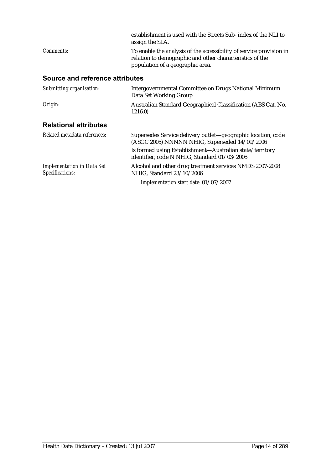|                                                      | establishment is used with the Streets Sub- index of the NLI to<br>assign the SLA.                                                                                  |
|------------------------------------------------------|---------------------------------------------------------------------------------------------------------------------------------------------------------------------|
| Comments:                                            | To enable the analysis of the accessibility of service provision in<br>relation to demographic and other characteristics of the<br>population of a geographic area. |
| Source and reference attributes                      |                                                                                                                                                                     |
| Submitting organisation:                             | Intergovernmental Committee on Drugs National Minimum<br>Data Set Working Group                                                                                     |
| Origin:                                              | Australian Standard Geographical Classification (ABS Cat. No.<br>1216.0)                                                                                            |
| <b>Relational attributes</b>                         |                                                                                                                                                                     |
| Related metadata references:                         | Supersedes Service delivery outlet—geographic location, code<br>(ASGC 2005) NNNNN NHIG, Superseded 14/09/2006                                                       |
|                                                      | Is formed using Establishment-Australian state/territory<br>identifier, code N NHIG, Standard 01/03/2005                                                            |
| <b>Implementation in Data Set</b><br>Specifications: | Alcohol and other drug treatment services NMDS 2007-2008<br>NHIG, Standard 23/10/2006                                                                               |
|                                                      | Implementation start date: 01/07/2007                                                                                                                               |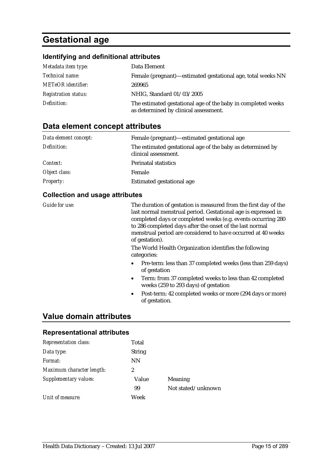# **Gestational age**

#### **Identifying and definitional attributes**

| Metadata item type:         | Data Element                                                                                          |
|-----------------------------|-------------------------------------------------------------------------------------------------------|
| Technical name:             | Female (pregnant)—estimated gestational age, total weeks NN                                           |
| <b>METeOR</b> identifier:   | 269965                                                                                                |
| <b>Registration status:</b> | NHIG, Standard 01/03/2005                                                                             |
| Definition:                 | The estimated gestational age of the baby in completed weeks<br>as determined by clinical assessment. |

#### **Data element concept attributes**

| Data element concept: | Female (pregnant)—estimated gestational age                                        |
|-----------------------|------------------------------------------------------------------------------------|
| Definition:           | The estimated gestational age of the baby as determined by<br>clinical assessment. |
| Context:              | <b>Perinatal statistics</b>                                                        |
| Object class:         | Female                                                                             |
| <b>Property:</b>      | Estimated gestational age                                                          |

#### **Collection and usage attributes**

*Guide for use:* The duration of gestation is measured from the first day of the last normal menstrual period. Gestational age is expressed in completed days or completed weeks (e.g. events occurring 280 to 286 completed days after the onset of the last normal menstrual period are considered to have occurred at 40 weeks of gestation).

> The World Health Organization identifies the following categories:

- Pre-term: less than 37 completed weeks (less than 259 days) of gestation
- Term: from 37 completed weeks to less than 42 completed weeks (259 to 293 days) of gestation
- Post-term: 42 completed weeks or more (294 days or more) of gestation.

#### **Value domain attributes**

#### **Representational attributes**

| <b>Representation class:</b> | Total         |                    |
|------------------------------|---------------|--------------------|
| Data type:                   | <b>String</b> |                    |
| Format:                      | <b>NN</b>     |                    |
| Maximum character length:    | 2             |                    |
| Supplementary values:        | Value         | Meaning            |
|                              | 99            | Not stated/unknown |
| Unit of measure:             | Week          |                    |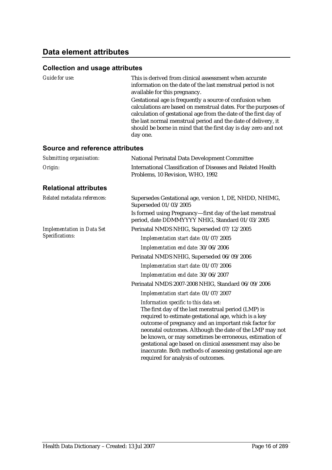| Guide for use:                    | This is derived from clinical assessment when accurate<br>information on the date of the last menstrual period is not<br>available for this pregnancy.<br>Gestational age is frequently a source of confusion when<br>calculations are based on menstrual dates. For the purposes of<br>calculation of gestational age from the date of the first day of<br>the last normal menstrual period and the date of delivery, it<br>should be borne in mind that the first day is day zero and not<br>day one. |  |
|-----------------------------------|---------------------------------------------------------------------------------------------------------------------------------------------------------------------------------------------------------------------------------------------------------------------------------------------------------------------------------------------------------------------------------------------------------------------------------------------------------------------------------------------------------|--|
| Source and reference attributes   |                                                                                                                                                                                                                                                                                                                                                                                                                                                                                                         |  |
| Submitting organisation:          | National Perinatal Data Development Committee                                                                                                                                                                                                                                                                                                                                                                                                                                                           |  |
| Origin:                           | International Classification of Diseases and Related Health<br>Problems, 10 Revision, WHO, 1992                                                                                                                                                                                                                                                                                                                                                                                                         |  |
| <b>Relational attributes</b>      |                                                                                                                                                                                                                                                                                                                                                                                                                                                                                                         |  |
| Related metadata references:      | Supersedes Gestational age, version 1, DE, NHDD, NHIMG,<br>Superseded 01/03/2005                                                                                                                                                                                                                                                                                                                                                                                                                        |  |
|                                   | Is formed using Pregnancy-first day of the last menstrual<br>period, date DDMMYYYY NHIG, Standard 01/03/2005                                                                                                                                                                                                                                                                                                                                                                                            |  |
| <b>Implementation in Data Set</b> | Perinatal NMDS NHIG, Superseded 07/12/2005                                                                                                                                                                                                                                                                                                                                                                                                                                                              |  |
| Specifications:                   | Implementation start date: 01/07/2005                                                                                                                                                                                                                                                                                                                                                                                                                                                                   |  |
|                                   | Implementation end date: 30/06/2006                                                                                                                                                                                                                                                                                                                                                                                                                                                                     |  |
|                                   | Perinatal NMDS NHIG, Superseded 06/09/2006                                                                                                                                                                                                                                                                                                                                                                                                                                                              |  |
|                                   | Implementation start date: 01/07/2006                                                                                                                                                                                                                                                                                                                                                                                                                                                                   |  |
|                                   | Implementation end date: 30/06/2007                                                                                                                                                                                                                                                                                                                                                                                                                                                                     |  |
|                                   | Perinatal NMDS 2007-2008 NHIG, Standard 06/09/2006                                                                                                                                                                                                                                                                                                                                                                                                                                                      |  |
|                                   | Implementation start date: 01/07/2007                                                                                                                                                                                                                                                                                                                                                                                                                                                                   |  |
|                                   | Information specific to this data set:<br>The first day of the last menstrual period (LMP) is<br>required to estimate gestational age, which is a key<br>outcome of pregnancy and an important risk factor for<br>neonatal outcomes. Although the date of the LMP may not<br>be known, or may sometimes be erroneous, estimation of<br>gestational age based on clinical assessment may also be<br>inaccurate. Both methods of assessing gestational age are<br>required for analysis of outcomes.      |  |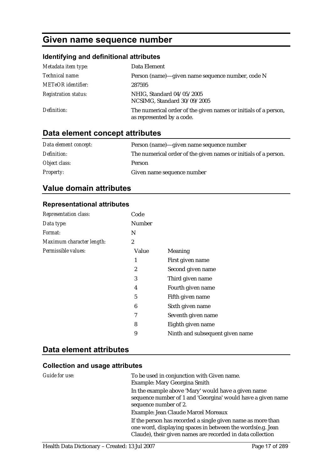# **Given name sequence number**

#### **Identifying and definitional attributes**

| Metadata item type:         | Data Element                                                                                 |
|-----------------------------|----------------------------------------------------------------------------------------------|
| Technical name:             | Person (name)—given name sequence number, code N                                             |
| <b>METeOR</b> identifier:   | 287595                                                                                       |
| <b>Registration status:</b> | NHIG, Standard 04/05/2005<br>NCSIMG, Standard 30/09/2005                                     |
| Definition:                 | The numerical order of the given names or initials of a person,<br>as represented by a code. |

# **Data element concept attributes**

| Data element concept: | Person (name)—given name sequence number                        |
|-----------------------|-----------------------------------------------------------------|
| Definition:           | The numerical order of the given names or initials of a person. |
| Object class:         | Person                                                          |
| <i>Property:</i>      | Given name sequence number                                      |

#### **Value domain attributes**

#### **Representational attributes**

| <b>Representation class:</b> | Code   |                                 |
|------------------------------|--------|---------------------------------|
| Data type:                   | Number |                                 |
| <i>Format:</i>               | N      |                                 |
| Maximum character length:    | 2      |                                 |
| Permissible values:          | Value  | <b>Meaning</b>                  |
|                              | 1      | First given name                |
|                              | 2      | Second given name               |
|                              | 3      | Third given name                |
|                              | 4      | Fourth given name               |
|                              | 5      | Fifth given name                |
|                              | 6      | Sixth given name                |
|                              | 7      | Seventh given name              |
|                              | 8      | Eighth given name               |
|                              | 9      | Ninth and subsequent given name |

#### **Data element attributes**

| Guide for use: | To be used in conjunction with Given name.<br>Example: Mary Georgina Smith                                                                                                              |
|----------------|-----------------------------------------------------------------------------------------------------------------------------------------------------------------------------------------|
|                | In the example above 'Mary' would have a given name<br>sequence number of 1 and 'Georgina' would have a given name<br>sequence number of 2.                                             |
|                | Example: Jean Claude Marcel Moreaux                                                                                                                                                     |
|                | If the person has recorded a single given name as more than<br>one word, displaying spaces in between the words(e.g. Jean<br>Claude), their given names are recorded in data collection |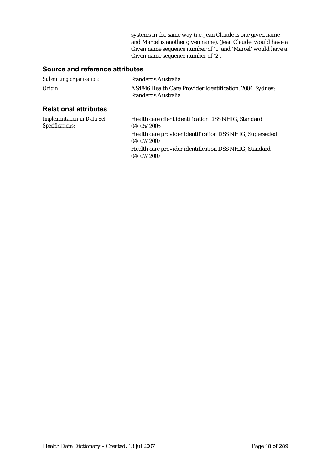systems in the same way (i.e. Jean Claude is one given name and Marcel is another given name). 'Jean Claude' would have a Given name sequence number of '1' and 'Marcel' would have a Given name sequence number of '2'.

#### **Source and reference attributes**

| Submitting organisation:                             | <b>Standards Australia</b>                                                       |  |
|------------------------------------------------------|----------------------------------------------------------------------------------|--|
| Origin:                                              | AS4846 Health Care Provider Identification, 2004, Sydney:<br>Standards Australia |  |
| <b>Relational attributes</b>                         |                                                                                  |  |
| <b>Implementation in Data Set</b><br>Specifications: | Health care client identification DSS NHIG, Standard<br>04/05/2005               |  |
|                                                      | Health care provider identification DSS NHIG, Superseded<br>04/07/2007           |  |
|                                                      | Health care provider identification DSS NHIG, Standard                           |  |

04/07/2007

Health Data Dictionary – Created: 13 Jul 2007 Page 18 of 289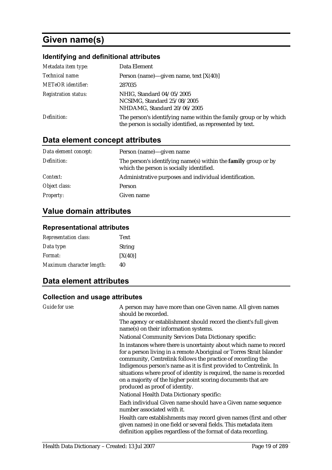# **Given name(s)**

#### **Identifying and definitional attributes**

| Metadata item type:         | Data Element                                                                                                                    |  |
|-----------------------------|---------------------------------------------------------------------------------------------------------------------------------|--|
| Technical name:             | Person (name)—given name, text $[X(40)]$                                                                                        |  |
| METeOR identifier:          | 287035                                                                                                                          |  |
| <b>Registration status:</b> | NHIG, Standard 04/05/2005<br>NCSIMG, Standard 25/08/2005<br>NHDAMG, Standard 20/06/2005                                         |  |
| Definition:                 | The person's identifying name within the family group or by which<br>the person is socially identified, as represented by text. |  |

### **Data element concept attributes**

| Data element concept: | Person (name)—given name                                                                                          |
|-----------------------|-------------------------------------------------------------------------------------------------------------------|
| Definition:           | The person's identifying name(s) within the <b>family</b> group or by<br>which the person is socially identified. |
| Context:              | Administrative purposes and individual identification.                                                            |
| Object class:         | Person                                                                                                            |
| <b>Property:</b>      | Given name                                                                                                        |

## **Value domain attributes**

#### **Representational attributes**

| <b>Representation class:</b> | Text          |
|------------------------------|---------------|
| Data type:                   | <b>String</b> |
| <i>Format:</i>               | [X(40)]       |
| Maximum character length:    | 40            |

### **Data element attributes**

| Guide for use: | A person may have more than one Given name. All given names<br>should be recorded.                                                                                                                                                                                                                                                                                                                                                                        |
|----------------|-----------------------------------------------------------------------------------------------------------------------------------------------------------------------------------------------------------------------------------------------------------------------------------------------------------------------------------------------------------------------------------------------------------------------------------------------------------|
|                | The agency or establishment should record the client's full given<br>name(s) on their information systems.                                                                                                                                                                                                                                                                                                                                                |
|                | <b>National Community Services Data Dictionary specific:</b>                                                                                                                                                                                                                                                                                                                                                                                              |
|                | In instances where there is uncertainty about which name to record<br>for a person living in a remote Aboriginal or Torres Strait Islander<br>community, Centrelink follows the practice of recording the<br>Indigenous person's name as it is first provided to Centrelink. In<br>situations where proof of identity is required, the name is recorded<br>on a majority of the higher point scoring documents that are<br>produced as proof of identity. |
|                | National Health Data Dictionary specific:                                                                                                                                                                                                                                                                                                                                                                                                                 |
|                | Each individual Given name should have a Given name sequence<br>number associated with it.                                                                                                                                                                                                                                                                                                                                                                |
|                | Health care establishments may record given names (first and other<br>given names) in one field or several fields. This metadata item<br>definition applies regardless of the format of data recording.                                                                                                                                                                                                                                                   |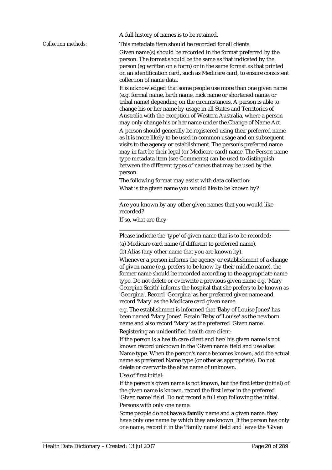A full history of names is to be retained.

*Collection methods:* This metadata item should be recorded for all clients.

Given name(s) should be recorded in the format preferred by the person. The format should be the same as that indicated by the person (eg written on a form) or in the same format as that printed on an identification card, such as Medicare card, to ensure consistent collection of name data.

It is acknowledged that some people use more than one given name (e.g. formal name, birth name, nick name or shortened name, or tribal name) depending on the circumstances. A person is able to change his or her name by usage in all States and Territories of Australia with the exception of Western Australia, where a person may only change his or her name under the Change of Name Act. A person should generally be registered using their preferred name as it is more likely to be used in common usage and on subsequent visits to the agency or establishment. The person's preferred name may in fact be their legal (or Medicare card) name. The Person name type metadata item (see Comments) can be used to distinguish between the different types of names that may be used by the person.

The following format may assist with data collection: What is the given name you would like to be known by?

Are you known by any other given names that you would like recorded?

If so, what are they

\_\_\_\_\_\_\_\_\_\_\_\_\_\_\_\_\_\_\_\_\_\_\_

Please indicate the 'type' of given name that is to be recorded:

(a) Medicare card name (if different to preferred name).

(b) Alias (any other name that you are known by).

Whenever a person informs the agency or establishment of a change of given name (e.g. prefers to be know by their middle name), the former name should be recorded according to the appropriate name type. Do not delete or overwrite a previous given name e.g. 'Mary Georgina Smith' informs the hospital that she prefers to be known as 'Georgina'. Record 'Georgina' as her preferred given name and record 'Mary' as the Medicare card given name.

\_\_\_\_\_\_\_\_\_\_\_\_\_\_\_\_\_\_\_\_\_\_\_\_\_\_\_\_\_\_\_\_\_\_\_\_\_\_\_\_\_\_\_\_\_\_\_\_\_\_\_\_\_\_\_\_\_\_\_\_\_

e.g. The establishment is informed that 'Baby of Louise Jones' has been named 'Mary Jones'. Retain 'Baby of Louise' as the newborn name and also record 'Mary' as the preferred 'Given name'.

Registering an unidentified health care client:

If the person is a health care client and her/his given name is not known record unknown in the 'Given name' field and use alias Name type. When the person's name becomes known, add the actual name as preferred Name type (or other as appropriate). Do not delete or overwrite the alias name of unknown.

Use of first initial:

If the person's given name is not known, but the first letter (initial) of the given name is known, record the first letter in the preferred 'Given name' field. Do not record a full stop following the initial. Persons with only one name:

Some people do not have a **family** name and a given name: they have only one name by which they are known. If the person has only one name, record it in the 'Family name' field and leave the 'Given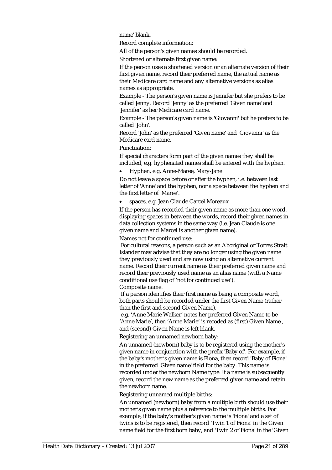name' blank.

Record complete information:

All of the person's given names should be recorded.

Shortened or alternate first given name:

If the person uses a shortened version or an alternate version of their first given name, record their preferred name, the actual name as their Medicare card name and any alternative versions as alias names as appropriate.

Example - The person's given name is Jennifer but she prefers to be called Jenny. Record 'Jenny' as the preferred 'Given name' and 'Jennifer' as her Medicare card name.

Example - The person's given name is 'Giovanni' but he prefers to be called 'John'.

Record 'John' as the preferred 'Given name' and 'Giovanni' as the Medicare card name.

Punctuation:

If special characters form part of the given names they shall be included, e.g. hyphenated names shall be entered with the hyphen.

• Hyphen, e.g. Anne-Maree, Mary-Jane

Do not leave a space before or after the hyphen, i.e. between last letter of 'Anne' and the hyphen, nor a space between the hyphen and the first letter of 'Maree'.

• spaces, e.g. Jean Claude Carcel Moreaux

If the person has recorded their given name as more than one word, displaying spaces in between the words, record their given names in data collection systems in the same way (i.e. Jean Claude is one given name and Marcel is another given name).

Names not for continued use:

 For cultural reasons, a person such as an Aboriginal or Torres Strait Islander may advise that they are no longer using the given name they previously used and are now using an alternative current name. Record their current name as their preferred given name and record their previously used name as an alias name (with a Name conditional use flag of 'not for continued use').

Composite name:

 If a person identifies their first name as being a composite word, both parts should be recorded under the first Given Name (rather than the first and second Given Name).

 e.g. 'Anne Marie Walker' notes her preferred Given Name to be 'Anne Marie', then 'Anne Marie' is recoded as (first) Given Name , and (second) Given Name is left blank.

Registering an unnamed newborn baby:

An unnamed (newborn) baby is to be registered using the mother's given name in conjunction with the prefix 'Baby of'. For example, if the baby's mother's given name is Fiona, then record 'Baby of Fiona' in the preferred 'Given name' field for the baby. This name is recorded under the newborn Name type. If a name is subsequently given, record the new name as the preferred given name and retain the newborn name.

Registering unnamed multiple births:

An unnamed (newborn) baby from a multiple birth should use their mother's given name plus a reference to the multiple births. For example, if the baby's mother's given name is 'Fiona' and a set of twins is to be registered, then record 'Twin 1 of Fiona' in the Given name field for the first born baby, and 'Twin 2 of Fiona' in the 'Given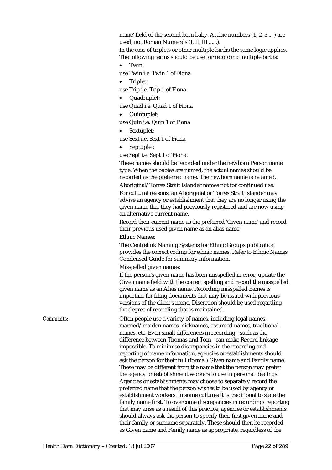name' field of the second born baby. Arabic numbers (1, 2, 3 ... ) are used, not Roman Numerals (I, II, III ......).

In the case of triplets or other multiple births the same logic applies. The following terms should be use for recording multiple births:

• Twin:

use Twin i.e. Twin 1 of Fiona

• Triplet:

use Trip i.e. Trip 1 of Fiona

- Quadruplet:
- use Quad i.e. Quad 1 of Fiona
- Quintuplet:

use Quin i.e. Quin 1 of Fiona

Sextuplet:

use Sext i.e. Sext 1 of Fiona

• Septuplet:

use Sept i.e. Sept 1 of Fiona.

These names should be recorded under the newborn Person name type. When the babies are named, the actual names should be recorded as the preferred name. The newborn name is retained. Aboriginal/Torres Strait Islander names not for continued use:

For cultural reasons, an Aboriginal or Torres Strait Islander may advise an agency or establishment that they are no longer using the given name that they had previously registered and are now using an alternative current name.

Record their current name as the preferred 'Given name' and record their previous used given name as an alias name.

Ethnic Names:

The Centrelink Naming Systems for Ethnic Groups publication provides the correct coding for ethnic names. Refer to Ethnic Names Condensed Guide for summary information.

Misspelled given names:

If the person's given name has been misspelled in error, update the Given name field with the correct spelling and record the misspelled given name as an Alias name. Recording misspelled names is important for filing documents that may be issued with previous versions of the client's name. Discretion should be used regarding the degree of recording that is maintained.

*Comments:* Often people use a variety of names, including legal names, married/maiden names, nicknames, assumed names, traditional names, etc. Even small differences in recording - such as the difference between Thomas and Tom - can make Record linkage impossible. To minimise discrepancies in the recording and reporting of name information, agencies or establishments should ask the person for their full (formal) Given name and Family name. These may be different from the name that the person may prefer the agency or establishment workers to use in personal dealings. Agencies or establishments may choose to separately record the preferred name that the person wishes to be used by agency or establishment workers. In some cultures it is traditional to state the family name first. To overcome discrepancies in recording/reporting that may arise as a result of this practice, agencies or establishments should always ask the person to specify their first given name and their family or surname separately. These should then be recorded as Given name and Family name as appropriate, regardless of the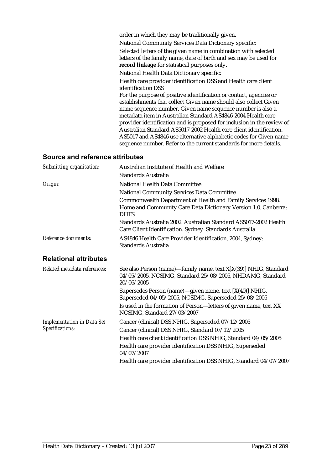| order in which they may be traditionally given.                                                                                                                                                                                                                                        |
|----------------------------------------------------------------------------------------------------------------------------------------------------------------------------------------------------------------------------------------------------------------------------------------|
| National Community Services Data Dictionary specific:                                                                                                                                                                                                                                  |
| Selected letters of the given name in combination with selected<br>letters of the family name, date of birth and sex may be used for<br>record linkage for statistical purposes only.                                                                                                  |
| National Health Data Dictionary specific:                                                                                                                                                                                                                                              |
| Health care provider identification DSS and Health care client<br>identification DSS                                                                                                                                                                                                   |
| For the purpose of positive identification or contact, agencies or<br>establishments that collect Given name should also collect Given<br>name sequence number. Given name sequence number is also a<br>metadata item in Australian Standard AS4846-2004 Health care                   |
| provider identification and is proposed for inclusion in the review of<br>Australian Standard AS5017-2002 Health care client identification.<br>AS5017 and AS4846 use alternative alphabetic codes for Given name<br>sequence number. Refer to the current standards for more details. |
|                                                                                                                                                                                                                                                                                        |

#### **Source and reference attributes**

| Submitting organisation:                             | Australian Institute of Health and Welfare                                                                                                   |
|------------------------------------------------------|----------------------------------------------------------------------------------------------------------------------------------------------|
|                                                      | Standards Australia                                                                                                                          |
| Origin:                                              | National Health Data Committee                                                                                                               |
|                                                      | <b>National Community Services Data Committee</b>                                                                                            |
|                                                      | Commonwealth Department of Health and Family Services 1998.<br>Home and Community Care Data Dictionary Version 1.0. Canberra:<br><b>DHFS</b> |
|                                                      | Standards Australia 2002. Australian Standard AS5017-2002 Health<br>Care Client Identification. Sydney: Standards Australia                  |
| Reference documents:                                 | AS4846 Health Care Provider Identification, 2004, Sydney:<br>Standards Australia                                                             |
| <b>Relational attributes</b>                         |                                                                                                                                              |
| Related metadata references:                         | See also Person (name)—family name, text X[X(39)] NHIG, Standard<br>04/05/2005, NCSIMG, Standard 25/08/2005, NHDAMG, Standard<br>20/06/2005  |
|                                                      | Supersedes Person (name)—given name, text [X(40)] NHIG,<br>Superseded 04/05/2005, NCSIMG, Superseded 25/08/2005                              |
|                                                      | Is used in the formation of Person-letters of given name, text XX<br>NCSIMG, Standard 27/03/2007                                             |
| <b>Implementation in Data Set</b><br>Specifications: | Cancer (clinical) DSS NHIG, Superseded 07/12/2005                                                                                            |
|                                                      | Cancer (clinical) DSS NHIG, Standard 07/12/2005                                                                                              |
|                                                      | Health care client identification DSS NHIG, Standard 04/05/2005                                                                              |
|                                                      | Health care provider identification DSS NHIG, Superseded<br>04/07/2007                                                                       |
|                                                      | Health care provider identification DSS NHIG, Standard 04/07/2007                                                                            |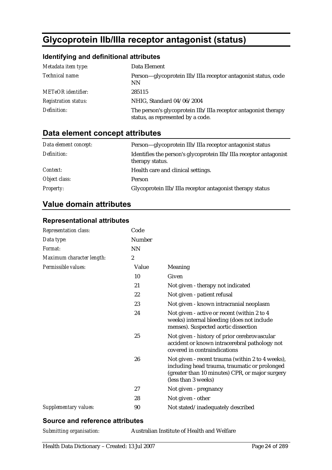# **Glycoprotein IIb/IIIa receptor antagonist (status)**

#### **Identifying and definitional attributes**

| Metadata item type:         | Data Element                                                                                        |
|-----------------------------|-----------------------------------------------------------------------------------------------------|
| Technical name:             | Person-glycoprotein IIb/IIIa receptor antagonist status, code<br><b>NN</b>                          |
| <b>METeOR</b> identifier:   | 285115                                                                                              |
| <b>Registration status:</b> | NHIG, Standard 04/06/2004                                                                           |
| Definition:                 | The person's glycoprotein IIb/IIIa receptor antagonist therapy<br>status, as represented by a code. |

# **Data element concept attributes**

| Data element concept: | Person—glycoprotein IIb/IIIa receptor antagonist status                              |
|-----------------------|--------------------------------------------------------------------------------------|
| Definition:           | Identifies the person's glycoprotein IIb/IIIa receptor antagonist<br>therapy status. |
| <i>Context:</i>       | Health care and clinical settings.                                                   |
| Object class:         | <b>Person</b>                                                                        |
| <b>Property:</b>      | Glycoprotein IIb/IIIa receptor antagonist therapy status                             |

# **Value domain attributes**

#### **Representational attributes**

| Representation class:     | Code             |                                                                                                                                                                             |
|---------------------------|------------------|-----------------------------------------------------------------------------------------------------------------------------------------------------------------------------|
| Data type:                | <b>Number</b>    |                                                                                                                                                                             |
| Format:                   | <b>NN</b>        |                                                                                                                                                                             |
| Maximum character length: | $\boldsymbol{2}$ |                                                                                                                                                                             |
| Permissible values:       | Value            | Meaning                                                                                                                                                                     |
|                           | 10               | Given                                                                                                                                                                       |
|                           | 21               | Not given - therapy not indicated                                                                                                                                           |
|                           | 22               | Not given - patient refusal                                                                                                                                                 |
|                           | 23               | Not given - known intracranial neoplasm                                                                                                                                     |
|                           | 24               | Not given - active or recent (within 2 to 4<br>weeks) internal bleeding (does not include<br>menses). Suspected aortic dissection                                           |
|                           | 25               | Not given - history of prior cerebrovascular<br>accident or known intracerebral pathology not<br>covered in contraindications                                               |
|                           | 26               | Not given - recent trauma (within 2 to 4 weeks),<br>including head trauma, traumatic or prolonged<br>(greater than 10 minutes) CPR, or major surgery<br>(less than 3 weeks) |
|                           | 27               | Not given - pregnancy                                                                                                                                                       |
|                           | 28               | Not given - other                                                                                                                                                           |
| Supplementary values:     | 90               | Not stated/inadequately described                                                                                                                                           |

#### **Source and reference attributes**

|  | Submitting organisation: |
|--|--------------------------|
|--|--------------------------|

*Submitting organisation:* Australian Institute of Health and Welfare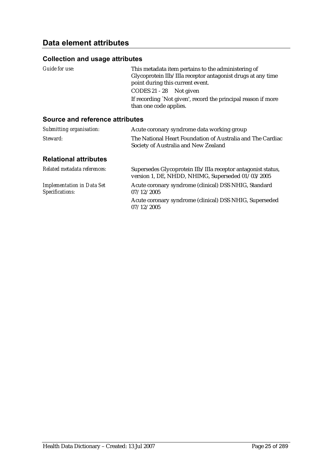#### **Collection and usage attributes**

| Guide for use: | This metadata item pertains to the administering of           |
|----------------|---------------------------------------------------------------|
|                | Glycoprotein IIb/IIIa receptor antagonist drugs at any time   |
|                | point during this current event.                              |
|                | CODES 21 - 28 Not given                                       |
|                | If recording 'Not given', record the principal reason if more |
|                | than one code applies.                                        |
|                |                                                               |

#### **Source and reference attributes**

| Submitting organisation:     | Acute coronary syndrome data working group                                                         |
|------------------------------|----------------------------------------------------------------------------------------------------|
| Steward:                     | The National Heart Foundation of Australia and The Cardiac<br>Society of Australia and New Zealand |
| <b>Relational attributes</b> |                                                                                                    |

| Related metadata references:                         | Supersedes Glycoprotein IIb/IIIa receptor antagonist status,<br>version 1, DE, NHDD, NHIMG, Superseded 01/03/2005 |
|------------------------------------------------------|-------------------------------------------------------------------------------------------------------------------|
| <b>Implementation in Data Set</b><br>Specifications: | Acute coronary syndrome (clinical) DSS NHIG, Standard<br>07/12/2005                                               |
|                                                      | Acute coronary syndrome (clinical) DSS NHIG, Superseded<br>07/12/2005                                             |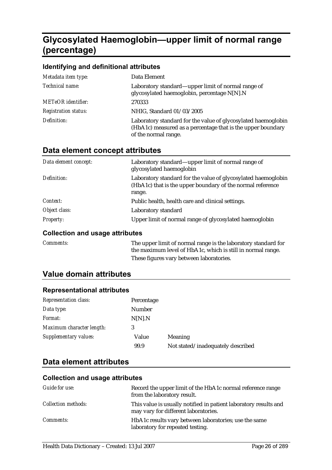# **Glycosylated Haemoglobin—upper limit of normal range (percentage)**

#### **Identifying and definitional attributes**

| Metadata item type:         | Data Element                                                                                                                                         |
|-----------------------------|------------------------------------------------------------------------------------------------------------------------------------------------------|
| Technical name:             | Laboratory standard—upper limit of normal range of<br>glycosylated haemoglobin, percentage N[N].N                                                    |
| <b>METeOR</b> identifier:   | 270333                                                                                                                                               |
| <b>Registration status:</b> | NHIG, Standard 01/03/2005                                                                                                                            |
| Definition:                 | Laboratory standard for the value of glycosylated haemoglobin<br>(HbA1c) measured as a percentage that is the upper boundary<br>of the normal range. |

#### **Data element concept attributes**

| Data element concept: | Laboratory standard—upper limit of normal range of<br>glycosylated haemoglobin                                                        |
|-----------------------|---------------------------------------------------------------------------------------------------------------------------------------|
| Definition:           | Laboratory standard for the value of glycosylated haemoglobin<br>(HbA1c) that is the upper boundary of the normal reference<br>range. |
| Context:              | Public health, health care and clinical settings.                                                                                     |
| Object class:         | Laboratory standard                                                                                                                   |
| <b>Property:</b>      | Upper limit of normal range of glycosylated haemoglobin                                                                               |

#### **Collection and usage attributes**

| <i>Comments:</i> | The upper limit of normal range is the laboratory standard for<br>the maximum level of HbA1c, which is still in normal range. |
|------------------|-------------------------------------------------------------------------------------------------------------------------------|
|                  | These figures vary between laboratories.                                                                                      |

#### **Value domain attributes**

#### **Representational attributes**

| <b>Representation class:</b> | Percentage |                                   |
|------------------------------|------------|-----------------------------------|
| Data type:                   | Number     |                                   |
| Format:                      | N[N].N     |                                   |
| Maximum character length:    | 3          |                                   |
| Supplementary values:        | Value      | <b>Meaning</b>                    |
|                              | 99.9       | Not stated/inadequately described |

# **Data element attributes**

| Guide for use:             | Record the upper limit of the HbA1c normal reference range<br>from the laboratory result.                |
|----------------------------|----------------------------------------------------------------------------------------------------------|
| <i>Collection methods:</i> | This value is usually notified in patient laboratory results and<br>may vary for different laboratories. |
| <i>Comments:</i>           | HbA1c results vary between laboratories; use the same<br>laboratory for repeated testing.                |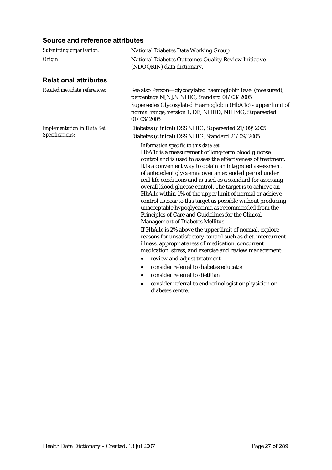#### **Source and reference attributes**

| Submitting organisation:          | <b>National Diabetes Data Working Group</b>                                                                                                                                                                                                                                                                                                                                                                                                                                                                                                                                                                                                                                                                                                                                                                                                                                   |  |  |
|-----------------------------------|-------------------------------------------------------------------------------------------------------------------------------------------------------------------------------------------------------------------------------------------------------------------------------------------------------------------------------------------------------------------------------------------------------------------------------------------------------------------------------------------------------------------------------------------------------------------------------------------------------------------------------------------------------------------------------------------------------------------------------------------------------------------------------------------------------------------------------------------------------------------------------|--|--|
| Origin:                           | National Diabetes Outcomes Quality Review Initiative<br>(NDOQRIN) data dictionary.                                                                                                                                                                                                                                                                                                                                                                                                                                                                                                                                                                                                                                                                                                                                                                                            |  |  |
| <b>Relational attributes</b>      |                                                                                                                                                                                                                                                                                                                                                                                                                                                                                                                                                                                                                                                                                                                                                                                                                                                                               |  |  |
| Related metadata references:      | See also Person-glycosylated haemoglobin level (measured),<br>percentage N[N].N NHIG, Standard 01/03/2005<br>Supersedes Glycosylated Haemoglobin (HbA1c) - upper limit of<br>normal range, version 1, DE, NHDD, NHIMG, Superseded<br>01/03/2005                                                                                                                                                                                                                                                                                                                                                                                                                                                                                                                                                                                                                               |  |  |
| <b>Implementation in Data Set</b> | Diabetes (clinical) DSS NHIG, Superseded 21/09/2005                                                                                                                                                                                                                                                                                                                                                                                                                                                                                                                                                                                                                                                                                                                                                                                                                           |  |  |
| Specifications:                   | Diabetes (clinical) DSS NHIG, Standard 21/09/2005                                                                                                                                                                                                                                                                                                                                                                                                                                                                                                                                                                                                                                                                                                                                                                                                                             |  |  |
|                                   | Information specific to this data set:<br>HbA1c is a measurement of long-term blood glucose<br>control and is used to assess the effectiveness of treatment.<br>It is a convenient way to obtain an integrated assessment<br>of antecedent glycaemia over an extended period under<br>real life conditions and is used as a standard for assessing<br>overall blood glucose control. The target is to achieve an<br>HbA1c within 1% of the upper limit of normal or achieve<br>control as near to this target as possible without producing<br>unacceptable hypoglycaemia as recommended from the<br>Principles of Care and Guidelines for the Clinical<br>Management of Diabetes Mellitus.<br>If HbA1c is 2% above the upper limit of normal, explore<br>reasons for unsatisfactory control such as diet, intercurrent<br>illness, appropriateness of medication, concurrent |  |  |
|                                   | medication, stress, and exercise and review management:                                                                                                                                                                                                                                                                                                                                                                                                                                                                                                                                                                                                                                                                                                                                                                                                                       |  |  |
|                                   | review and adjust treatment<br>٠                                                                                                                                                                                                                                                                                                                                                                                                                                                                                                                                                                                                                                                                                                                                                                                                                                              |  |  |
|                                   | consider referral to diabetes educator<br>$\bullet$                                                                                                                                                                                                                                                                                                                                                                                                                                                                                                                                                                                                                                                                                                                                                                                                                           |  |  |
|                                   | consider referral to dietitian<br>$\bullet$                                                                                                                                                                                                                                                                                                                                                                                                                                                                                                                                                                                                                                                                                                                                                                                                                                   |  |  |
|                                   | consider referral to endocrinologist or physician or<br>٠<br>diabetes centre.                                                                                                                                                                                                                                                                                                                                                                                                                                                                                                                                                                                                                                                                                                                                                                                                 |  |  |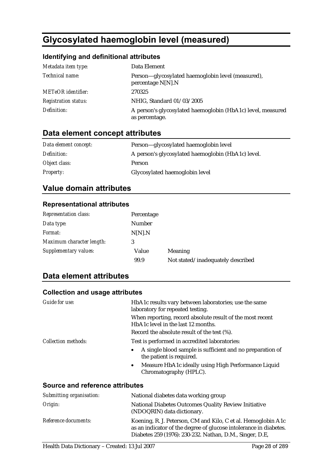# **Glycosylated haemoglobin level (measured)**

#### **Identifying and definitional attributes**

| Metadata item type:         | Data Element                                                                  |
|-----------------------------|-------------------------------------------------------------------------------|
| Technical name:             | Person-glycosylated haemoglobin level (measured),<br>percentage $N[N].N$      |
| <b>METeOR</b> identifier:   | 270325                                                                        |
| <b>Registration status:</b> | NHIG, Standard 01/03/2005                                                     |
| Definition:                 | A person's glycosylated haemoglobin (HbA1c) level, measured<br>as percentage. |

# **Data element concept attributes**

| Data element concept: | Person-glycosylated haemoglobin level              |
|-----------------------|----------------------------------------------------|
| Definition:           | A person's glycosylated haemoglobin (HbA1c) level. |
| Object class:         | <b>Person</b>                                      |
| <i>Property:</i>      | Glycosylated haemoglobin level                     |

#### **Value domain attributes**

#### **Representational attributes**

| <b>Representation class:</b> | Percentage |                                   |
|------------------------------|------------|-----------------------------------|
| Data type:                   | Number     |                                   |
| Format:                      | N[N].N     |                                   |
| Maximum character length:    | 3          |                                   |
| Supplementary values:        | Value      | <b>Meaning</b>                    |
|                              | 99.9       | Not stated/inadequately described |

#### **Data element attributes**

| Guide for use:                  | HbA1c results vary between laboratories; use the same<br>laboratory for repeated testing.       |
|---------------------------------|-------------------------------------------------------------------------------------------------|
|                                 | When reporting, record absolute result of the most recent<br>HbA1c level in the last 12 months. |
|                                 | Record the absolute result of the test (%).                                                     |
| Collection methods:             | Test is performed in accredited laboratories:                                                   |
|                                 | A single blood sample is sufficient and no preparation of<br>٠<br>the patient is required.      |
|                                 | Measure HbA1c ideally using High Performance Liquid<br>$\bullet$<br>Chromatography (HPLC).      |
| Source and reference attributes |                                                                                                 |
| Submitting organisation:        | National diabetes data working group                                                            |

| Dubintung organisation. | Tratformal diabetes data working group                                                                                                                                                         |
|-------------------------|------------------------------------------------------------------------------------------------------------------------------------------------------------------------------------------------|
| Origin:                 | National Diabetes Outcomes Quality Review Initiative<br>(NDOQRIN) data dictionary.                                                                                                             |
| Reference documents:    | Koening, R. J. Peterson, CM and Kilo, C et al. Hemoglobin A1c<br>as an indicator of the degree of glucose intolerance in diabetes.<br>Diabetes 259 (1976): 230-232. Nathan, D.M., Singer, D.E, |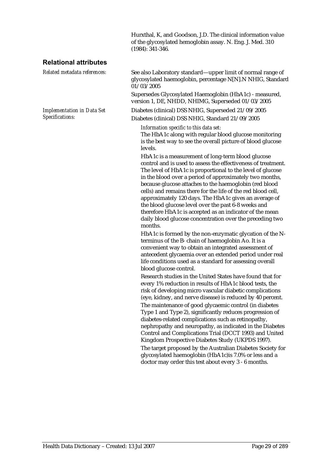Hurxthal, K, and Goodson, J.D. The clinical information value of the glycosylated hemoglobin assay. N. Eng. J. Med. 310 (1984): 341-346.

#### **Relational attributes**

*Implementation in Data Set Specifications:*

*Related metadata references:* See also Laboratory standard—upper limit of normal range of glycosylated haemoglobin, percentage N[N].N NHIG, Standard 01/03/2005

> Supersedes Glycosylated Haemoglobin (HbA1c) - measured, version 1, DE, NHDD, NHIMG, Superseded 01/03/2005

Diabetes (clinical) DSS NHIG, Superseded 21/09/2005 Diabetes (clinical) DSS NHIG, Standard 21/09/2005

*Information specific to this data set:*

The HbA1c along with regular blood glucose monitoring is the best way to see the overall picture of blood glucose levels.

HbA1c is a measurement of long-term blood glucose control and is used to assess the effectiveness of treatment. The level of HbA1c is proportional to the level of glucose in the blood over a period of approximately two months, because glucose attaches to the haemoglobin (red blood cells) and remains there for the life of the red blood cell, approximately 120 days. The HbA1c gives an average of the blood glucose level over the past 6-8 weeks and therefore HbA1c is accepted as an indicator of the mean daily blood glucose concentration over the preceding two months.

HbA1c is formed by the non-enzymatic glycation of the Nterminus of the B- chain of haemoglobin Ao. It is a convenient way to obtain an integrated assessment of antecedent glycaemia over an extended period under real life conditions used as a standard for assessing overall blood glucose control.

Research studies in the United States have found that for every 1% reduction in results of HbA1c blood tests, the risk of developing micro vascular diabetic complications (eye, kidney, and nerve disease) is reduced by 40 percent.

The maintenance of good glycaemic control (in diabetes Type 1 and Type 2), significantly reduces progression of diabetes-related complications such as retinopathy, nephropathy and neuropathy, as indicated in the Diabetes Control and Complications Trial (DCCT 1993) and United Kingdom Prospective Diabetes Study (UKPDS 1997).

The target proposed by the Australian Diabetes Society for glycosylated haemoglobin (HbA1c)is 7.0% or less and a doctor may order this test about every 3 - 6 months.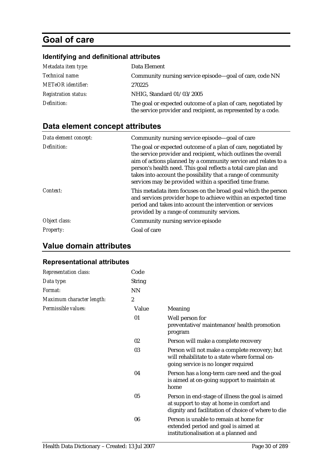# **Goal of care**

#### **Identifying and definitional attributes**

| Metadata item type:         | Data Element                                                                                                                   |
|-----------------------------|--------------------------------------------------------------------------------------------------------------------------------|
| Technical name:             | Community nursing service episode—goal of care, code NN                                                                        |
| <b>METeOR</b> identifier:   | 270225                                                                                                                         |
| <b>Registration status:</b> | NHIG, Standard 01/03/2005                                                                                                      |
| Definition:                 | The goal or expected outcome of a plan of care, negotiated by<br>the service provider and recipient, as represented by a code. |

# **Data element concept attributes**

| Data element concept: | Community nursing service episode-goal of care                                                                                                                                                                                                                                                                                                                                                 |
|-----------------------|------------------------------------------------------------------------------------------------------------------------------------------------------------------------------------------------------------------------------------------------------------------------------------------------------------------------------------------------------------------------------------------------|
| Definition:           | The goal or expected outcome of a plan of care, negotiated by<br>the service provider and recipient, which outlines the overall<br>aim of actions planned by a community service and relates to a<br>person's health need. This goal reflects a total care plan and<br>takes into account the possibility that a range of community<br>services may be provided within a specified time frame. |
| Context:              | This metadata item focuses on the broad goal which the person<br>and services provider hope to achieve within an expected time<br>period and takes into account the intervention or services<br>provided by a range of community services.                                                                                                                                                     |
| Object class:         | Community nursing service episode                                                                                                                                                                                                                                                                                                                                                              |
| <i>Property:</i>      | Goal of care                                                                                                                                                                                                                                                                                                                                                                                   |

#### **Value domain attributes**

#### **Representational attributes**

| <b>Representation class:</b> | Code             |                                                                                                                                                     |
|------------------------------|------------------|-----------------------------------------------------------------------------------------------------------------------------------------------------|
| Data type:                   | <b>String</b>    |                                                                                                                                                     |
| Format:                      | <b>NN</b>        |                                                                                                                                                     |
| Maximum character length:    | $\boldsymbol{2}$ |                                                                                                                                                     |
| Permissible values:          | Value            | <b>Meaning</b>                                                                                                                                      |
|                              | 01               | Well person for<br>preventative/maintenance/health promotion<br>program                                                                             |
|                              | 02               | Person will make a complete recovery                                                                                                                |
|                              | 03               | Person will not make a complete recovery; but<br>will rehabilitate to a state where formal on-<br>going service is no longer required               |
|                              | 04               | Person has a long-term care need and the goal<br>is aimed at on-going support to maintain at<br>home                                                |
|                              | 05               | Person in end-stage of illness the goal is aimed<br>at support to stay at home in comfort and<br>dignity and facilitation of choice of where to die |
|                              | 06               | Person is unable to remain at home for<br>extended period and goal is aimed at<br>institutionalisation at a planned and                             |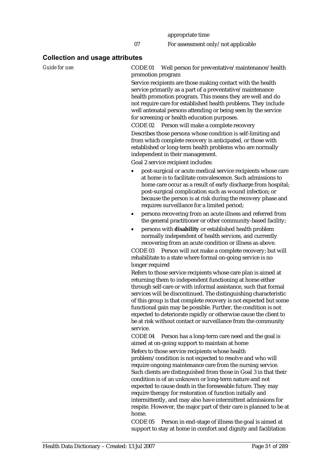#### **Collection and usage attributes**

*Guide for use:* CODE 01 Well person for preventative/maintenance/health promotion program

> Service recipients are those making contact with the health service primarily as a part of a preventative/maintenance health promotion program. This means they are well and do not require care for established health problems. They include well antenatal persons attending or being seen by the service for screening or health education purposes.

CODE 02 Person will make a complete recovery Describes those persons whose condition is self-limiting and from which complete recovery is anticipated, or those with established or long-term health problems who are normally independent in their management.

Goal 2 service recipient includes:

- post-surgical or acute medical service recipients whose care at home is to facilitate convalescence. Such admissions to home care occur as a result of early discharge from hospital; post-surgical complication such as wound infection; or because the person is at risk during the recovery phase and requires surveillance for a limited period;
- persons recovering from an acute illness and referred from the general practitioner or other community-based facility;
- persons with **disability** or established health problem normally independent of health services, and currently recovering from an acute condition or illness as above.

CODE 03 Person will not make a complete recovery; but will rehabilitate to a state where formal on-going service is no longer required

Refers to those service recipients whose care plan is aimed at returning them to independent functioning at home either through self-care or with informal assistance, such that formal services will be discontinued. The distinguishing characteristic of this group is that complete recovery is not expected but some functional gain may be possible. Further, the condition is not expected to deteriorate rapidly or otherwise cause the client to be at risk without contact or surveillance from the community service.

CODE 04 Person has a long-term care need and the goal is aimed at on-going support to maintain at home

Refers to those service recipients whose health problem/condition is not expected to resolve and who will

require ongoing maintenance care from the nursing service. Such clients are distinguished from those in Goal 3 in that their condition is of an unknown or long-term nature and not expected to cause death in the foreseeable future. They may require therapy for restoration of function initially and intermittently, and may also have intermittent admissions for respite. However, the major part of their care is planned to be at home.

CODE 05 Person in end-stage of illness the goal is aimed at support to stay at home in comfort and dignity and facilitation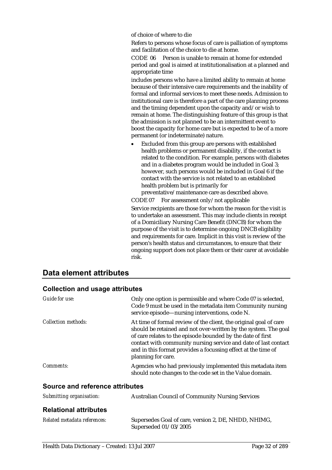of choice of where to die

Refers to persons whose focus of care is palliation of symptoms and facilitation of the choice to die at home.

CODE 06 Person is unable to remain at home for extended period and goal is aimed at institutionalisation at a planned and appropriate time

includes persons who have a limited ability to remain at home because of their intensive care requirements and the inability of formal and informal services to meet these needs. Admission to institutional care is therefore a part of the care planning process and the timing dependent upon the capacity and/or wish to remain at home. The distinguishing feature of this group is that the admission is not planned to be an intermittent event to boost the capacity for home care but is expected to be of a more permanent (or indeterminate) nature.

• Excluded from this group are persons with established health problems or permanent disability, if the contact is related to the condition. For example, persons with diabetes and in a diabetes program would be included in Goal 3; however, such persons would be included in Goal 6 if the contact with the service is not related to an established health problem but is primarily for

preventative/maintenance care as described above.

CODE 07 For assessment only/not applicable

Service recipients are those for whom the reason for the visit is to undertake an assessment. This may include clients in receipt of a Domiciliary Nursing Care Benefit (DNCB) for whom the purpose of the visit is to determine ongoing DNCB eligibility and requirements for care. Implicit in this visit is review of the person's health status and circumstances, to ensure that their ongoing support does not place them or their carer at avoidable risk.

#### **Data element attributes**

| Guide for use:                  | Only one option is permissible and where Code 07 is selected,<br>Code 9 must be used in the metadata item Community nursing<br>service episode—nursing interventions, code N.                                                                                                                                                                                 |
|---------------------------------|---------------------------------------------------------------------------------------------------------------------------------------------------------------------------------------------------------------------------------------------------------------------------------------------------------------------------------------------------------------|
| Collection methods:             | At time of formal review of the client, the original goal of care<br>should be retained and not over-written by the system. The goal<br>of care relates to the episode bounded by the date of first<br>contact with community nursing service and date of last contact<br>and in this format provides a focussing effect at the time of<br>planning for care. |
| <i>Comments:</i>                | Agencies who had previously implemented this metadata item<br>should note changes to the code set in the Value domain.                                                                                                                                                                                                                                        |
| Source and reference attributes |                                                                                                                                                                                                                                                                                                                                                               |
| Submitting organisation:        | <b>Australian Council of Community Nursing Services</b>                                                                                                                                                                                                                                                                                                       |
| <b>Relational attributes</b>    |                                                                                                                                                                                                                                                                                                                                                               |
| Related metadata references:    | Supersedes Goal of care, version 2, DE, NHDD, NHIMG,                                                                                                                                                                                                                                                                                                          |

Superseded 01/03/2005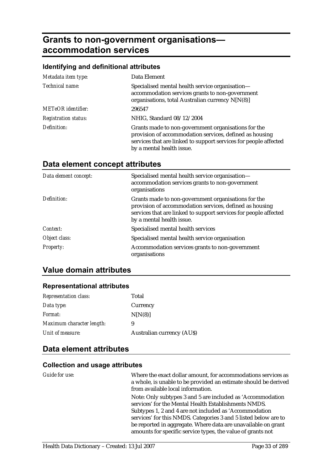# **Grants to non-government organisations accommodation services**

#### **Identifying and definitional attributes**

| Metadata item type:         | Data Element                                                                                                                                                                                                    |
|-----------------------------|-----------------------------------------------------------------------------------------------------------------------------------------------------------------------------------------------------------------|
| Technical name:             | Specialised mental health service organisation-<br>accommodation services grants to non-government<br>organisations, total Australian currency N[N(8)]                                                          |
| <b>METeOR</b> identifier:   | 296547                                                                                                                                                                                                          |
| <b>Registration status:</b> | NHIG, Standard 08/12/2004                                                                                                                                                                                       |
| Definition:                 | Grants made to non-government organisations for the<br>provision of accommodation services, defined as housing<br>services that are linked to support services for people affected<br>by a mental health issue. |

#### **Data element concept attributes**

| Data element concept: | Specialised mental health service organisation-<br>accommodation services grants to non-government<br>organisations                                                                                             |
|-----------------------|-----------------------------------------------------------------------------------------------------------------------------------------------------------------------------------------------------------------|
| Definition:           | Grants made to non-government organisations for the<br>provision of accommodation services, defined as housing<br>services that are linked to support services for people affected<br>by a mental health issue. |
| Context:              | Specialised mental health services                                                                                                                                                                              |
| Object class:         | Specialised mental health service organisation                                                                                                                                                                  |
| <b>Property:</b>      | Accommodation services grants to non-government<br>organisations                                                                                                                                                |

#### **Value domain attributes**

#### **Representational attributes**

| <b>Representation class:</b> | Total                            |
|------------------------------|----------------------------------|
| Data type:                   | Currency                         |
| <i>Format:</i>               | N[N(8)]                          |
| Maximum character length:    | 9                                |
| Unit of measure:             | <b>Australian currency (AUS)</b> |

#### **Data element attributes**

| Guide for use: | Where the exact dollar amount, for accommodations services as<br>a whole, is unable to be provided an estimate should be derived<br>from available local information. |
|----------------|-----------------------------------------------------------------------------------------------------------------------------------------------------------------------|
|                | Note: Only subtypes 3 and 5 are included as 'Accommodation<br>services' for the Mental Health Establishments NMDS.                                                    |
|                | Subtypes 1, 2 and 4 are not included as 'Accommodation<br>services' for this NMDS. Categories 3 and 5 listed below are to                                             |
|                | be reported in aggregate. Where data are unavailable on grant<br>amounts for specific service types, the value of grants not                                          |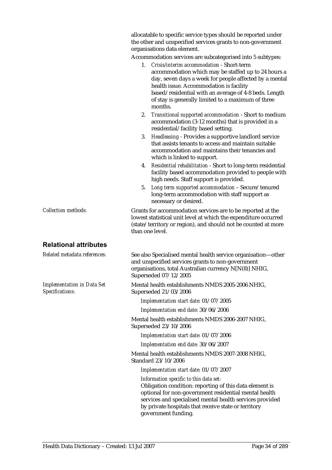|                                                             | allocatable to specific service types should be reported under<br>the other and unspecified services grants to non-government<br>organisations data element.                                                                                                                                                                          |  |  |
|-------------------------------------------------------------|---------------------------------------------------------------------------------------------------------------------------------------------------------------------------------------------------------------------------------------------------------------------------------------------------------------------------------------|--|--|
|                                                             | Accommodation services are subcategorised into 5 subtypes:                                                                                                                                                                                                                                                                            |  |  |
|                                                             | Crisis/interim accommodation - Short-term<br>1.<br>accommodation which may be staffed up to 24 hours a<br>day, seven days a week for people affected by a mental<br>health issue. Accommodation is facility<br>based/residential with an average of 4-8 beds. Length<br>of stay is generally limited to a maximum of three<br>months. |  |  |
|                                                             | 2. Transitional supported accommodation - Short to medium<br>accommodation (3-12 months) that is provided in a<br>residential/facility based setting.                                                                                                                                                                                 |  |  |
|                                                             | 3. Headleasing - Provides a supportive landlord service<br>that assists tenants to access and maintain suitable<br>accommodation and maintains their tenancies and<br>which is linked to support.                                                                                                                                     |  |  |
|                                                             | Residential rehabilitation - Short to long-term residential<br>4.<br>facility based accommodation provided to people with<br>high needs. Staff support is provided.                                                                                                                                                                   |  |  |
|                                                             | Long term supported accommodation - Secure/tenured<br>5.<br>long-term accommodation with staff support as<br>necessary or desired.                                                                                                                                                                                                    |  |  |
| <b>Collection methods:</b>                                  | Grants for accommodation services are to be reported at the<br>lowest statistical unit level at which the expenditure occurred<br>(state/territory or region), and should not be counted at more<br>than one level.                                                                                                                   |  |  |
| <b>Relational attributes</b>                                |                                                                                                                                                                                                                                                                                                                                       |  |  |
| Related metadata references:                                | See also Specialised mental health service organisation-other<br>and unspecified services grants to non-government<br>organisations, total Australian currency N[N(8)] NHIG,<br>Superseded 07/12/2005                                                                                                                                 |  |  |
| <b>Implementation in Data Set</b><br><b>Specifications:</b> | Mental health establishments NMDS 2005-2006 NHIG,<br>Superseded 21/03/2006                                                                                                                                                                                                                                                            |  |  |
|                                                             | Implementation start date: 01/07/2005                                                                                                                                                                                                                                                                                                 |  |  |
|                                                             | Implementation end date: 30/06/2006                                                                                                                                                                                                                                                                                                   |  |  |
|                                                             | Mental health establishments NMDS 2006-2007 NHIG,<br>Superseded 23/10/2006                                                                                                                                                                                                                                                            |  |  |
|                                                             | Implementation start date: 01/07/2006                                                                                                                                                                                                                                                                                                 |  |  |
|                                                             | Implementation end date: 30/06/2007                                                                                                                                                                                                                                                                                                   |  |  |
|                                                             | Mental health establishments NMDS 2007-2008 NHIG,<br>Standard 23/10/2006                                                                                                                                                                                                                                                              |  |  |
|                                                             | Implementation start date: 01/07/2007                                                                                                                                                                                                                                                                                                 |  |  |
|                                                             | Information specific to this data set:<br>Obligation condition: reporting of this data element is<br>optional for non-government residential mental health<br>services and specialised mental health services provided<br>by private hospitals that receive state or territory<br>government funding.                                 |  |  |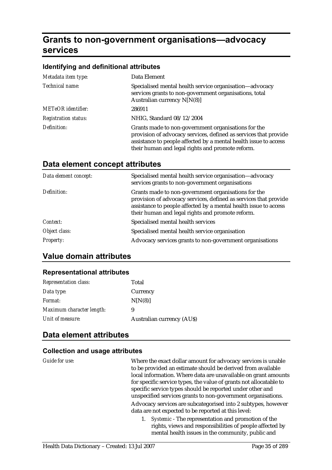# **Grants to non-government organisations—advocacy services**

#### **Identifying and definitional attributes**

| Metadata item type:         | Data Element                                                                                                                                                                                                                                    |
|-----------------------------|-------------------------------------------------------------------------------------------------------------------------------------------------------------------------------------------------------------------------------------------------|
| Technical name:             | Specialised mental health service organisation—advocacy<br>services grants to non-government organisations, total<br>Australian currency $N[N(8)]$                                                                                              |
| <b>METeOR</b> identifier:   | 286911                                                                                                                                                                                                                                          |
| <b>Registration status:</b> | NHIG, Standard 08/12/2004                                                                                                                                                                                                                       |
| Definition:                 | Grants made to non-government organisations for the<br>provision of advocacy services, defined as services that provide<br>assistance to people affected by a mental health issue to access<br>their human and legal rights and promote reform. |

#### **Data element concept attributes**

| Data element concept: | Specialised mental health service organisation—advocacy<br>services grants to non-government organisations                                                                                                                                      |
|-----------------------|-------------------------------------------------------------------------------------------------------------------------------------------------------------------------------------------------------------------------------------------------|
| Definition:           | Grants made to non-government organisations for the<br>provision of advocacy services, defined as services that provide<br>assistance to people affected by a mental health issue to access<br>their human and legal rights and promote reform. |
| Context:              | Specialised mental health services                                                                                                                                                                                                              |
| Object class:         | Specialised mental health service organisation                                                                                                                                                                                                  |
| <b>Property:</b>      | Advocacy services grants to non-government organisations                                                                                                                                                                                        |

#### **Value domain attributes**

#### **Representational attributes**

| <b>Representation class:</b> | Total                            |
|------------------------------|----------------------------------|
| Data type:                   | Currency                         |
| <i>Format:</i>               | N[N(8)]                          |
| Maximum character length:    | 9                                |
| Unit of measure:             | <b>Australian currency (AUS)</b> |

#### **Data element attributes**

#### **Collection and usage attributes**

*Guide for use:* Where the exact dollar amount for advocacy services is unable to be provided an estimate should be derived from available local information. Where data are unavailable on grant amounts for specific service types, the value of grants not allocatable to specific service types should be reported under other and unspecified services grants to non-government organisations.

> Advocacy services are subcategorised into 2 subtypes, however data are not expected to be reported at this level:

1. *Systemic* - The representation and promotion of the rights, views and responsibilities of people affected by mental health issues in the community, public and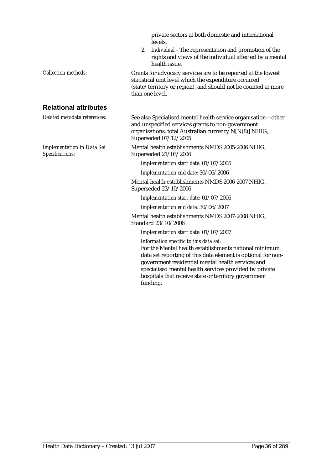|                                                      | private sectors at both domestic and international<br>levels.                                                                                                                                                                                                                  |
|------------------------------------------------------|--------------------------------------------------------------------------------------------------------------------------------------------------------------------------------------------------------------------------------------------------------------------------------|
|                                                      | Individual - The representation and promotion of the<br>2.<br>rights and views of the individual affected by a mental<br>health issue.                                                                                                                                         |
| <b>Collection methods:</b>                           | Grants for advocacy services are to be reported at the lowest<br>statistical unit level which the expenditure occurred<br>(state/territory or region), and should not be counted at more<br>than one level.                                                                    |
| <b>Relational attributes</b>                         |                                                                                                                                                                                                                                                                                |
| Related metadata references:                         | See also Specialised mental health service organisation-other<br>and unspecified services grants to non-government<br>organisations, total Australian currency N[N(8)] NHIG,<br>Superseded 07/12/2005                                                                          |
| <b>Implementation in Data Set</b><br>Specifications: | Mental health establishments NMDS 2005-2006 NHIG,<br>Superseded 21/03/2006                                                                                                                                                                                                     |
|                                                      | Implementation start date: 01/07/2005                                                                                                                                                                                                                                          |
|                                                      | Implementation end date: 30/06/2006                                                                                                                                                                                                                                            |
|                                                      | Mental health establishments NMDS 2006-2007 NHIG,<br>Superseded 23/10/2006                                                                                                                                                                                                     |
|                                                      | Implementation start date: 01/07/2006                                                                                                                                                                                                                                          |
|                                                      | Implementation end date: 30/06/2007                                                                                                                                                                                                                                            |
|                                                      | Mental health establishments NMDS 2007-2008 NHIG,<br>Standard 23/10/2006                                                                                                                                                                                                       |
|                                                      | Implementation start date: 01/07/2007                                                                                                                                                                                                                                          |
|                                                      | Information specific to this data set:<br>For the Mental health establishments national minimum<br>data set reporting of this data element is optional for non-<br>government residential mental health services and<br>specialised mental health services provided by private |

funding.

hospitals that receive state or territory government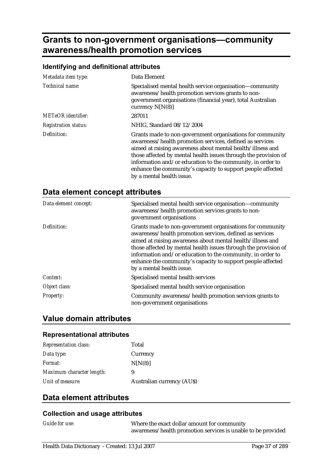# **Grants to non-government organisations—community awareness/health promotion services**

### **Identifying and definitional attributes**

| Metadata item type:         | Data Element                                                                                                                                                                                                                                                                                                                                                                                                     |
|-----------------------------|------------------------------------------------------------------------------------------------------------------------------------------------------------------------------------------------------------------------------------------------------------------------------------------------------------------------------------------------------------------------------------------------------------------|
| Technical name:             | Specialised mental health service organisation-community<br>awareness/health promotion services grants to non-<br>government organisations (financial year), total Australian<br>currency $N[N(8)]$                                                                                                                                                                                                              |
| METeOR identifier:          | 287011                                                                                                                                                                                                                                                                                                                                                                                                           |
| <b>Registration status:</b> | NHIG, Standard 08/12/2004                                                                                                                                                                                                                                                                                                                                                                                        |
| Definition:                 | Grants made to non-government organisations for community<br>awareness/health promotion services, defined as services<br>aimed at raising awareness about mental health/illness and<br>those affected by mental health issues through the provision of<br>information and/or education to the community, in order to<br>enhance the community's capacity to support people affected<br>by a mental health issue. |

|  |  |  | Data element concept attributes |
|--|--|--|---------------------------------|
|--|--|--|---------------------------------|

| Data element concept: | Specialised mental health service organisation-community<br>awareness/health promotion services grants to non-<br>government organisations                                                                                                                                                                                                                                                                       |
|-----------------------|------------------------------------------------------------------------------------------------------------------------------------------------------------------------------------------------------------------------------------------------------------------------------------------------------------------------------------------------------------------------------------------------------------------|
| Definition:           | Grants made to non-government organisations for community<br>awareness/health promotion services, defined as services<br>aimed at raising awareness about mental health/illness and<br>those affected by mental health issues through the provision of<br>information and/or education to the community, in order to<br>enhance the community's capacity to support people affected<br>by a mental health issue. |
| Context:              | Specialised mental health services                                                                                                                                                                                                                                                                                                                                                                               |
| Object class:         | Specialised mental health service organisation                                                                                                                                                                                                                                                                                                                                                                   |
| <b>Property:</b>      | Community awareness/health promotion services grants to<br>non-government organisations                                                                                                                                                                                                                                                                                                                          |

## **Value domain attributes**

#### **Representational attributes**

| <b>Representation class:</b> | Total                            |
|------------------------------|----------------------------------|
| Data type:                   | Currency                         |
| <i>Format:</i>               | N[N(8)]                          |
| Maximum character length:    | 9                                |
| Unit of measure:             | <b>Australian currency (AUS)</b> |

## **Data element attributes**

#### **Collection and usage attributes**

*Guide for use:* Where the exact dollar amount for community awareness/health promotion services is unable to be provided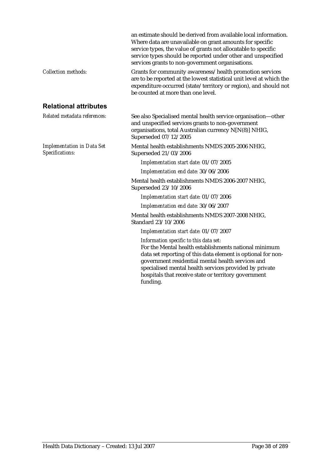|                                                      | an estimate should be derived from available local information.<br>Where data are unavailable on grant amounts for specific<br>service types, the value of grants not allocatable to specific<br>service types should be reported under other and unspecified<br>services grants to non-government organisations.                      |
|------------------------------------------------------|----------------------------------------------------------------------------------------------------------------------------------------------------------------------------------------------------------------------------------------------------------------------------------------------------------------------------------------|
| <b>Collection methods:</b>                           | Grants for community awareness/health promotion services<br>are to be reported at the lowest statistical unit level at which the<br>expenditure occurred (state/territory or region), and should not<br>be counted at more than one level.                                                                                             |
| <b>Relational attributes</b>                         |                                                                                                                                                                                                                                                                                                                                        |
| Related metadata references:                         | See also Specialised mental health service organisation-other<br>and unspecified services grants to non-government<br>organisations, total Australian currency N[N(8)] NHIG,<br>Superseded 07/12/2005                                                                                                                                  |
| <b>Implementation in Data Set</b><br>Specifications: | Mental health establishments NMDS 2005-2006 NHIG,<br>Superseded 21/03/2006                                                                                                                                                                                                                                                             |
|                                                      | Implementation start date: 01/07/2005                                                                                                                                                                                                                                                                                                  |
|                                                      | Implementation end date: 30/06/2006                                                                                                                                                                                                                                                                                                    |
|                                                      | Mental health establishments NMDS 2006-2007 NHIG,<br>Superseded 23/10/2006                                                                                                                                                                                                                                                             |
|                                                      | Implementation start date: 01/07/2006                                                                                                                                                                                                                                                                                                  |
|                                                      | Implementation end date: 30/06/2007                                                                                                                                                                                                                                                                                                    |
|                                                      | Mental health establishments NMDS 2007-2008 NHIG,<br>Standard 23/10/2006                                                                                                                                                                                                                                                               |
|                                                      | Implementation start date: 01/07/2007                                                                                                                                                                                                                                                                                                  |
|                                                      | Information specific to this data set:<br>For the Mental health establishments national minimum<br>data set reporting of this data element is optional for non-<br>government residential mental health services and<br>specialised mental health services provided by private<br>hospitals that receive state or territory government |

funding.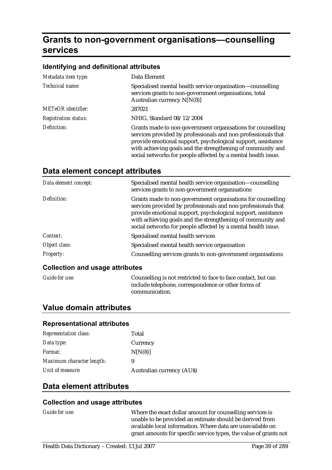# **Grants to non-government organisations—counselling services**

#### **Identifying and definitional attributes**

| Metadata item type:         | Data Element                                                                                                                                                                                                                                                                                                                 |
|-----------------------------|------------------------------------------------------------------------------------------------------------------------------------------------------------------------------------------------------------------------------------------------------------------------------------------------------------------------------|
| Technical name:             | Specialised mental health service organisation—counselling<br>services grants to non-government organisations, total<br>Australian currency N[N(8)]                                                                                                                                                                          |
| <b>METeOR</b> identifier:   | 287021                                                                                                                                                                                                                                                                                                                       |
| <b>Registration status:</b> | NHIG, Standard 08/12/2004                                                                                                                                                                                                                                                                                                    |
| Definition:                 | Grants made to non-government organisations for counselling<br>services provided by professionals and non-professionals that<br>provide emotional support, psychological support, assistance<br>with achieving goals and the strengthening of community and<br>social networks for people affected by a mental health issue. |

## **Data element concept attributes**

| Data element concept:           | Specialised mental health service organisation-counselling<br>services grants to non-government organisations                                                                                                                                                                                                                |
|---------------------------------|------------------------------------------------------------------------------------------------------------------------------------------------------------------------------------------------------------------------------------------------------------------------------------------------------------------------------|
| Definition:                     | Grants made to non-government organisations for counselling<br>services provided by professionals and non-professionals that<br>provide emotional support, psychological support, assistance<br>with achieving goals and the strengthening of community and<br>social networks for people affected by a mental health issue. |
| Context:                        | Specialised mental health services                                                                                                                                                                                                                                                                                           |
| Object class:                   | Specialised mental health service organisation                                                                                                                                                                                                                                                                               |
| <b>Property:</b>                | Counselling services grants to non-government organisations                                                                                                                                                                                                                                                                  |
| Collection and usage attributes |                                                                                                                                                                                                                                                                                                                              |

#### **Collection and usage attributes**

|  | <b>Guide for use:</b> |
|--|-----------------------|
|  |                       |

Counselling is not restricted to face to face contact, but can include telephone, correspondence or other forms of communication.

### **Value domain attributes**

#### **Representational attributes**

| <b>Representation class:</b> | Total                            |
|------------------------------|----------------------------------|
| Data type:                   | Currency                         |
| Format:                      | N[N(8)]                          |
| Maximum character length:    | 9                                |
| Unit of measure:             | <b>Australian currency (AUS)</b> |

## **Data element attributes**

#### **Collection and usage attributes**

*Guide for use:* Where the exact dollar amount for counselling services is unable to be provided an estimate should be derived from available local information. Where data are unavailable on grant amounts for specific service types, the value of grants not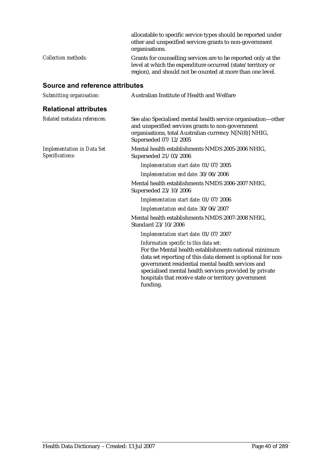|                     | allocatable to specific service types should be reported under<br>other and unspecified services grants to non-government<br>organisations.                                                 |
|---------------------|---------------------------------------------------------------------------------------------------------------------------------------------------------------------------------------------|
| Collection methods: | Grants for counselling services are to be reported only at the<br>level at which the expenditure occurred (state/territory or<br>region), and should not be counted at more than one level. |

## **Source and reference attributes**

| Submitting organisation:                             | Australian Institute of Health and Welfare                                                                                                                                                                                                                                                                                                         |  |
|------------------------------------------------------|----------------------------------------------------------------------------------------------------------------------------------------------------------------------------------------------------------------------------------------------------------------------------------------------------------------------------------------------------|--|
| <b>Relational attributes</b>                         |                                                                                                                                                                                                                                                                                                                                                    |  |
| Related metadata references:                         | See also Specialised mental health service organisation-other<br>and unspecified services grants to non-government<br>organisations, total Australian currency N[N(8)] NHIG,<br>Superseded 07/12/2005                                                                                                                                              |  |
| <b>Implementation in Data Set</b><br>Specifications: | Mental health establishments NMDS 2005-2006 NHIG.<br>Superseded 21/03/2006                                                                                                                                                                                                                                                                         |  |
|                                                      | Implementation start date: 01/07/2005                                                                                                                                                                                                                                                                                                              |  |
|                                                      | Implementation end date: 30/06/2006                                                                                                                                                                                                                                                                                                                |  |
|                                                      | Mental health establishments NMDS 2006-2007 NHIG,<br>Superseded 23/10/2006                                                                                                                                                                                                                                                                         |  |
|                                                      | Implementation start date: 01/07/2006                                                                                                                                                                                                                                                                                                              |  |
|                                                      | Implementation end date: 30/06/2007                                                                                                                                                                                                                                                                                                                |  |
|                                                      | Mental health establishments NMDS 2007-2008 NHIG,<br>Standard 23/10/2006                                                                                                                                                                                                                                                                           |  |
|                                                      | Implementation start date: 01/07/2007                                                                                                                                                                                                                                                                                                              |  |
|                                                      | Information specific to this data set:<br>For the Mental health establishments national minimum<br>data set reporting of this data element is optional for non-<br>government residential mental health services and<br>specialised mental health services provided by private<br>hospitals that receive state or territory government<br>funding. |  |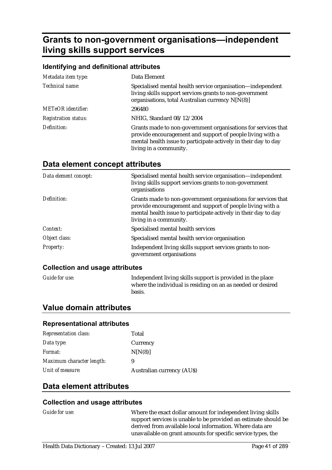# **Grants to non-government organisations—independent living skills support services**

#### **Identifying and definitional attributes**

| Metadata item type:         | Data Element                                                                                                                                                                                                            |
|-----------------------------|-------------------------------------------------------------------------------------------------------------------------------------------------------------------------------------------------------------------------|
| Technical name:             | Specialised mental health service organisation—independent<br>living skills support services grants to non-government<br>organisations, total Australian currency N[N(8)]                                               |
| <b>METeOR</b> identifier:   | 296480                                                                                                                                                                                                                  |
| <b>Registration status:</b> | NHIG, Standard 08/12/2004                                                                                                                                                                                               |
| Definition:                 | Grants made to non-government organisations for services that<br>provide encouragement and support of people living with a<br>mental health issue to participate actively in their day to day<br>living in a community. |

## **Data element concept attributes**

| Data element concept: | Specialised mental health service organisation—independent<br>living skills support services grants to non-government<br>organisations                                                                                  |
|-----------------------|-------------------------------------------------------------------------------------------------------------------------------------------------------------------------------------------------------------------------|
| Definition:           | Grants made to non-government organisations for services that<br>provide encouragement and support of people living with a<br>mental health issue to participate actively in their day to day<br>living in a community. |
| Context:              | Specialised mental health services                                                                                                                                                                                      |
| Object class:         | Specialised mental health service organisation                                                                                                                                                                          |
| <b>Property:</b>      | Independent living skills support services grants to non-<br>government organisations                                                                                                                                   |

#### **Collection and usage attributes**

*Guide for use:* Independent living skills support is provided in the place where the individual is residing on an as needed or desired basis.

### **Value domain attributes**

#### **Representational attributes**

| <b>Representation class:</b> | Total                            |
|------------------------------|----------------------------------|
| Data type:                   | Currency                         |
| <i>Format:</i>               | N[N(8)]                          |
| Maximum character length:    | 9                                |
| Unit of measure:             | <b>Australian currency (AUS)</b> |

## **Data element attributes**

#### **Collection and usage attributes**

*Guide for use:* Where the exact dollar amount for independent living skills support services is unable to be provided an estimate should be derived from available local information. Where data are unavailable on grant amounts for specific service types, the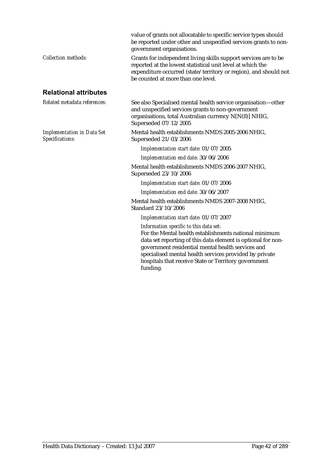|                                                      | value of grants not allocatable to specific service types should<br>be reported under other and unspecified services grants to non-<br>government organisations.                                                                                                                                                                                   |
|------------------------------------------------------|----------------------------------------------------------------------------------------------------------------------------------------------------------------------------------------------------------------------------------------------------------------------------------------------------------------------------------------------------|
| <b>Collection methods:</b>                           | Grants for independent living skills support services are to be<br>reported at the lowest statistical unit level at which the<br>expenditure occurred (state/territory or region), and should not<br>be counted at more than one level.                                                                                                            |
| <b>Relational attributes</b>                         |                                                                                                                                                                                                                                                                                                                                                    |
| Related metadata references:                         | See also Specialised mental health service organisation-other<br>and unspecified services grants to non-government<br>organisations, total Australian currency N[N(8)] NHIG,<br>Superseded 07/12/2005                                                                                                                                              |
| <b>Implementation in Data Set</b><br>Specifications: | Mental health establishments NMDS 2005-2006 NHIG,<br>Superseded 21/03/2006                                                                                                                                                                                                                                                                         |
|                                                      | Implementation start date: 01/07/2005                                                                                                                                                                                                                                                                                                              |
|                                                      | Implementation end date: 30/06/2006                                                                                                                                                                                                                                                                                                                |
|                                                      | Mental health establishments NMDS 2006-2007 NHIG,<br>Superseded 23/10/2006                                                                                                                                                                                                                                                                         |
|                                                      | Implementation start date: 01/07/2006                                                                                                                                                                                                                                                                                                              |
|                                                      | Implementation end date: 30/06/2007                                                                                                                                                                                                                                                                                                                |
|                                                      | Mental health establishments NMDS 2007-2008 NHIG,<br>Standard 23/10/2006                                                                                                                                                                                                                                                                           |
|                                                      | Implementation start date: 01/07/2007                                                                                                                                                                                                                                                                                                              |
|                                                      | Information specific to this data set:<br>For the Mental health establishments national minimum<br>data set reporting of this data element is optional for non-<br>government residential mental health services and<br>specialised mental health services provided by private<br>hospitals that receive State or Territory government<br>funding. |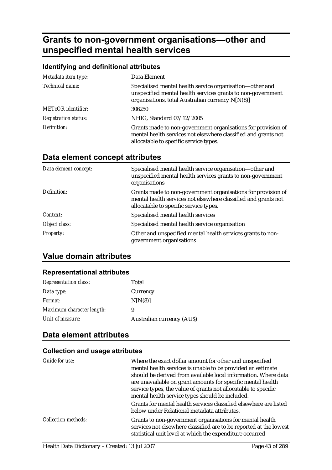# **Grants to non-government organisations—other and unspecified mental health services**

### **Identifying and definitional attributes**

| Metadata item type:         | Data Element                                                                                                                                                                |
|-----------------------------|-----------------------------------------------------------------------------------------------------------------------------------------------------------------------------|
| Technical name:             | Specialised mental health service organisation-other and<br>unspecified mental health services grants to non-government<br>organisations, total Australian currency N[N(8)] |
| <b>METeOR</b> identifier:   | 306250                                                                                                                                                                      |
| <b>Registration status:</b> | NHIG, Standard 07/12/2005                                                                                                                                                   |
| Definition:                 | Grants made to non-government organisations for provision of<br>mental health services not elsewhere classified and grants not<br>allocatable to specific service types.    |

## **Data element concept attributes**

| Data element concept: | Specialised mental health service organisation—other and<br>unspecified mental health services grants to non-government<br>organisations                                 |
|-----------------------|--------------------------------------------------------------------------------------------------------------------------------------------------------------------------|
| Definition:           | Grants made to non-government organisations for provision of<br>mental health services not elsewhere classified and grants not<br>allocatable to specific service types. |
| Context:              | Specialised mental health services                                                                                                                                       |
| Object class:         | Specialised mental health service organisation                                                                                                                           |
| <b>Property:</b>      | Other and unspecified mental health services grants to non-<br>government organisations                                                                                  |

## **Value domain attributes**

## **Representational attributes**

| <b>Representation class:</b> | Total                            |
|------------------------------|----------------------------------|
| Data type:                   | Currency                         |
| <i>Format:</i>               | N[N(8)]                          |
| Maximum character length:    | 9                                |
| Unit of measure:             | <b>Australian currency (AUS)</b> |

## **Data element attributes**

### **Collection and usage attributes**

| Guide for use:             | Where the exact dollar amount for other and unspecified<br>mental health services is unable to be provided an estimate<br>should be derived from available local information. Where data<br>are unavailable on grant amounts for specific mental health<br>service types, the value of grants not allocatable to specific<br>mental health service types should be included. |
|----------------------------|------------------------------------------------------------------------------------------------------------------------------------------------------------------------------------------------------------------------------------------------------------------------------------------------------------------------------------------------------------------------------|
|                            | Grants for mental health services classified elsewhere are listed<br>below under Relational metadata attributes.                                                                                                                                                                                                                                                             |
| <b>Collection methods:</b> | Grants to non-government organisations for mental health<br>services not elsewhere classified are to be reported at the lowest<br>statistical unit level at which the expenditure occurred                                                                                                                                                                                   |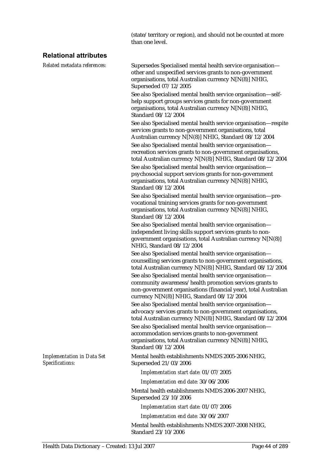(state/territory or region), and should not be counted at more than one level.

### **Relational attributes**

*Related metadata references:* Supersedes Specialised mental health service organisation other and unspecified services grants to non-government organisations, total Australian currency N[N(8)] NHIG, Superseded 07/12/2005

> See also Specialised mental health service organisation—selfhelp support groups services grants for non-government organisations, total Australian currency N[N(8)] NHIG, Standard 08/12/2004

See also Specialised mental health service organisation—respite services grants to non-government organisations, total Australian currency N[N(8)] NHIG, Standard 08/12/2004

See also Specialised mental health service organisation recreation services grants to non-government organisations, total Australian currency N[N(8)] NHIG, Standard 08/12/2004

See also Specialised mental health service organisation psychosocial support services grants for non-government organisations, total Australian currency N[N(8)] NHIG, Standard 08/12/2004

See also Specialised mental health service organisation—prevocational training services grants for non-government organisations, total Australian currency N[N(8)] NHIG, Standard 08/12/2004

See also Specialised mental health service organisation independent living skills support services grants to nongovernment organisations, total Australian currency N[N(8)] NHIG, Standard 08/12/2004

See also Specialised mental health service organisation counselling services grants to non-government organisations, total Australian currency N[N(8)] NHIG, Standard 08/12/2004 See also Specialised mental health service organisation community awareness/health promotion services grants to non-government organisations (financial year), total Australian currency N[N(8)] NHIG, Standard 08/12/2004

See also Specialised mental health service organisation advocacy services grants to non-government organisations, total Australian currency N[N(8)] NHIG, Standard 08/12/2004

See also Specialised mental health service organisation accommodation services grants to non-government organisations, total Australian currency N[N(8)] NHIG, Standard 08/12/2004

Mental health establishments NMDS 2005-2006 NHIG, Superseded 21/03/2006

*Implementation start date:* 01/07/2005

*Implementation end date:* 30/06/2006

Mental health establishments NMDS 2006-2007 NHIG, Superseded 23/10/2006

*Implementation start date:* 01/07/2006

*Implementation end date:* 30/06/2007

Mental health establishments NMDS 2007-2008 NHIG, Standard 23/10/2006

*Implementation in Data Set Specifications:*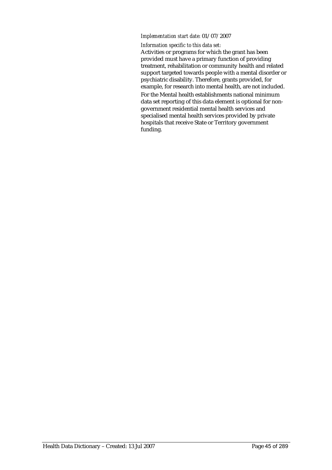#### *Implementation start date:* 01/07/2007

#### *Information specific to this data set:*

Activities or programs for which the grant has been provided must have a primary function of providing treatment, rehabilitation or community health and related support targeted towards people with a mental disorder or psychiatric disability. Therefore, grants provided, for example, for research into mental health, are not included. For the Mental health establishments national minimum data set reporting of this data element is optional for nongovernment residential mental health services and specialised mental health services provided by private hospitals that receive State or Territory government funding.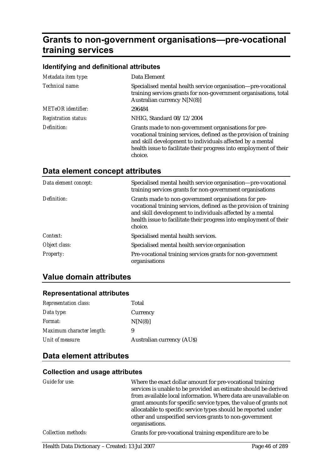# **Grants to non-government organisations—pre-vocational training services**

### **Identifying and definitional attributes**

| Metadata item type:         | Data Element                                                                                                                                                                                                                                                             |
|-----------------------------|--------------------------------------------------------------------------------------------------------------------------------------------------------------------------------------------------------------------------------------------------------------------------|
| Technical name:             | Specialised mental health service organisation-pre-vocational<br>training services grants for non-government organisations, total<br>Australian currency N[N(8)]                                                                                                         |
| <b>METeOR</b> identifier:   | 296484                                                                                                                                                                                                                                                                   |
| <b>Registration status:</b> | NHIG, Standard 08/12/2004                                                                                                                                                                                                                                                |
| Definition:                 | Grants made to non-government organisations for pre-<br>vocational training services, defined as the provision of training<br>and skill development to individuals affected by a mental<br>health issue to facilitate their progress into employment of their<br>choice. |

## **Data element concept attributes**

| Data element concept: | Specialised mental health service organisation—pre-vocational<br>training services grants for non-government organisations                                                                                                                                               |
|-----------------------|--------------------------------------------------------------------------------------------------------------------------------------------------------------------------------------------------------------------------------------------------------------------------|
| Definition:           | Grants made to non-government organisations for pre-<br>vocational training services, defined as the provision of training<br>and skill development to individuals affected by a mental<br>health issue to facilitate their progress into employment of their<br>choice. |
| Context:              | Specialised mental health services.                                                                                                                                                                                                                                      |
| Object class:         | Specialised mental health service organisation                                                                                                                                                                                                                           |
| <b>Property:</b>      | Pre-vocational training services grants for non-government<br>organisations                                                                                                                                                                                              |

## **Value domain attributes**

#### **Representational attributes**

| <b>Representation class:</b> | Total                            |
|------------------------------|----------------------------------|
| Data type:                   | Currency                         |
| <i>Format:</i>               | N[N(8)]                          |
| Maximum character length:    | 9                                |
| Unit of measure:             | <b>Australian currency (AUS)</b> |

## **Data element attributes**

### **Collection and usage attributes**

| Guide for use:             | Where the exact dollar amount for pre-vocational training<br>services is unable to be provided an estimate should be derived<br>from available local information. Where data are unavailable on<br>grant amounts for specific service types, the value of grants not<br>allocatable to specific service types should be reported under<br>other and unspecified services grants to non-government<br>organisations. |
|----------------------------|---------------------------------------------------------------------------------------------------------------------------------------------------------------------------------------------------------------------------------------------------------------------------------------------------------------------------------------------------------------------------------------------------------------------|
| <b>Collection methods:</b> | Grants for pre-vocational training expenditure are to be                                                                                                                                                                                                                                                                                                                                                            |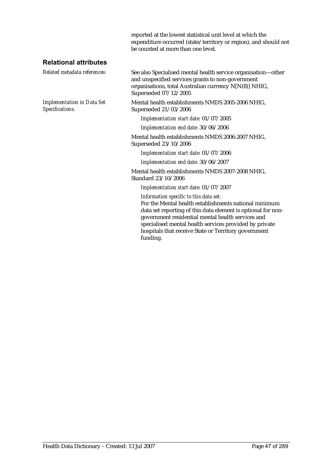reported at the lowest statistical unit level at which the expenditure occurred (state/territory or region), and should not be counted at more than one level.

### **Relational attributes**

*Implementation in Data Set Specifications:*

*Related metadata references:* See also Specialised mental health service organisation—other and unspecified services grants to non-government organisations, total Australian currency N[N(8)] NHIG, Superseded 07/12/2005

> Mental health establishments NMDS 2005-2006 NHIG, Superseded 21/03/2006

*Implementation start date:* 01/07/2005

*Implementation end date:* 30/06/2006

Mental health establishments NMDS 2006-2007 NHIG, Superseded 23/10/2006

*Implementation start date:* 01/07/2006

*Implementation end date:* 30/06/2007

Mental health establishments NMDS 2007-2008 NHIG, Standard 23/10/2006

*Implementation start date:* 01/07/2007

*Information specific to this data set:*

For the Mental health establishments national minimum data set reporting of this data element is optional for nongovernment residential mental health services and specialised mental health services provided by private hospitals that receive State or Territory government funding.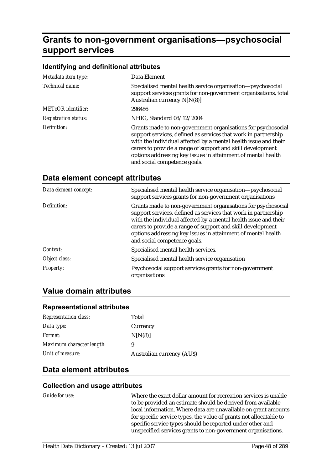# **Grants to non-government organisations—psychosocial support services**

#### **Identifying and definitional attributes**

| Metadata item type:         | Data Element                                                                                                                                                                                                                                                                                                                                                    |
|-----------------------------|-----------------------------------------------------------------------------------------------------------------------------------------------------------------------------------------------------------------------------------------------------------------------------------------------------------------------------------------------------------------|
| Technical name:             | Specialised mental health service organisation—psychosocial<br>support services grants for non-government organisations, total<br>Australian currency N[N(8)]                                                                                                                                                                                                   |
| <b>METeOR</b> identifier:   | 296486                                                                                                                                                                                                                                                                                                                                                          |
| <b>Registration status:</b> | NHIG, Standard 08/12/2004                                                                                                                                                                                                                                                                                                                                       |
| Definition:                 | Grants made to non-government organisations for psychosocial<br>support services, defined as services that work in partnership<br>with the individual affected by a mental health issue and their<br>carers to provide a range of support and skill development<br>options addressing key issues in attainment of mental health<br>and social competence goals. |

| Data element concept: | Specialised mental health service organisation-psychosocial<br>support services grants for non-government organisations                                                                                                                                                                                                                                         |
|-----------------------|-----------------------------------------------------------------------------------------------------------------------------------------------------------------------------------------------------------------------------------------------------------------------------------------------------------------------------------------------------------------|
| Definition:           | Grants made to non-government organisations for psychosocial<br>support services, defined as services that work in partnership<br>with the individual affected by a mental health issue and their<br>carers to provide a range of support and skill development<br>options addressing key issues in attainment of mental health<br>and social competence goals. |
| Context:              | Specialised mental health services.                                                                                                                                                                                                                                                                                                                             |
| Object class:         | Specialised mental health service organisation                                                                                                                                                                                                                                                                                                                  |
| <b>Property:</b>      | Psychosocial support services grants for non-government<br>organisations                                                                                                                                                                                                                                                                                        |

### **Data element concept attributes**

## **Value domain attributes**

#### **Representational attributes**

| <b>Representation class:</b> | Total                            |
|------------------------------|----------------------------------|
| Data type:                   | Currency                         |
| Format:                      | N[N(8)]                          |
| Maximum character length:    | 9                                |
| Unit of measure:             | <b>Australian currency (AUS)</b> |

### **Data element attributes**

#### **Collection and usage attributes**

*Guide for use:* Where the exact dollar amount for recreation services is unable to be provided an estimate should be derived from available local information. Where data are unavailable on grant amounts for specific service types, the value of grants not allocatable to specific service types should be reported under other and unspecified services grants to non-government organisations.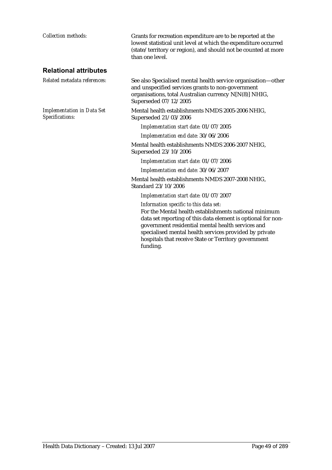| <b>Collection methods:</b>                           | Grants for recreation expenditure are to be reported at the<br>lowest statistical unit level at which the expenditure occurred<br>(state/territory or region), and should not be counted at more<br>than one level.                                                                                                                                |
|------------------------------------------------------|----------------------------------------------------------------------------------------------------------------------------------------------------------------------------------------------------------------------------------------------------------------------------------------------------------------------------------------------------|
| <b>Relational attributes</b>                         |                                                                                                                                                                                                                                                                                                                                                    |
| Related metadata references:                         | See also Specialised mental health service organisation-other<br>and unspecified services grants to non-government<br>organisations, total Australian currency N[N(8)] NHIG,<br>Superseded 07/12/2005                                                                                                                                              |
| <b>Implementation in Data Set</b><br>Specifications: | Mental health establishments NMDS 2005-2006 NHIG,<br>Superseded 21/03/2006                                                                                                                                                                                                                                                                         |
|                                                      | Implementation start date: 01/07/2005                                                                                                                                                                                                                                                                                                              |
|                                                      | Implementation end date: 30/06/2006                                                                                                                                                                                                                                                                                                                |
|                                                      | Mental health establishments NMDS 2006-2007 NHIG,<br>Superseded 23/10/2006                                                                                                                                                                                                                                                                         |
|                                                      | Implementation start date: 01/07/2006                                                                                                                                                                                                                                                                                                              |
|                                                      | Implementation end date: 30/06/2007                                                                                                                                                                                                                                                                                                                |
|                                                      | Mental health establishments NMDS 2007-2008 NHIG,<br>Standard 23/10/2006                                                                                                                                                                                                                                                                           |
|                                                      | Implementation start date: 01/07/2007                                                                                                                                                                                                                                                                                                              |
|                                                      | Information specific to this data set:<br>For the Mental health establishments national minimum<br>data set reporting of this data element is optional for non-<br>government residential mental health services and<br>specialised mental health services provided by private<br>hospitals that receive State or Territory government<br>funding. |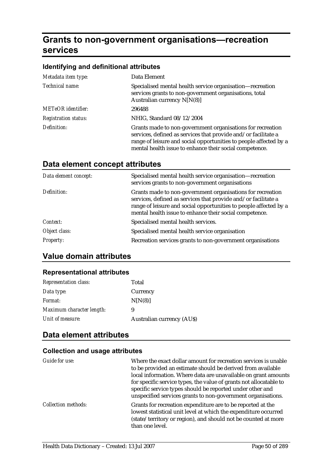# **Grants to non-government organisations—recreation services**

### **Identifying and definitional attributes**

| Metadata item type:         | Data Element                                                                                                                                                                                                                                                 |
|-----------------------------|--------------------------------------------------------------------------------------------------------------------------------------------------------------------------------------------------------------------------------------------------------------|
| Technical name:             | Specialised mental health service organisation—recreation<br>services grants to non-government organisations, total<br>Australian currency $N[N(8)]$                                                                                                         |
| <b>METeOR</b> identifier:   | 296488                                                                                                                                                                                                                                                       |
| <b>Registration status:</b> | NHIG, Standard 08/12/2004                                                                                                                                                                                                                                    |
| Definition:                 | Grants made to non-government organisations for recreation<br>services, defined as services that provide and/or facilitate a<br>range of leisure and social opportunities to people affected by a<br>mental health issue to enhance their social competence. |

## **Data element concept attributes**

| Data element concept: | Specialised mental health service organisation—recreation<br>services grants to non-government organisations                                                                                                                                                 |
|-----------------------|--------------------------------------------------------------------------------------------------------------------------------------------------------------------------------------------------------------------------------------------------------------|
| Definition:           | Grants made to non-government organisations for recreation<br>services, defined as services that provide and/or facilitate a<br>range of leisure and social opportunities to people affected by a<br>mental health issue to enhance their social competence. |
| Context:              | Specialised mental health services.                                                                                                                                                                                                                          |
| Object class:         | Specialised mental health service organisation                                                                                                                                                                                                               |
| <b>Property:</b>      | Recreation services grants to non-government organisations                                                                                                                                                                                                   |

## **Value domain attributes**

## **Representational attributes**

| <b>Representation class:</b> | Total                            |
|------------------------------|----------------------------------|
| Data type:                   | Currency                         |
| <i>Format:</i>               | N[N(8)]                          |
| Maximum character length:    | 9                                |
| Unit of measure:             | <b>Australian currency (AUS)</b> |

## **Data element attributes**

### **Collection and usage attributes**

| Guide for use:             | Where the exact dollar amount for recreation services is unable<br>to be provided an estimate should be derived from available<br>local information. Where data are unavailable on grant amounts<br>for specific service types, the value of grants not allocatable to<br>specific service types should be reported under other and<br>unspecified services grants to non-government organisations. |
|----------------------------|-----------------------------------------------------------------------------------------------------------------------------------------------------------------------------------------------------------------------------------------------------------------------------------------------------------------------------------------------------------------------------------------------------|
| <b>Collection methods:</b> | Grants for recreation expenditure are to be reported at the<br>lowest statistical unit level at which the expenditure occurred<br>(state/territory or region), and should not be counted at more<br>than one level.                                                                                                                                                                                 |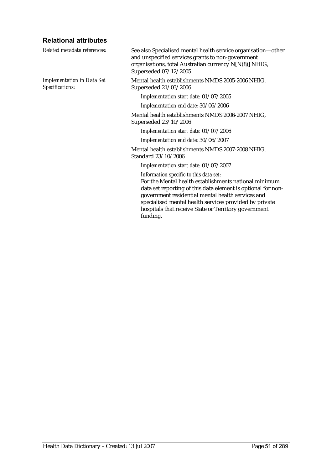## **Relational attributes**

| Related metadata references:                         | See also Specialised mental health service organisation-other<br>and unspecified services grants to non-government<br>organisations, total Australian currency N[N(8)] NHIG,<br>Superseded 07/12/2005                                                                                                                                              |
|------------------------------------------------------|----------------------------------------------------------------------------------------------------------------------------------------------------------------------------------------------------------------------------------------------------------------------------------------------------------------------------------------------------|
| <b>Implementation in Data Set</b><br>Specifications: | Mental health establishments NMDS 2005-2006 NHIG,<br>Superseded 21/03/2006                                                                                                                                                                                                                                                                         |
|                                                      | Implementation start date: 01/07/2005                                                                                                                                                                                                                                                                                                              |
|                                                      | Implementation end date: 30/06/2006                                                                                                                                                                                                                                                                                                                |
|                                                      | Mental health establishments NMDS 2006-2007 NHIG,<br>Superseded 23/10/2006                                                                                                                                                                                                                                                                         |
|                                                      | Implementation start date: 01/07/2006                                                                                                                                                                                                                                                                                                              |
|                                                      | Implementation end date: 30/06/2007                                                                                                                                                                                                                                                                                                                |
|                                                      | Mental health establishments NMDS 2007-2008 NHIG,<br>Standard 23/10/2006                                                                                                                                                                                                                                                                           |
|                                                      | Implementation start date: 01/07/2007                                                                                                                                                                                                                                                                                                              |
|                                                      | Information specific to this data set:<br>For the Mental health establishments national minimum<br>data set reporting of this data element is optional for non-<br>government residential mental health services and<br>specialised mental health services provided by private<br>hospitals that receive State or Territory government<br>funding. |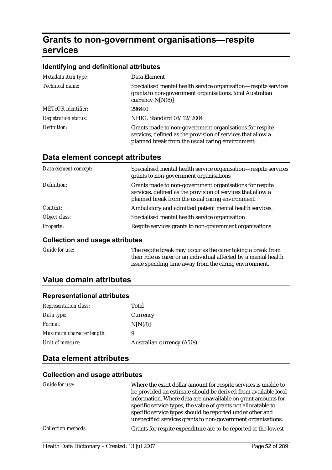# **Grants to non-government organisations—respite services**

### **Identifying and definitional attributes**

| Metadata item type:         | Data Element                                                                                                                                                               |
|-----------------------------|----------------------------------------------------------------------------------------------------------------------------------------------------------------------------|
| Technical name:             | Specialised mental health service organisation—respite services<br>grants to non-government organisations, total Australian<br>currency $N[N(8)]$                          |
| <b>METeOR</b> identifier:   | 296490                                                                                                                                                                     |
| <b>Registration status:</b> | NHIG, Standard 08/12/2004                                                                                                                                                  |
| Definition:                 | Grants made to non-government organisations for respite<br>services, defined as the provision of services that allow a<br>planned break from the usual caring environment. |

### **Data element concept attributes**

| Data element concept: | Specialised mental health service organisation—respite services<br>grants to non-government organisations                                                                  |
|-----------------------|----------------------------------------------------------------------------------------------------------------------------------------------------------------------------|
| Definition:           | Grants made to non-government organisations for respite<br>services, defined as the provision of services that allow a<br>planned break from the usual caring environment. |
| Context:              | Ambulatory and admitted patient mental health services.                                                                                                                    |
| Object class:         | Specialised mental health service organisation                                                                                                                             |
| <b>Property:</b>      | Respite services grants to non-government organisations                                                                                                                    |

#### **Collection and usage attributes**

| Guide for use: | The respite break may occur as the carer taking a break from     |
|----------------|------------------------------------------------------------------|
|                | their role as carer or an individual affected by a mental health |
|                | issue spending time away from the caring environment.            |

## **Value domain attributes**

#### **Representational attributes**

| <b>Representation class:</b> | Total                            |
|------------------------------|----------------------------------|
| Data type:                   | Currency                         |
| <i>Format:</i>               | N[N(8)]                          |
| Maximum character length:    | 9                                |
| Unit of measure:             | <b>Australian currency (AUS)</b> |

## **Data element attributes**

#### **Collection and usage attributes**

| Guide for use:             | Where the exact dollar amount for respite services is unable to<br>be provided an estimate should be derived from available local<br>information. Where data are unavailable on grant amounts for<br>specific service types, the value of grants not allocatable to<br>specific service types should be reported under other and<br>unspecified services grants to non-government organisations. |
|----------------------------|--------------------------------------------------------------------------------------------------------------------------------------------------------------------------------------------------------------------------------------------------------------------------------------------------------------------------------------------------------------------------------------------------|
| <i>Collection methods:</i> | Grants for respite expenditure are to be reported at the lowest                                                                                                                                                                                                                                                                                                                                  |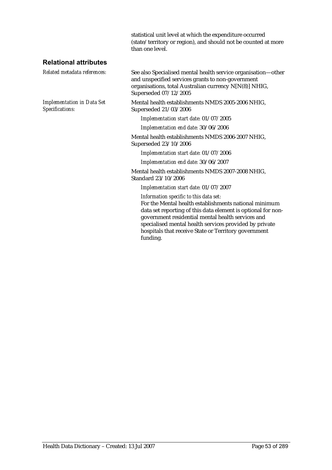statistical unit level at which the expenditure occurred (state/territory or region), and should not be counted at more than one level.

### **Relational attributes**

*Implementation in Data Set Specifications:*

*Related metadata references:* See also Specialised mental health service organisation—other and unspecified services grants to non-government organisations, total Australian currency N[N(8)] NHIG, Superseded 07/12/2005

> Mental health establishments NMDS 2005-2006 NHIG, Superseded 21/03/2006

*Implementation start date:* 01/07/2005

*Implementation end date:* 30/06/2006

Mental health establishments NMDS 2006-2007 NHIG, Superseded 23/10/2006

*Implementation start date:* 01/07/2006

*Implementation end date:* 30/06/2007

Mental health establishments NMDS 2007-2008 NHIG, Standard 23/10/2006

*Implementation start date:* 01/07/2007

*Information specific to this data set:*

For the Mental health establishments national minimum data set reporting of this data element is optional for nongovernment residential mental health services and specialised mental health services provided by private hospitals that receive State or Territory government funding.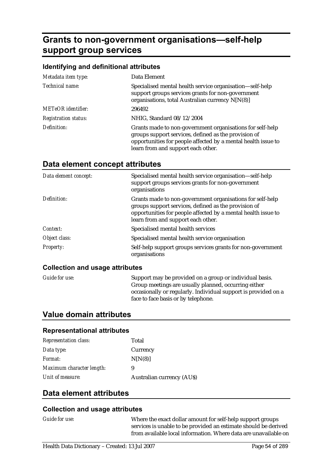# **Grants to non-government organisations—self-help support group services**

#### **Identifying and definitional attributes**

| Metadata item type:         | Data Element                                                                                                                                                                                                             |
|-----------------------------|--------------------------------------------------------------------------------------------------------------------------------------------------------------------------------------------------------------------------|
| Technical name:             | Specialised mental health service organisation—self-help<br>support groups services grants for non-government<br>organisations, total Australian currency N[N(8)]                                                        |
| <b>METeOR</b> identifier:   | 296492                                                                                                                                                                                                                   |
| <b>Registration status:</b> | NHIG, Standard 08/12/2004                                                                                                                                                                                                |
| Definition:                 | Grants made to non-government organisations for self-help<br>groups support services, defined as the provision of<br>opportunities for people affected by a mental health issue to<br>learn from and support each other. |

## **Data element concept attributes**

| Data element concept: | Specialised mental health service organisation—self-help<br>support groups services grants for non-government<br>organisations                                                                                           |
|-----------------------|--------------------------------------------------------------------------------------------------------------------------------------------------------------------------------------------------------------------------|
| Definition:           | Grants made to non-government organisations for self-help<br>groups support services, defined as the provision of<br>opportunities for people affected by a mental health issue to<br>learn from and support each other. |
| Context:              | Specialised mental health services                                                                                                                                                                                       |
| Object class:         | Specialised mental health service organisation                                                                                                                                                                           |
| <b>Property:</b>      | Self-help support groups services grants for non-government<br>organisations                                                                                                                                             |

#### **Collection and usage attributes**

*Guide for use:* Support may be provided on a group or individual basis. Group meetings are usually planned, occurring either occasionally or regularly. Individual support is provided on a face to face basis or by telephone.

## **Value domain attributes**

#### **Representational attributes**

| <b>Representation class:</b> | Total                            |
|------------------------------|----------------------------------|
| Data type:                   | Currency                         |
| <i>Format:</i>               | N[N(8)]                          |
| Maximum character length:    | 9                                |
| Unit of measure:             | <b>Australian currency (AUS)</b> |

### **Data element attributes**

#### **Collection and usage attributes**

*Guide for use:* Where the exact dollar amount for self-help support groups services is unable to be provided an estimate should be derived from available local information. Where data are unavailable on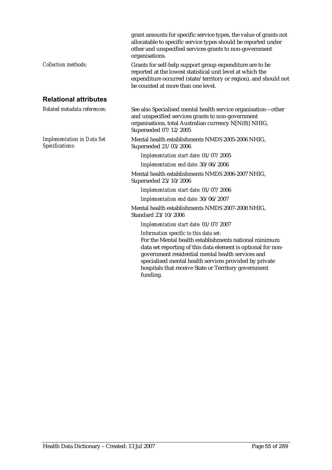|                                                      | grant amounts for specific service types, the value of grants not<br>allocatable to specific service types should be reported under<br>other and unspecified services grants to non-government<br>organisations.                                                                                                                       |
|------------------------------------------------------|----------------------------------------------------------------------------------------------------------------------------------------------------------------------------------------------------------------------------------------------------------------------------------------------------------------------------------------|
| <b>Collection methods:</b>                           | Grants for self-help support group expenditure are to be<br>reported at the lowest statistical unit level at which the<br>expenditure occurred (state/territory or region), and should not<br>be counted at more than one level.                                                                                                       |
| <b>Relational attributes</b>                         |                                                                                                                                                                                                                                                                                                                                        |
| Related metadata references:                         | See also Specialised mental health service organisation-other<br>and unspecified services grants to non-government<br>organisations, total Australian currency N[N(8)] NHIG,<br>Superseded 07/12/2005                                                                                                                                  |
| <b>Implementation in Data Set</b><br>Specifications: | Mental health establishments NMDS 2005-2006 NHIG,<br>Superseded 21/03/2006                                                                                                                                                                                                                                                             |
|                                                      | Implementation start date: 01/07/2005                                                                                                                                                                                                                                                                                                  |
|                                                      | Implementation end date: 30/06/2006                                                                                                                                                                                                                                                                                                    |
|                                                      | Mental health establishments NMDS 2006-2007 NHIG,<br>Superseded 23/10/2006                                                                                                                                                                                                                                                             |
|                                                      | Implementation start date: 01/07/2006                                                                                                                                                                                                                                                                                                  |
|                                                      | Implementation end date: 30/06/2007                                                                                                                                                                                                                                                                                                    |
|                                                      | Mental health establishments NMDS 2007-2008 NHIG,<br>Standard 23/10/2006                                                                                                                                                                                                                                                               |
|                                                      | Implementation start date: 01/07/2007                                                                                                                                                                                                                                                                                                  |
|                                                      | Information specific to this data set:<br>For the Mental health establishments national minimum<br>data set reporting of this data element is optional for non-<br>government residential mental health services and<br>specialised mental health services provided by private<br>hospitals that receive State or Territory government |

funding.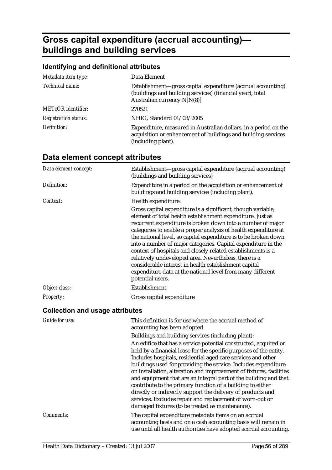# **Gross capital expenditure (accrual accounting) buildings and building services**

## **Identifying and definitional attributes**

| Metadata item type:         | Data Element                                                                                                                                             |
|-----------------------------|----------------------------------------------------------------------------------------------------------------------------------------------------------|
| Technical name:             | Establishment—gross capital expenditure (accrual accounting)<br>(buildings and building services) (financial year), total<br>Australian currency N[N(8)] |
| <b>METeOR</b> identifier:   | 270521                                                                                                                                                   |
| <b>Registration status:</b> | NHIG, Standard 01/03/2005                                                                                                                                |
| Definition:                 | Expenditure, measured in Australian dollars, in a period on the<br>acquisition or enhancement of buildings and building services<br>(including plant).   |

| Data element concept: | Establishment—gross capital expenditure (accrual accounting)<br>(buildings and building services)                                                                                                                                                                                                                                                                                                                                                                                                                                                                                                                                                                    |
|-----------------------|----------------------------------------------------------------------------------------------------------------------------------------------------------------------------------------------------------------------------------------------------------------------------------------------------------------------------------------------------------------------------------------------------------------------------------------------------------------------------------------------------------------------------------------------------------------------------------------------------------------------------------------------------------------------|
| Definition:           | Expenditure in a period on the acquisition or enhancement of<br>buildings and building services (including plant).                                                                                                                                                                                                                                                                                                                                                                                                                                                                                                                                                   |
| Context:              | Health expenditure:                                                                                                                                                                                                                                                                                                                                                                                                                                                                                                                                                                                                                                                  |
|                       | Gross capital expenditure is a significant, though variable,<br>element of total health establishment expenditure. Just as<br>recurrent expenditure is broken down into a number of major<br>categories to enable a proper analysis of health expenditure at<br>the national level, so capital expenditure is to be broken down<br>into a number of major categories. Capital expenditure in the<br>context of hospitals and closely related establishments is a<br>relatively undeveloped area. Nevertheless, there is a<br>considerable interest in health establishment capital<br>expenditure data at the national level from many different<br>potential users. |
| Object class:         | Establishment                                                                                                                                                                                                                                                                                                                                                                                                                                                                                                                                                                                                                                                        |
| <b>Property:</b>      | Gross capital expenditure                                                                                                                                                                                                                                                                                                                                                                                                                                                                                                                                                                                                                                            |

## **Data element concept attributes**

### **Collection and usage attributes**

| Guide for use:   | This definition is for use where the accrual method of<br>accounting has been adopted.                                                                                                                                                                                                                                                                                                                                                                                                                                                                                                                                                                           |
|------------------|------------------------------------------------------------------------------------------------------------------------------------------------------------------------------------------------------------------------------------------------------------------------------------------------------------------------------------------------------------------------------------------------------------------------------------------------------------------------------------------------------------------------------------------------------------------------------------------------------------------------------------------------------------------|
|                  | Buildings and building services (including plant):                                                                                                                                                                                                                                                                                                                                                                                                                                                                                                                                                                                                               |
|                  | An edifice that has a service potential constructed, acquired or<br>held by a financial lease for the specific purposes of the entity.<br>Includes hospitals, residential aged care services and other<br>buildings used for providing the service. Includes expenditure<br>on installation, alteration and improvement of fixtures, facilities<br>and equipment that are an integral part of the building and that<br>contribute to the primary function of a building to either<br>directly or indirectly support the delivery of products and<br>services. Excludes repair and replacement of worn-out or<br>damaged fixtures (to be treated as maintenance). |
| <i>Comments:</i> | The capital expenditure metadata items on an accrual<br>accounting basis and on a cash accounting basis will remain in<br>use until all health authorities have adopted accrual accounting.                                                                                                                                                                                                                                                                                                                                                                                                                                                                      |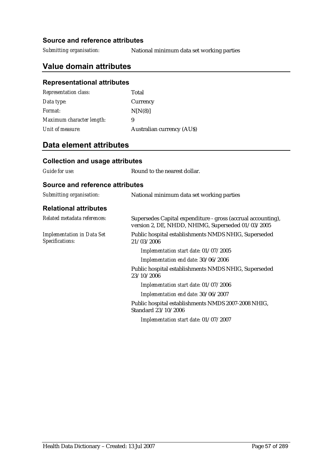#### **Source and reference attributes**

*Submitting organisation:* National minimum data set working parties

## **Value domain attributes**

### **Representational attributes**

| <b>Representation class:</b> | Total                            |
|------------------------------|----------------------------------|
| Data type:                   | Currency                         |
| Format:                      | N[N(8)]                          |
| Maximum character length:    | 9                                |
| Unit of measure:             | <b>Australian currency (AUS)</b> |

## **Data element attributes**

#### **Collection and usage attributes**

*Guide for use:* Round to the nearest dollar.

### **Source and reference attributes**

| Submitting organisation:                             | National minimum data set working parties                                                                         |
|------------------------------------------------------|-------------------------------------------------------------------------------------------------------------------|
| <b>Relational attributes</b>                         |                                                                                                                   |
| Related metadata references:                         | Supersedes Capital expenditure - gross (accrual accounting),<br>version 2, DE, NHDD, NHIMG, Superseded 01/03/2005 |
| <b>Implementation in Data Set</b><br>Specifications: | Public hospital establishments NMDS NHIG, Superseded<br>21/03/2006                                                |
|                                                      | Implementation start date: 01/07/2005                                                                             |
|                                                      | Implementation end date: 30/06/2006                                                                               |
|                                                      | Public hospital establishments NMDS NHIG, Superseded<br>23/10/2006                                                |
|                                                      | Implementation start date: 01/07/2006                                                                             |
|                                                      | Implementation end date: 30/06/2007                                                                               |
|                                                      | Public hospital establishments NMDS 2007-2008 NHIG,<br>Standard 23/10/2006                                        |
|                                                      | Implementation start date: 01/07/2007                                                                             |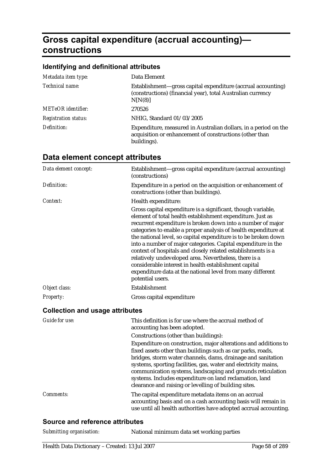# **Gross capital expenditure (accrual accounting) constructions**

#### **Identifying and definitional attributes**

| Metadata item type:         | Data Element                                                                                                                              |
|-----------------------------|-------------------------------------------------------------------------------------------------------------------------------------------|
| Technical name:             | Establishment—gross capital expenditure (accrual accounting)<br>(constructions) (financial year), total Australian currency<br>N[N(8)]    |
| <b>METeOR</b> identifier:   | 270526                                                                                                                                    |
| <b>Registration status:</b> | NHIG, Standard 01/03/2005                                                                                                                 |
| Definition:                 | Expenditure, measured in Australian dollars, in a period on the<br>acquisition or enhancement of constructions (other than<br>buildings). |

| Data element concept:                  | Establishment—gross capital expenditure (accrual accounting)<br>(constructions)                                                                                                                                                                                                                                                                                                                                                                                                                                                                                                                                                                                      |
|----------------------------------------|----------------------------------------------------------------------------------------------------------------------------------------------------------------------------------------------------------------------------------------------------------------------------------------------------------------------------------------------------------------------------------------------------------------------------------------------------------------------------------------------------------------------------------------------------------------------------------------------------------------------------------------------------------------------|
| Definition:                            | Expenditure in a period on the acquisition or enhancement of<br>constructions (other than buildings).                                                                                                                                                                                                                                                                                                                                                                                                                                                                                                                                                                |
| Context:                               | Health expenditure:                                                                                                                                                                                                                                                                                                                                                                                                                                                                                                                                                                                                                                                  |
|                                        | Gross capital expenditure is a significant, though variable,<br>element of total health establishment expenditure. Just as<br>recurrent expenditure is broken down into a number of major<br>categories to enable a proper analysis of health expenditure at<br>the national level, so capital expenditure is to be broken down<br>into a number of major categories. Capital expenditure in the<br>context of hospitals and closely related establishments is a<br>relatively undeveloped area. Nevertheless, there is a<br>considerable interest in health establishment capital<br>expenditure data at the national level from many different<br>potential users. |
| Object class:                          | Establishment                                                                                                                                                                                                                                                                                                                                                                                                                                                                                                                                                                                                                                                        |
| <b>Property:</b>                       | Gross capital expenditure                                                                                                                                                                                                                                                                                                                                                                                                                                                                                                                                                                                                                                            |
| <b>Collection and usage attributes</b> |                                                                                                                                                                                                                                                                                                                                                                                                                                                                                                                                                                                                                                                                      |
| <b>Guide for use:</b>                  | This definition is for use where the accrual method of<br>accounting has been adopted.                                                                                                                                                                                                                                                                                                                                                                                                                                                                                                                                                                               |
|                                        | Constructions (other than buildings):                                                                                                                                                                                                                                                                                                                                                                                                                                                                                                                                                                                                                                |

### **Data element concept attributes**

Expenditure on construction, major alterations and additions to fixed assets other than buildings such as car parks, roads, bridges, storm water channels, dams, drainage and sanitation systems, sporting facilities, gas, water and electricity mains, communication systems, landscaping and grounds reticulation systems. Includes expenditure on land reclamation, land clearance and raising or levelling of building sites.

*Comments:* The capital expenditure metadata items on an accrual accounting basis and on a cash accounting basis will remain in use until all health authorities have adopted accrual accounting.

#### **Source and reference attributes**

| Submitting organisation: | National minimum data set working parties |
|--------------------------|-------------------------------------------|
|--------------------------|-------------------------------------------|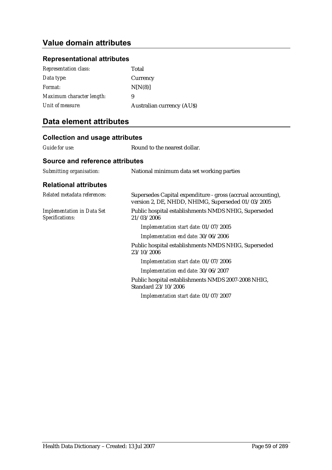## **Value domain attributes**

### **Representational attributes**

| <b>Representation class:</b> | Total                            |
|------------------------------|----------------------------------|
| Data type:                   | Currency                         |
| Format:                      | N[N(8)]                          |
| Maximum character length:    | 9                                |
| Unit of measure:             | <b>Australian currency (AUS)</b> |

| <b>Collection and usage attributes</b>               |                                                                                                                   |  |
|------------------------------------------------------|-------------------------------------------------------------------------------------------------------------------|--|
| <b>Guide for use:</b>                                | Round to the nearest dollar.                                                                                      |  |
| Source and reference attributes                      |                                                                                                                   |  |
| Submitting organisation:                             | National minimum data set working parties                                                                         |  |
| <b>Relational attributes</b>                         |                                                                                                                   |  |
| Related metadata references:                         | Supersedes Capital expenditure - gross (accrual accounting),<br>version 2, DE, NHDD, NHIMG, Superseded 01/03/2005 |  |
| <b>Implementation in Data Set</b><br>Specifications: | Public hospital establishments NMDS NHIG, Superseded<br>21/03/2006                                                |  |
|                                                      | Implementation start date: 01/07/2005                                                                             |  |
|                                                      | Implementation end date: 30/06/2006                                                                               |  |
|                                                      | Public hospital establishments NMDS NHIG, Superseded<br>23/10/2006                                                |  |
|                                                      | Implementation start date: 01/07/2006                                                                             |  |
|                                                      | Implementation end date: 30/06/2007                                                                               |  |
|                                                      | Public hospital establishments NMDS 2007-2008 NHIG,<br>Standard 23/10/2006                                        |  |
|                                                      | Implementation start date: 01/07/2007                                                                             |  |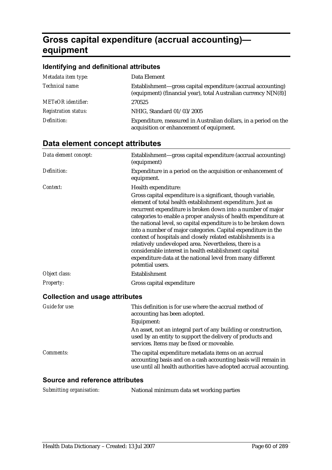# **Gross capital expenditure (accrual accounting) equipment**

### **Identifying and definitional attributes**

| Metadata item type:         | Data Element                                                                                                                    |
|-----------------------------|---------------------------------------------------------------------------------------------------------------------------------|
| Technical name:             | Establishment—gross capital expenditure (accrual accounting)<br>(equipment) (financial year), total Australian currency N[N(8)] |
| <b>METeOR</b> identifier:   | 270525                                                                                                                          |
| <b>Registration status:</b> | NHIG, Standard 01/03/2005                                                                                                       |
| Definition:                 | Expenditure, measured in Australian dollars, in a period on the<br>acquisition or enhancement of equipment.                     |

## **Data element concept attributes**

| Data element concept:                  | Establishment-gross capital expenditure (accrual accounting)<br>(equipment)                                                                                                                                                                                                                                                                                                                                                                                                                                                                                                                                                                                          |
|----------------------------------------|----------------------------------------------------------------------------------------------------------------------------------------------------------------------------------------------------------------------------------------------------------------------------------------------------------------------------------------------------------------------------------------------------------------------------------------------------------------------------------------------------------------------------------------------------------------------------------------------------------------------------------------------------------------------|
| Definition:                            | Expenditure in a period on the acquisition or enhancement of<br>equipment.                                                                                                                                                                                                                                                                                                                                                                                                                                                                                                                                                                                           |
| Context:                               | Health expenditure:                                                                                                                                                                                                                                                                                                                                                                                                                                                                                                                                                                                                                                                  |
|                                        | Gross capital expenditure is a significant, though variable,<br>element of total health establishment expenditure. Just as<br>recurrent expenditure is broken down into a number of major<br>categories to enable a proper analysis of health expenditure at<br>the national level, so capital expenditure is to be broken down<br>into a number of major categories. Capital expenditure in the<br>context of hospitals and closely related establishments is a<br>relatively undeveloped area. Nevertheless, there is a<br>considerable interest in health establishment capital<br>expenditure data at the national level from many different<br>potential users. |
| Object class:                          | Establishment                                                                                                                                                                                                                                                                                                                                                                                                                                                                                                                                                                                                                                                        |
| <b>Property:</b>                       | Gross capital expenditure                                                                                                                                                                                                                                                                                                                                                                                                                                                                                                                                                                                                                                            |
| <b>Collection and usage attributes</b> |                                                                                                                                                                                                                                                                                                                                                                                                                                                                                                                                                                                                                                                                      |
| <b>Guide for use:</b>                  | This definition is for use where the accrual method of<br>accounting has been adopted.                                                                                                                                                                                                                                                                                                                                                                                                                                                                                                                                                                               |
|                                        | Equipment:                                                                                                                                                                                                                                                                                                                                                                                                                                                                                                                                                                                                                                                           |
|                                        | An asset, not an integral part of any building or construction,<br>used by an entity to support the delivery of products and<br>services. Items may be fixed or moveable.                                                                                                                                                                                                                                                                                                                                                                                                                                                                                            |

*Comments:* The capital expenditure metadata items on an accrual accounting basis and on a cash accounting basis will remain in use until all health authorities have adopted accrual accounting.

### **Source and reference attributes**

| Submitting organisation: | National minimum data set working parties |
|--------------------------|-------------------------------------------|
|--------------------------|-------------------------------------------|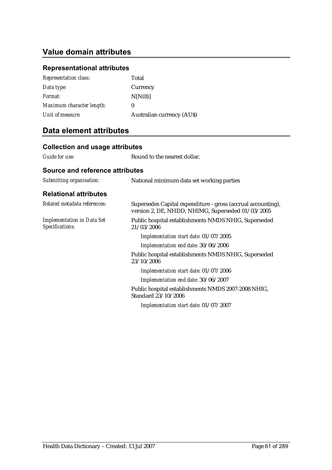## **Value domain attributes**

## **Representational attributes**

| <b>Representation class:</b> | Total                            |
|------------------------------|----------------------------------|
| Data type:                   | Currency                         |
| <i>Format:</i>               | N[N(8)]                          |
| Maximum character length:    | 9                                |
| Unit of measure:             | <b>Australian currency (AUS)</b> |

| <b>Collection and usage attributes</b>               |                                                                                                                   |
|------------------------------------------------------|-------------------------------------------------------------------------------------------------------------------|
| Guide for use:                                       | Round to the nearest dollar.                                                                                      |
| Source and reference attributes                      |                                                                                                                   |
| Submitting organisation:                             | National minimum data set working parties                                                                         |
| <b>Relational attributes</b>                         |                                                                                                                   |
| Related metadata references:                         | Supersedes Capital expenditure - gross (accrual accounting),<br>version 2, DE, NHDD, NHIMG, Superseded 01/03/2005 |
| <b>Implementation in Data Set</b><br>Specifications: | Public hospital establishments NMDS NHIG, Superseded<br>21/03/2006                                                |
|                                                      | Implementation start date: 01/07/2005                                                                             |
|                                                      | Implementation end date: 30/06/2006                                                                               |
|                                                      | Public hospital establishments NMDS NHIG, Superseded<br>23/10/2006                                                |
|                                                      | Implementation start date: 01/07/2006                                                                             |
|                                                      | Implementation end date: 30/06/2007                                                                               |
|                                                      | Public hospital establishments NMDS 2007-2008 NHIG,<br>Standard 23/10/2006                                        |
|                                                      | Implementation start date: 01/07/2007                                                                             |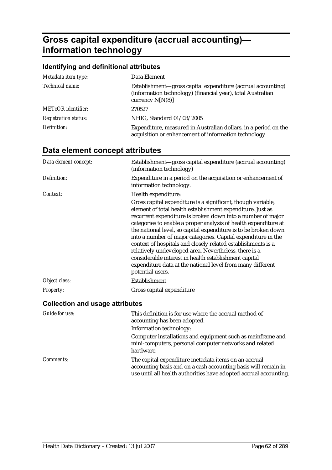# **Gross capital expenditure (accrual accounting) information technology**

### **Identifying and definitional attributes**

| Metadata item type:         | Data Element                                                                                                                                      |
|-----------------------------|---------------------------------------------------------------------------------------------------------------------------------------------------|
| Technical name:             | Establishment—gross capital expenditure (accrual accounting)<br>(information technology) (financial year), total Australian<br>currency $N[N(8)]$ |
| <b>METeOR</b> identifier:   | 270527                                                                                                                                            |
| <b>Registration status:</b> | NHIG, Standard 01/03/2005                                                                                                                         |
| Definition:                 | Expenditure, measured in Australian dollars, in a period on the<br>acquisition or enhancement of information technology.                          |

## **Data element concept attributes**

| Data element concept:                  | Establishment—gross capital expenditure (accrual accounting)<br>(information technology)                                                                                                                                                                                                                                                                                                                                                                                                                                                                                                                                                                             |
|----------------------------------------|----------------------------------------------------------------------------------------------------------------------------------------------------------------------------------------------------------------------------------------------------------------------------------------------------------------------------------------------------------------------------------------------------------------------------------------------------------------------------------------------------------------------------------------------------------------------------------------------------------------------------------------------------------------------|
| Definition:                            | Expenditure in a period on the acquisition or enhancement of<br>information technology.                                                                                                                                                                                                                                                                                                                                                                                                                                                                                                                                                                              |
| Context:                               | Health expenditure:                                                                                                                                                                                                                                                                                                                                                                                                                                                                                                                                                                                                                                                  |
|                                        | Gross capital expenditure is a significant, though variable,<br>element of total health establishment expenditure. Just as<br>recurrent expenditure is broken down into a number of major<br>categories to enable a proper analysis of health expenditure at<br>the national level, so capital expenditure is to be broken down<br>into a number of major categories. Capital expenditure in the<br>context of hospitals and closely related establishments is a<br>relatively undeveloped area. Nevertheless, there is a<br>considerable interest in health establishment capital<br>expenditure data at the national level from many different<br>potential users. |
| Object class:                          | Establishment                                                                                                                                                                                                                                                                                                                                                                                                                                                                                                                                                                                                                                                        |
| <b>Property:</b>                       | Gross capital expenditure                                                                                                                                                                                                                                                                                                                                                                                                                                                                                                                                                                                                                                            |
| <b>Collection and usage attributes</b> |                                                                                                                                                                                                                                                                                                                                                                                                                                                                                                                                                                                                                                                                      |
| Guide for use:                         | This definition is for use where the accrual method of<br>accounting has been adopted.                                                                                                                                                                                                                                                                                                                                                                                                                                                                                                                                                                               |
|                                        | Information technology:                                                                                                                                                                                                                                                                                                                                                                                                                                                                                                                                                                                                                                              |
|                                        | Computer installations and equipment such as mainframe and<br>mini-computers, personal computer networks and related                                                                                                                                                                                                                                                                                                                                                                                                                                                                                                                                                 |

hardware. *Comments:* The capital expenditure metadata items on an accrual accounting basis and on a cash accounting basis will remain in use until all health authorities have adopted accrual accounting.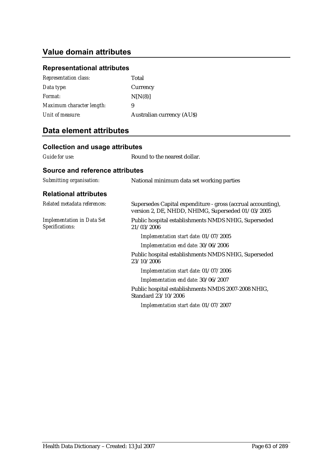## **Value domain attributes**

## **Representational attributes**

| <b>Representation class:</b> | Total                            |
|------------------------------|----------------------------------|
| Data type:                   | Currency                         |
| <i>Format:</i>               | N[N(8)]                          |
| Maximum character length:    | 9                                |
| Unit of measure:             | <b>Australian currency (AUS)</b> |

| <b>Collection and usage attributes</b>               |                                                                                                                   |
|------------------------------------------------------|-------------------------------------------------------------------------------------------------------------------|
| Guide for use:                                       | Round to the nearest dollar.                                                                                      |
| Source and reference attributes                      |                                                                                                                   |
| Submitting organisation:                             | National minimum data set working parties                                                                         |
| <b>Relational attributes</b>                         |                                                                                                                   |
| Related metadata references:                         | Supersedes Capital expenditure - gross (accrual accounting),<br>version 2, DE, NHDD, NHIMG, Superseded 01/03/2005 |
| <b>Implementation in Data Set</b><br>Specifications: | Public hospital establishments NMDS NHIG, Superseded<br>21/03/2006                                                |
|                                                      | Implementation start date: 01/07/2005                                                                             |
|                                                      | Implementation end date: 30/06/2006                                                                               |
|                                                      | Public hospital establishments NMDS NHIG, Superseded<br>23/10/2006                                                |
|                                                      | Implementation start date: 01/07/2006                                                                             |
|                                                      | Implementation end date: 30/06/2007                                                                               |
|                                                      | Public hospital establishments NMDS 2007-2008 NHIG,<br>Standard 23/10/2006                                        |
|                                                      | Implementation start date: 01/07/2007                                                                             |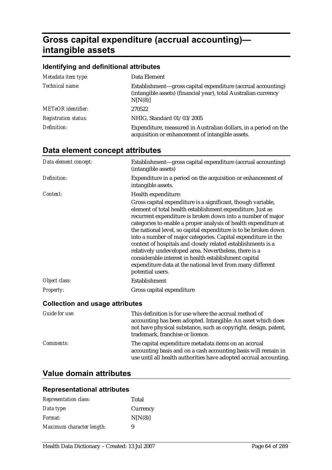# **Gross capital expenditure (accrual accounting) intangible assets**

## **Identifying and definitional attributes**

| Metadata item type:         | Data Element                                                                                                                               |
|-----------------------------|--------------------------------------------------------------------------------------------------------------------------------------------|
| Technical name:             | Establishment—gross capital expenditure (accrual accounting)<br>(intangible assets) (financial year), total Australian currency<br>N[N(8)] |
| <b>METeOR</b> identifier:   | 270522                                                                                                                                     |
| <b>Registration status:</b> | NHIG, Standard 01/03/2005                                                                                                                  |
| Definition:                 | Expenditure, measured in Australian dollars, in a period on the<br>acquisition or enhancement of intangible assets.                        |

## **Data element concept attributes**

| Data element concept:                  | Establishment-gross capital expenditure (accrual accounting)<br>(intangible assets)                                                                                                                                                                                                                                                                                                                                                                                                                                                                                                                                                                                  |
|----------------------------------------|----------------------------------------------------------------------------------------------------------------------------------------------------------------------------------------------------------------------------------------------------------------------------------------------------------------------------------------------------------------------------------------------------------------------------------------------------------------------------------------------------------------------------------------------------------------------------------------------------------------------------------------------------------------------|
| Definition:                            | Expenditure in a period on the acquisition or enhancement of<br>intangible assets.                                                                                                                                                                                                                                                                                                                                                                                                                                                                                                                                                                                   |
| Context:                               | Health expenditure:                                                                                                                                                                                                                                                                                                                                                                                                                                                                                                                                                                                                                                                  |
|                                        | Gross capital expenditure is a significant, though variable,<br>element of total health establishment expenditure. Just as<br>recurrent expenditure is broken down into a number of major<br>categories to enable a proper analysis of health expenditure at<br>the national level, so capital expenditure is to be broken down<br>into a number of major categories. Capital expenditure in the<br>context of hospitals and closely related establishments is a<br>relatively undeveloped area. Nevertheless, there is a<br>considerable interest in health establishment capital<br>expenditure data at the national level from many different<br>potential users. |
| Object class:                          | Establishment                                                                                                                                                                                                                                                                                                                                                                                                                                                                                                                                                                                                                                                        |
| <b>Property:</b>                       | Gross capital expenditure                                                                                                                                                                                                                                                                                                                                                                                                                                                                                                                                                                                                                                            |
| <b>Collection and usage attributes</b> |                                                                                                                                                                                                                                                                                                                                                                                                                                                                                                                                                                                                                                                                      |
| Guide for use:                         | This definition is for use where the accrual method of<br>accounting has been adopted. Intangible: An asset which does                                                                                                                                                                                                                                                                                                                                                                                                                                                                                                                                               |

|                  | accounting has been adopted. Intangible: An asset which does<br>not have physical substance, such as copyright, design, patent,<br>trademark, franchise or licence.                         |
|------------------|---------------------------------------------------------------------------------------------------------------------------------------------------------------------------------------------|
| <i>Comments:</i> | The capital expenditure metadata items on an accrual<br>accounting basis and on a cash accounting basis will remain in<br>use until all health authorities have adopted accrual accounting. |

## **Value domain attributes**

### **Representational attributes**

| <b>Representation class:</b> | Total    |
|------------------------------|----------|
| Data type:                   | Currency |
| <i>Format:</i>               | N[N(8)]  |
| Maximum character length:    | 9        |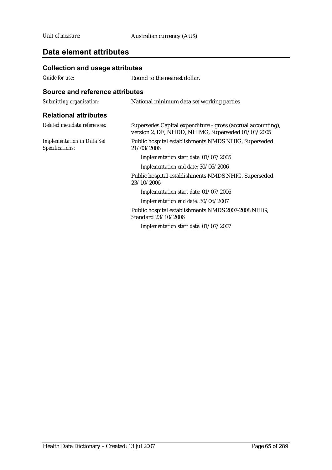| <b>Collection and usage attributes</b>               |                                                                                                                   |
|------------------------------------------------------|-------------------------------------------------------------------------------------------------------------------|
| <b>Guide for use:</b>                                | Round to the nearest dollar.                                                                                      |
| Source and reference attributes                      |                                                                                                                   |
| Submitting organisation:                             | National minimum data set working parties                                                                         |
| <b>Relational attributes</b>                         |                                                                                                                   |
| Related metadata references:                         | Supersedes Capital expenditure - gross (accrual accounting),<br>version 2, DE, NHDD, NHIMG, Superseded 01/03/2005 |
| <b>Implementation in Data Set</b><br>Specifications: | Public hospital establishments NMDS NHIG, Superseded<br>21/03/2006                                                |
|                                                      | Implementation start date: 01/07/2005                                                                             |
|                                                      | Implementation end date: 30/06/2006                                                                               |
|                                                      | Public hospital establishments NMDS NHIG, Superseded<br>23/10/2006                                                |
|                                                      | Implementation start date: 01/07/2006                                                                             |
|                                                      | Implementation end date: 30/06/2007                                                                               |
|                                                      | Public hospital establishments NMDS 2007-2008 NHIG,<br>Standard 23/10/2006                                        |
|                                                      | Implementation start date: 01/07/2007                                                                             |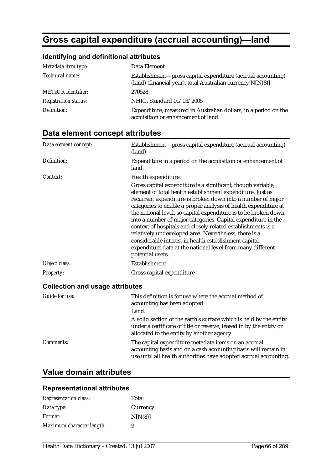# **Gross capital expenditure (accrual accounting)—land**

### **Identifying and definitional attributes**

| Metadata item type:         | Data Element                                                                                                               |
|-----------------------------|----------------------------------------------------------------------------------------------------------------------------|
| Technical name:             | Establishment—gross capital expenditure (accrual accounting)<br>(land) (financial year), total Australian currency N[N(8)] |
| <b>METeOR</b> identifier:   | 270528                                                                                                                     |
| <b>Registration status:</b> | NHIG, Standard 01/03/2005                                                                                                  |
| Definition:                 | Expenditure, measured in Australian dollars, in a period on the<br>acquisition or enhancement of land.                     |

## **Data element concept attributes**

| Data element concept:                  | Establishment—gross capital expenditure (accrual accounting)<br>(land)                                                                                                                                                                                                                                                                                                                                                                                                                                                                                                                                                                                               |
|----------------------------------------|----------------------------------------------------------------------------------------------------------------------------------------------------------------------------------------------------------------------------------------------------------------------------------------------------------------------------------------------------------------------------------------------------------------------------------------------------------------------------------------------------------------------------------------------------------------------------------------------------------------------------------------------------------------------|
| Definition:                            | Expenditure in a period on the acquisition or enhancement of<br>land.                                                                                                                                                                                                                                                                                                                                                                                                                                                                                                                                                                                                |
| Context:                               | Health expenditure:                                                                                                                                                                                                                                                                                                                                                                                                                                                                                                                                                                                                                                                  |
|                                        | Gross capital expenditure is a significant, though variable,<br>element of total health establishment expenditure. Just as<br>recurrent expenditure is broken down into a number of major<br>categories to enable a proper analysis of health expenditure at<br>the national level, so capital expenditure is to be broken down<br>into a number of major categories. Capital expenditure in the<br>context of hospitals and closely related establishments is a<br>relatively undeveloped area. Nevertheless, there is a<br>considerable interest in health establishment capital<br>expenditure data at the national level from many different<br>potential users. |
| Object class:                          | Establishment                                                                                                                                                                                                                                                                                                                                                                                                                                                                                                                                                                                                                                                        |
| <b>Property:</b>                       | Gross capital expenditure                                                                                                                                                                                                                                                                                                                                                                                                                                                                                                                                                                                                                                            |
| <b>Collection and usage attributes</b> |                                                                                                                                                                                                                                                                                                                                                                                                                                                                                                                                                                                                                                                                      |
| <b>Guide for use:</b>                  | This definition is for use where the accrual method of<br>accounting has been adopted.<br>Land:<br>A solid section of the earth's surface which is held by the entity<br>under a certificate of title or reserve, leased in by the entity or<br>allocated to the entity by another agency.                                                                                                                                                                                                                                                                                                                                                                           |

*Comments:* The capital expenditure metadata items on an accrual accounting basis and on a cash accounting basis will remain in use until all health authorities have adopted accrual accounting.

## **Value domain attributes**

#### **Representational attributes**

| <b>Representation class:</b> | Total    |
|------------------------------|----------|
| Data type:                   | Currency |
| Format:                      | N[N(8)]  |
| Maximum character length:    | 9        |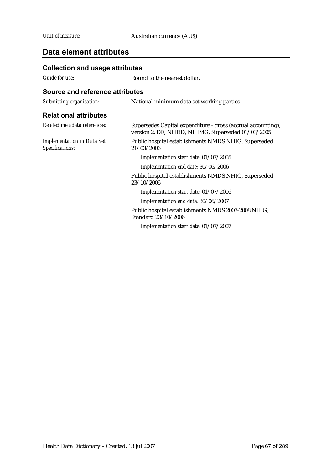| <b>Collection and usage attributes</b>               |                                                                                                                   |
|------------------------------------------------------|-------------------------------------------------------------------------------------------------------------------|
| Guide for use:                                       | Round to the nearest dollar.                                                                                      |
| Source and reference attributes                      |                                                                                                                   |
| Submitting organisation:                             | National minimum data set working parties                                                                         |
| <b>Relational attributes</b>                         |                                                                                                                   |
| Related metadata references:                         | Supersedes Capital expenditure - gross (accrual accounting),<br>version 2, DE, NHDD, NHIMG, Superseded 01/03/2005 |
| <b>Implementation in Data Set</b><br>Specifications: | Public hospital establishments NMDS NHIG, Superseded<br>21/03/2006                                                |
|                                                      | Implementation start date: 01/07/2005                                                                             |
|                                                      | Implementation end date: 30/06/2006                                                                               |
|                                                      | Public hospital establishments NMDS NHIG, Superseded<br>23/10/2006                                                |
|                                                      | Implementation start date: 01/07/2006                                                                             |
|                                                      | Implementation end date: 30/06/2007                                                                               |
|                                                      | Public hospital establishments NMDS 2007-2008 NHIG,<br>Standard 23/10/2006                                        |
|                                                      | Implementation start date: 01/07/2007                                                                             |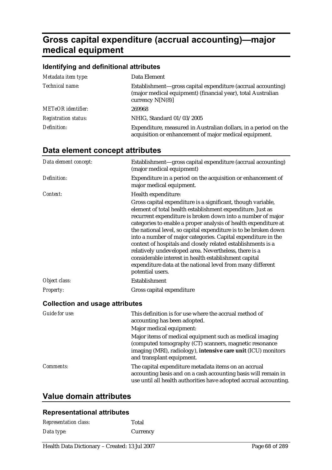# **Gross capital expenditure (accrual accounting)—major medical equipment**

#### **Identifying and definitional attributes**

| Metadata item type:         | Data Element                                                                                                                                       |
|-----------------------------|----------------------------------------------------------------------------------------------------------------------------------------------------|
| Technical name:             | Establishment—gross capital expenditure (accrual accounting)<br>(major medical equipment) (financial year), total Australian<br>currency $N[N(8)]$ |
| <b>METeOR</b> identifier:   | 269968                                                                                                                                             |
| <b>Registration status:</b> | NHIG, Standard 01/03/2005                                                                                                                          |
| Definition:                 | Expenditure, measured in Australian dollars, in a period on the<br>acquisition or enhancement of major medical equipment.                          |

### **Data element concept attributes**

| Data element concept:                  | Establishment—gross capital expenditure (accrual accounting)<br>(major medical equipment)                                                                                                                                                                                                                                                                                                                                                                                                                                                                                                                                                                            |
|----------------------------------------|----------------------------------------------------------------------------------------------------------------------------------------------------------------------------------------------------------------------------------------------------------------------------------------------------------------------------------------------------------------------------------------------------------------------------------------------------------------------------------------------------------------------------------------------------------------------------------------------------------------------------------------------------------------------|
| Definition:                            | Expenditure in a period on the acquisition or enhancement of<br>major medical equipment.                                                                                                                                                                                                                                                                                                                                                                                                                                                                                                                                                                             |
| Context:                               | Health expenditure:                                                                                                                                                                                                                                                                                                                                                                                                                                                                                                                                                                                                                                                  |
|                                        | Gross capital expenditure is a significant, though variable,<br>element of total health establishment expenditure. Just as<br>recurrent expenditure is broken down into a number of major<br>categories to enable a proper analysis of health expenditure at<br>the national level, so capital expenditure is to be broken down<br>into a number of major categories. Capital expenditure in the<br>context of hospitals and closely related establishments is a<br>relatively undeveloped area. Nevertheless, there is a<br>considerable interest in health establishment capital<br>expenditure data at the national level from many different<br>potential users. |
| Object class:                          | Establishment                                                                                                                                                                                                                                                                                                                                                                                                                                                                                                                                                                                                                                                        |
| <b>Property:</b>                       | Gross capital expenditure                                                                                                                                                                                                                                                                                                                                                                                                                                                                                                                                                                                                                                            |
| <b>Collection and usage attributes</b> |                                                                                                                                                                                                                                                                                                                                                                                                                                                                                                                                                                                                                                                                      |
| <b>Guide for use:</b>                  | This definition is for use where the accrual method of<br>accounting has been adopted.                                                                                                                                                                                                                                                                                                                                                                                                                                                                                                                                                                               |
|                                        | Major medical equipment:                                                                                                                                                                                                                                                                                                                                                                                                                                                                                                                                                                                                                                             |

Major items of medical equipment such as medical imaging (computed tomography (CT) scanners, magnetic resonance imaging (MRI), radiology), **intensive care unit** (ICU) monitors and transplant equipment.

#### *Comments:* The capital expenditure metadata items on an accrual accounting basis and on a cash accounting basis will remain in use until all health authorities have adopted accrual accounting.

## **Value domain attributes**

#### **Representational attributes**

| <b>Representation class:</b> | Total    |
|------------------------------|----------|
| Data type:                   | Currency |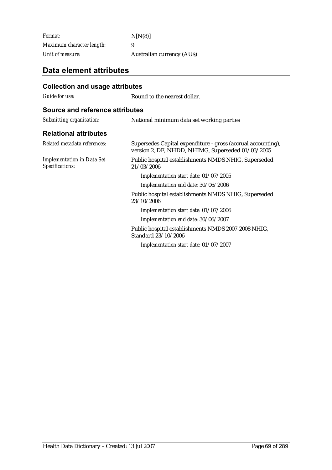*Format:* N[N(8)] *Maximum character length:* 9 *Unit of measure:* Australian currency (AU\$)

| <b>Collection and usage attributes</b>               |                                                                                                                   |
|------------------------------------------------------|-------------------------------------------------------------------------------------------------------------------|
| Guide for use:                                       | Round to the nearest dollar.                                                                                      |
| <b>Source and reference attributes</b>               |                                                                                                                   |
| Submitting organisation:                             | National minimum data set working parties                                                                         |
| <b>Relational attributes</b>                         |                                                                                                                   |
| Related metadata references:                         | Supersedes Capital expenditure - gross (accrual accounting),<br>version 2, DE, NHDD, NHIMG, Superseded 01/03/2005 |
| <b>Implementation in Data Set</b><br>Specifications: | Public hospital establishments NMDS NHIG, Superseded<br>21/03/2006                                                |
|                                                      | Implementation start date: 01/07/2005                                                                             |
|                                                      | Implementation end date: 30/06/2006                                                                               |
|                                                      | Public hospital establishments NMDS NHIG, Superseded<br>23/10/2006                                                |
|                                                      | Implementation start date: 01/07/2006                                                                             |
|                                                      | Implementation end date: 30/06/2007                                                                               |
|                                                      | Public hospital establishments NMDS 2007-2008 NHIG,<br>Standard 23/10/2006                                        |
|                                                      | Implementation start date: 01/07/2007                                                                             |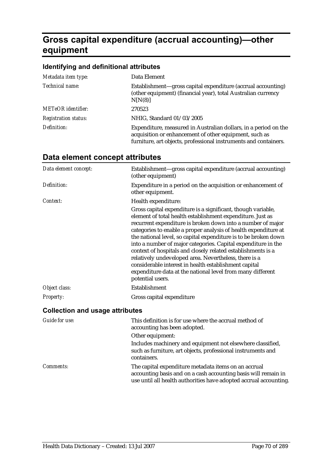# **Gross capital expenditure (accrual accounting)—other equipment**

#### **Identifying and definitional attributes**

| Metadata item type:         | Data Element                                                                                                                                                                                  |
|-----------------------------|-----------------------------------------------------------------------------------------------------------------------------------------------------------------------------------------------|
| Technical name:             | Establishment—gross capital expenditure (accrual accounting)<br>(other equipment) (financial year), total Australian currency<br>N[N(8)]                                                      |
| <b>METeOR</b> identifier:   | 270523                                                                                                                                                                                        |
| <b>Registration status:</b> | NHIG, Standard 01/03/2005                                                                                                                                                                     |
| Definition:                 | Expenditure, measured in Australian dollars, in a period on the<br>acquisition or enhancement of other equipment, such as<br>furniture, art objects, professional instruments and containers. |

| Data element concept:                  | Establishment-gross capital expenditure (accrual accounting)<br>(other equipment)                                                                                                                                                                                                                                                                                                                                                                                                                                                                                                                                                                                    |
|----------------------------------------|----------------------------------------------------------------------------------------------------------------------------------------------------------------------------------------------------------------------------------------------------------------------------------------------------------------------------------------------------------------------------------------------------------------------------------------------------------------------------------------------------------------------------------------------------------------------------------------------------------------------------------------------------------------------|
| Definition:                            | Expenditure in a period on the acquisition or enhancement of<br>other equipment.                                                                                                                                                                                                                                                                                                                                                                                                                                                                                                                                                                                     |
| Context:                               | Health expenditure:                                                                                                                                                                                                                                                                                                                                                                                                                                                                                                                                                                                                                                                  |
|                                        | Gross capital expenditure is a significant, though variable,<br>element of total health establishment expenditure. Just as<br>recurrent expenditure is broken down into a number of major<br>categories to enable a proper analysis of health expenditure at<br>the national level, so capital expenditure is to be broken down<br>into a number of major categories. Capital expenditure in the<br>context of hospitals and closely related establishments is a<br>relatively undeveloped area. Nevertheless, there is a<br>considerable interest in health establishment capital<br>expenditure data at the national level from many different<br>potential users. |
| Object class:                          | Establishment                                                                                                                                                                                                                                                                                                                                                                                                                                                                                                                                                                                                                                                        |
| <b>Property:</b>                       | Gross capital expenditure                                                                                                                                                                                                                                                                                                                                                                                                                                                                                                                                                                                                                                            |
| <b>Collection and usage attributes</b> |                                                                                                                                                                                                                                                                                                                                                                                                                                                                                                                                                                                                                                                                      |
| Guide for use:                         | This definition is for use where the accrual method of<br>accounting has been adopted.                                                                                                                                                                                                                                                                                                                                                                                                                                                                                                                                                                               |
|                                        | Other equipment:                                                                                                                                                                                                                                                                                                                                                                                                                                                                                                                                                                                                                                                     |
|                                        | Includes machinery and equipment not elsewhere classified,<br>such as furniture, art objects, professional instruments and<br>containers.                                                                                                                                                                                                                                                                                                                                                                                                                                                                                                                            |

## **Data element concept attributes**

*Comments:* The capital expenditure metadata items on an accrual accounting basis and on a cash accounting basis will remain in use until all health authorities have adopted accrual accounting.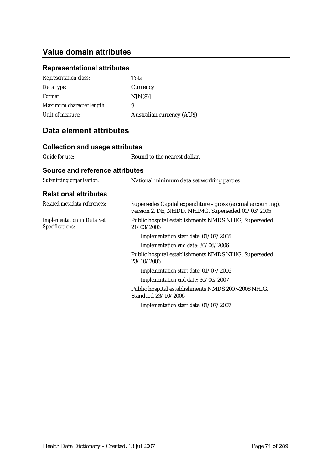## **Value domain attributes**

## **Representational attributes**

| <b>Representation class:</b> | Total                            |
|------------------------------|----------------------------------|
| Data type:                   | Currency                         |
| <i>Format:</i>               | N[N(8)]                          |
| Maximum character length:    | 9                                |
| Unit of measure:             | <b>Australian currency (AUS)</b> |

| <b>Collection and usage attributes</b>               |                                                                                                                   |
|------------------------------------------------------|-------------------------------------------------------------------------------------------------------------------|
| Guide for use:                                       | Round to the nearest dollar.                                                                                      |
| Source and reference attributes                      |                                                                                                                   |
| Submitting organisation:                             | National minimum data set working parties                                                                         |
| <b>Relational attributes</b>                         |                                                                                                                   |
| Related metadata references:                         | Supersedes Capital expenditure - gross (accrual accounting),<br>version 2, DE, NHDD, NHIMG, Superseded 01/03/2005 |
| <b>Implementation in Data Set</b><br>Specifications: | Public hospital establishments NMDS NHIG, Superseded<br>21/03/2006                                                |
|                                                      | Implementation start date: 01/07/2005                                                                             |
|                                                      | Implementation end date: 30/06/2006                                                                               |
|                                                      | Public hospital establishments NMDS NHIG, Superseded<br>23/10/2006                                                |
|                                                      | Implementation start date: 01/07/2006                                                                             |
|                                                      | Implementation end date: 30/06/2007                                                                               |
|                                                      | Public hospital establishments NMDS 2007-2008 NHIG,<br>Standard 23/10/2006                                        |
|                                                      | Implementation start date: 01/07/2007                                                                             |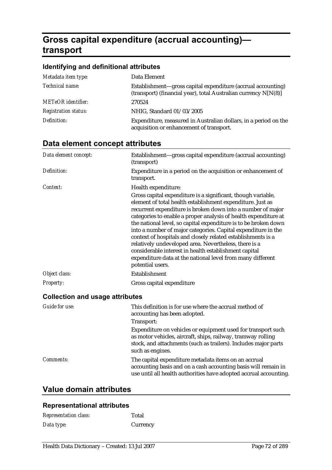# **Gross capital expenditure (accrual accounting) transport**

### **Identifying and definitional attributes**

| Metadata item type:         | Data Element                                                                                                                    |
|-----------------------------|---------------------------------------------------------------------------------------------------------------------------------|
| Technical name:             | Establishment—gross capital expenditure (accrual accounting)<br>(transport) (financial year), total Australian currency N[N(8)] |
| <b>METeOR</b> identifier:   | 270524                                                                                                                          |
| <b>Registration status:</b> | NHIG, Standard 01/03/2005                                                                                                       |
| Definition:                 | Expenditure, measured in Australian dollars, in a period on the<br>acquisition or enhancement of transport.                     |

## **Data element concept attributes**

| Data element concept:                  | Establishment-gross capital expenditure (accrual accounting)<br>(transport)                                                                                                                                                                                                                                                                                                                                                                                                                                                                                                                                                                                          |
|----------------------------------------|----------------------------------------------------------------------------------------------------------------------------------------------------------------------------------------------------------------------------------------------------------------------------------------------------------------------------------------------------------------------------------------------------------------------------------------------------------------------------------------------------------------------------------------------------------------------------------------------------------------------------------------------------------------------|
| Definition:                            | Expenditure in a period on the acquisition or enhancement of<br>transport.                                                                                                                                                                                                                                                                                                                                                                                                                                                                                                                                                                                           |
| Context:                               | Health expenditure:                                                                                                                                                                                                                                                                                                                                                                                                                                                                                                                                                                                                                                                  |
|                                        | Gross capital expenditure is a significant, though variable,<br>element of total health establishment expenditure. Just as<br>recurrent expenditure is broken down into a number of major<br>categories to enable a proper analysis of health expenditure at<br>the national level, so capital expenditure is to be broken down<br>into a number of major categories. Capital expenditure in the<br>context of hospitals and closely related establishments is a<br>relatively undeveloped area. Nevertheless, there is a<br>considerable interest in health establishment capital<br>expenditure data at the national level from many different<br>potential users. |
| Object class:                          | Establishment                                                                                                                                                                                                                                                                                                                                                                                                                                                                                                                                                                                                                                                        |
| <b>Property:</b>                       | Gross capital expenditure                                                                                                                                                                                                                                                                                                                                                                                                                                                                                                                                                                                                                                            |
| <b>Collection and usage attributes</b> |                                                                                                                                                                                                                                                                                                                                                                                                                                                                                                                                                                                                                                                                      |
| <b>Guide for use:</b>                  | This definition is for use where the accrual method of<br>accounting has been adopted.<br>Transport:<br>Expenditure on vehicles or equipment used for transport such<br>as motor vehicles, aircraft, ships, railway, tramway rolling<br>stock, and attachments (such as trailers). Includes major parts<br>such as engines.                                                                                                                                                                                                                                                                                                                                          |
| Comments:                              | The capital expenditure metadata items on an accrual<br>accounting basis and on a cash accounting basis will remain in                                                                                                                                                                                                                                                                                                                                                                                                                                                                                                                                               |

use until all health authorities have adopted accrual accounting.

## **Value domain attributes**

#### **Representational attributes**

| <b>Representation class:</b> | Total    |
|------------------------------|----------|
| Data type:                   | Currency |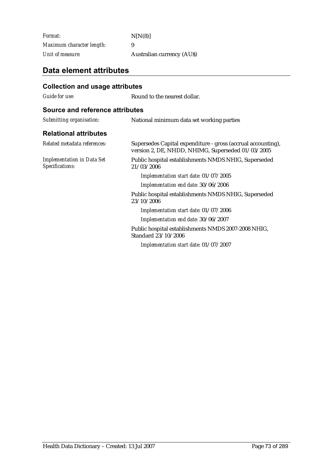*Format:* N[N(8)] *Maximum character length:* 9 *Unit of measure:* Australian currency (AU\$)

## **Data element attributes**

| <b>Collection and usage attributes</b>               |                                                                                                                   |
|------------------------------------------------------|-------------------------------------------------------------------------------------------------------------------|
| Guide for use:                                       | Round to the nearest dollar.                                                                                      |
| <b>Source and reference attributes</b>               |                                                                                                                   |
| Submitting organisation:                             | National minimum data set working parties                                                                         |
| <b>Relational attributes</b>                         |                                                                                                                   |
| Related metadata references:                         | Supersedes Capital expenditure - gross (accrual accounting),<br>version 2, DE, NHDD, NHIMG, Superseded 01/03/2005 |
| <b>Implementation in Data Set</b><br>Specifications: | Public hospital establishments NMDS NHIG, Superseded<br>21/03/2006                                                |
|                                                      | Implementation start date: 01/07/2005                                                                             |
|                                                      | Implementation end date: 30/06/2006                                                                               |
|                                                      | Public hospital establishments NMDS NHIG, Superseded<br>23/10/2006                                                |
|                                                      | Implementation start date: 01/07/2006                                                                             |
|                                                      | Implementation end date: 30/06/2007                                                                               |
|                                                      | Public hospital establishments NMDS 2007-2008 NHIG,<br>Standard 23/10/2006                                        |
|                                                      | Implementation start date: 01/07/2007                                                                             |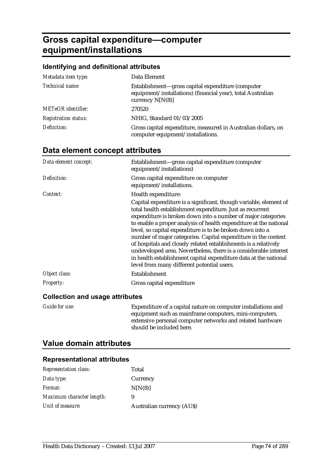# **Gross capital expenditure—computer equipment/installations**

### **Identifying and definitional attributes**

| Metadata item type:         | Data Element                                                                                                                           |
|-----------------------------|----------------------------------------------------------------------------------------------------------------------------------------|
| Technical name:             | Establishment—gross capital expenditure (computer<br>equipment/installations) (financial year), total Australian<br>currency $N[N(8)]$ |
| <b>METeOR</b> identifier:   | 270520                                                                                                                                 |
| <b>Registration status:</b> | NHIG, Standard 01/03/2005                                                                                                              |
| Definition:                 | Gross capital expenditure, measured in Australian dollars, on<br>computer equipment/installations.                                     |

# **Data element concept attributes**

| Data element concept:              | Establishment-gross capital expenditure (computer<br>equipment/installations)                                                                                                                                                                                                                                                                                                                                                                                                                                                                                                                                                                               |
|------------------------------------|-------------------------------------------------------------------------------------------------------------------------------------------------------------------------------------------------------------------------------------------------------------------------------------------------------------------------------------------------------------------------------------------------------------------------------------------------------------------------------------------------------------------------------------------------------------------------------------------------------------------------------------------------------------|
| Definition:                        | Gross capital expenditure on computer<br>equipment/installations.                                                                                                                                                                                                                                                                                                                                                                                                                                                                                                                                                                                           |
| Context:                           | Health expenditure:                                                                                                                                                                                                                                                                                                                                                                                                                                                                                                                                                                                                                                         |
|                                    | Capital expenditure is a significant, though variable, element of<br>total health establishment expenditure. Just as recurrent<br>expenditure is broken down into a number of major categories<br>to enable a proper analysis of health expenditure at the national<br>level, so capital expenditure is to be broken down into a<br>number of major categories. Capital expenditure in the context<br>of hospitals and closely related establishments is a relatively<br>undeveloped area. Nevertheless, there is a considerable interest<br>in health establishment capital expenditure data at the national<br>level from many different potential users. |
| Object class:                      | Establishment                                                                                                                                                                                                                                                                                                                                                                                                                                                                                                                                                                                                                                               |
| <b>Property:</b>                   | Gross capital expenditure                                                                                                                                                                                                                                                                                                                                                                                                                                                                                                                                                                                                                                   |
| Callcotion and usess officialities |                                                                                                                                                                                                                                                                                                                                                                                                                                                                                                                                                                                                                                                             |

#### **Collection and usage attributes**

| Guide for use: | Expenditure of a capital nature on computer installations and |
|----------------|---------------------------------------------------------------|
|                | equipment such as mainframe computers, mini-computers,        |
|                | extensive personal computer networks and related hardware     |
|                | should be included here.                                      |

# **Value domain attributes**

| <b>Representation class:</b> | Total                            |
|------------------------------|----------------------------------|
| Data type:                   | Currency                         |
| <i>Format:</i>               | N[N(8)]                          |
| Maximum character length:    | 9                                |
| Unit of measure:             | <b>Australian currency (AUS)</b> |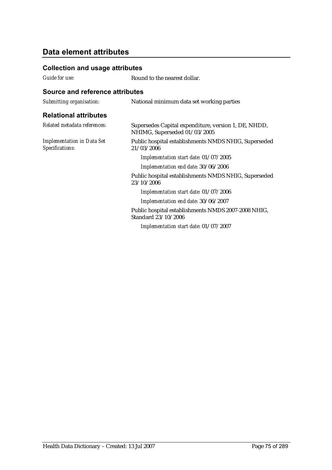### **Collection and usage attributes**

*Guide for use:* Round to the nearest dollar.

| Submitting organisation:                             | National minimum data set working parties                                            |
|------------------------------------------------------|--------------------------------------------------------------------------------------|
| <b>Relational attributes</b>                         |                                                                                      |
| Related metadata references:                         | Supersedes Capital expenditure, version 1, DE, NHDD,<br>NHIMG, Superseded 01/03/2005 |
| <b>Implementation in Data Set</b><br>Specifications: | Public hospital establishments NMDS NHIG, Superseded<br>21/03/2006                   |
|                                                      | Implementation start date: 01/07/2005                                                |
|                                                      | Implementation end date: 30/06/2006                                                  |
|                                                      | Public hospital establishments NMDS NHIG, Superseded<br>23/10/2006                   |
|                                                      | Implementation start date: 01/07/2006                                                |
|                                                      | Implementation end date: 30/06/2007                                                  |
|                                                      | Public hospital establishments NMDS 2007-2008 NHIG,<br>Standard 23/10/2006           |
|                                                      | Implementation start date: 01/07/2007                                                |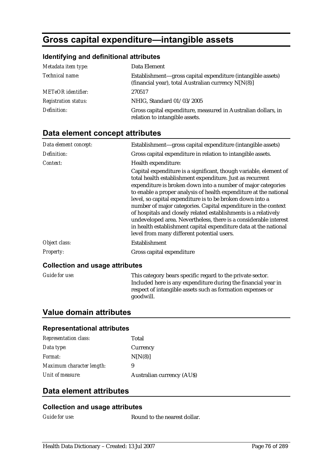# **Gross capital expenditure—intangible assets**

### **Identifying and definitional attributes**

| Metadata item type:         | Data Element                                                                                                       |
|-----------------------------|--------------------------------------------------------------------------------------------------------------------|
| Technical name:             | Establishment—gross capital expenditure (intangible assets)<br>(financial year), total Australian currency N[N(8)] |
| <b>METeOR</b> identifier:   | 270517                                                                                                             |
| <b>Registration status:</b> | NHIG, Standard 01/03/2005                                                                                          |
| Definition:                 | Gross capital expenditure, measured in Australian dollars, in<br>relation to intangible assets.                    |

## **Data element concept attributes**

| Data element concept: | Establishment—gross capital expenditure (intangible assets)                                                                                                                                                                                                                                                                                                                                                                                                                                                                                                                                                                                                 |
|-----------------------|-------------------------------------------------------------------------------------------------------------------------------------------------------------------------------------------------------------------------------------------------------------------------------------------------------------------------------------------------------------------------------------------------------------------------------------------------------------------------------------------------------------------------------------------------------------------------------------------------------------------------------------------------------------|
| Definition:           | Gross capital expenditure in relation to intangible assets.                                                                                                                                                                                                                                                                                                                                                                                                                                                                                                                                                                                                 |
| Context:              | Health expenditure:                                                                                                                                                                                                                                                                                                                                                                                                                                                                                                                                                                                                                                         |
|                       | Capital expenditure is a significant, though variable, element of<br>total health establishment expenditure. Just as recurrent<br>expenditure is broken down into a number of major categories<br>to enable a proper analysis of health expenditure at the national<br>level, so capital expenditure is to be broken down into a<br>number of major categories. Capital expenditure in the context<br>of hospitals and closely related establishments is a relatively<br>undeveloped area. Nevertheless, there is a considerable interest<br>in health establishment capital expenditure data at the national<br>level from many different potential users. |
| Object class:         | Establishment                                                                                                                                                                                                                                                                                                                                                                                                                                                                                                                                                                                                                                               |
| Property:             | Gross capital expenditure                                                                                                                                                                                                                                                                                                                                                                                                                                                                                                                                                                                                                                   |

#### **Collection and usage attributes**

*Guide for use:* This category bears specific regard to the private sector. Included here is any expenditure during the financial year in respect of intangible assets such as formation expenses or goodwill.

### **Value domain attributes**

#### **Representational attributes**

| <b>Representation class:</b> | Total                            |
|------------------------------|----------------------------------|
| Data type:                   | Currency                         |
| Format:                      | N[N(8)]                          |
| Maximum character length:    | 9                                |
| Unit of measure:             | <b>Australian currency (AUS)</b> |

## **Data element attributes**

#### **Collection and usage attributes**

*Guide for use:* Round to the nearest dollar.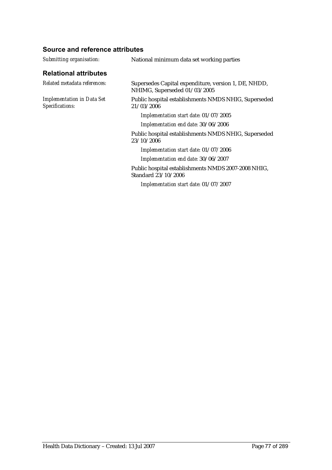| Submitting organisation:                             | National minimum data set working parties                                            |
|------------------------------------------------------|--------------------------------------------------------------------------------------|
| <b>Relational attributes</b>                         |                                                                                      |
| Related metadata references:                         | Supersedes Capital expenditure, version 1, DE, NHDD,<br>NHIMG, Superseded 01/03/2005 |
| <b>Implementation in Data Set</b><br>Specifications: | Public hospital establishments NMDS NHIG, Superseded<br>21/03/2006                   |
|                                                      | Implementation start date: 01/07/2005                                                |
|                                                      | Implementation end date: 30/06/2006                                                  |
|                                                      | Public hospital establishments NMDS NHIG, Superseded<br>23/10/2006                   |
|                                                      | Implementation start date: 01/07/2006                                                |
|                                                      | Implementation end date: 30/06/2007                                                  |
|                                                      | Public hospital establishments NMDS 2007-2008 NHIG,<br>Standard 23/10/2006           |
|                                                      | Implementation start date: 01/07/2007                                                |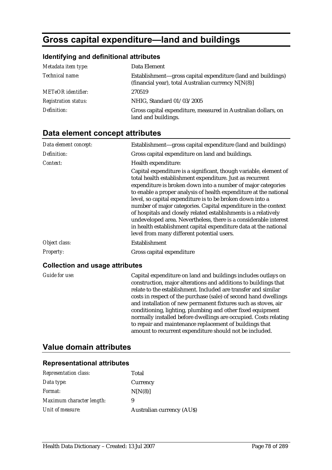# **Gross capital expenditure—land and buildings**

### **Identifying and definitional attributes**

| Metadata item type:         | Data Element                                                                                                        |
|-----------------------------|---------------------------------------------------------------------------------------------------------------------|
| Technical name:             | Establishment-gross capital expenditure (land and buildings)<br>(financial year), total Australian currency N[N(8)] |
| <b>METeOR</b> identifier:   | 270519                                                                                                              |
| <b>Registration status:</b> | NHIG, Standard 01/03/2005                                                                                           |
| Definition:                 | Gross capital expenditure, measured in Australian dollars, on<br>land and buildings.                                |

# **Data element concept attributes**

| Data element concept: | Establishment—gross capital expenditure (land and buildings)                                                                                                                                                                                                                                                                                                                                                                                                                                                                                                                                                                                                |
|-----------------------|-------------------------------------------------------------------------------------------------------------------------------------------------------------------------------------------------------------------------------------------------------------------------------------------------------------------------------------------------------------------------------------------------------------------------------------------------------------------------------------------------------------------------------------------------------------------------------------------------------------------------------------------------------------|
| Definition:           | Gross capital expenditure on land and buildings.                                                                                                                                                                                                                                                                                                                                                                                                                                                                                                                                                                                                            |
| Context:              | Health expenditure:                                                                                                                                                                                                                                                                                                                                                                                                                                                                                                                                                                                                                                         |
|                       | Capital expenditure is a significant, though variable, element of<br>total health establishment expenditure. Just as recurrent<br>expenditure is broken down into a number of major categories<br>to enable a proper analysis of health expenditure at the national<br>level, so capital expenditure is to be broken down into a<br>number of major categories. Capital expenditure in the context<br>of hospitals and closely related establishments is a relatively<br>undeveloped area. Nevertheless, there is a considerable interest<br>in health establishment capital expenditure data at the national<br>level from many different potential users. |
| Object class:         | Establishment                                                                                                                                                                                                                                                                                                                                                                                                                                                                                                                                                                                                                                               |
| <b>Property:</b>      | Gross capital expenditure                                                                                                                                                                                                                                                                                                                                                                                                                                                                                                                                                                                                                                   |

### **Collection and usage attributes**

| Guide for use: | Capital expenditure on land and buildings includes outlays on<br>construction, major alterations and additions to buildings that<br>relate to the establishment. Included are transfer and similar<br>costs in respect of the purchase (sale) of second hand dwellings<br>and installation of new permanent fixtures such as stoves, air<br>conditioning, lighting, plumbing and other fixed equipment<br>normally installed before dwellings are occupied. Costs relating<br>to repair and maintenance replacement of buildings that |
|----------------|---------------------------------------------------------------------------------------------------------------------------------------------------------------------------------------------------------------------------------------------------------------------------------------------------------------------------------------------------------------------------------------------------------------------------------------------------------------------------------------------------------------------------------------|
|                | amount to recurrent expenditure should not be included.                                                                                                                                                                                                                                                                                                                                                                                                                                                                               |

## **Value domain attributes**

| <b>Representation class:</b> | Total                            |
|------------------------------|----------------------------------|
| Data type:                   | Currency                         |
| <i>Format:</i>               | N[N(8)]                          |
| Maximum character length:    | 9                                |
| Unit of measure:             | <b>Australian currency (AUS)</b> |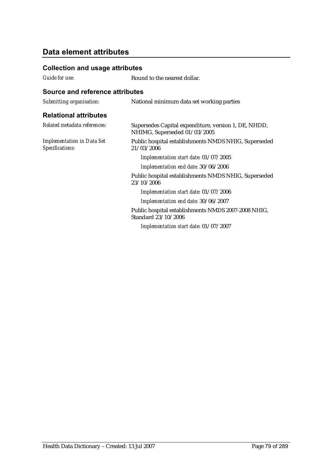### **Collection and usage attributes**

*Guide for use:* Round to the nearest dollar.

| Submitting organisation:                             | National minimum data set working parties                                            |
|------------------------------------------------------|--------------------------------------------------------------------------------------|
| <b>Relational attributes</b>                         |                                                                                      |
| Related metadata references:                         | Supersedes Capital expenditure, version 1, DE, NHDD,<br>NHIMG, Superseded 01/03/2005 |
| <b>Implementation in Data Set</b><br>Specifications: | Public hospital establishments NMDS NHIG, Superseded<br>21/03/2006                   |
|                                                      | Implementation start date: 01/07/2005                                                |
|                                                      | Implementation end date: 30/06/2006                                                  |
|                                                      | Public hospital establishments NMDS NHIG, Superseded<br>23/10/2006                   |
|                                                      | Implementation start date: 01/07/2006                                                |
|                                                      | Implementation end date: 30/06/2007                                                  |
|                                                      | Public hospital establishments NMDS 2007-2008 NHIG,<br>Standard 23/10/2006           |
|                                                      | Implementation start date: 01/07/2007                                                |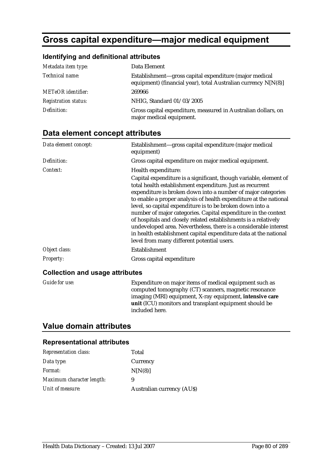# **Gross capital expenditure—major medical equipment**

### **Identifying and definitional attributes**

| Metadata item type:         | Data Element                                                                                                               |
|-----------------------------|----------------------------------------------------------------------------------------------------------------------------|
| Technical name:             | Establishment-gross capital expenditure (major medical<br>equipment) (financial year), total Australian currency $N[N(8)]$ |
| <b>METeOR</b> identifier:   | 269966                                                                                                                     |
| <b>Registration status:</b> | NHIG, Standard 01/03/2005                                                                                                  |
| Definition:                 | Gross capital expenditure, measured in Australian dollars, on<br>major medical equipment.                                  |

## **Data element concept attributes**

| Data element concept: | Establishment-gross capital expenditure (major medical<br>equipment)                                                                                                                                                                                                                                                                                                                                                                                                                                                                                                                                                                                        |
|-----------------------|-------------------------------------------------------------------------------------------------------------------------------------------------------------------------------------------------------------------------------------------------------------------------------------------------------------------------------------------------------------------------------------------------------------------------------------------------------------------------------------------------------------------------------------------------------------------------------------------------------------------------------------------------------------|
| Definition:           | Gross capital expenditure on major medical equipment.                                                                                                                                                                                                                                                                                                                                                                                                                                                                                                                                                                                                       |
| Context:              | Health expenditure:                                                                                                                                                                                                                                                                                                                                                                                                                                                                                                                                                                                                                                         |
|                       | Capital expenditure is a significant, though variable, element of<br>total health establishment expenditure. Just as recurrent<br>expenditure is broken down into a number of major categories<br>to enable a proper analysis of health expenditure at the national<br>level, so capital expenditure is to be broken down into a<br>number of major categories. Capital expenditure in the context<br>of hospitals and closely related establishments is a relatively<br>undeveloped area. Nevertheless, there is a considerable interest<br>in health establishment capital expenditure data at the national<br>level from many different potential users. |
| Object class:         | Establishment                                                                                                                                                                                                                                                                                                                                                                                                                                                                                                                                                                                                                                               |
| Property:             | Gross capital expenditure                                                                                                                                                                                                                                                                                                                                                                                                                                                                                                                                                                                                                                   |

### **Collection and usage attributes**

| <i>Guide for use:</i> | Expenditure on major items of medical equipment such as         |
|-----------------------|-----------------------------------------------------------------|
|                       | computed tomography (CT) scanners, magnetic resonance           |
|                       | imaging (MRI) equipment, X-ray equipment, <b>intensive care</b> |
|                       | unit (ICU) monitors and transplant equipment should be          |
|                       | included here.                                                  |

## **Value domain attributes**

| <b>Representation class:</b> | Total                            |
|------------------------------|----------------------------------|
| Data type:                   | Currency                         |
| <i>Format:</i>               | N[N(8)]                          |
| Maximum character length:    | 9                                |
| Unit of measure:             | <b>Australian currency (AUS)</b> |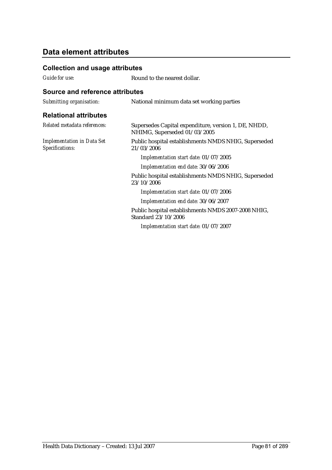### **Collection and usage attributes**

*Guide for use:* Round to the nearest dollar.

| Submitting organisation:                             | National minimum data set working parties                                            |
|------------------------------------------------------|--------------------------------------------------------------------------------------|
| <b>Relational attributes</b>                         |                                                                                      |
| Related metadata references:                         | Supersedes Capital expenditure, version 1, DE, NHDD,<br>NHIMG, Superseded 01/03/2005 |
| <b>Implementation in Data Set</b><br>Specifications: | Public hospital establishments NMDS NHIG, Superseded<br>21/03/2006                   |
|                                                      | Implementation start date: 01/07/2005                                                |
|                                                      | Implementation end date: 30/06/2006                                                  |
|                                                      | Public hospital establishments NMDS NHIG, Superseded<br>23/10/2006                   |
|                                                      | Implementation start date: 01/07/2006                                                |
|                                                      | Implementation end date: 30/06/2007                                                  |
|                                                      | Public hospital establishments NMDS 2007-2008 NHIG,<br>Standard 23/10/2006           |
|                                                      | Implementation start date: 01/07/2007                                                |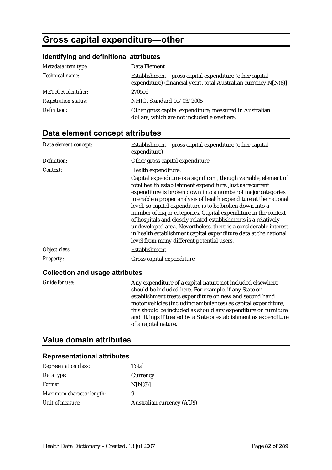# **Gross capital expenditure—other**

### **Identifying and definitional attributes**

| Metadata item type:         | Data Element                                                                                                               |
|-----------------------------|----------------------------------------------------------------------------------------------------------------------------|
| Technical name:             | Establishment—gross capital expenditure (other capital<br>expenditure) (financial year), total Australian currency N[N(8)] |
| <b>METeOR</b> identifier:   | 270516                                                                                                                     |
| <b>Registration status:</b> | NHIG, Standard 01/03/2005                                                                                                  |
| Definition:                 | Other gross capital expenditure, measured in Australian<br>dollars, which are not included elsewhere.                      |

# **Data element concept attributes**

| Data element concept: | Establishment-gross capital expenditure (other capital<br>expenditure)                                                                                                                                                                                                                                                                                                                                                                                                                                                                                                                                                                                      |
|-----------------------|-------------------------------------------------------------------------------------------------------------------------------------------------------------------------------------------------------------------------------------------------------------------------------------------------------------------------------------------------------------------------------------------------------------------------------------------------------------------------------------------------------------------------------------------------------------------------------------------------------------------------------------------------------------|
| Definition:           | Other gross capital expenditure.                                                                                                                                                                                                                                                                                                                                                                                                                                                                                                                                                                                                                            |
| Context:              | Health expenditure:                                                                                                                                                                                                                                                                                                                                                                                                                                                                                                                                                                                                                                         |
|                       | Capital expenditure is a significant, though variable, element of<br>total health establishment expenditure. Just as recurrent<br>expenditure is broken down into a number of major categories<br>to enable a proper analysis of health expenditure at the national<br>level, so capital expenditure is to be broken down into a<br>number of major categories. Capital expenditure in the context<br>of hospitals and closely related establishments is a relatively<br>undeveloped area. Nevertheless, there is a considerable interest<br>in health establishment capital expenditure data at the national<br>level from many different potential users. |
| Object class:         | Establishment                                                                                                                                                                                                                                                                                                                                                                                                                                                                                                                                                                                                                                               |
| <b>Property:</b>      | Gross capital expenditure                                                                                                                                                                                                                                                                                                                                                                                                                                                                                                                                                                                                                                   |

### **Collection and usage attributes**

| Guide for use: | Any expenditure of a capital nature not included elsewhere         |
|----------------|--------------------------------------------------------------------|
|                | should be included here. For example, if any State or              |
|                | establishment treats expenditure on new and second hand            |
|                | motor vehicles (including ambulances) as capital expenditure,      |
|                | this should be included as should any expenditure on furniture     |
|                | and fittings if treated by a State or establishment as expenditure |
|                | of a capital nature.                                               |

## **Value domain attributes**

| <b>Representation class:</b> | Total                            |
|------------------------------|----------------------------------|
| Data type:                   | Currency                         |
| <i>Format:</i>               | N[N(8)]                          |
| Maximum character length:    | 9                                |
| Unit of measure:             | <b>Australian currency (AUS)</b> |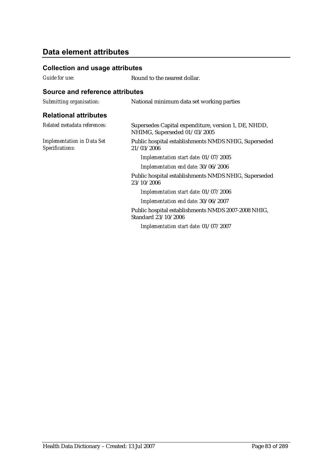### **Collection and usage attributes**

*Guide for use:* Round to the nearest dollar.

| Submitting organisation:                             | National minimum data set working parties                                            |
|------------------------------------------------------|--------------------------------------------------------------------------------------|
| <b>Relational attributes</b>                         |                                                                                      |
| Related metadata references:                         | Supersedes Capital expenditure, version 1, DE, NHDD,<br>NHIMG, Superseded 01/03/2005 |
| <b>Implementation in Data Set</b><br>Specifications: | Public hospital establishments NMDS NHIG, Superseded<br>21/03/2006                   |
|                                                      | Implementation start date: 01/07/2005                                                |
|                                                      | Implementation end date: 30/06/2006                                                  |
|                                                      | Public hospital establishments NMDS NHIG, Superseded<br>23/10/2006                   |
|                                                      | Implementation start date: 01/07/2006                                                |
|                                                      | Implementation end date: 30/06/2007                                                  |
|                                                      | Public hospital establishments NMDS 2007-2008 NHIG,<br>Standard 23/10/2006           |
|                                                      | Implementation start date: 01/07/2007                                                |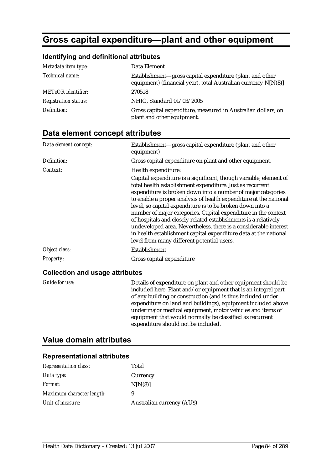# **Gross capital expenditure—plant and other equipment**

### **Identifying and definitional attributes**

| Metadata item type:         | Data Element                                                                                                               |
|-----------------------------|----------------------------------------------------------------------------------------------------------------------------|
| Technical name:             | Establishment-gross capital expenditure (plant and other<br>equipment) (financial year), total Australian currency N[N(8)] |
| <b>METeOR</b> identifier:   | 270518                                                                                                                     |
| <b>Registration status:</b> | NHIG, Standard 01/03/2005                                                                                                  |
| Definition:                 | Gross capital expenditure, measured in Australian dollars, on<br>plant and other equipment.                                |

## **Data element concept attributes**

| Data element concept: | Establishment-gross capital expenditure (plant and other<br>equipment)                                                                                                                                                                                                                                                                                                                                                                                                                                                                                                                                                                                      |
|-----------------------|-------------------------------------------------------------------------------------------------------------------------------------------------------------------------------------------------------------------------------------------------------------------------------------------------------------------------------------------------------------------------------------------------------------------------------------------------------------------------------------------------------------------------------------------------------------------------------------------------------------------------------------------------------------|
| Definition:           | Gross capital expenditure on plant and other equipment.                                                                                                                                                                                                                                                                                                                                                                                                                                                                                                                                                                                                     |
| Context:              | Health expenditure:                                                                                                                                                                                                                                                                                                                                                                                                                                                                                                                                                                                                                                         |
|                       | Capital expenditure is a significant, though variable, element of<br>total health establishment expenditure. Just as recurrent<br>expenditure is broken down into a number of major categories<br>to enable a proper analysis of health expenditure at the national<br>level, so capital expenditure is to be broken down into a<br>number of major categories. Capital expenditure in the context<br>of hospitals and closely related establishments is a relatively<br>undeveloped area. Nevertheless, there is a considerable interest<br>in health establishment capital expenditure data at the national<br>level from many different potential users. |
| Object class:         | Establishment                                                                                                                                                                                                                                                                                                                                                                                                                                                                                                                                                                                                                                               |
| <b>Property:</b>      | Gross capital expenditure                                                                                                                                                                                                                                                                                                                                                                                                                                                                                                                                                                                                                                   |

### **Collection and usage attributes**

| <b>Guide for use:</b> | Details of expenditure on plant and other equipment should be  |
|-----------------------|----------------------------------------------------------------|
|                       | included here. Plant and/or equipment that is an integral part |
|                       | of any building or construction (and is thus included under    |
|                       | expenditure on land and buildings), equipment included above   |
|                       | under major medical equipment, motor vehicles and items of     |
|                       | equipment that would normally be classified as recurrent       |
|                       | expenditure should not be included.                            |
|                       |                                                                |

## **Value domain attributes**

| <b>Representation class:</b> | Total                            |
|------------------------------|----------------------------------|
| Data type:                   | Currency                         |
| <i>Format:</i>               | N[N(8)]                          |
| Maximum character length:    | 9                                |
| Unit of measure:             | <b>Australian currency (AUS)</b> |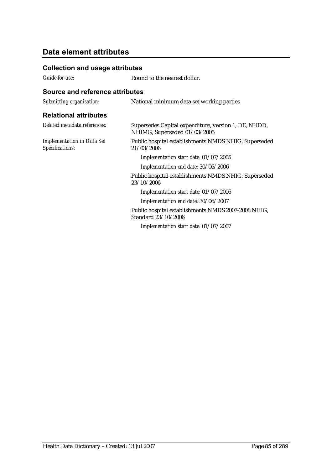### **Collection and usage attributes**

*Guide for use:* Round to the nearest dollar.

| Submitting organisation:                             | National minimum data set working parties                                            |
|------------------------------------------------------|--------------------------------------------------------------------------------------|
| <b>Relational attributes</b>                         |                                                                                      |
| Related metadata references:                         | Supersedes Capital expenditure, version 1, DE, NHDD,<br>NHIMG, Superseded 01/03/2005 |
| <b>Implementation in Data Set</b><br>Specifications: | Public hospital establishments NMDS NHIG, Superseded<br>21/03/2006                   |
|                                                      | Implementation start date: 01/07/2005                                                |
|                                                      | Implementation end date: 30/06/2006                                                  |
|                                                      | Public hospital establishments NMDS NHIG, Superseded<br>23/10/2006                   |
|                                                      | Implementation start date: 01/07/2006                                                |
|                                                      | Implementation end date: 30/06/2007                                                  |
|                                                      | Public hospital establishments NMDS 2007-2008 NHIG,<br>Standard 23/10/2006           |
|                                                      | Implementation start date: 01/07/2007                                                |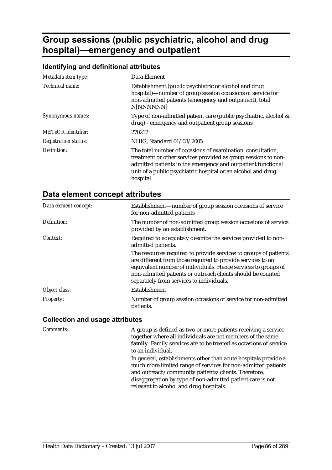# **Group sessions (public psychiatric, alcohol and drug hospital)—emergency and outpatient**

#### **Identifying and definitional attributes**

| Metadata item type:         | Data Element                                                                                                                                                                                                                                                               |
|-----------------------------|----------------------------------------------------------------------------------------------------------------------------------------------------------------------------------------------------------------------------------------------------------------------------|
| Technical name:             | Establishment (public psychiatric or alcohol and drug<br>hospital)—number of group session occasions of service for<br>non-admitted patients (emergency and outpatient), total<br>N[NNNNNN]                                                                                |
| Synonymous names:           | Type of non-admitted patient care (public psychiatric, alcohol &<br>drug) - emergency and outpatient group sessions                                                                                                                                                        |
| METeOR identifier:          | 270217                                                                                                                                                                                                                                                                     |
| <b>Registration status:</b> | NHIG, Standard 01/03/2005                                                                                                                                                                                                                                                  |
| Definition:                 | The total number of occasions of examination, consultation,<br>treatment or other services provided as group sessions to non-<br>admitted patients in the emergency and outpatient functional<br>unit of a public psychiatric hospital or an alcohol and drug<br>hospital. |

### **Data element concept attributes**

| Data element concept:                  | Establishment—number of group session occasions of service<br>for non-admitted patients                                                                                                                                                                                                                     |
|----------------------------------------|-------------------------------------------------------------------------------------------------------------------------------------------------------------------------------------------------------------------------------------------------------------------------------------------------------------|
| Definition:                            | The number of non-admitted group session occasions of service<br>provided by an establishment.                                                                                                                                                                                                              |
| Context:                               | Required to adequately describe the services provided to non-<br>admitted patients.                                                                                                                                                                                                                         |
|                                        | The resources required to provide services to groups of patients<br>are different from those required to provide services to an<br>equivalent number of individuals. Hence services to groups of<br>non-admitted patients or outreach clients should be counted<br>separately from services to individuals. |
| Object class:                          | Establishment                                                                                                                                                                                                                                                                                               |
| Property:                              | Number of group session occasions of service for non-admitted<br>patients.                                                                                                                                                                                                                                  |
| <b>Collection and usage attributes</b> |                                                                                                                                                                                                                                                                                                             |

*Comments:* A group is defined as two or more patients receiving a service together where all individuals are not members of the same **family**. Family services are to be treated as occasions of service to an individual. In general, establishments other than acute hospitals provide a much more limited range of services for non-admitted patients and outreach/community patients/clients. Therefore, disaggregation by type of non-admitted patient care is not relevant to alcohol and drug hospitals.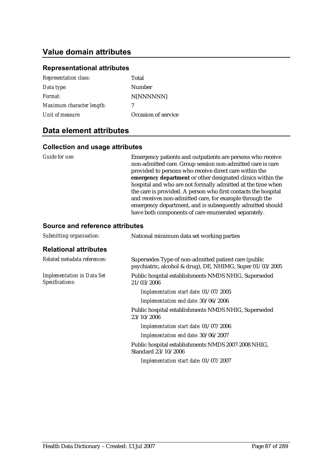## **Value domain attributes**

#### **Representational attributes**

| <b>Representation class:</b> | Total               |
|------------------------------|---------------------|
| Data type:                   | Number              |
| Format:                      | N[NNNNNN]           |
| Maximum character length:    | 7                   |
| Unit of measure:             | Occasion of service |
|                              |                     |

### **Data element attributes**

#### **Collection and usage attributes**

*Guide for use:* Emergency patients and outpatients are persons who receive non-admitted care. Group session non-admitted care is care provided to persons who receive direct care within the **emergency department** or other designated clinics within the hospital and who are not formally admitted at the time when the care is provided. A person who first contacts the hospital and receives non-admitted care, for example through the emergency department, and is subsequently admitted should have both components of care enumerated separately.

| Submitting organisation:                             | National minimum data set working parties                                                                         |
|------------------------------------------------------|-------------------------------------------------------------------------------------------------------------------|
| <b>Relational attributes</b>                         |                                                                                                                   |
| Related metadata references:                         | Supersedes Type of non-admitted patient care (public<br>psychiatric, alcohol & drug), DE, NHIMG, Super 01/03/2005 |
| <b>Implementation in Data Set</b><br>Specifications: | Public hospital establishments NMDS NHIG, Superseded<br>21/03/2006                                                |
|                                                      | Implementation start date: 01/07/2005                                                                             |
|                                                      | Implementation end date: 30/06/2006                                                                               |
|                                                      | Public hospital establishments NMDS NHIG, Superseded<br>23/10/2006                                                |
|                                                      | Implementation start date: 01/07/2006                                                                             |
|                                                      | Implementation end date: 30/06/2007                                                                               |
|                                                      | Public hospital establishments NMDS 2007-2008 NHIG,<br>Standard 23/10/2006                                        |
|                                                      | Implementation start date: 01/07/2007                                                                             |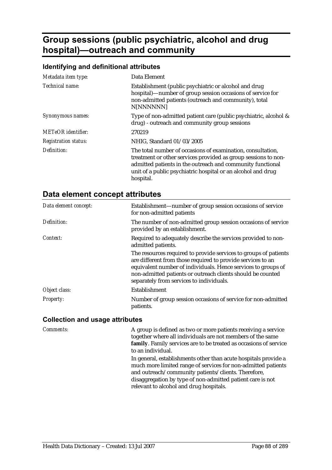# **Group sessions (public psychiatric, alcohol and drug hospital)—outreach and community**

## **Identifying and definitional attributes**

| Metadata item type:         | Data Element                                                                                                                                                                                                                                                             |
|-----------------------------|--------------------------------------------------------------------------------------------------------------------------------------------------------------------------------------------------------------------------------------------------------------------------|
| Technical name:             | Establishment (public psychiatric or alcohol and drug<br>hospital)—number of group session occasions of service for<br>non-admitted patients (outreach and community), total<br>N[NNNNNN]                                                                                |
| Synonymous names:           | Type of non-admitted patient care (public psychiatric, alcohol &<br>drug) - outreach and community group sessions                                                                                                                                                        |
| METeOR identifier:          | 270219                                                                                                                                                                                                                                                                   |
| <b>Registration status:</b> | NHIG, Standard 01/03/2005                                                                                                                                                                                                                                                |
| Definition:                 | The total number of occasions of examination, consultation,<br>treatment or other services provided as group sessions to non-<br>admitted patients in the outreach and community functional<br>unit of a public psychiatric hospital or an alcohol and drug<br>hospital. |

# **Data element concept attributes**

| Data element concept:                  | Establishment—number of group session occasions of service<br>for non-admitted patients                                                                                                                                                                                                                     |
|----------------------------------------|-------------------------------------------------------------------------------------------------------------------------------------------------------------------------------------------------------------------------------------------------------------------------------------------------------------|
| Definition:                            | The number of non-admitted group session occasions of service<br>provided by an establishment.                                                                                                                                                                                                              |
| Context:                               | Required to adequately describe the services provided to non-<br>admitted patients.                                                                                                                                                                                                                         |
|                                        | The resources required to provide services to groups of patients<br>are different from those required to provide services to an<br>equivalent number of individuals. Hence services to groups of<br>non-admitted patients or outreach clients should be counted<br>separately from services to individuals. |
| Object class:                          | Establishment                                                                                                                                                                                                                                                                                               |
| Property:                              | Number of group session occasions of service for non-admitted<br>patients.                                                                                                                                                                                                                                  |
| <b>Collection and usage attributes</b> |                                                                                                                                                                                                                                                                                                             |

| Comments: | A group is defined as two or more patients receiving a service<br>together where all individuals are not members of the same<br>family. Family services are to be treated as occasions of service                                                                                                                     |
|-----------|-----------------------------------------------------------------------------------------------------------------------------------------------------------------------------------------------------------------------------------------------------------------------------------------------------------------------|
|           | to an individual.<br>In general, establishments other than acute hospitals provide a<br>much more limited range of services for non-admitted patients<br>and outreach/community patients/clients. Therefore,<br>disaggregation by type of non-admitted patient care is not<br>relevant to alcohol and drug hospitals. |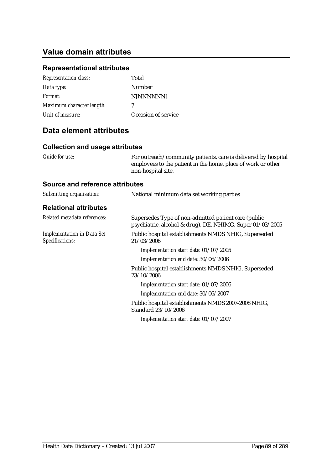## **Value domain attributes**

## **Representational attributes**

| Total               |
|---------------------|
| <b>Number</b>       |
| N[NNNNNN]           |
| 7                   |
| Occasion of service |
|                     |

## **Data element attributes**

## **Collection and usage attributes**

| Guide for use:                                       | For outreach/community patients, care is delivered by hospital<br>employees to the patient in the home, place of work or other<br>non-hospital site. |
|------------------------------------------------------|------------------------------------------------------------------------------------------------------------------------------------------------------|
| <b>Source and reference attributes</b>               |                                                                                                                                                      |
| Submitting organisation:                             | National minimum data set working parties                                                                                                            |
| <b>Relational attributes</b>                         |                                                                                                                                                      |
| Related metadata references:                         | Supersedes Type of non-admitted patient care (public<br>psychiatric, alcohol & drug), DE, NHIMG, Super 01/03/2005                                    |
| <b>Implementation in Data Set</b><br>Specifications: | Public hospital establishments NMDS NHIG, Superseded<br>21/03/2006                                                                                   |
|                                                      | Implementation start date: 01/07/2005                                                                                                                |
|                                                      | Implementation end date: 30/06/2006                                                                                                                  |
|                                                      | Public hospital establishments NMDS NHIG, Superseded<br>23/10/2006                                                                                   |
|                                                      | Implementation start date: 01/07/2006                                                                                                                |
|                                                      | Implementation end date: 30/06/2007                                                                                                                  |
|                                                      | Public hospital establishments NMDS 2007-2008 NHIG,<br>Standard 23/10/2006                                                                           |
|                                                      | Implementation start date: 01/07/2007                                                                                                                |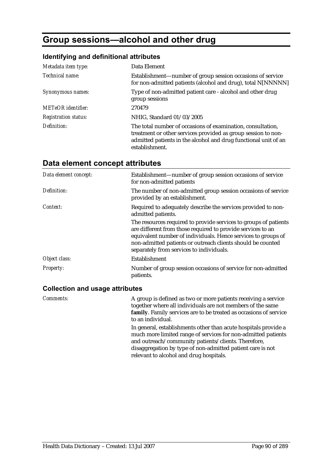# **Group sessions—alcohol and other drug**

#### **Identifying and definitional attributes**

| Metadata item type:         | Data Element                                                                                                                                                                                                      |
|-----------------------------|-------------------------------------------------------------------------------------------------------------------------------------------------------------------------------------------------------------------|
| Technical name:             | Establishment—number of group session occasions of service<br>for non-admitted patients (alcohol and drug), total N[NNNNN]                                                                                        |
| Synonymous names:           | Type of non-admitted patient care - alcohol and other drug<br>group sessions                                                                                                                                      |
| METeOR identifier:          | 270479                                                                                                                                                                                                            |
| <b>Registration status:</b> | NHIG, Standard 01/03/2005                                                                                                                                                                                         |
| Definition:                 | The total number of occasions of examination, consultation,<br>treatment or other services provided as group session to non-<br>admitted patients in the alcohol and drug functional unit of an<br>establishment. |

## **Data element concept attributes**

| Data element concept: | Establishment—number of group session occasions of service<br>for non-admitted patients                                                                                                                                                                                                                     |
|-----------------------|-------------------------------------------------------------------------------------------------------------------------------------------------------------------------------------------------------------------------------------------------------------------------------------------------------------|
| Definition:           | The number of non-admitted group session occasions of service<br>provided by an establishment.                                                                                                                                                                                                              |
| Context:              | Required to adequately describe the services provided to non-<br>admitted patients.                                                                                                                                                                                                                         |
|                       | The resources required to provide services to groups of patients<br>are different from those required to provide services to an<br>equivalent number of individuals. Hence services to groups of<br>non-admitted patients or outreach clients should be counted<br>separately from services to individuals. |
| Object class:         | Establishment                                                                                                                                                                                                                                                                                               |
| <b>Property:</b>      | Number of group session occasions of service for non-admitted<br>patients.                                                                                                                                                                                                                                  |

#### **Collection and usage attributes**

*Comments:* A group is defined as two or more patients receiving a service together where all individuals are not members of the same **family**. Family services are to be treated as occasions of service to an individual. In general, establishments other than acute hospitals provide a much more limited range of services for non-admitted patients and outreach/community patients/clients. Therefore, disaggregation by type of non-admitted patient care is not relevant to alcohol and drug hospitals.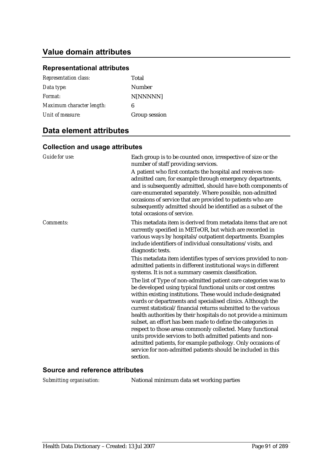## **Value domain attributes**

### **Representational attributes**

| <b>Representation class:</b> | Total         |
|------------------------------|---------------|
| Data type:                   | <b>Number</b> |
| Format:                      | N[NNNNN]      |
| Maximum character length:    | 6             |
| Unit of measure:             | Group session |
|                              |               |

### **Data element attributes**

### **Collection and usage attributes**

| Guide for use: | Each group is to be counted once, irrespective of size or the<br>number of staff providing services.                                                                                                                                                                                                                                                                                                                                                                                                                                                                                                                                                                                                                                                                                                                                                                                                                                |
|----------------|-------------------------------------------------------------------------------------------------------------------------------------------------------------------------------------------------------------------------------------------------------------------------------------------------------------------------------------------------------------------------------------------------------------------------------------------------------------------------------------------------------------------------------------------------------------------------------------------------------------------------------------------------------------------------------------------------------------------------------------------------------------------------------------------------------------------------------------------------------------------------------------------------------------------------------------|
|                | A patient who first contacts the hospital and receives non-<br>admitted care, for example through emergency departments,<br>and is subsequently admitted, should have both components of<br>care enumerated separately. Where possible, non-admitted<br>occasions of service that are provided to patients who are<br>subsequently admitted should be identified as a subset of the<br>total occasions of service.                                                                                                                                                                                                                                                                                                                                                                                                                                                                                                                  |
| Comments:      | This metadata item is derived from metadata items that are not<br>currently specified in METeOR, but which are recorded in<br>various ways by hospitals/outpatient departments. Examples<br>include identifiers of individual consultations/visits, and<br>diagnostic tests.                                                                                                                                                                                                                                                                                                                                                                                                                                                                                                                                                                                                                                                        |
|                | This metadata item identifies types of services provided to non-<br>admitted patients in different institutional ways in different<br>systems. It is not a summary casemix classification.<br>The list of Type of non-admitted patient care categories was to<br>be developed using typical functional units or cost centres<br>within existing institutions. These would include designated<br>wards or departments and specialised clinics. Although the<br>current statistical/financial returns submitted to the various<br>health authorities by their hospitals do not provide a minimum<br>subset, an effort has been made to define the categories in<br>respect to those areas commonly collected. Many functional<br>units provide services to both admitted patients and non-<br>admitted patients, for example pathology. Only occasions of<br>service for non-admitted patients should be included in this<br>section. |

#### **Source and reference attributes**

*Submitting organisation:* National minimum data set working parties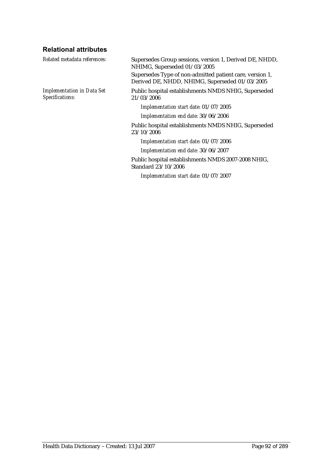## **Relational attributes**

| Related metadata references:                         | Supersedes Group sessions, version 1, Derived DE, NHDD,<br>NHIMG, Superseded 01/03/2005                    |  |
|------------------------------------------------------|------------------------------------------------------------------------------------------------------------|--|
|                                                      | Supersedes Type of non-admitted patient care, version 1,<br>Derived DE, NHDD, NHIMG, Superseded 01/03/2005 |  |
| <b>Implementation in Data Set</b><br>Specifications: | Public hospital establishments NMDS NHIG, Superseded<br>21/03/2006                                         |  |
|                                                      | Implementation start date: 01/07/2005                                                                      |  |
|                                                      | Implementation end date: 30/06/2006                                                                        |  |
|                                                      | Public hospital establishments NMDS NHIG, Superseded<br>23/10/2006                                         |  |
|                                                      | Implementation start date: 01/07/2006                                                                      |  |
|                                                      | Implementation end date: 30/06/2007                                                                        |  |
|                                                      | Public hospital establishments NMDS 2007-2008 NHIG,<br>Standard 23/10/2006                                 |  |
|                                                      | Implementation start date: 01/07/2007                                                                      |  |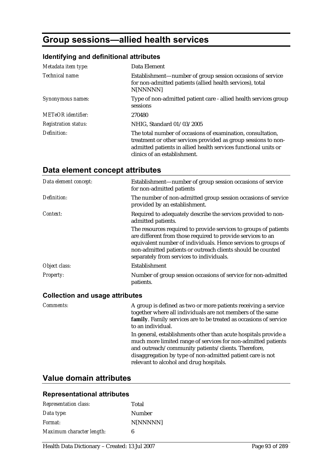# **Group sessions—allied health services**

## **Identifying and definitional attributes**

| Metadata item type:         | Data Element                                                                                                                                                                                                                     |
|-----------------------------|----------------------------------------------------------------------------------------------------------------------------------------------------------------------------------------------------------------------------------|
| Technical name:             | Establishment—number of group session occasions of service<br>for non-admitted patients (allied health services), total<br>N[NNNNN]                                                                                              |
| Synonymous names:           | Type of non-admitted patient care - allied health services group<br>sessions                                                                                                                                                     |
| <b>METeOR</b> identifier:   | 270480                                                                                                                                                                                                                           |
| <b>Registration status:</b> | NHIG, Standard 01/03/2005                                                                                                                                                                                                        |
| Definition:                 | The total number of occasions of examination, consultation,<br>treatment or other services provided as group sessions to non-<br>admitted patients in allied health services functional units or<br>clinics of an establishment. |

# **Data element concept attributes**

| Data element concept: | Establishment—number of group session occasions of service<br>for non-admitted patients                                                                                                                                                                                                                     |
|-----------------------|-------------------------------------------------------------------------------------------------------------------------------------------------------------------------------------------------------------------------------------------------------------------------------------------------------------|
| Definition:           | The number of non-admitted group session occasions of service<br>provided by an establishment.                                                                                                                                                                                                              |
| Context:              | Required to adequately describe the services provided to non-<br>admitted patients.                                                                                                                                                                                                                         |
|                       | The resources required to provide services to groups of patients<br>are different from those required to provide services to an<br>equivalent number of individuals. Hence services to groups of<br>non-admitted patients or outreach clients should be counted<br>separately from services to individuals. |
| Object class:         | Establishment                                                                                                                                                                                                                                                                                               |
| Property:             | Number of group session occasions of service for non-admitted<br>patients.                                                                                                                                                                                                                                  |

#### **Collection and usage attributes**

| <i>Comments:</i> | A group is defined as two or more patients receiving a service<br>together where all individuals are not members of the same<br>family. Family services are to be treated as occasions of service<br>to an individual.                                                                           |
|------------------|--------------------------------------------------------------------------------------------------------------------------------------------------------------------------------------------------------------------------------------------------------------------------------------------------|
|                  | In general, establishments other than acute hospitals provide a<br>much more limited range of services for non-admitted patients<br>and outreach/community patients/clients. Therefore,<br>disaggregation by type of non-admitted patient care is not<br>relevant to alcohol and drug hospitals. |

# **Value domain attributes**

| <b>Representation class:</b> | Total           |
|------------------------------|-----------------|
| Data type:                   | Number          |
| <i>Format:</i>               | <b>N[NNNNN]</b> |
| Maximum character length:    | 6               |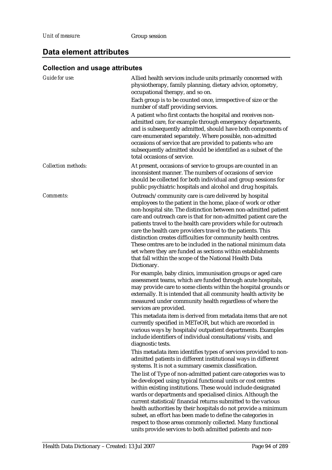### **Collection and usage attributes**

| <b>Guide for use:</b>      | Allied health services include units primarily concerned with                                                                                                                                                                                                                                                                                                                                                                                                                                                                                                                                                                                                             |
|----------------------------|---------------------------------------------------------------------------------------------------------------------------------------------------------------------------------------------------------------------------------------------------------------------------------------------------------------------------------------------------------------------------------------------------------------------------------------------------------------------------------------------------------------------------------------------------------------------------------------------------------------------------------------------------------------------------|
|                            | physiotherapy, family planning, dietary advice, optometry,<br>occupational therapy, and so on.                                                                                                                                                                                                                                                                                                                                                                                                                                                                                                                                                                            |
|                            | Each group is to be counted once, irrespective of size or the<br>number of staff providing services.                                                                                                                                                                                                                                                                                                                                                                                                                                                                                                                                                                      |
|                            | A patient who first contacts the hospital and receives non-                                                                                                                                                                                                                                                                                                                                                                                                                                                                                                                                                                                                               |
|                            | admitted care, for example through emergency departments,<br>and is subsequently admitted, should have both components of<br>care enumerated separately. Where possible, non-admitted<br>occasions of service that are provided to patients who are<br>subsequently admitted should be identified as a subset of the<br>total occasions of service.                                                                                                                                                                                                                                                                                                                       |
| <b>Collection methods:</b> | At present, occasions of service to groups are counted in an<br>inconsistent manner. The numbers of occasions of service<br>should be collected for both individual and group sessions for<br>public psychiatric hospitals and alcohol and drug hospitals.                                                                                                                                                                                                                                                                                                                                                                                                                |
|                            |                                                                                                                                                                                                                                                                                                                                                                                                                                                                                                                                                                                                                                                                           |
| Comments:                  | Outreach/community care is care delivered by hospital<br>employees to the patient in the home, place of work or other<br>non-hospital site. The distinction between non-admitted patient<br>care and outreach care is that for non-admitted patient care the<br>patients travel to the health care providers while for outreach<br>care the health care providers travel to the patients. This<br>distinction creates difficulties for community health centres.<br>These centres are to be included in the national minimum data<br>set where they are funded as sections within establishments<br>that fall within the scope of the National Health Data<br>Dictionary. |
|                            | For example, baby clinics, immunisation groups or aged care                                                                                                                                                                                                                                                                                                                                                                                                                                                                                                                                                                                                               |
|                            | assessment teams, which are funded through acute hospitals,<br>may provide care to some clients within the hospital grounds or<br>externally. It is intended that all community health activity be<br>measured under community health regardless of where the<br>services are provided.                                                                                                                                                                                                                                                                                                                                                                                   |
|                            | This metadata item is derived from metadata items that are not<br>currently specified in METeOR, but which are recorded in<br>various ways by hospitals/outpatient departments. Examples<br>include identifiers of individual consultations/visits, and<br>diagnostic tests.                                                                                                                                                                                                                                                                                                                                                                                              |
|                            | This metadata item identifies types of services provided to non-<br>admitted patients in different institutional ways in different<br>systems. It is not a summary casemix classification.                                                                                                                                                                                                                                                                                                                                                                                                                                                                                |
|                            | The list of Type of non-admitted patient care categories was to<br>be developed using typical functional units or cost centres<br>within existing institutions. These would include designated<br>wards or departments and specialised clinics. Although the<br>current statistical/financial returns submitted to the various<br>health authorities by their hospitals do not provide a minimum<br>subset, an effort has been made to define the categories in                                                                                                                                                                                                           |
|                            | respect to those areas commonly collected. Many functional<br>units provide services to both admitted patients and non-                                                                                                                                                                                                                                                                                                                                                                                                                                                                                                                                                   |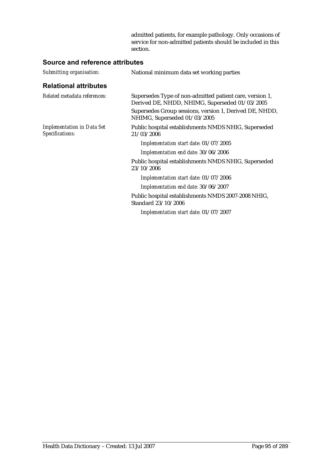admitted patients, for example pathology. Only occasions of service for non-admitted patients should be included in this section.

| Submitting organisation:                             | National minimum data set working parties                                                                  |  |
|------------------------------------------------------|------------------------------------------------------------------------------------------------------------|--|
| <b>Relational attributes</b>                         |                                                                                                            |  |
| Related metadata references:                         | Supersedes Type of non-admitted patient care, version 1,<br>Derived DE, NHDD, NHIMG, Superseded 01/03/2005 |  |
|                                                      | Supersedes Group sessions, version 1, Derived DE, NHDD,<br>NHIMG, Superseded 01/03/2005                    |  |
| <b>Implementation in Data Set</b><br>Specifications: | Public hospital establishments NMDS NHIG, Superseded<br>21/03/2006                                         |  |
|                                                      | Implementation start date: 01/07/2005                                                                      |  |
|                                                      | Implementation end date: 30/06/2006                                                                        |  |
|                                                      | Public hospital establishments NMDS NHIG, Superseded<br>23/10/2006                                         |  |
|                                                      | Implementation start date: 01/07/2006                                                                      |  |
|                                                      | Implementation end date: 30/06/2007                                                                        |  |
|                                                      | Public hospital establishments NMDS 2007-2008 NHIG,<br>Standard 23/10/2006                                 |  |
|                                                      | Implementation start date: 01/07/2007                                                                      |  |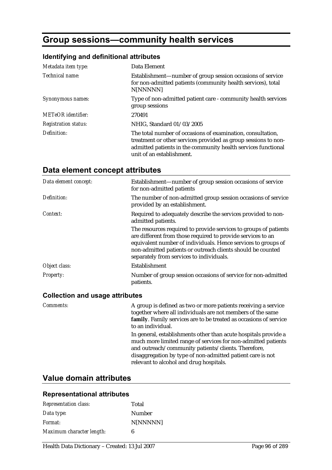# **Group sessions—community health services**

### **Identifying and definitional attributes**

| Metadata item type:         | Data Element                                                                                                                                                                                                                |
|-----------------------------|-----------------------------------------------------------------------------------------------------------------------------------------------------------------------------------------------------------------------------|
| Technical name:             | Establishment—number of group session occasions of service<br>for non-admitted patients (community health services), total<br>N[NNNNN]                                                                                      |
| Synonymous names:           | Type of non-admitted patient care - community health services<br>group sessions                                                                                                                                             |
| <b>METeOR</b> identifier:   | 270491                                                                                                                                                                                                                      |
| <b>Registration status:</b> | NHIG, Standard 01/03/2005                                                                                                                                                                                                   |
| Definition:                 | The total number of occasions of examination, consultation,<br>treatment or other services provided as group sessions to non-<br>admitted patients in the community health services functional<br>unit of an establishment. |

# **Data element concept attributes**

| Data element concept: | Establishment—number of group session occasions of service<br>for non-admitted patients                                                                                                                                                                                                                     |
|-----------------------|-------------------------------------------------------------------------------------------------------------------------------------------------------------------------------------------------------------------------------------------------------------------------------------------------------------|
| Definition:           | The number of non-admitted group session occasions of service<br>provided by an establishment.                                                                                                                                                                                                              |
| Context:              | Required to adequately describe the services provided to non-<br>admitted patients.                                                                                                                                                                                                                         |
|                       | The resources required to provide services to groups of patients<br>are different from those required to provide services to an<br>equivalent number of individuals. Hence services to groups of<br>non-admitted patients or outreach clients should be counted<br>separately from services to individuals. |
| Object class:         | Establishment                                                                                                                                                                                                                                                                                               |
| Property:             | Number of group session occasions of service for non-admitted<br>patients.                                                                                                                                                                                                                                  |

#### **Collection and usage attributes**

| <i>Comments:</i> | A group is defined as two or more patients receiving a service<br>together where all individuals are not members of the same<br>family. Family services are to be treated as occasions of service<br>to an individual.                                                                           |
|------------------|--------------------------------------------------------------------------------------------------------------------------------------------------------------------------------------------------------------------------------------------------------------------------------------------------|
|                  | In general, establishments other than acute hospitals provide a<br>much more limited range of services for non-admitted patients<br>and outreach/community patients/clients. Therefore,<br>disaggregation by type of non-admitted patient care is not<br>relevant to alcohol and drug hospitals. |

## **Value domain attributes**

| <b>Representation class:</b> | Total    |
|------------------------------|----------|
| Data type:                   | Number   |
| <i>Format:</i>               | N[NNNNN] |
| Maximum character length:    | 6        |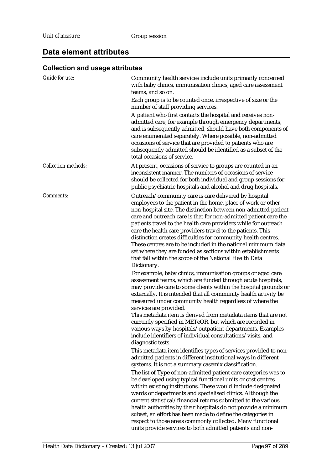### **Collection and usage attributes**

| <b>Guide for use:</b>      | Community health services include units primarily concerned<br>with baby clinics, immunisation clinics, aged care assessment<br>teams, and so on.                                                                                                                                                                                                                                                                                                                                                                                                                                                                                                                         |
|----------------------------|---------------------------------------------------------------------------------------------------------------------------------------------------------------------------------------------------------------------------------------------------------------------------------------------------------------------------------------------------------------------------------------------------------------------------------------------------------------------------------------------------------------------------------------------------------------------------------------------------------------------------------------------------------------------------|
|                            | Each group is to be counted once, irrespective of size or the<br>number of staff providing services.                                                                                                                                                                                                                                                                                                                                                                                                                                                                                                                                                                      |
|                            | A patient who first contacts the hospital and receives non-<br>admitted care, for example through emergency departments,<br>and is subsequently admitted, should have both components of<br>care enumerated separately. Where possible, non-admitted<br>occasions of service that are provided to patients who are<br>subsequently admitted should be identified as a subset of the<br>total occasions of service.                                                                                                                                                                                                                                                        |
| <b>Collection methods:</b> | At present, occasions of service to groups are counted in an<br>inconsistent manner. The numbers of occasions of service<br>should be collected for both individual and group sessions for<br>public psychiatric hospitals and alcohol and drug hospitals.                                                                                                                                                                                                                                                                                                                                                                                                                |
| Comments:                  | Outreach/community care is care delivered by hospital<br>employees to the patient in the home, place of work or other<br>non-hospital site. The distinction between non-admitted patient<br>care and outreach care is that for non-admitted patient care the<br>patients travel to the health care providers while for outreach<br>care the health care providers travel to the patients. This<br>distinction creates difficulties for community health centres.<br>These centres are to be included in the national minimum data<br>set where they are funded as sections within establishments<br>that fall within the scope of the National Health Data<br>Dictionary. |
|                            | For example, baby clinics, immunisation groups or aged care<br>assessment teams, which are funded through acute hospitals,<br>may provide care to some clients within the hospital grounds or<br>externally. It is intended that all community health activity be<br>measured under community health regardless of where the                                                                                                                                                                                                                                                                                                                                              |
|                            | services are provided.<br>This metadata item is derived from metadata items that are not<br>currently specified in METeOR, but which are recorded in<br>various ways by hospitals/outpatient departments. Examples<br>include identifiers of individual consultations/visits, and<br>diagnostic tests.                                                                                                                                                                                                                                                                                                                                                                    |
|                            | This metadata item identifies types of services provided to non-<br>admitted patients in different institutional ways in different<br>systems. It is not a summary casemix classification.                                                                                                                                                                                                                                                                                                                                                                                                                                                                                |
|                            | The list of Type of non-admitted patient care categories was to<br>be developed using typical functional units or cost centres<br>within existing institutions. These would include designated<br>wards or departments and specialised clinics. Although the<br>current statistical/financial returns submitted to the various<br>health authorities by their hospitals do not provide a minimum<br>subset, an effort has been made to define the categories in<br>respect to those areas commonly collected. Many functional<br>units provide services to both admitted patients and non-                                                                                |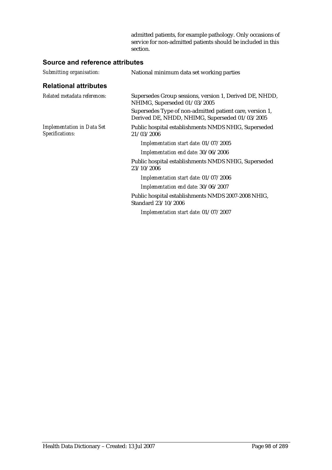admitted patients, for example pathology. Only occasions of service for non-admitted patients should be included in this section.

| Submitting organisation:                             | National minimum data set working parties                                                                  |
|------------------------------------------------------|------------------------------------------------------------------------------------------------------------|
| <b>Relational attributes</b>                         |                                                                                                            |
| Related metadata references:                         | Supersedes Group sessions, version 1, Derived DE, NHDD,<br>NHIMG, Superseded 01/03/2005                    |
|                                                      | Supersedes Type of non-admitted patient care, version 1,<br>Derived DE, NHDD, NHIMG, Superseded 01/03/2005 |
| <b>Implementation in Data Set</b><br>Specifications: | Public hospital establishments NMDS NHIG, Superseded<br>21/03/2006                                         |
|                                                      | Implementation start date: 01/07/2005                                                                      |
|                                                      | Implementation end date: 30/06/2006                                                                        |
|                                                      | Public hospital establishments NMDS NHIG, Superseded<br>23/10/2006                                         |
|                                                      | Implementation start date: 01/07/2006                                                                      |
|                                                      | Implementation end date: 30/06/2007                                                                        |
|                                                      | Public hospital establishments NMDS 2007-2008 NHIG,<br>Standard 23/10/2006                                 |
|                                                      | Implementation start date: 01/07/2007                                                                      |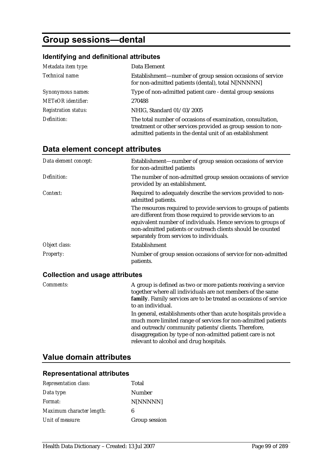# **Group sessions—dental**

### **Identifying and definitional attributes**

| Metadata item type:         | Data Element                                                                                                                                                                             |
|-----------------------------|------------------------------------------------------------------------------------------------------------------------------------------------------------------------------------------|
| Technical name:             | Establishment—number of group session occasions of service<br>for non-admitted patients (dental), total N[NNNNN]                                                                         |
| Synonymous names:           | Type of non-admitted patient care - dental group sessions                                                                                                                                |
| <b>METeOR</b> identifier:   | 270488                                                                                                                                                                                   |
| <b>Registration status:</b> | NHIG, Standard 01/03/2005                                                                                                                                                                |
| Definition:                 | The total number of occasions of examination, consultation,<br>treatment or other services provided as group session to non-<br>admitted patients in the dental unit of an establishment |

### **Data element concept attributes**

| Data element concept: | Establishment—number of group session occasions of service<br>for non-admitted patients                                                                                                                                                                                                                     |
|-----------------------|-------------------------------------------------------------------------------------------------------------------------------------------------------------------------------------------------------------------------------------------------------------------------------------------------------------|
| Definition:           | The number of non-admitted group session occasions of service<br>provided by an establishment.                                                                                                                                                                                                              |
| Context:              | Required to adequately describe the services provided to non-<br>admitted patients.                                                                                                                                                                                                                         |
|                       | The resources required to provide services to groups of patients<br>are different from those required to provide services to an<br>equivalent number of individuals. Hence services to groups of<br>non-admitted patients or outreach clients should be counted<br>separately from services to individuals. |
| Object class:         | Establishment                                                                                                                                                                                                                                                                                               |
| <b>Property:</b>      | Number of group session occasions of service for non-admitted<br>patients.                                                                                                                                                                                                                                  |

### **Collection and usage attributes**

| Comments: | A group is defined as two or more patients receiving a service<br>together where all individuals are not members of the same<br>family. Family services are to be treated as occasions of service<br>to an individual.                                                                           |
|-----------|--------------------------------------------------------------------------------------------------------------------------------------------------------------------------------------------------------------------------------------------------------------------------------------------------|
|           | In general, establishments other than acute hospitals provide a<br>much more limited range of services for non-admitted patients<br>and outreach/community patients/clients. Therefore,<br>disaggregation by type of non-admitted patient care is not<br>relevant to alcohol and drug hospitals. |

## **Value domain attributes**

| <b>Representation class:</b> | Total         |
|------------------------------|---------------|
| Data type:                   | Number        |
| Format:                      | N[NNNNN]      |
| Maximum character length:    | 6             |
| Unit of measure:             | Group session |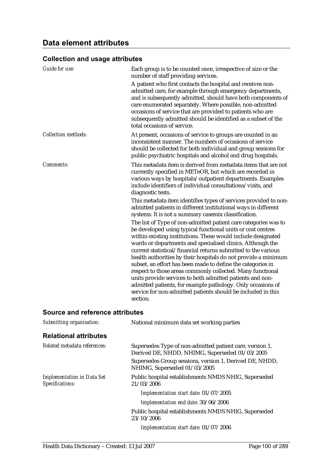### **Collection and usage attributes**

| <b>Guide for use:</b>      | Each group is to be counted once, irrespective of size or the<br>number of staff providing services.                                                                                                                                                                                                                                                                                                                                                                                                                                                                                                                                                                                                                                  |  |
|----------------------------|---------------------------------------------------------------------------------------------------------------------------------------------------------------------------------------------------------------------------------------------------------------------------------------------------------------------------------------------------------------------------------------------------------------------------------------------------------------------------------------------------------------------------------------------------------------------------------------------------------------------------------------------------------------------------------------------------------------------------------------|--|
|                            | A patient who first contacts the hospital and receives non-<br>admitted care, for example through emergency departments,<br>and is subsequently admitted, should have both components of<br>care enumerated separately. Where possible, non-admitted<br>occasions of service that are provided to patients who are<br>subsequently admitted should be identified as a subset of the<br>total occasions of service.                                                                                                                                                                                                                                                                                                                    |  |
| <b>Collection methods:</b> | At present, occasions of service to groups are counted in an<br>inconsistent manner. The numbers of occasions of service<br>should be collected for both individual and group sessions for<br>public psychiatric hospitals and alcohol and drug hospitals.                                                                                                                                                                                                                                                                                                                                                                                                                                                                            |  |
| Comments:                  | This metadata item is derived from metadata items that are not<br>currently specified in METeOR, but which are recorded in<br>various ways by hospitals/outpatient departments. Examples<br>include identifiers of individual consultations/visits, and<br>diagnostic tests.                                                                                                                                                                                                                                                                                                                                                                                                                                                          |  |
|                            | This metadata item identifies types of services provided to non-<br>admitted patients in different institutional ways in different<br>systems. It is not a summary casemix classification.                                                                                                                                                                                                                                                                                                                                                                                                                                                                                                                                            |  |
|                            | The list of Type of non-admitted patient care categories was to<br>be developed using typical functional units or cost centres<br>within existing institutions. These would include designated<br>wards or departments and specialised clinics. Although the<br>current statistical/financial returns submitted to the various<br>health authorities by their hospitals do not provide a minimum<br>subset, an effort has been made to define the categories in<br>respect to those areas commonly collected. Many functional<br>units provide services to both admitted patients and non-<br>admitted patients, for example pathology. Only occasions of<br>service for non-admitted patients should be included in this<br>section. |  |

| Submitting organisation:                             | National minimum data set working parties                                                                  |  |
|------------------------------------------------------|------------------------------------------------------------------------------------------------------------|--|
| <b>Relational attributes</b>                         |                                                                                                            |  |
| Related metadata references:                         | Supersedes Type of non-admitted patient care, version 1,<br>Derived DE, NHDD, NHIMG, Superseded 01/03/2005 |  |
|                                                      | Supersedes Group sessions, version 1, Derived DE, NHDD,<br>NHIMG, Superseded 01/03/2005                    |  |
| <b>Implementation in Data Set</b><br>Specifications: | Public hospital establishments NMDS NHIG, Superseded<br>21/03/2006                                         |  |
|                                                      | Implementation start date: 01/07/2005                                                                      |  |
|                                                      | Implementation end date: 30/06/2006                                                                        |  |
|                                                      | Public hospital establishments NMDS NHIG, Superseded<br>23/10/2006                                         |  |
|                                                      | Implementation start date: 01/07/2006                                                                      |  |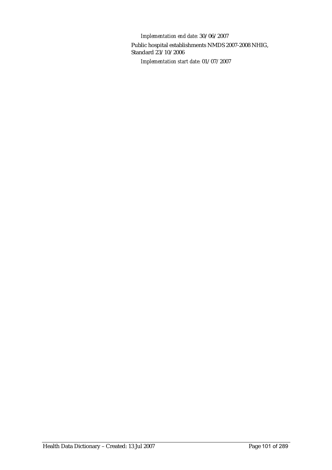*Implementation end date:* 30/06/2007 Public hospital establishments NMDS 2007-2008 NHIG, Standard 23/10/2006 *Implementation start date:* 01/07/2007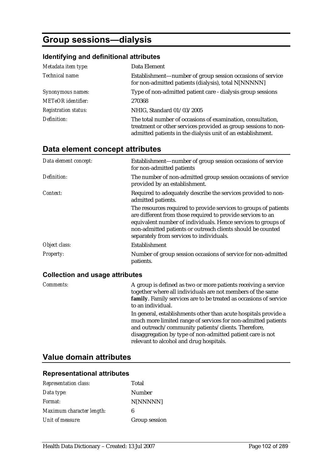# **Group sessions—dialysis**

### **Identifying and definitional attributes**

| Metadata item type:         | Data Element                                                                                                                                                                                 |
|-----------------------------|----------------------------------------------------------------------------------------------------------------------------------------------------------------------------------------------|
| Technical name:             | Establishment—number of group session occasions of service<br>for non-admitted patients (dialysis), total N[NNNNN]                                                                           |
| Synonymous names:           | Type of non-admitted patient care - dialysis group sessions                                                                                                                                  |
| <b>METeOR</b> identifier:   | 270368                                                                                                                                                                                       |
| <b>Registration status:</b> | NHIG, Standard 01/03/2005                                                                                                                                                                    |
| Definition:                 | The total number of occasions of examination, consultation,<br>treatment or other services provided as group sessions to non-<br>admitted patients in the dialysis unit of an establishment. |

### **Data element concept attributes**

| Data element concept: | Establishment—number of group session occasions of service<br>for non-admitted patients                                                                                                                                                                                                                     |
|-----------------------|-------------------------------------------------------------------------------------------------------------------------------------------------------------------------------------------------------------------------------------------------------------------------------------------------------------|
| Definition:           | The number of non-admitted group session occasions of service<br>provided by an establishment.                                                                                                                                                                                                              |
| Context:              | Required to adequately describe the services provided to non-<br>admitted patients.                                                                                                                                                                                                                         |
|                       | The resources required to provide services to groups of patients<br>are different from those required to provide services to an<br>equivalent number of individuals. Hence services to groups of<br>non-admitted patients or outreach clients should be counted<br>separately from services to individuals. |
| Object class:         | Establishment                                                                                                                                                                                                                                                                                               |
| Property:             | Number of group session occasions of service for non-admitted<br>patients.                                                                                                                                                                                                                                  |

### **Collection and usage attributes**

| Comments: | A group is defined as two or more patients receiving a service<br>together where all individuals are not members of the same<br>family. Family services are to be treated as occasions of service<br>to an individual.                                                                           |
|-----------|--------------------------------------------------------------------------------------------------------------------------------------------------------------------------------------------------------------------------------------------------------------------------------------------------|
|           | In general, establishments other than acute hospitals provide a<br>much more limited range of services for non-admitted patients<br>and outreach/community patients/clients. Therefore,<br>disaggregation by type of non-admitted patient care is not<br>relevant to alcohol and drug hospitals. |

## **Value domain attributes**

| <b>Representation class:</b> | Total         |
|------------------------------|---------------|
| Data type:                   | Number        |
| Format:                      | N[NNNNN]      |
| Maximum character length:    | 6             |
| Unit of measure:             | Group session |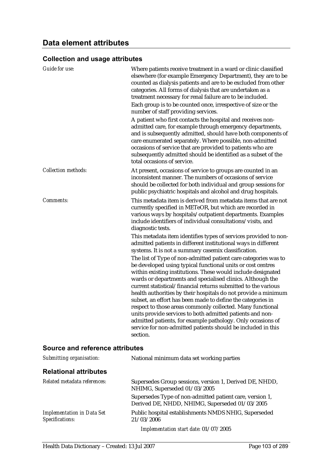### **Collection and usage attributes**

| Guide for use:             | Where patients receive treatment in a ward or clinic classified<br>elsewhere (for example Emergency Department), they are to be<br>counted as dialysis patients and are to be excluded from other<br>categories. All forms of dialysis that are undertaken as a<br>treatment necessary for renal failure are to be included.<br>Each group is to be counted once, irrespective of size or the<br>number of staff providing services.                                                                                                                                                                                                                                                                                                  |
|----------------------------|---------------------------------------------------------------------------------------------------------------------------------------------------------------------------------------------------------------------------------------------------------------------------------------------------------------------------------------------------------------------------------------------------------------------------------------------------------------------------------------------------------------------------------------------------------------------------------------------------------------------------------------------------------------------------------------------------------------------------------------|
|                            | A patient who first contacts the hospital and receives non-<br>admitted care, for example through emergency departments,<br>and is subsequently admitted, should have both components of<br>care enumerated separately. Where possible, non-admitted<br>occasions of service that are provided to patients who are<br>subsequently admitted should be identified as a subset of the<br>total occasions of service.                                                                                                                                                                                                                                                                                                                    |
| <b>Collection methods:</b> | At present, occasions of service to groups are counted in an<br>inconsistent manner. The numbers of occasions of service<br>should be collected for both individual and group sessions for<br>public psychiatric hospitals and alcohol and drug hospitals.                                                                                                                                                                                                                                                                                                                                                                                                                                                                            |
| Comments:                  | This metadata item is derived from metadata items that are not<br>currently specified in METeOR, but which are recorded in<br>various ways by hospitals/outpatient departments. Examples<br>include identifiers of individual consultations/visits, and<br>diagnostic tests.                                                                                                                                                                                                                                                                                                                                                                                                                                                          |
|                            | This metadata item identifies types of services provided to non-<br>admitted patients in different institutional ways in different<br>systems. It is not a summary casemix classification.                                                                                                                                                                                                                                                                                                                                                                                                                                                                                                                                            |
|                            | The list of Type of non-admitted patient care categories was to<br>be developed using typical functional units or cost centres<br>within existing institutions. These would include designated<br>wards or departments and specialised clinics. Although the<br>current statistical/financial returns submitted to the various<br>health authorities by their hospitals do not provide a minimum<br>subset, an effort has been made to define the categories in<br>respect to those areas commonly collected. Many functional<br>units provide services to both admitted patients and non-<br>admitted patients, for example pathology. Only occasions of<br>service for non-admitted patients should be included in this<br>section. |

| Submitting organisation:                             | National minimum data set working parties                                                                  |
|------------------------------------------------------|------------------------------------------------------------------------------------------------------------|
| <b>Relational attributes</b>                         |                                                                                                            |
| Related metadata references:                         | Supersedes Group sessions, version 1, Derived DE, NHDD,<br>NHIMG, Superseded 01/03/2005                    |
|                                                      | Supersedes Type of non-admitted patient care, version 1,<br>Derived DE, NHDD, NHIMG, Superseded 01/03/2005 |
| <b>Implementation in Data Set</b><br>Specifications: | Public hospital establishments NMDS NHIG, Superseded<br>21/03/2006                                         |
|                                                      | Implementation start date: 01/07/2005                                                                      |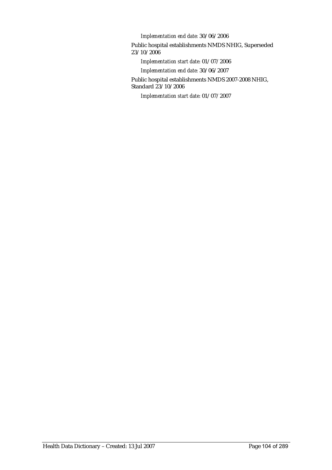*Implementation end date:* 30/06/2006

Public hospital establishments NMDS NHIG, Superseded 23/10/2006

*Implementation start date:* 01/07/2006

*Implementation end date:* 30/06/2007

Public hospital establishments NMDS 2007-2008 NHIG, Standard 23/10/2006

*Implementation start date:* 01/07/2007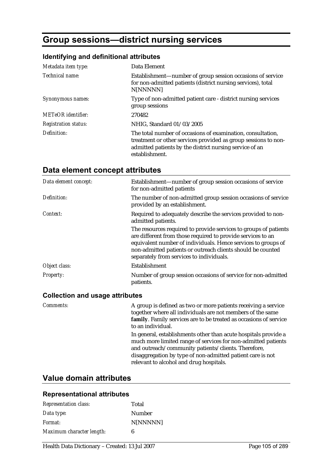# **Group sessions—district nursing services**

## **Identifying and definitional attributes**

| Metadata item type:         | Data Element                                                                                                                                                                                               |
|-----------------------------|------------------------------------------------------------------------------------------------------------------------------------------------------------------------------------------------------------|
| Technical name:             | Establishment—number of group session occasions of service<br>for non-admitted patients (district nursing services), total<br>N[NNNNN]                                                                     |
| Synonymous names:           | Type of non-admitted patient care - district nursing services<br>group sessions                                                                                                                            |
| <b>METeOR</b> identifier:   | 270482                                                                                                                                                                                                     |
| <b>Registration status:</b> | NHIG, Standard 01/03/2005                                                                                                                                                                                  |
| Definition:                 | The total number of occasions of examination, consultation,<br>treatment or other services provided as group sessions to non-<br>admitted patients by the district nursing service of an<br>establishment. |

# **Data element concept attributes**

| Data element concept: | Establishment—number of group session occasions of service<br>for non-admitted patients                                                                                                                                                                                                                     |
|-----------------------|-------------------------------------------------------------------------------------------------------------------------------------------------------------------------------------------------------------------------------------------------------------------------------------------------------------|
| Definition:           | The number of non-admitted group session occasions of service<br>provided by an establishment.                                                                                                                                                                                                              |
| Context:              | Required to adequately describe the services provided to non-<br>admitted patients.                                                                                                                                                                                                                         |
|                       | The resources required to provide services to groups of patients<br>are different from those required to provide services to an<br>equivalent number of individuals. Hence services to groups of<br>non-admitted patients or outreach clients should be counted<br>separately from services to individuals. |
| Object class:         | Establishment                                                                                                                                                                                                                                                                                               |
| Property:             | Number of group session occasions of service for non-admitted<br>patients.                                                                                                                                                                                                                                  |

#### **Collection and usage attributes**

| <i>Comments:</i> | A group is defined as two or more patients receiving a service<br>together where all individuals are not members of the same<br>family. Family services are to be treated as occasions of service<br>to an individual.                                                                           |
|------------------|--------------------------------------------------------------------------------------------------------------------------------------------------------------------------------------------------------------------------------------------------------------------------------------------------|
|                  | In general, establishments other than acute hospitals provide a<br>much more limited range of services for non-admitted patients<br>and outreach/community patients/clients. Therefore,<br>disaggregation by type of non-admitted patient care is not<br>relevant to alcohol and drug hospitals. |

## **Value domain attributes**

| <b>Representation class:</b> | Total    |
|------------------------------|----------|
| Data type:                   | Number   |
| <i>Format:</i>               | N[NNNNN] |
| Maximum character length:    | 6        |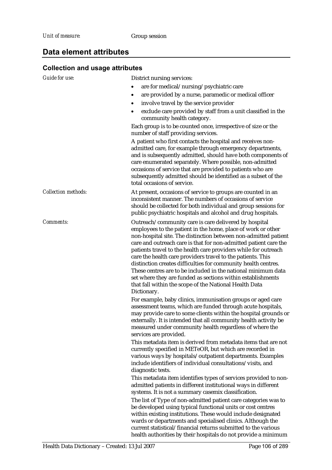### **Collection and usage attributes**

| Conection and usage attributes |                                                                                                                                                                                                                                                                                                                                                                                                                                                                                                                                                                                                                                                                           |  |  |  |
|--------------------------------|---------------------------------------------------------------------------------------------------------------------------------------------------------------------------------------------------------------------------------------------------------------------------------------------------------------------------------------------------------------------------------------------------------------------------------------------------------------------------------------------------------------------------------------------------------------------------------------------------------------------------------------------------------------------------|--|--|--|
| <b>Guide for use:</b>          | District nursing services:                                                                                                                                                                                                                                                                                                                                                                                                                                                                                                                                                                                                                                                |  |  |  |
|                                | are for medical/nursing/psychiatric care                                                                                                                                                                                                                                                                                                                                                                                                                                                                                                                                                                                                                                  |  |  |  |
|                                | are provided by a nurse, paramedic or medical officer<br>$\bullet$                                                                                                                                                                                                                                                                                                                                                                                                                                                                                                                                                                                                        |  |  |  |
|                                | involve travel by the service provider<br>$\bullet$                                                                                                                                                                                                                                                                                                                                                                                                                                                                                                                                                                                                                       |  |  |  |
|                                | exclude care provided by staff from a unit classified in the<br>community health category.                                                                                                                                                                                                                                                                                                                                                                                                                                                                                                                                                                                |  |  |  |
|                                | Each group is to be counted once, irrespective of size or the<br>number of staff providing services.                                                                                                                                                                                                                                                                                                                                                                                                                                                                                                                                                                      |  |  |  |
|                                | A patient who first contacts the hospital and receives non-<br>admitted care, for example through emergency departments,<br>and is subsequently admitted, should have both components of<br>care enumerated separately. Where possible, non-admitted<br>occasions of service that are provided to patients who are<br>subsequently admitted should be identified as a subset of the<br>total occasions of service.                                                                                                                                                                                                                                                        |  |  |  |
| <b>Collection methods:</b>     | At present, occasions of service to groups are counted in an<br>inconsistent manner. The numbers of occasions of service<br>should be collected for both individual and group sessions for<br>public psychiatric hospitals and alcohol and drug hospitals.                                                                                                                                                                                                                                                                                                                                                                                                                |  |  |  |
| Comments:                      | Outreach/community care is care delivered by hospital<br>employees to the patient in the home, place of work or other<br>non-hospital site. The distinction between non-admitted patient<br>care and outreach care is that for non-admitted patient care the<br>patients travel to the health care providers while for outreach<br>care the health care providers travel to the patients. This<br>distinction creates difficulties for community health centres.<br>These centres are to be included in the national minimum data<br>set where they are funded as sections within establishments<br>that fall within the scope of the National Health Data<br>Dictionary. |  |  |  |
|                                | For example, baby clinics, immunisation groups or aged care<br>assessment teams, which are funded through acute hospitals,<br>may provide care to some clients within the hospital grounds or<br>externally. It is intended that all community health activity be<br>measured under community health regardless of where the<br>services are provided.                                                                                                                                                                                                                                                                                                                    |  |  |  |
|                                | This metadata item is derived from metadata items that are not<br>currently specified in METeOR, but which are recorded in<br>various ways by hospitals/outpatient departments. Examples<br>include identifiers of individual consultations/visits, and<br>diagnostic tests.                                                                                                                                                                                                                                                                                                                                                                                              |  |  |  |
|                                | This metadata item identifies types of services provided to non-<br>admitted patients in different institutional ways in different<br>systems. It is not a summary casemix classification.                                                                                                                                                                                                                                                                                                                                                                                                                                                                                |  |  |  |
|                                | The list of Type of non-admitted patient care categories was to<br>be developed using typical functional units or cost centres<br>within existing institutions. These would include designated<br>wards or departments and specialised clinics. Although the<br>current statistical/financial returns submitted to the various<br>health authorities by their hospitals do not provide a minimum                                                                                                                                                                                                                                                                          |  |  |  |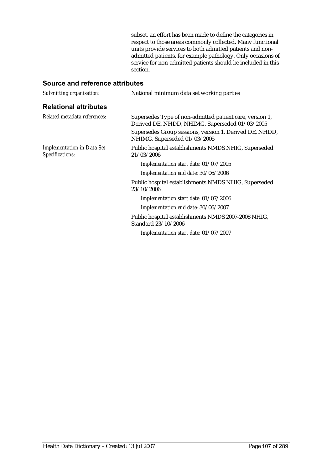subset, an effort has been made to define the categories in respect to those areas commonly collected. Many functional units provide services to both admitted patients and nonadmitted patients, for example pathology. Only occasions of service for non-admitted patients should be included in this section.

| Submitting organisation:                             | National minimum data set working parties                                                                  |  |
|------------------------------------------------------|------------------------------------------------------------------------------------------------------------|--|
| <b>Relational attributes</b>                         |                                                                                                            |  |
| Related metadata references:                         | Supersedes Type of non-admitted patient care, version 1,<br>Derived DE, NHDD, NHIMG, Superseded 01/03/2005 |  |
|                                                      | Supersedes Group sessions, version 1, Derived DE, NHDD,<br>NHIMG, Superseded 01/03/2005                    |  |
| <b>Implementation in Data Set</b><br>Specifications: | Public hospital establishments NMDS NHIG, Superseded<br>21/03/2006                                         |  |
|                                                      | Implementation start date: 01/07/2005                                                                      |  |
|                                                      | Implementation end date: 30/06/2006                                                                        |  |
|                                                      | Public hospital establishments NMDS NHIG, Superseded<br>23/10/2006                                         |  |
|                                                      | Implementation start date: 01/07/2006                                                                      |  |
|                                                      | Implementation end date: 30/06/2007                                                                        |  |
|                                                      | Public hospital establishments NMDS 2007-2008 NHIG,<br>Standard 23/10/2006                                 |  |
|                                                      | Implementation start date: 01/07/2007                                                                      |  |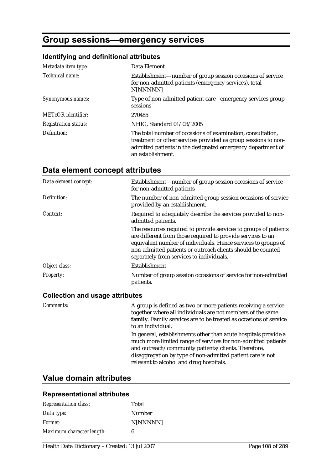# **Group sessions—emergency services**

### **Identifying and definitional attributes**

| Metadata item type:         | Data Element                                                                                                                                                                                                      |  |
|-----------------------------|-------------------------------------------------------------------------------------------------------------------------------------------------------------------------------------------------------------------|--|
| Technical name:             | Establishment—number of group session occasions of service<br>for non-admitted patients (emergency services), total<br>N[NNNNN]                                                                                   |  |
| Synonymous names:           | Type of non-admitted patient care - emergency services group<br>sessions                                                                                                                                          |  |
| <b>METeOR</b> identifier:   | 270485                                                                                                                                                                                                            |  |
| <b>Registration status:</b> | NHIG, Standard 01/03/2005                                                                                                                                                                                         |  |
| Definition:                 | The total number of occasions of examination, consultation,<br>treatment or other services provided as group sessions to non-<br>admitted patients in the designated emergency department of<br>an establishment. |  |

# **Data element concept attributes**

| Data element concept: | Establishment—number of group session occasions of service<br>for non-admitted patients                                                                                                                                                                                                                     |  |
|-----------------------|-------------------------------------------------------------------------------------------------------------------------------------------------------------------------------------------------------------------------------------------------------------------------------------------------------------|--|
| Definition:           | The number of non-admitted group session occasions of service<br>provided by an establishment.                                                                                                                                                                                                              |  |
| Context:              | Required to adequately describe the services provided to non-<br>admitted patients.                                                                                                                                                                                                                         |  |
|                       | The resources required to provide services to groups of patients<br>are different from those required to provide services to an<br>equivalent number of individuals. Hence services to groups of<br>non-admitted patients or outreach clients should be counted<br>separately from services to individuals. |  |
| Object class:         | Establishment                                                                                                                                                                                                                                                                                               |  |
| Property:             | Number of group session occasions of service for non-admitted<br>patients.                                                                                                                                                                                                                                  |  |

### **Collection and usage attributes**

| <i>Comments:</i> | A group is defined as two or more patients receiving a service<br>together where all individuals are not members of the same<br>family. Family services are to be treated as occasions of service<br>to an individual.                                                                           |
|------------------|--------------------------------------------------------------------------------------------------------------------------------------------------------------------------------------------------------------------------------------------------------------------------------------------------|
|                  | In general, establishments other than acute hospitals provide a<br>much more limited range of services for non-admitted patients<br>and outreach/community patients/clients. Therefore,<br>disaggregation by type of non-admitted patient care is not<br>relevant to alcohol and drug hospitals. |

## **Value domain attributes**

| <b>Representation class:</b> | Total    |
|------------------------------|----------|
| Data type:                   | Number   |
| <i>Format:</i>               | N[NNNNN] |
| Maximum character length:    | 6        |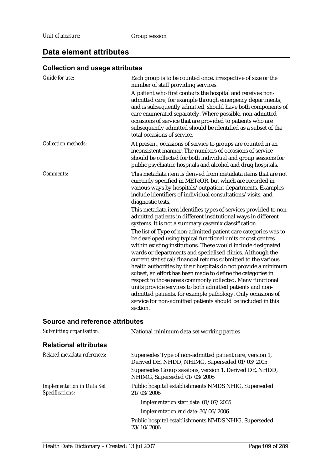# **Data element attributes**

# **Collection and usage attributes**

| Each group is to be counted once, irrespective of size or the<br>number of staff providing services.                                                                                                                                                                                                                                                                                                                                                                                                                                                                                                                                                                                                                                  |  |
|---------------------------------------------------------------------------------------------------------------------------------------------------------------------------------------------------------------------------------------------------------------------------------------------------------------------------------------------------------------------------------------------------------------------------------------------------------------------------------------------------------------------------------------------------------------------------------------------------------------------------------------------------------------------------------------------------------------------------------------|--|
| A patient who first contacts the hospital and receives non-<br>admitted care, for example through emergency departments,<br>and is subsequently admitted, should have both components of<br>care enumerated separately. Where possible, non-admitted<br>occasions of service that are provided to patients who are<br>subsequently admitted should be identified as a subset of the<br>total occasions of service.                                                                                                                                                                                                                                                                                                                    |  |
| At present, occasions of service to groups are counted in an<br>inconsistent manner. The numbers of occasions of service<br>should be collected for both individual and group sessions for<br>public psychiatric hospitals and alcohol and drug hospitals.                                                                                                                                                                                                                                                                                                                                                                                                                                                                            |  |
| This metadata item is derived from metadata items that are not<br>currently specified in METeOR, but which are recorded in<br>various ways by hospitals/outpatient departments. Examples<br>include identifiers of individual consultations/visits, and<br>diagnostic tests.                                                                                                                                                                                                                                                                                                                                                                                                                                                          |  |
| This metadata item identifies types of services provided to non-<br>admitted patients in different institutional ways in different<br>systems. It is not a summary casemix classification.                                                                                                                                                                                                                                                                                                                                                                                                                                                                                                                                            |  |
| The list of Type of non-admitted patient care categories was to<br>be developed using typical functional units or cost centres<br>within existing institutions. These would include designated<br>wards or departments and specialised clinics. Although the<br>current statistical/financial returns submitted to the various<br>health authorities by their hospitals do not provide a minimum<br>subset, an effort has been made to define the categories in<br>respect to those areas commonly collected. Many functional<br>units provide services to both admitted patients and non-<br>admitted patients, for example pathology. Only occasions of<br>service for non-admitted patients should be included in this<br>section. |  |
|                                                                                                                                                                                                                                                                                                                                                                                                                                                                                                                                                                                                                                                                                                                                       |  |

| Submitting organisation:                             | National minimum data set working parties                                                                  |  |
|------------------------------------------------------|------------------------------------------------------------------------------------------------------------|--|
| <b>Relational attributes</b>                         |                                                                                                            |  |
| Related metadata references:                         | Supersedes Type of non-admitted patient care, version 1,<br>Derived DE, NHDD, NHIMG, Superseded 01/03/2005 |  |
|                                                      | Supersedes Group sessions, version 1, Derived DE, NHDD,<br>NHIMG, Superseded 01/03/2005                    |  |
| <b>Implementation in Data Set</b><br>Specifications: | Public hospital establishments NMDS NHIG, Superseded<br>21/03/2006                                         |  |
|                                                      | Implementation start date: 01/07/2005                                                                      |  |
|                                                      | Implementation end date: 30/06/2006                                                                        |  |
|                                                      | Public hospital establishments NMDS NHIG, Superseded<br>23/10/2006                                         |  |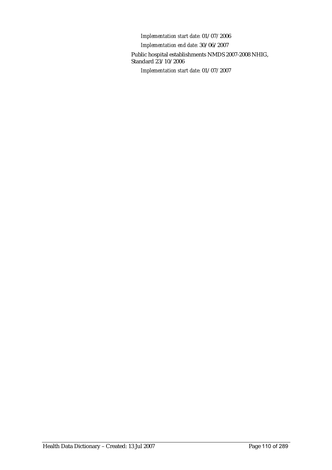*Implementation start date:* 01/07/2006 *Implementation end date:* 30/06/2007 Public hospital establishments NMDS 2007-2008 NHIG, Standard 23/10/2006 *Implementation start date:* 01/07/2007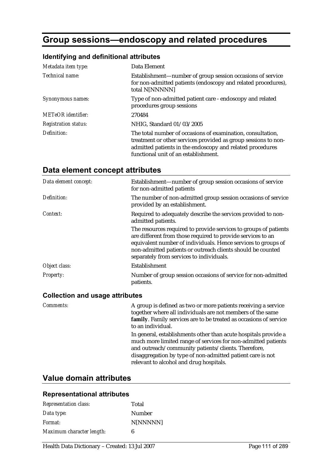# **Group sessions—endoscopy and related procedures**

### **Identifying and definitional attributes**

| Metadata item type:         | Data Element                                                                                                                                                                                                                       |
|-----------------------------|------------------------------------------------------------------------------------------------------------------------------------------------------------------------------------------------------------------------------------|
| Technical name:             | Establishment—number of group session occasions of service<br>for non-admitted patients (endoscopy and related procedures),<br>total N[NNNNN]                                                                                      |
| Synonymous names:           | Type of non-admitted patient care - endoscopy and related<br>procedures group sessions                                                                                                                                             |
| <b>METeOR</b> identifier:   | 270484                                                                                                                                                                                                                             |
| <b>Registration status:</b> | NHIG, Standard 01/03/2005                                                                                                                                                                                                          |
| Definition:                 | The total number of occasions of examination, consultation,<br>treatment or other services provided as group sessions to non-<br>admitted patients in the endoscopy and related procedures<br>functional unit of an establishment. |

# **Data element concept attributes**

| Data element concept: | Establishment—number of group session occasions of service<br>for non-admitted patients                                                                                                                                                                                                                     |
|-----------------------|-------------------------------------------------------------------------------------------------------------------------------------------------------------------------------------------------------------------------------------------------------------------------------------------------------------|
| Definition:           | The number of non-admitted group session occasions of service<br>provided by an establishment.                                                                                                                                                                                                              |
| Context:              | Required to adequately describe the services provided to non-<br>admitted patients.                                                                                                                                                                                                                         |
|                       | The resources required to provide services to groups of patients<br>are different from those required to provide services to an<br>equivalent number of individuals. Hence services to groups of<br>non-admitted patients or outreach clients should be counted<br>separately from services to individuals. |
| Object class:         | Establishment                                                                                                                                                                                                                                                                                               |
| Property:             | Number of group session occasions of service for non-admitted<br>patients.                                                                                                                                                                                                                                  |

#### **Collection and usage attributes**

| <i>Comments:</i> | A group is defined as two or more patients receiving a service<br>together where all individuals are not members of the same<br>family. Family services are to be treated as occasions of service<br>to an individual.                                                                           |
|------------------|--------------------------------------------------------------------------------------------------------------------------------------------------------------------------------------------------------------------------------------------------------------------------------------------------|
|                  | In general, establishments other than acute hospitals provide a<br>much more limited range of services for non-admitted patients<br>and outreach/community patients/clients. Therefore,<br>disaggregation by type of non-admitted patient care is not<br>relevant to alcohol and drug hospitals. |

## **Value domain attributes**

#### **Representational attributes**

| <b>Representation class:</b> | Total    |
|------------------------------|----------|
| Data type:                   | Number   |
| <i>Format:</i>               | N[NNNNN] |
| Maximum character length:    | 6        |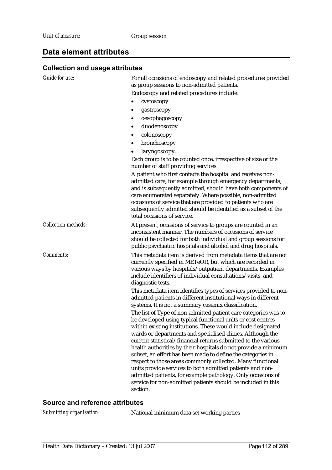### **Data element attributes**

### **Collection and usage attributes**

| Guide for use:             | For all occasions of endoscopy and related procedures provided<br>as group sessions to non-admitted patients.                                                                                                                                                                                                                                                                                                                                                                                                                                                                                                                                                                                                                         |
|----------------------------|---------------------------------------------------------------------------------------------------------------------------------------------------------------------------------------------------------------------------------------------------------------------------------------------------------------------------------------------------------------------------------------------------------------------------------------------------------------------------------------------------------------------------------------------------------------------------------------------------------------------------------------------------------------------------------------------------------------------------------------|
|                            | Endoscopy and related procedures include:                                                                                                                                                                                                                                                                                                                                                                                                                                                                                                                                                                                                                                                                                             |
|                            | cystoscopy                                                                                                                                                                                                                                                                                                                                                                                                                                                                                                                                                                                                                                                                                                                            |
|                            | gastroscopy<br>٠                                                                                                                                                                                                                                                                                                                                                                                                                                                                                                                                                                                                                                                                                                                      |
|                            | oesophagoscopy                                                                                                                                                                                                                                                                                                                                                                                                                                                                                                                                                                                                                                                                                                                        |
|                            | duodenoscopy<br>٠                                                                                                                                                                                                                                                                                                                                                                                                                                                                                                                                                                                                                                                                                                                     |
|                            | colonoscopy<br>٠                                                                                                                                                                                                                                                                                                                                                                                                                                                                                                                                                                                                                                                                                                                      |
|                            | bronchoscopy<br>٠                                                                                                                                                                                                                                                                                                                                                                                                                                                                                                                                                                                                                                                                                                                     |
|                            | laryngoscopy.                                                                                                                                                                                                                                                                                                                                                                                                                                                                                                                                                                                                                                                                                                                         |
|                            | Each group is to be counted once, irrespective of size or the<br>number of staff providing services.                                                                                                                                                                                                                                                                                                                                                                                                                                                                                                                                                                                                                                  |
|                            | A patient who first contacts the hospital and receives non-<br>admitted care, for example through emergency departments,<br>and is subsequently admitted, should have both components of<br>care enumerated separately. Where possible, non-admitted<br>occasions of service that are provided to patients who are<br>subsequently admitted should be identified as a subset of the<br>total occasions of service.                                                                                                                                                                                                                                                                                                                    |
| <b>Collection methods:</b> | At present, occasions of service to groups are counted in an<br>inconsistent manner. The numbers of occasions of service<br>should be collected for both individual and group sessions for<br>public psychiatric hospitals and alcohol and drug hospitals.                                                                                                                                                                                                                                                                                                                                                                                                                                                                            |
| Comments:                  | This metadata item is derived from metadata items that are not<br>currently specified in METeOR, but which are recorded in<br>various ways by hospitals/outpatient departments. Examples<br>include identifiers of individual consultations/visits, and<br>diagnostic tests.                                                                                                                                                                                                                                                                                                                                                                                                                                                          |
|                            | This metadata item identifies types of services provided to non-<br>admitted patients in different institutional ways in different<br>systems. It is not a summary casemix classification.                                                                                                                                                                                                                                                                                                                                                                                                                                                                                                                                            |
|                            | The list of Type of non-admitted patient care categories was to<br>be developed using typical functional units or cost centres<br>within existing institutions. These would include designated<br>wards or departments and specialised clinics. Although the<br>current statistical/financial returns submitted to the various<br>health authorities by their hospitals do not provide a minimum<br>subset, an effort has been made to define the categories in<br>respect to those areas commonly collected. Many functional<br>units provide services to both admitted patients and non-<br>admitted patients, for example pathology. Only occasions of<br>service for non-admitted patients should be included in this<br>section. |

#### **Source and reference attributes**

*Submitting organisation:* National minimum data set working parties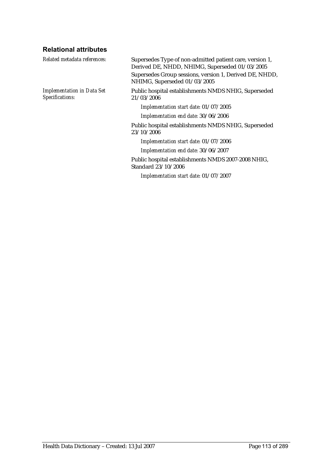## **Relational attributes**

| Related metadata references:                         | Supersedes Type of non-admitted patient care, version 1,<br>Derived DE, NHDD, NHIMG, Superseded 01/03/2005 |
|------------------------------------------------------|------------------------------------------------------------------------------------------------------------|
|                                                      | Supersedes Group sessions, version 1, Derived DE, NHDD,<br>NHIMG, Superseded 01/03/2005                    |
| <b>Implementation in Data Set</b><br>Specifications: | Public hospital establishments NMDS NHIG, Superseded<br>21/03/2006                                         |
|                                                      | Implementation start date: 01/07/2005                                                                      |
|                                                      | Implementation end date: 30/06/2006                                                                        |
|                                                      | Public hospital establishments NMDS NHIG, Superseded<br>23/10/2006                                         |
|                                                      | Implementation start date: 01/07/2006                                                                      |
|                                                      | Implementation end date: 30/06/2007                                                                        |
|                                                      | Public hospital establishments NMDS 2007-2008 NHIG,<br>Standard 23/10/2006                                 |
|                                                      | Implementation start date: 01/07/2007                                                                      |
|                                                      |                                                                                                            |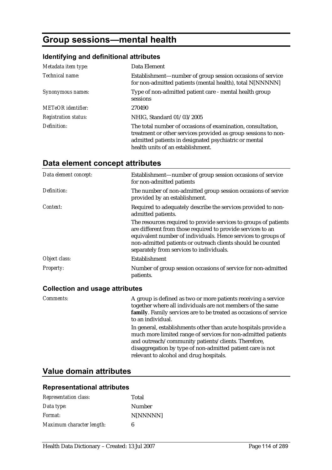# **Group sessions—mental health**

### **Identifying and definitional attributes**

| Metadata item type:         | Data Element                                                                                                                                                                                                                |
|-----------------------------|-----------------------------------------------------------------------------------------------------------------------------------------------------------------------------------------------------------------------------|
| Technical name:             | Establishment—number of group session occasions of service<br>for non-admitted patients (mental health), total N[NNNNN]                                                                                                     |
| Synonymous names:           | Type of non-admitted patient care - mental health group<br>sessions                                                                                                                                                         |
| <b>METeOR</b> identifier:   | 270490                                                                                                                                                                                                                      |
| <b>Registration status:</b> | NHIG, Standard 01/03/2005                                                                                                                                                                                                   |
| Definition:                 | The total number of occasions of examination, consultation,<br>treatment or other services provided as group sessions to non-<br>admitted patients in designated psychiatric or mental<br>health units of an establishment. |

# **Data element concept attributes**

| Data element concept: | Establishment—number of group session occasions of service<br>for non-admitted patients                                                                                                                                                                                                                     |
|-----------------------|-------------------------------------------------------------------------------------------------------------------------------------------------------------------------------------------------------------------------------------------------------------------------------------------------------------|
| Definition:           | The number of non-admitted group session occasions of service<br>provided by an establishment.                                                                                                                                                                                                              |
| Context:              | Required to adequately describe the services provided to non-<br>admitted patients.                                                                                                                                                                                                                         |
|                       | The resources required to provide services to groups of patients<br>are different from those required to provide services to an<br>equivalent number of individuals. Hence services to groups of<br>non-admitted patients or outreach clients should be counted<br>separately from services to individuals. |
| Object class:         | Establishment                                                                                                                                                                                                                                                                                               |
| <b>Property:</b>      | Number of group session occasions of service for non-admitted<br>patients.                                                                                                                                                                                                                                  |

### **Collection and usage attributes**

| Comments: | A group is defined as two or more patients receiving a service<br>together where all individuals are not members of the same<br>family. Family services are to be treated as occasions of service<br>to an individual.                                                                           |
|-----------|--------------------------------------------------------------------------------------------------------------------------------------------------------------------------------------------------------------------------------------------------------------------------------------------------|
|           | In general, establishments other than acute hospitals provide a<br>much more limited range of services for non-admitted patients<br>and outreach/community patients/clients. Therefore,<br>disaggregation by type of non-admitted patient care is not<br>relevant to alcohol and drug hospitals. |

## **Value domain attributes**

#### **Representational attributes**

| <b>Representation class:</b> | Total    |
|------------------------------|----------|
| Data type:                   | Number   |
| Format:                      | N[NNNNN] |
| Maximum character length:    | 6        |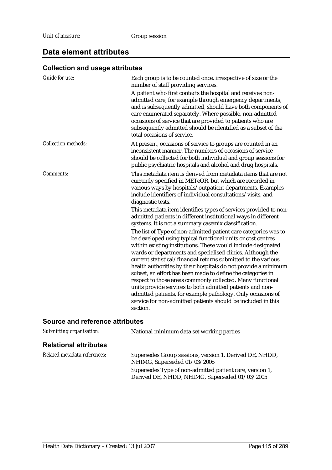# **Data element attributes**

# **Collection and usage attributes**

| <b>Guide for use:</b>      | Each group is to be counted once, irrespective of size or the<br>number of staff providing services.                                                                                                                                                                                                                                                                                                                                                                                                                                                                                                                                                                                                                                                                                                                                                                                                                                |  |
|----------------------------|-------------------------------------------------------------------------------------------------------------------------------------------------------------------------------------------------------------------------------------------------------------------------------------------------------------------------------------------------------------------------------------------------------------------------------------------------------------------------------------------------------------------------------------------------------------------------------------------------------------------------------------------------------------------------------------------------------------------------------------------------------------------------------------------------------------------------------------------------------------------------------------------------------------------------------------|--|
|                            | A patient who first contacts the hospital and receives non-<br>admitted care, for example through emergency departments,<br>and is subsequently admitted, should have both components of<br>care enumerated separately. Where possible, non-admitted<br>occasions of service that are provided to patients who are<br>subsequently admitted should be identified as a subset of the<br>total occasions of service.                                                                                                                                                                                                                                                                                                                                                                                                                                                                                                                  |  |
| <b>Collection methods:</b> | At present, occasions of service to groups are counted in an<br>inconsistent manner. The numbers of occasions of service<br>should be collected for both individual and group sessions for<br>public psychiatric hospitals and alcohol and drug hospitals.                                                                                                                                                                                                                                                                                                                                                                                                                                                                                                                                                                                                                                                                          |  |
| <b>Comments:</b>           | This metadata item is derived from metadata items that are not<br>currently specified in METeOR, but which are recorded in<br>various ways by hospitals/outpatient departments. Examples<br>include identifiers of individual consultations/visits, and<br>diagnostic tests.                                                                                                                                                                                                                                                                                                                                                                                                                                                                                                                                                                                                                                                        |  |
|                            | This metadata item identifies types of services provided to non-<br>admitted patients in different institutional ways in different<br>systems. It is not a summary casemix classification.<br>The list of Type of non-admitted patient care categories was to<br>be developed using typical functional units or cost centres<br>within existing institutions. These would include designated<br>wards or departments and specialised clinics. Although the<br>current statistical/financial returns submitted to the various<br>health authorities by their hospitals do not provide a minimum<br>subset, an effort has been made to define the categories in<br>respect to those areas commonly collected. Many functional<br>units provide services to both admitted patients and non-<br>admitted patients, for example pathology. Only occasions of<br>service for non-admitted patients should be included in this<br>section. |  |

| Submitting organisation:     | National minimum data set working parties                                                                  |  |
|------------------------------|------------------------------------------------------------------------------------------------------------|--|
| <b>Relational attributes</b> |                                                                                                            |  |
| Related metadata references: | Supersedes Group sessions, version 1, Derived DE, NHDD,<br>NHIMG, Superseded 01/03/2005                    |  |
|                              | Supersedes Type of non-admitted patient care, version 1,<br>Derived DE, NHDD, NHIMG, Superseded 01/03/2005 |  |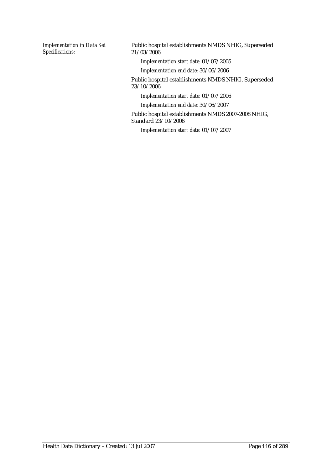*Implementation in Data Set Specifications:*

Public hospital establishments NMDS NHIG, Superseded 21/03/2006

*Implementation start date:* 01/07/2005

*Implementation end date:* 30/06/2006

Public hospital establishments NMDS NHIG, Superseded 23/10/2006

*Implementation start date:* 01/07/2006

*Implementation end date:* 30/06/2007

Public hospital establishments NMDS 2007-2008 NHIG, Standard 23/10/2006

*Implementation start date:* 01/07/2007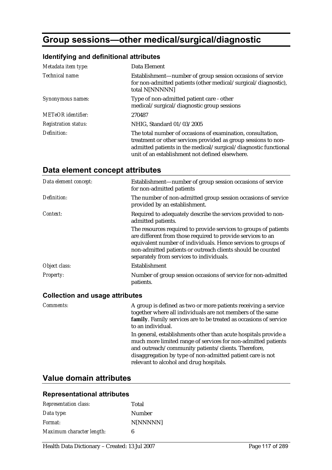# **Group sessions—other medical/surgical/diagnostic**

### **Identifying and definitional attributes**

| Metadata item type:         | Data Element                                                                                                                                                                                                                                        |
|-----------------------------|-----------------------------------------------------------------------------------------------------------------------------------------------------------------------------------------------------------------------------------------------------|
| Technical name:             | Establishment—number of group session occasions of service<br>for non-admitted patients (other medical/surgical/diagnostic),<br>total N[NNNNN]                                                                                                      |
| Synonymous names:           | Type of non-admitted patient care - other<br>medical/surgical/diagnostic group sessions                                                                                                                                                             |
| <b>METeOR</b> identifier:   | 270487                                                                                                                                                                                                                                              |
| <b>Registration status:</b> | NHIG, Standard 01/03/2005                                                                                                                                                                                                                           |
| Definition:                 | The total number of occasions of examination, consultation,<br>treatment or other services provided as group sessions to non-<br>admitted patients in the medical/surgical/diagnostic functional<br>unit of an establishment not defined elsewhere. |

# **Data element concept attributes**

| Data element concept: | Establishment—number of group session occasions of service<br>for non-admitted patients                                                                                                                                                                                                                     |
|-----------------------|-------------------------------------------------------------------------------------------------------------------------------------------------------------------------------------------------------------------------------------------------------------------------------------------------------------|
| Definition:           | The number of non-admitted group session occasions of service<br>provided by an establishment.                                                                                                                                                                                                              |
| Context:              | Required to adequately describe the services provided to non-<br>admitted patients.                                                                                                                                                                                                                         |
|                       | The resources required to provide services to groups of patients<br>are different from those required to provide services to an<br>equivalent number of individuals. Hence services to groups of<br>non-admitted patients or outreach clients should be counted<br>separately from services to individuals. |
| Object class:         | Establishment                                                                                                                                                                                                                                                                                               |
| <b>Property:</b>      | Number of group session occasions of service for non-admitted<br>patients.                                                                                                                                                                                                                                  |

#### **Collection and usage attributes**

| <i>Comments:</i> | A group is defined as two or more patients receiving a service<br>together where all individuals are not members of the same<br>family. Family services are to be treated as occasions of service<br>to an individual.                                                                           |
|------------------|--------------------------------------------------------------------------------------------------------------------------------------------------------------------------------------------------------------------------------------------------------------------------------------------------|
|                  | In general, establishments other than acute hospitals provide a<br>much more limited range of services for non-admitted patients<br>and outreach/community patients/clients. Therefore,<br>disaggregation by type of non-admitted patient care is not<br>relevant to alcohol and drug hospitals. |

# **Value domain attributes**

#### **Representational attributes**

| <b>Representation class:</b> | Total    |
|------------------------------|----------|
| Data type:                   | Number   |
| <i>Format:</i>               | N[NNNNN] |
| Maximum character length:    | 6        |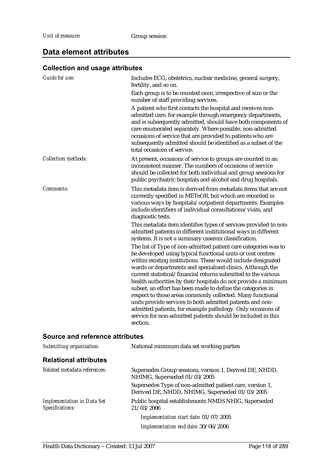### **Data element attributes**

### **Collection and usage attributes**

| Guide for use:             | Includes ECG, obstetrics, nuclear medicine, general surgery,<br>fertility, and so on.<br>Each group is to be counted once, irrespective of size or the                                                                                                                                                                                                                                                                                                                                                                                                                                                                                                                                                                    |
|----------------------------|---------------------------------------------------------------------------------------------------------------------------------------------------------------------------------------------------------------------------------------------------------------------------------------------------------------------------------------------------------------------------------------------------------------------------------------------------------------------------------------------------------------------------------------------------------------------------------------------------------------------------------------------------------------------------------------------------------------------------|
|                            | number of staff providing services.<br>A patient who first contacts the hospital and receives non-<br>admitted care, for example through emergency departments,<br>and is subsequently admitted, should have both components of<br>care enumerated separately. Where possible, non-admitted<br>occasions of service that are provided to patients who are<br>subsequently admitted should be identified as a subset of the<br>total occasions of service.                                                                                                                                                                                                                                                                 |
| <b>Collection methods:</b> | At present, occasions of service to groups are counted in an<br>inconsistent manner. The numbers of occasions of service<br>should be collected for both individual and group sessions for<br>public psychiatric hospitals and alcohol and drug hospitals.                                                                                                                                                                                                                                                                                                                                                                                                                                                                |
| <b>Comments:</b>           | This metadata item is derived from metadata items that are not<br>currently specified in METeOR, but which are recorded in<br>various ways by hospitals/outpatient departments. Examples<br>include identifiers of individual consultations/visits, and<br>diagnostic tests.                                                                                                                                                                                                                                                                                                                                                                                                                                              |
|                            | This metadata item identifies types of services provided to non-<br>admitted patients in different institutional ways in different<br>systems. It is not a summary casemix classification.                                                                                                                                                                                                                                                                                                                                                                                                                                                                                                                                |
|                            | The list of Type of non-admitted patient care categories was to<br>be developed using typical functional units or cost centres<br>within existing institutions. These would include designated<br>wards or departments and specialised clinics. Although the<br>current statistical/financial returns submitted to the various<br>health authorities by their hospitals do not provide a minimum<br>subset, an effort has been made to define the categories in<br>respect to those areas commonly collected. Many functional<br>units provide services to both admitted patients and non-<br>admitted patients, for example pathology. Only occasions of<br>service for non-admitted patients should be included in this |
|                            | section.                                                                                                                                                                                                                                                                                                                                                                                                                                                                                                                                                                                                                                                                                                                  |

| Submitting organisation:                             | National minimum data set working parties                                                                  |  |
|------------------------------------------------------|------------------------------------------------------------------------------------------------------------|--|
| <b>Relational attributes</b>                         |                                                                                                            |  |
| Related metadata references:                         | Supersedes Group sessions, version 1, Derived DE, NHDD,<br>NHIMG, Superseded 01/03/2005                    |  |
|                                                      | Supersedes Type of non-admitted patient care, version 1,<br>Derived DE, NHDD, NHIMG, Superseded 01/03/2005 |  |
| <b>Implementation in Data Set</b><br>Specifications: | Public hospital establishments NMDS NHIG, Superseded<br>21/03/2006                                         |  |
|                                                      | Implementation start date: 01/07/2005                                                                      |  |
|                                                      | Implementation end date: 30/06/2006                                                                        |  |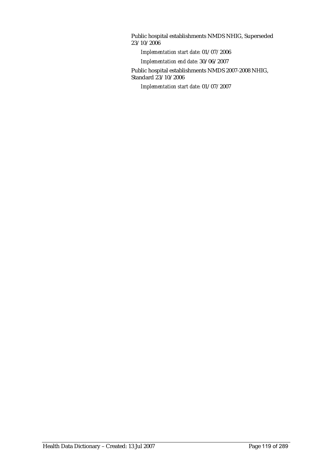Public hospital establishments NMDS NHIG, Superseded 23/10/2006

*Implementation start date:* 01/07/2006

*Implementation end date:* 30/06/2007

Public hospital establishments NMDS 2007-2008 NHIG, Standard 23/10/2006

*Implementation start date:* 01/07/2007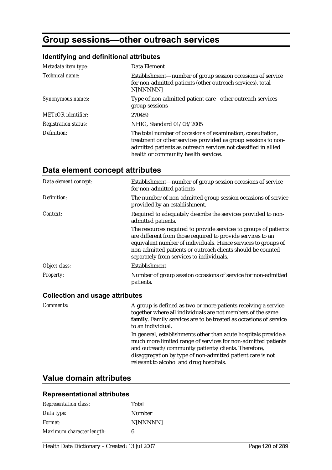# **Group sessions—other outreach services**

# **Identifying and definitional attributes**

| Metadata item type:         | Data Element                                                                                                                                                                                                                             |
|-----------------------------|------------------------------------------------------------------------------------------------------------------------------------------------------------------------------------------------------------------------------------------|
| Technical name:             | Establishment—number of group session occasions of service<br>for non-admitted patients (other outreach services), total<br>N[NNNNN]                                                                                                     |
| Synonymous names:           | Type of non-admitted patient care - other outreach services<br>group sessions                                                                                                                                                            |
| METeOR identifier:          | 270489                                                                                                                                                                                                                                   |
| <b>Registration status:</b> | NHIG, Standard 01/03/2005                                                                                                                                                                                                                |
| Definition:                 | The total number of occasions of examination, consultation,<br>treatment or other services provided as group sessions to non-<br>admitted patients as outreach services not classified in allied<br>health or community health services. |

# **Data element concept attributes**

| Data element concept: | Establishment—number of group session occasions of service<br>for non-admitted patients                                                                                                                                                                                                                     |
|-----------------------|-------------------------------------------------------------------------------------------------------------------------------------------------------------------------------------------------------------------------------------------------------------------------------------------------------------|
| Definition:           | The number of non-admitted group session occasions of service<br>provided by an establishment.                                                                                                                                                                                                              |
| Context:              | Required to adequately describe the services provided to non-<br>admitted patients.                                                                                                                                                                                                                         |
|                       | The resources required to provide services to groups of patients<br>are different from those required to provide services to an<br>equivalent number of individuals. Hence services to groups of<br>non-admitted patients or outreach clients should be counted<br>separately from services to individuals. |
| Object class:         | Establishment                                                                                                                                                                                                                                                                                               |
| <b>Property:</b>      | Number of group session occasions of service for non-admitted<br>patients.                                                                                                                                                                                                                                  |

#### **Collection and usage attributes**

| <i>Comments:</i> | A group is defined as two or more patients receiving a service<br>together where all individuals are not members of the same<br>family. Family services are to be treated as occasions of service<br>to an individual.                                                                           |
|------------------|--------------------------------------------------------------------------------------------------------------------------------------------------------------------------------------------------------------------------------------------------------------------------------------------------|
|                  | In general, establishments other than acute hospitals provide a<br>much more limited range of services for non-admitted patients<br>and outreach/community patients/clients. Therefore,<br>disaggregation by type of non-admitted patient care is not<br>relevant to alcohol and drug hospitals. |

# **Value domain attributes**

#### **Representational attributes**

| <b>Representation class:</b> | Total    |
|------------------------------|----------|
| Data type:                   | Number   |
| <i>Format:</i>               | N[NNNNN] |
| Maximum character length:    | 6        |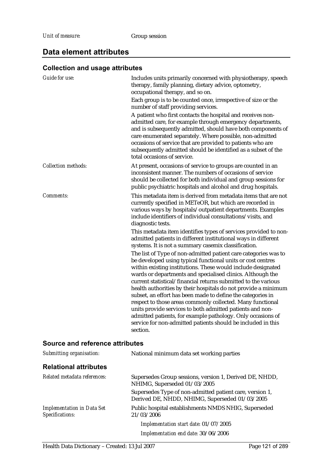# **Data element attributes**

# **Collection and usage attributes**

| Guide for use:             | Includes units primarily concerned with physiotherapy, speech<br>therapy, family planning, dietary advice, optometry,<br>occupational therapy, and so on.<br>Each group is to be counted once, irrespective of size or the<br>number of staff providing services.<br>A patient who first contacts the hospital and receives non-<br>admitted care, for example through emergency departments,<br>and is subsequently admitted, should have both components of<br>care enumerated separately. Where possible, non-admitted<br>occasions of service that are provided to patients who are<br>subsequently admitted should be identified as a subset of the<br>total occasions of service.                                                                                                                                                                                                                                                                                                                                                                                                                                                                                                                             |
|----------------------------|---------------------------------------------------------------------------------------------------------------------------------------------------------------------------------------------------------------------------------------------------------------------------------------------------------------------------------------------------------------------------------------------------------------------------------------------------------------------------------------------------------------------------------------------------------------------------------------------------------------------------------------------------------------------------------------------------------------------------------------------------------------------------------------------------------------------------------------------------------------------------------------------------------------------------------------------------------------------------------------------------------------------------------------------------------------------------------------------------------------------------------------------------------------------------------------------------------------------|
| <b>Collection methods:</b> | At present, occasions of service to groups are counted in an<br>inconsistent manner. The numbers of occasions of service<br>should be collected for both individual and group sessions for<br>public psychiatric hospitals and alcohol and drug hospitals.                                                                                                                                                                                                                                                                                                                                                                                                                                                                                                                                                                                                                                                                                                                                                                                                                                                                                                                                                          |
| <b>Comments:</b>           | This metadata item is derived from metadata items that are not<br>currently specified in METeOR, but which are recorded in<br>various ways by hospitals/outpatient departments. Examples<br>include identifiers of individual consultations/visits, and<br>diagnostic tests.<br>This metadata item identifies types of services provided to non-<br>admitted patients in different institutional ways in different<br>systems. It is not a summary casemix classification.<br>The list of Type of non-admitted patient care categories was to<br>be developed using typical functional units or cost centres<br>within existing institutions. These would include designated<br>wards or departments and specialised clinics. Although the<br>current statistical/financial returns submitted to the various<br>health authorities by their hospitals do not provide a minimum<br>subset, an effort has been made to define the categories in<br>respect to those areas commonly collected. Many functional<br>units provide services to both admitted patients and non-<br>admitted patients, for example pathology. Only occasions of<br>service for non-admitted patients should be included in this<br>section. |

| Submitting organisation:                             | National minimum data set working parties                                                                  |
|------------------------------------------------------|------------------------------------------------------------------------------------------------------------|
| <b>Relational attributes</b>                         |                                                                                                            |
| Related metadata references:                         | Supersedes Group sessions, version 1, Derived DE, NHDD,<br>NHIMG, Superseded 01/03/2005                    |
|                                                      | Supersedes Type of non-admitted patient care, version 1,<br>Derived DE, NHDD, NHIMG, Superseded 01/03/2005 |
| <b>Implementation in Data Set</b><br>Specifications: | Public hospital establishments NMDS NHIG, Superseded<br>21/03/2006                                         |
|                                                      | Implementation start date: 01/07/2005                                                                      |
|                                                      | Implementation end date: 30/06/2006                                                                        |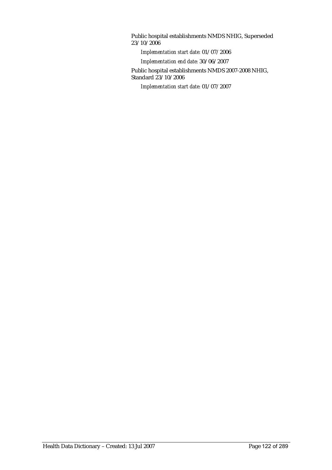Public hospital establishments NMDS NHIG, Superseded 23/10/2006

*Implementation start date:* 01/07/2006

*Implementation end date:* 30/06/2007

Public hospital establishments NMDS 2007-2008 NHIG, Standard 23/10/2006

*Implementation start date:* 01/07/2007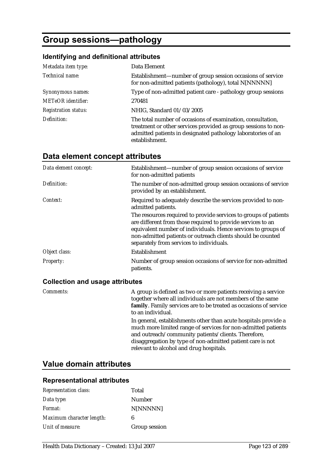# **Group sessions—pathology**

#### **Identifying and definitional attributes**

| Metadata item type:         | Data Element                                                                                                                                                                                                    |
|-----------------------------|-----------------------------------------------------------------------------------------------------------------------------------------------------------------------------------------------------------------|
| Technical name:             | Establishment—number of group session occasions of service<br>for non-admitted patients (pathology), total N[NNNNN]                                                                                             |
| Synonymous names:           | Type of non-admitted patient care - pathology group sessions                                                                                                                                                    |
| <b>METeOR</b> identifier:   | 270481                                                                                                                                                                                                          |
| <b>Registration status:</b> | NHIG, Standard 01/03/2005                                                                                                                                                                                       |
| Definition:                 | The total number of occasions of examination, consultation,<br>treatment or other services provided as group sessions to non-<br>admitted patients in designated pathology laboratories of an<br>establishment. |

## **Data element concept attributes**

| Data element concept: | Establishment—number of group session occasions of service<br>for non-admitted patients                                                                                                                                                                                                                     |
|-----------------------|-------------------------------------------------------------------------------------------------------------------------------------------------------------------------------------------------------------------------------------------------------------------------------------------------------------|
| Definition:           | The number of non-admitted group session occasions of service<br>provided by an establishment.                                                                                                                                                                                                              |
| Context:              | Required to adequately describe the services provided to non-<br>admitted patients.                                                                                                                                                                                                                         |
|                       | The resources required to provide services to groups of patients<br>are different from those required to provide services to an<br>equivalent number of individuals. Hence services to groups of<br>non-admitted patients or outreach clients should be counted<br>separately from services to individuals. |
| Object class:         | Establishment                                                                                                                                                                                                                                                                                               |
| <b>Property:</b>      | Number of group session occasions of service for non-admitted<br>patients.                                                                                                                                                                                                                                  |

#### **Collection and usage attributes**

*Comments:* A group is defined as two or more patients receiving a service together where all individuals are not members of the same **family**. Family services are to be treated as occasions of service to an individual.

> In general, establishments other than acute hospitals provide a much more limited range of services for non-admitted patients and outreach/community patients/clients. Therefore, disaggregation by type of non-admitted patient care is not relevant to alcohol and drug hospitals.

### **Value domain attributes**

#### **Representational attributes**

| <b>Representation class:</b> | Total         |
|------------------------------|---------------|
| Data type:                   | Number        |
| <i>Format:</i>               | N[NNNNN]      |
| Maximum character length:    | 6             |
| Unit of measure:             | Group session |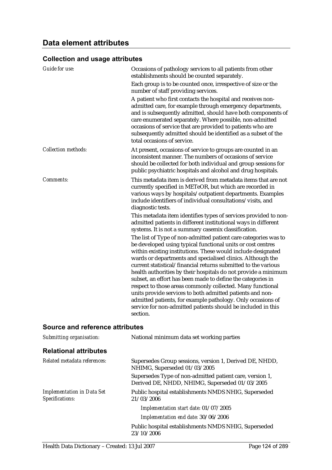### **Collection and usage attributes**

| Each group is to be counted once, irrespective of size or the<br>number of staff providing services.                                                                                                                                                                                                                                                                                                                                                                                                                                                                                                                                                                                                                                  |
|---------------------------------------------------------------------------------------------------------------------------------------------------------------------------------------------------------------------------------------------------------------------------------------------------------------------------------------------------------------------------------------------------------------------------------------------------------------------------------------------------------------------------------------------------------------------------------------------------------------------------------------------------------------------------------------------------------------------------------------|
| A patient who first contacts the hospital and receives non-<br>admitted care, for example through emergency departments,<br>and is subsequently admitted, should have both components of<br>care enumerated separately. Where possible, non-admitted<br>occasions of service that are provided to patients who are<br>subsequently admitted should be identified as a subset of the<br>total occasions of service.                                                                                                                                                                                                                                                                                                                    |
| At present, occasions of service to groups are counted in an<br>inconsistent manner. The numbers of occasions of service<br>should be collected for both individual and group sessions for<br>public psychiatric hospitals and alcohol and drug hospitals.                                                                                                                                                                                                                                                                                                                                                                                                                                                                            |
| This metadata item is derived from metadata items that are not<br>currently specified in METeOR, but which are recorded in<br>various ways by hospitals/outpatient departments. Examples<br>include identifiers of individual consultations/visits, and<br>diagnostic tests.                                                                                                                                                                                                                                                                                                                                                                                                                                                          |
| This metadata item identifies types of services provided to non-<br>admitted patients in different institutional ways in different<br>systems. It is not a summary casemix classification.                                                                                                                                                                                                                                                                                                                                                                                                                                                                                                                                            |
| The list of Type of non-admitted patient care categories was to<br>be developed using typical functional units or cost centres<br>within existing institutions. These would include designated<br>wards or departments and specialised clinics. Although the<br>current statistical/financial returns submitted to the various<br>health authorities by their hospitals do not provide a minimum<br>subset, an effort has been made to define the categories in<br>respect to those areas commonly collected. Many functional<br>units provide services to both admitted patients and non-<br>admitted patients, for example pathology. Only occasions of<br>service for non-admitted patients should be included in this<br>section. |
|                                                                                                                                                                                                                                                                                                                                                                                                                                                                                                                                                                                                                                                                                                                                       |

| Submitting organisation:                             | National minimum data set working parties                                                                  |
|------------------------------------------------------|------------------------------------------------------------------------------------------------------------|
| <b>Relational attributes</b>                         |                                                                                                            |
| Related metadata references:                         | Supersedes Group sessions, version 1, Derived DE, NHDD,<br>NHIMG, Superseded 01/03/2005                    |
|                                                      | Supersedes Type of non-admitted patient care, version 1,<br>Derived DE, NHDD, NHIMG, Superseded 01/03/2005 |
| <b>Implementation in Data Set</b><br>Specifications: | Public hospital establishments NMDS NHIG, Superseded<br>21/03/2006                                         |
|                                                      | Implementation start date: 01/07/2005                                                                      |
|                                                      | Implementation end date: 30/06/2006                                                                        |
|                                                      | Public hospital establishments NMDS NHIG, Superseded<br>23/10/2006                                         |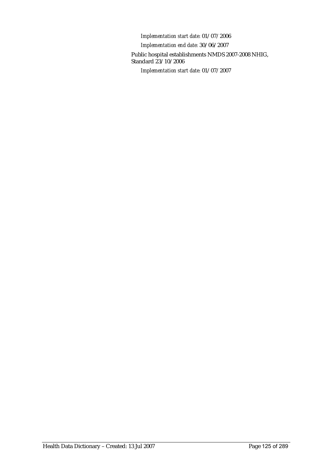*Implementation start date:* 01/07/2006 *Implementation end date:* 30/06/2007 Public hospital establishments NMDS 2007-2008 NHIG, Standard 23/10/2006 *Implementation start date:* 01/07/2007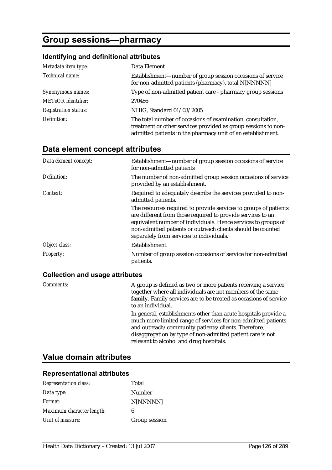# **Group sessions—pharmacy**

### **Identifying and definitional attributes**

| Metadata item type:         | Data Element                                                                                                                                                                                 |
|-----------------------------|----------------------------------------------------------------------------------------------------------------------------------------------------------------------------------------------|
| Technical name:             | Establishment—number of group session occasions of service<br>for non-admitted patients (pharmacy), total N[NNNNN]                                                                           |
| Synonymous names:           | Type of non-admitted patient care - pharmacy group sessions                                                                                                                                  |
| <b>METeOR</b> identifier:   | 270486                                                                                                                                                                                       |
| <b>Registration status:</b> | NHIG, Standard 01/03/2005                                                                                                                                                                    |
| Definition:                 | The total number of occasions of examination, consultation,<br>treatment or other services provided as group sessions to non-<br>admitted patients in the pharmacy unit of an establishment. |

## **Data element concept attributes**

| Data element concept: | Establishment—number of group session occasions of service<br>for non-admitted patients                                                                                                                                                                                                                     |
|-----------------------|-------------------------------------------------------------------------------------------------------------------------------------------------------------------------------------------------------------------------------------------------------------------------------------------------------------|
| Definition:           | The number of non-admitted group session occasions of service<br>provided by an establishment.                                                                                                                                                                                                              |
| Context:              | Required to adequately describe the services provided to non-<br>admitted patients.                                                                                                                                                                                                                         |
|                       | The resources required to provide services to groups of patients<br>are different from those required to provide services to an<br>equivalent number of individuals. Hence services to groups of<br>non-admitted patients or outreach clients should be counted<br>separately from services to individuals. |
| Object class:         | Establishment                                                                                                                                                                                                                                                                                               |
| <b>Property:</b>      | Number of group session occasions of service for non-admitted<br>patients.                                                                                                                                                                                                                                  |

### **Collection and usage attributes**

| Comments: | A group is defined as two or more patients receiving a service<br>together where all individuals are not members of the same<br>family. Family services are to be treated as occasions of service<br>to an individual.                                                                           |
|-----------|--------------------------------------------------------------------------------------------------------------------------------------------------------------------------------------------------------------------------------------------------------------------------------------------------|
|           | In general, establishments other than acute hospitals provide a<br>much more limited range of services for non-admitted patients<br>and outreach/community patients/clients. Therefore,<br>disaggregation by type of non-admitted patient care is not<br>relevant to alcohol and drug hospitals. |

## **Value domain attributes**

### **Representational attributes**

| <b>Representation class:</b> | Total         |
|------------------------------|---------------|
| Data type:                   | Number        |
| Format:                      | N[NNNNN]      |
| Maximum character length:    | 6             |
| Unit of measure:             | Group session |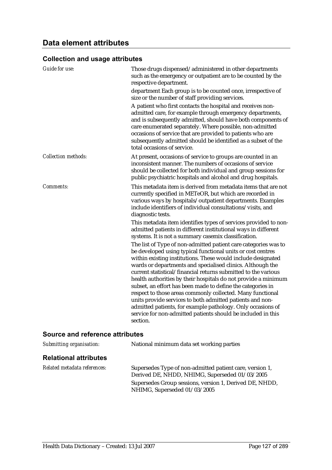### **Collection and usage attributes**

| <b>Guide for use:</b>      | Those drugs dispensed/administered in other departments<br>such as the emergency or outpatient are to be counted by the<br>respective department.<br>department Each group is to be counted once, irrespective of                                                                                                                                                                                                                                                                                                                                                                                                                                                                                                                     |
|----------------------------|---------------------------------------------------------------------------------------------------------------------------------------------------------------------------------------------------------------------------------------------------------------------------------------------------------------------------------------------------------------------------------------------------------------------------------------------------------------------------------------------------------------------------------------------------------------------------------------------------------------------------------------------------------------------------------------------------------------------------------------|
|                            | size or the number of staff providing services.                                                                                                                                                                                                                                                                                                                                                                                                                                                                                                                                                                                                                                                                                       |
|                            | A patient who first contacts the hospital and receives non-<br>admitted care, for example through emergency departments,<br>and is subsequently admitted, should have both components of<br>care enumerated separately. Where possible, non-admitted<br>occasions of service that are provided to patients who are<br>subsequently admitted should be identified as a subset of the<br>total occasions of service.                                                                                                                                                                                                                                                                                                                    |
| <b>Collection methods:</b> | At present, occasions of service to groups are counted in an<br>inconsistent manner. The numbers of occasions of service<br>should be collected for both individual and group sessions for<br>public psychiatric hospitals and alcohol and drug hospitals.                                                                                                                                                                                                                                                                                                                                                                                                                                                                            |
| Comments:                  | This metadata item is derived from metadata items that are not<br>currently specified in METeOR, but which are recorded in<br>various ways by hospitals/outpatient departments. Examples<br>include identifiers of individual consultations/visits, and<br>diagnostic tests.                                                                                                                                                                                                                                                                                                                                                                                                                                                          |
|                            | This metadata item identifies types of services provided to non-<br>admitted patients in different institutional ways in different<br>systems. It is not a summary casemix classification.                                                                                                                                                                                                                                                                                                                                                                                                                                                                                                                                            |
|                            | The list of Type of non-admitted patient care categories was to<br>be developed using typical functional units or cost centres<br>within existing institutions. These would include designated<br>wards or departments and specialised clinics. Although the<br>current statistical/financial returns submitted to the various<br>health authorities by their hospitals do not provide a minimum<br>subset, an effort has been made to define the categories in<br>respect to those areas commonly collected. Many functional<br>units provide services to both admitted patients and non-<br>admitted patients, for example pathology. Only occasions of<br>service for non-admitted patients should be included in this<br>section. |

| Submitting organisation:     | National minimum data set working parties                                                                                                                                                             |
|------------------------------|-------------------------------------------------------------------------------------------------------------------------------------------------------------------------------------------------------|
| <b>Relational attributes</b> |                                                                                                                                                                                                       |
| Related metadata references: | Supersedes Type of non-admitted patient care, version 1,<br>Derived DE, NHDD, NHIMG, Superseded 01/03/2005<br>Supersedes Group sessions, version 1, Derived DE, NHDD,<br>NHIMG, Superseded 01/03/2005 |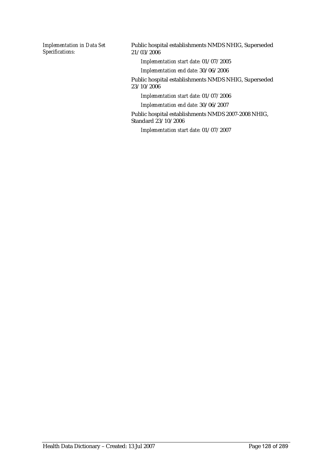*Implementation in Data Set Specifications:*

Public hospital establishments NMDS NHIG, Superseded 21/03/2006

*Implementation start date:* 01/07/2005

*Implementation end date:* 30/06/2006

Public hospital establishments NMDS NHIG, Superseded 23/10/2006

*Implementation start date:* 01/07/2006

*Implementation end date:* 30/06/2007

Public hospital establishments NMDS 2007-2008 NHIG, Standard 23/10/2006

*Implementation start date:* 01/07/2007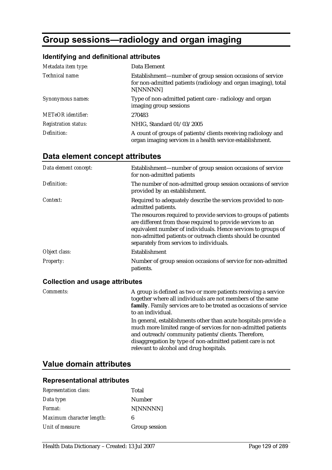# **Group sessions—radiology and organ imaging**

#### **Identifying and definitional attributes**

| Metadata item type:         | Data Element                                                                                                                             |
|-----------------------------|------------------------------------------------------------------------------------------------------------------------------------------|
| Technical name:             | Establishment—number of group session occasions of service<br>for non-admitted patients (radiology and organ imaging), total<br>N[NNNNN] |
| Synonymous names:           | Type of non-admitted patient care - radiology and organ<br>imaging group sessions                                                        |
| <b>METeOR</b> identifier:   | 270483                                                                                                                                   |
| <b>Registration status:</b> | NHIG, Standard 01/03/2005                                                                                                                |
| Definition:                 | A count of groups of patients/clients receiving radiology and<br>organ imaging services in a health service establishment.               |

### **Data element concept attributes**

| Data element concept: | Establishment—number of group session occasions of service<br>for non-admitted patients                                                                                                                                                                                                                     |
|-----------------------|-------------------------------------------------------------------------------------------------------------------------------------------------------------------------------------------------------------------------------------------------------------------------------------------------------------|
| Definition:           | The number of non-admitted group session occasions of service<br>provided by an establishment.                                                                                                                                                                                                              |
| Context:              | Required to adequately describe the services provided to non-<br>admitted patients.                                                                                                                                                                                                                         |
|                       | The resources required to provide services to groups of patients<br>are different from those required to provide services to an<br>equivalent number of individuals. Hence services to groups of<br>non-admitted patients or outreach clients should be counted<br>separately from services to individuals. |
| Object class:         | Establishment                                                                                                                                                                                                                                                                                               |
| <b>Property:</b>      | Number of group session occasions of service for non-admitted<br>patients.                                                                                                                                                                                                                                  |

#### **Collection and usage attributes**

*Comments:* A group is defined as two or more patients receiving a service together where all individuals are not members of the same **family**. Family services are to be treated as occasions of service to an individual.

> In general, establishments other than acute hospitals provide a much more limited range of services for non-admitted patients and outreach/community patients/clients. Therefore, disaggregation by type of non-admitted patient care is not relevant to alcohol and drug hospitals.

## **Value domain attributes**

#### **Representational attributes**

| <b>Representation class:</b> | Total         |
|------------------------------|---------------|
| Data type:                   | <b>Number</b> |
| Format:                      | N[NNNNN]      |
| Maximum character length:    | 6             |
| Unit of measure:             | Group session |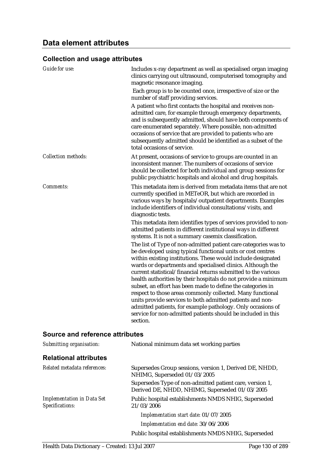### **Collection and usage attributes**

| <b>Guide for use:</b>      | Includes x-ray department as well as specialised organ imaging<br>clinics carrying out ultrasound, computerised tomography and<br>magnetic resonance imaging.                                                                                                                                                                                                                                                                                                                                                                                                                                                                                                                                                                         |
|----------------------------|---------------------------------------------------------------------------------------------------------------------------------------------------------------------------------------------------------------------------------------------------------------------------------------------------------------------------------------------------------------------------------------------------------------------------------------------------------------------------------------------------------------------------------------------------------------------------------------------------------------------------------------------------------------------------------------------------------------------------------------|
|                            | Each group is to be counted once, irrespective of size or the<br>number of staff providing services.                                                                                                                                                                                                                                                                                                                                                                                                                                                                                                                                                                                                                                  |
|                            | A patient who first contacts the hospital and receives non-<br>admitted care, for example through emergency departments,<br>and is subsequently admitted, should have both components of<br>care enumerated separately. Where possible, non-admitted<br>occasions of service that are provided to patients who are<br>subsequently admitted should be identified as a subset of the<br>total occasions of service.                                                                                                                                                                                                                                                                                                                    |
| <b>Collection methods:</b> | At present, occasions of service to groups are counted in an<br>inconsistent manner. The numbers of occasions of service<br>should be collected for both individual and group sessions for<br>public psychiatric hospitals and alcohol and drug hospitals.                                                                                                                                                                                                                                                                                                                                                                                                                                                                            |
| <b>Comments:</b>           | This metadata item is derived from metadata items that are not<br>currently specified in METeOR, but which are recorded in<br>various ways by hospitals/outpatient departments. Examples<br>include identifiers of individual consultations/visits, and<br>diagnostic tests.                                                                                                                                                                                                                                                                                                                                                                                                                                                          |
|                            | This metadata item identifies types of services provided to non-<br>admitted patients in different institutional ways in different<br>systems. It is not a summary casemix classification.                                                                                                                                                                                                                                                                                                                                                                                                                                                                                                                                            |
|                            | The list of Type of non-admitted patient care categories was to<br>be developed using typical functional units or cost centres<br>within existing institutions. These would include designated<br>wards or departments and specialised clinics. Although the<br>current statistical/financial returns submitted to the various<br>health authorities by their hospitals do not provide a minimum<br>subset, an effort has been made to define the categories in<br>respect to those areas commonly collected. Many functional<br>units provide services to both admitted patients and non-<br>admitted patients, for example pathology. Only occasions of<br>service for non-admitted patients should be included in this<br>section. |

| Submitting organisation:                             | National minimum data set working parties                                                                  |
|------------------------------------------------------|------------------------------------------------------------------------------------------------------------|
| <b>Relational attributes</b>                         |                                                                                                            |
| Related metadata references:                         | Supersedes Group sessions, version 1, Derived DE, NHDD,<br>NHIMG, Superseded 01/03/2005                    |
|                                                      | Supersedes Type of non-admitted patient care, version 1,<br>Derived DE, NHDD, NHIMG, Superseded 01/03/2005 |
| <b>Implementation in Data Set</b><br>Specifications: | Public hospital establishments NMDS NHIG, Superseded<br>21/03/2006                                         |
|                                                      | Implementation start date: 01/07/2005                                                                      |
|                                                      | Implementation end date: 30/06/2006                                                                        |
|                                                      | Public hospital establishments NMDS NHIG, Superseded                                                       |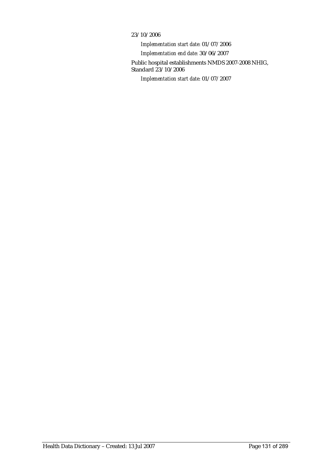#### 23/10/2006

*Implementation start date:* 01/07/2006 *Implementation end date:* 30/06/2007 Public hospital establishments NMDS 2007-2008 NHIG, Standard 23/10/2006 *Implementation start date:* 01/07/2007

Health Data Dictionary – Created: 13 Jul 2007 Page 131 of 289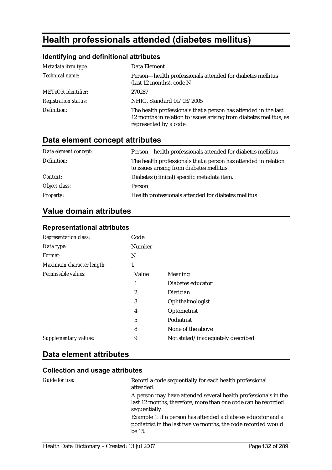# **Health professionals attended (diabetes mellitus)**

## **Identifying and definitional attributes**

| Metadata item type:         | Data Element                                                                                                                                                    |
|-----------------------------|-----------------------------------------------------------------------------------------------------------------------------------------------------------------|
| Technical name:             | Person-health professionals attended for diabetes mellitus<br>(last 12 months), code N                                                                          |
| <b>METeOR</b> identifier:   | 270287                                                                                                                                                          |
| <b>Registration status:</b> | NHIG, Standard 01/03/2005                                                                                                                                       |
| Definition:                 | The health professionals that a person has attended in the last<br>12 months in relation to issues arising from diabetes mellitus, as<br>represented by a code. |

# **Data element concept attributes**

| Data element concept: | Person-health professionals attended for diabetes mellitus                                                   |
|-----------------------|--------------------------------------------------------------------------------------------------------------|
| Definition:           | The health professionals that a person has attended in relation<br>to issues arising from diabetes mellitus. |
| Context:              | Diabetes (clinical) specific metadata item.                                                                  |
| Object class:         | Person                                                                                                       |
| <b>Property:</b>      | Health professionals attended for diabetes mellitus                                                          |

# **Value domain attributes**

#### **Representational attributes**

| <b>Representation class:</b> | Code   |                                   |
|------------------------------|--------|-----------------------------------|
| Data type:                   | Number |                                   |
| Format:                      | N      |                                   |
| Maximum character length:    | 1      |                                   |
| Permissible values:          | Value  | Meaning                           |
|                              | 1      | Diabetes educator                 |
|                              | 2      | Dietician                         |
|                              | 3      | Ophthalmologist                   |
|                              | 4      | Optometrist                       |
|                              | 5      | Podiatrist                        |
|                              | 8      | None of the above                 |
| Supplementary values:        | 9      | Not stated/inadequately described |

### **Data element attributes**

### **Collection and usage attributes**

| <i>Guide for use:</i> | Record a code sequentially for each health professional<br>attended.                                                                             |
|-----------------------|--------------------------------------------------------------------------------------------------------------------------------------------------|
|                       | A person may have attended several health professionals in the<br>last 12 months, therefore, more than one code can be recorded<br>sequentially. |
|                       | Example 1: If a person has attended a diabetes educator and a<br>podiatrist in the last twelve months, the code recorded would<br>be 15.         |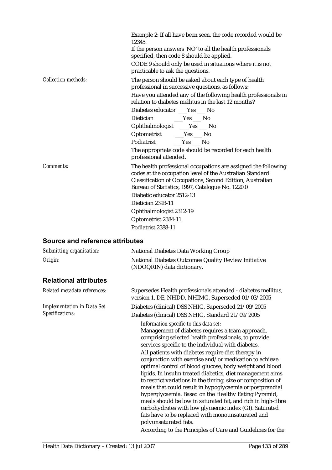|                            | Example 2: If all have been seen, the code recorded would be<br>12345<br>If the person answers 'NO' to all the health professionals<br>specified, then code 8 should be applied.<br>CODE 9 should only be used in situations where it is not<br>practicable to ask the questions.                                        |
|----------------------------|--------------------------------------------------------------------------------------------------------------------------------------------------------------------------------------------------------------------------------------------------------------------------------------------------------------------------|
| <b>Collection methods:</b> | The person should be asked about each type of health<br>professional in successive questions, as follows:                                                                                                                                                                                                                |
|                            | Have you attended any of the following health professionals in<br>relation to diabetes mellitus in the last 12 months?                                                                                                                                                                                                   |
|                            | Diabetes educator ___Yes ___ No                                                                                                                                                                                                                                                                                          |
|                            |                                                                                                                                                                                                                                                                                                                          |
|                            | Ophthalmologist __Yes __ No                                                                                                                                                                                                                                                                                              |
|                            | Optometrist ___Yes ___ No                                                                                                                                                                                                                                                                                                |
|                            |                                                                                                                                                                                                                                                                                                                          |
|                            | The appropriate code should be recorded for each health<br>professional attended.                                                                                                                                                                                                                                        |
| Comments:                  | The health professional occupations are assigned the following<br>codes at the occupation level of the Australian Standard<br>Classification of Occupations, Second Edition, Australian<br>Bureau of Statistics, 1997, Catalogue No. 1220.0<br>Diabetic educator 2512-13<br>Dietician 2393-11<br>Ophthalmologist 2312-19 |
|                            | Optometrist 2384-11                                                                                                                                                                                                                                                                                                      |
|                            | Podiatrist 2388-11                                                                                                                                                                                                                                                                                                       |

| Submitting organisation:                             | <b>National Diabetes Data Working Group</b>                                                                                                                                                                                                                                                                                                                                                                                                                                                                                                                                                                                                                                                                                                                                                                                                                                                                 |
|------------------------------------------------------|-------------------------------------------------------------------------------------------------------------------------------------------------------------------------------------------------------------------------------------------------------------------------------------------------------------------------------------------------------------------------------------------------------------------------------------------------------------------------------------------------------------------------------------------------------------------------------------------------------------------------------------------------------------------------------------------------------------------------------------------------------------------------------------------------------------------------------------------------------------------------------------------------------------|
| Origin:                                              | National Diabetes Outcomes Quality Review Initiative<br>(NDOQRIN) data dictionary.                                                                                                                                                                                                                                                                                                                                                                                                                                                                                                                                                                                                                                                                                                                                                                                                                          |
| <b>Relational attributes</b>                         |                                                                                                                                                                                                                                                                                                                                                                                                                                                                                                                                                                                                                                                                                                                                                                                                                                                                                                             |
| Related metadata references:                         | Supersedes Health professionals attended - diabetes mellitus,<br>version 1, DE, NHDD, NHIMG, Superseded 01/03/2005                                                                                                                                                                                                                                                                                                                                                                                                                                                                                                                                                                                                                                                                                                                                                                                          |
| <b>Implementation in Data Set</b><br>Specifications: | Diabetes (clinical) DSS NHIG, Superseded 21/09/2005<br>Diabetes (clinical) DSS NHIG, Standard 21/09/2005                                                                                                                                                                                                                                                                                                                                                                                                                                                                                                                                                                                                                                                                                                                                                                                                    |
|                                                      | Information specific to this data set:<br>Management of diabetes requires a team approach,<br>comprising selected health professionals, to provide<br>services specific to the individual with diabetes.<br>All patients with diabetes require diet therapy in<br>conjunction with exercise and/or medication to achieve<br>optimal control of blood glucose, body weight and blood<br>lipids. In insulin treated diabetics, diet management aims<br>to restrict variations in the timing, size or composition of<br>meals that could result in hypoglycaemia or postprandial<br>hyperglycaemia. Based on the Healthy Eating Pyramid,<br>meals should be low in saturated fat, and rich in high-fibre<br>carbohydrates with low glycaemic index (GI). Saturated<br>fats have to be replaced with monounsaturated and<br>polyunsaturated fats.<br>According to the Principles of Care and Guidelines for the |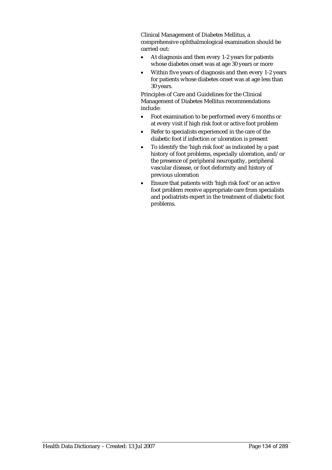Clinical Management of Diabetes Mellitus, a comprehensive ophthalmological examination should be carried out:

- At diagnosis and then every 1-2 years for patients whose diabetes onset was at age 30 years or more
- Within five years of diagnosis and then every 1-2 years for patients whose diabetes onset was at age less than 30 years.

Principles of Care and Guidelines for the Clinical Management of Diabetes Mellitus recommendations include:

- Foot examination to be performed every 6 months or at every visit if high risk foot or active foot problem
- Refer to specialists experienced in the care of the diabetic foot if infection or ulceration is present
- To identify the 'high risk foot' as indicated by a past history of foot problems, especially ulceration, and/or the presence of peripheral neuropathy, peripheral vascular disease, or foot deformity and history of previous ulceration
- Ensure that patients with 'high risk foot' or an active foot problem receive appropriate care from specialists and podiatrists expert in the treatment of diabetic foot problems.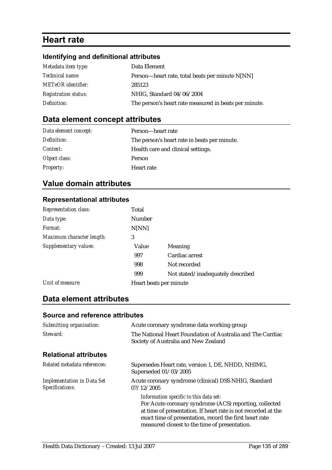# **Heart rate**

# **Identifying and definitional attributes**

| Metadata item type:         | Data Element                                          |
|-----------------------------|-------------------------------------------------------|
| Technical name:             | Person-heart rate, total beats per minute N[NN]       |
| <b>METeOR</b> identifier:   | 285123                                                |
| <b>Registration status:</b> | NHIG, Standard 04/06/2004                             |
| Definition:                 | The person's heart rate measured in beats per minute. |

# **Data element concept attributes**

| Data element concept: | Person—heart rate                            |
|-----------------------|----------------------------------------------|
| Definition:           | The person's heart rate in beats per minute. |
| Context:              | Health care and clinical settings.           |
| Object class:         | <b>Person</b>                                |
| <b>Property:</b>      | Heart rate                                   |

# **Value domain attributes**

## **Representational attributes**

| <b>Representation class:</b> | Total         |                                   |
|------------------------------|---------------|-----------------------------------|
| Data type:                   | <b>Number</b> |                                   |
| Format:                      | N[NN]         |                                   |
| Maximum character length:    | 3             |                                   |
| Supplementary values:        | Value         | <b>Meaning</b>                    |
|                              | 997           | Cardiac arrest                    |
|                              | 998           | Not recorded                      |
|                              | 999           | Not stated/inadequately described |
| Unit of measure:             |               | Heart beats per minute            |

# **Data element attributes**

| Submitting organisation:                             | Acute coronary syndrome data working group                                                                                                                                                                                                                                    |
|------------------------------------------------------|-------------------------------------------------------------------------------------------------------------------------------------------------------------------------------------------------------------------------------------------------------------------------------|
| Steward:                                             | The National Heart Foundation of Australia and The Cardiac<br>Society of Australia and New Zealand                                                                                                                                                                            |
| <b>Relational attributes</b>                         |                                                                                                                                                                                                                                                                               |
| Related metadata references:                         | Supersedes Heart rate, version 1, DE, NHDD, NHIMG,<br>Superseded 01/03/2005                                                                                                                                                                                                   |
| <b>Implementation in Data Set</b><br>Specifications: | Acute coronary syndrome (clinical) DSS NHIG, Standard<br>07/12/2005                                                                                                                                                                                                           |
|                                                      | Information specific to this data set:<br>For Acute coronary syndrome (ACS) reporting, collected<br>at time of presentation. If heart rate is not recorded at the<br>exact time of presentation, record the first heart rate<br>measured closest to the time of presentation. |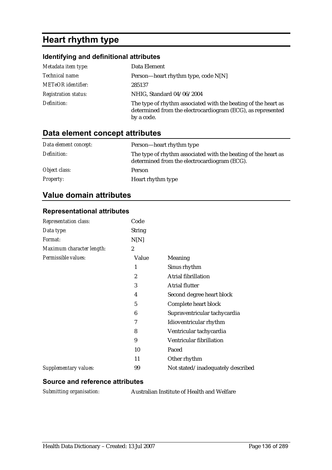# **Heart rhythm type**

## **Identifying and definitional attributes**

| Metadata item type:         | Data Element                                                                                                                                |
|-----------------------------|---------------------------------------------------------------------------------------------------------------------------------------------|
| Technical name:             | Person—heart rhythm type, code $N[N]$                                                                                                       |
| <b>METeOR</b> identifier:   | 285137                                                                                                                                      |
| <b>Registration status:</b> | NHIG, Standard 04/06/2004                                                                                                                   |
| Definition:                 | The type of rhythm associated with the beating of the heart as<br>determined from the electrocardiogram (ECG), as represented<br>by a code. |

# **Data element concept attributes**

| Data element concept: | Person—heart rhythm type                                                                                       |
|-----------------------|----------------------------------------------------------------------------------------------------------------|
| Definition:           | The type of rhythm associated with the beating of the heart as<br>determined from the electrocardiogram (ECG). |
| Object class:         | Person                                                                                                         |
| <b>Property:</b>      | Heart rhythm type                                                                                              |

# **Value domain attributes**

#### **Representational attributes**

| <b>Representation class:</b> | Code          |                                   |
|------------------------------|---------------|-----------------------------------|
| Data type:                   | <b>String</b> |                                   |
| Format:                      | N[N]          |                                   |
| Maximum character length:    | 2             |                                   |
| Permissible values:          | Value         | Meaning                           |
|                              | 1             | Sinus rhythm                      |
|                              | 2             | <b>Atrial fibrillation</b>        |
|                              | 3             | <b>Atrial flutter</b>             |
|                              | 4             | Second degree heart block         |
|                              | 5             | Complete heart block              |
|                              | 6             | Supraventricular tachycardia      |
|                              | 7             | Idioventricular rhythm            |
|                              | 8             | Ventricular tachycardia           |
|                              | 9             | Ventricular fibrillation          |
|                              | 10            | Paced                             |
|                              | 11            | Other rhythm                      |
| Supplementary values:        | 99            | Not stated/inadequately described |

#### **Source and reference attributes**

*Submitting organisation:* Australian Institute of Health and Welfare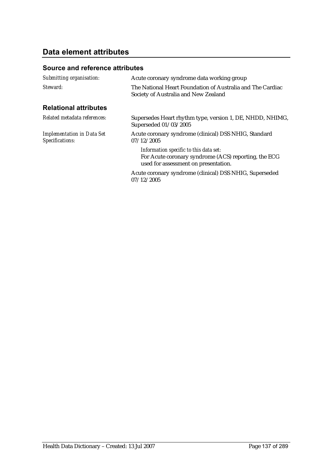# **Data element attributes**

| Submitting organisation:                             | Acute coronary syndrome data working group                                                                                             |
|------------------------------------------------------|----------------------------------------------------------------------------------------------------------------------------------------|
| Steward:                                             | The National Heart Foundation of Australia and The Cardiac<br>Society of Australia and New Zealand                                     |
| <b>Relational attributes</b>                         |                                                                                                                                        |
| Related metadata references:                         | Supersedes Heart rhythm type, version 1, DE, NHDD, NHIMG,<br>Superseded 01/03/2005                                                     |
| <b>Implementation in Data Set</b><br>Specifications: | Acute coronary syndrome (clinical) DSS NHIG, Standard<br>07/12/2005                                                                    |
|                                                      | Information specific to this data set:<br>For Acute coronary syndrome (ACS) reporting, the ECG<br>used for assessment on presentation. |
|                                                      | Acute coronary syndrome (clinical) DSS NHIG, Superseded<br>07/12/2005                                                                  |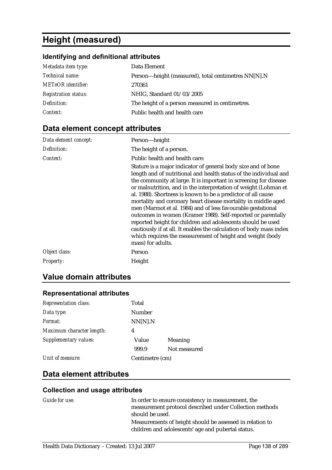# **Height (measured)**

# **Identifying and definitional attributes**

| Metadata item type:         | Data Element                                        |
|-----------------------------|-----------------------------------------------------|
| Technical name:             | Person-height (measured), total centimetres NN[N].N |
| <b>METeOR</b> identifier:   | 270361                                              |
| <b>Registration status:</b> | NHIG, Standard 01/03/2005                           |
| Definition:                 | The height of a person measured in centimetres.     |
| Context:                    | Public health and health care                       |

# **Data element concept attributes**

| Data element concept: | Person-height                                                                                                                                                                                                                                                                                                                                                                                                                                                                                                                                                                                                                                                                                                                                                     |
|-----------------------|-------------------------------------------------------------------------------------------------------------------------------------------------------------------------------------------------------------------------------------------------------------------------------------------------------------------------------------------------------------------------------------------------------------------------------------------------------------------------------------------------------------------------------------------------------------------------------------------------------------------------------------------------------------------------------------------------------------------------------------------------------------------|
| Definition:           | The height of a person.                                                                                                                                                                                                                                                                                                                                                                                                                                                                                                                                                                                                                                                                                                                                           |
| Context:              | Public health and health care:                                                                                                                                                                                                                                                                                                                                                                                                                                                                                                                                                                                                                                                                                                                                    |
|                       | Stature is a major indicator of general body size and of bone<br>length and of nutritional and health status of the individual and<br>the community at large. It is important in screening for disease<br>or malnutrition, and in the interpretation of weight (Lohman et<br>al. 1988). Shortness is known to be a predictor of all cause<br>mortality and coronary heart disease mortality in middle aged<br>men (Marmot et al. 1984) and of less favourable gestational<br>outcomes in women (Kramer 1988). Self-reported or parentally<br>reported height for children and adolescents should be used<br>cautiously if at all. It enables the calculation of body mass index<br>which requires the measurement of height and weight (body<br>mass) for adults. |
| Object class:         | Person                                                                                                                                                                                                                                                                                                                                                                                                                                                                                                                                                                                                                                                                                                                                                            |
| <b>Property:</b>      | Height                                                                                                                                                                                                                                                                                                                                                                                                                                                                                                                                                                                                                                                                                                                                                            |

# **Value domain attributes**

### **Representational attributes**

| Format:                   | NN[N].N         |              |
|---------------------------|-----------------|--------------|
| Maximum character length: | 4               |              |
| Supplementary values:     | Value           | Meaning      |
|                           | 999.9           | Not measured |
| Unit of measure:          | Centimetre (cm) |              |

# **Data element attributes**

### **Collection and usage attributes**

| <i>Guide for use:</i> | In order to ensure consistency in measurement, the                                                             |
|-----------------------|----------------------------------------------------------------------------------------------------------------|
|                       | measurement protocol described under Collection methods                                                        |
|                       | should be used.                                                                                                |
|                       | Measurements of height should be assessed in relation to<br>children and adolescents' age and pubertal status. |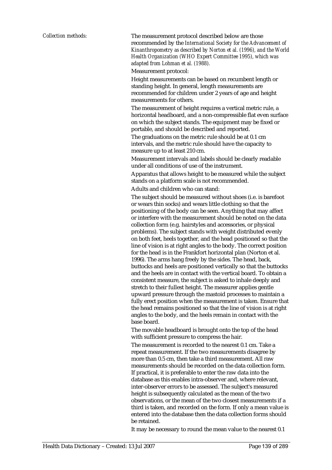*Collection methods:* The measurement protocol described below are those recommended by the *International Society for the Advancement of Kinanthropometry as described by Norton et al. (1996), and the World Health Organization (WHO Expert Committee 1995), which was adapted from Lohman et al. (1988).*

Measurement protocol:

Height measurements can be based on recumbent length or standing height. In general, length measurements are recommended for children under 2 years of age and height measurements for others.

The measurement of height requires a vertical metric rule, a horizontal headboard, and a non-compressible flat even surface on which the subject stands. The equipment may be fixed or portable, and should be described and reported.

The graduations on the metric rule should be at 0.1 cm intervals, and the metric rule should have the capacity to measure up to at least 210 cm.

Measurement intervals and labels should be clearly readable under all conditions of use of the instrument.

Apparatus that allows height to be measured while the subject stands on a platform scale is not recommended.

Adults and children who can stand:

The subject should be measured without shoes (i.e. is barefoot or wears thin socks) and wears little clothing so that the positioning of the body can be seen. Anything that may affect or interfere with the measurement should be noted on the data collection form (e.g. hairstyles and accessories, or physical problems). The subject stands with weight distributed evenly on both feet, heels together, and the head positioned so that the line of vision is at right angles to the body. The correct position for the head is in the Frankfort horizontal plan (Norton et al. 1996). The arms hang freely by the sides. The head, back, buttocks and heels are positioned vertically so that the buttocks and the heels are in contact with the vertical board. To obtain a consistent measure, the subject is asked to inhale deeply and stretch to their fullest height. The measurer applies gentle upward pressure through the mastoid processes to maintain a fully erect position when the measurement is taken. Ensure that the head remains positioned so that the line of vision is at right angles to the body, and the heels remain in contact with the base board.

The movable headboard is brought onto the top of the head with sufficient pressure to compress the hair.

The measurement is recorded to the nearest 0.1 cm. Take a repeat measurement. If the two measurements disagree by more than 0.5 cm, then take a third measurement. All raw measurements should be recorded on the data collection form. If practical, it is preferable to enter the raw data into the database as this enables intra-observer and, where relevant, inter-observer errors to be assessed. The subject's measured height is subsequently calculated as the mean of the two observations, or the mean of the two closest measurements if a third is taken, and recorded on the form. If only a mean value is entered into the database then the data collection forms should be retained.

It may be necessary to round the mean value to the nearest 0.1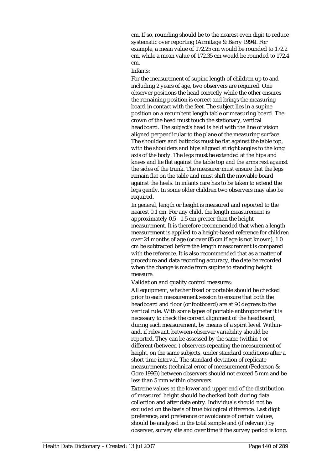cm. If so, rounding should be to the nearest even digit to reduce systematic over reporting (Armitage & Berry 1994). For example, a mean value of 172.25 cm would be rounded to 172.2 cm, while a mean value of 172.35 cm would be rounded to 172.4 cm.

#### Infants:

For the measurement of supine length of children up to and including 2 years of age, two observers are required. One observer positions the head correctly while the other ensures the remaining position is correct and brings the measuring board in contact with the feet. The subject lies in a supine position on a recumbent length table or measuring board. The crown of the head must touch the stationary, vertical headboard. The subject's head is held with the line of vision aligned perpendicular to the plane of the measuring surface. The shoulders and buttocks must be flat against the table top, with the shoulders and hips aligned at right angles to the long axis of the body. The legs must be extended at the hips and knees and lie flat against the table top and the arms rest against the sides of the trunk. The measurer must ensure that the legs remain flat on the table and must shift the movable board against the heels. In infants care has to be taken to extend the legs gently. In some older children two observers may also be required.

In general, length or height is measured and reported to the nearest 0.1 cm. For any child, the length measurement is approximately 0.5 - 1.5 cm greater than the height measurement. It is therefore recommended that when a length measurement is applied to a height-based reference for children over 24 months of age (or over 85 cm if age is not known), 1.0 cm be subtracted before the length measurement is compared with the reference. It is also recommended that as a matter of procedure and data recording accuracy, the date be recorded when the change is made from supine to standing height measure.

Validation and quality control measures:

All equipment, whether fixed or portable should be checked prior to each measurement session to ensure that both the headboard and floor (or footboard) are at 90 degrees to the vertical rule. With some types of portable anthropometer it is necessary to check the correct alignment of the headboard, during each measurement, by means of a spirit level. Withinand, if relevant, between-observer variability should be reported. They can be assessed by the same (within-) or different (between-) observers repeating the measurement of height, on the same subjects, under standard conditions after a short time interval. The standard deviation of replicate measurements (technical error of measurement (Pederson & Gore 1996)) between observers should not exceed 5 mm and be less than 5 mm within observers.

Extreme values at the lower and upper end of the distribution of measured height should be checked both during data collection and after data entry. Individuals should not be excluded on the basis of true biological difference. Last digit preference, and preference or avoidance of certain values, should be analysed in the total sample and (if relevant) by observer, survey site and over time if the survey period is long.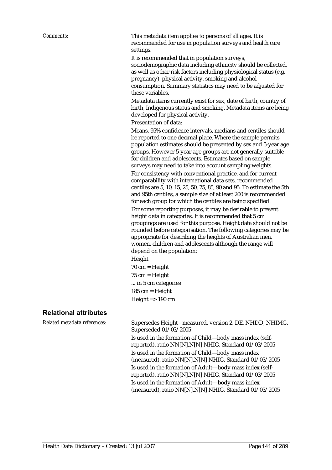*Comments:* This metadata item applies to persons of all ages. It is recommended for use in population surveys and health care settings.

> It is recommended that in population surveys, sociodemographic data including ethnicity should be collected, as well as other risk factors including physiological status (e.g. pregnancy), physical activity, smoking and alcohol consumption. Summary statistics may need to be adjusted for these variables.

Metadata items currently exist for sex, date of birth, country of birth, Indigenous status and smoking. Metadata items are being developed for physical activity.

Presentation of data:

Means, 95% confidence intervals, medians and centiles should be reported to one decimal place. Where the sample permits, population estimates should be presented by sex and 5-year age groups. However 5-year age groups are not generally suitable for children and adolescents. Estimates based on sample surveys may need to take into account sampling weights. For consistency with conventional practice, and for current comparability with international data sets, recommended centiles are 5, 10, 15, 25, 50, 75, 85, 90 and 95. To estimate the 5th and 95th centiles, a sample size of at least 200 is recommended for each group for which the centiles are being specified. For some reporting purposes, it may be desirable to present height data in categories. It is recommended that 5 cm groupings are used for this purpose. Height data should not be rounded before categorisation. The following categories may be appropriate for describing the heights of Australian men, women, children and adolescents although the range will depend on the population:

Height

 $70 \text{ cm} = \text{Height}$ 75 cm = Height ... in 5 cm categories 185 cm = Height Height  $\approx$  190 cm

#### **Relational attributes**

*Related metadata references:* Supersedes Height - measured, version 2, DE, NHDD, NHIMG, Superseded 01/03/2005 Is used in the formation of Child—body mass index (selfreported), ratio NN[N].N[N] NHIG, Standard 01/03/2005 Is used in the formation of Child—body mass index (measured), ratio NN[N].N[N] NHIG, Standard 01/03/2005 Is used in the formation of Adult—body mass index (selfreported), ratio NN[N].N[N] NHIG, Standard 01/03/2005 Is used in the formation of Adult—body mass index (measured), ratio NN[N].N[N] NHIG, Standard 01/03/2005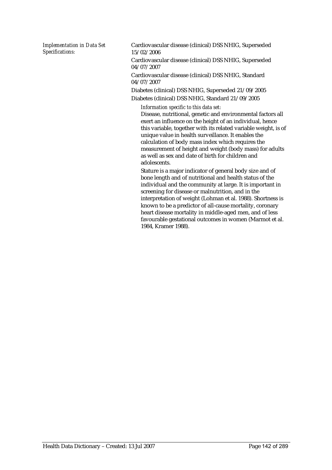*Implementation in Data Set Specifications:*

Cardiovascular disease (clinical) DSS NHIG, Superseded 15/02/2006

Cardiovascular disease (clinical) DSS NHIG, Superseded 04/07/2007

Cardiovascular disease (clinical) DSS NHIG, Standard 04/07/2007

Diabetes (clinical) DSS NHIG, Superseded 21/09/2005 Diabetes (clinical) DSS NHIG, Standard 21/09/2005

*Information specific to this data set:*

Disease, nutritional, genetic and environmental factors all exert an influence on the height of an individual, hence this variable, together with its related variable weight, is of unique value in health surveillance. It enables the calculation of body mass index which requires the measurement of height and weight (body mass) for adults as well as sex and date of birth for children and adolescents.

Stature is a major indicator of general body size and of bone length and of nutritional and health status of the individual and the community at large. It is important in screening for disease or malnutrition, and in the interpretation of weight (Lohman et al. 1988). Shortness is known to be a predictor of all-cause mortality, coronary heart disease mortality in middle-aged men, and of less favourable gestational outcomes in women (Marmot et al. 1984, Kramer 1988).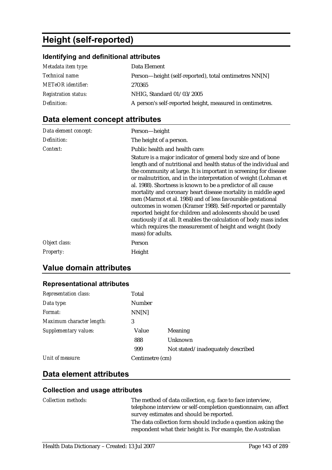# **Height (self-reported)**

# **Identifying and definitional attributes**

| Metadata item type:         | Data Element                                              |
|-----------------------------|-----------------------------------------------------------|
| Technical name:             | Person—height (self-reported), total centimetres NN[N]    |
| <b>METeOR</b> identifier:   | 270365                                                    |
| <b>Registration status:</b> | NHIG, Standard 01/03/2005                                 |
| Definition:                 | A person's self-reported height, measured in centimetres. |

# **Data element concept attributes**

| Data element concept: | Person-height                                                                                                                                                                                                                                                                                                                                                                                                                                                                                                                                                                                                                              |
|-----------------------|--------------------------------------------------------------------------------------------------------------------------------------------------------------------------------------------------------------------------------------------------------------------------------------------------------------------------------------------------------------------------------------------------------------------------------------------------------------------------------------------------------------------------------------------------------------------------------------------------------------------------------------------|
| Definition:           | The height of a person.                                                                                                                                                                                                                                                                                                                                                                                                                                                                                                                                                                                                                    |
| Context:              | Public health and health care:<br>Stature is a major indicator of general body size and of bone<br>length and of nutritional and health status of the individual and<br>the community at large. It is important in screening for disease<br>or malnutrition, and in the interpretation of weight (Lohman et<br>al. 1988). Shortness is known to be a predictor of all cause<br>mortality and coronary heart disease mortality in middle aged<br>men (Marmot et al. 1984) and of less favourable gestational<br>outcomes in women (Kramer 1988). Self-reported or parentally<br>reported height for children and adolescents should be used |
|                       | cautiously if at all. It enables the calculation of body mass index<br>which requires the measurement of height and weight (body<br>mass) for adults.                                                                                                                                                                                                                                                                                                                                                                                                                                                                                      |
| Object class:         | Person                                                                                                                                                                                                                                                                                                                                                                                                                                                                                                                                                                                                                                     |
| <b>Property:</b>      | Height                                                                                                                                                                                                                                                                                                                                                                                                                                                                                                                                                                                                                                     |

# **Value domain attributes**

### **Representational attributes**

| <b>Representation class:</b> | Total           |                                   |
|------------------------------|-----------------|-----------------------------------|
| Data type:                   | <b>Number</b>   |                                   |
| Format:                      | NN[N]           |                                   |
| Maximum character length:    | 3               |                                   |
| <b>Supplementary values:</b> | Value           | <b>Meaning</b>                    |
|                              | 888             | Unknown                           |
|                              | 999             | Not stated/inadequately described |
| Unit of measure:             | Centimetre (cm) |                                   |

## **Data element attributes**

### **Collection and usage attributes**

| <i>Collection methods:</i> | The method of data collection, e.g. face to face interview,                                                                   |
|----------------------------|-------------------------------------------------------------------------------------------------------------------------------|
|                            | telephone interview or self-completion questionnaire, can affect                                                              |
|                            | survey estimates and should be reported.                                                                                      |
|                            | The data collection form should include a question asking the<br>respondent what their height is. For example, the Australian |
|                            |                                                                                                                               |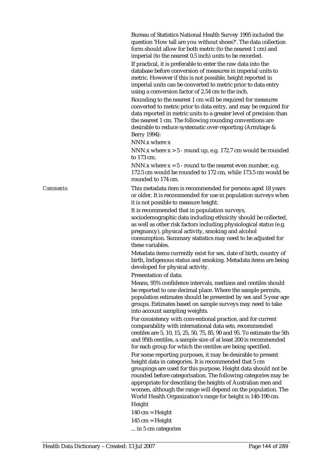Bureau of Statistics National Health Survey 1995 included the question 'How tall are you without shoes?'. The data collection form should allow for both metric (to the nearest 1 cm) and imperial (to the nearest 0.5 inch) units to be recorded.

If practical, it is preferable to enter the raw data into the database before conversion of measures in imperial units to metric. However if this is not possible, height reported in imperial units can be converted to metric prior to data entry using a conversion factor of 2.54 cm to the inch.

Rounding to the nearest 1 cm will be required for measures converted to metric prior to data entry, and may be required for data reported in metric units to a greater level of precision than the nearest 1 cm. The following rounding conventions are desirable to reduce systematic over-reporting (Armitage & Berry 1994):

NNN.x where x

NNN.x where  $x > 5$  - round up, e.g. 172.7 cm would be rounded to 173 cm.

NNN.x where  $x = 5$  - round to the nearest even number, e.g. 172.5 cm would be rounded to 172 cm, while 173.5 cm would be rounded to 174 cm.

*Comments:* This metadata item is recommended for persons aged 18 years or older. It is recommended for use in population surveys when it is not possible to measure height.

> It is recommended that in population surveys, sociodemographic data including ethnicity should be collected, as well as other risk factors including physiological status (e.g. pregnancy), physical activity, smoking and alcohol consumption. Summary statistics may need to be adjusted for these variables.

Metadata items currently exist for sex, date of birth, country of birth, Indigenous status and smoking. Metadata items are being developed for physical activity.

Presentation of data:

Means, 95% confidence intervals, medians and centiles should be reported to one decimal place. Where the sample permits, population estimates should be presented by sex and 5-year age groups. Estimates based on sample surveys may need to take into account sampling weights.

For consistency with conventional practice, and for current comparability with international data sets, recommended centiles are 5, 10, 15, 25, 50, 75, 85, 90 and 95. To estimate the 5th and 95th centiles, a sample size of at least 200 is recommended for each group for which the centiles are being specified.

For some reporting purposes, it may be desirable to present height data in categories. It is recommended that 5 cm groupings are used for this purpose. Height data should not be rounded before categorisation. The following categories may be appropriate for describing the heights of Australian men and women, although the range will depend on the population. The World Health Organization's range for height is 140-190 cm.

Height

- $140$  cm = Height
- $145$  cm = Height
- ... in 5 cm categories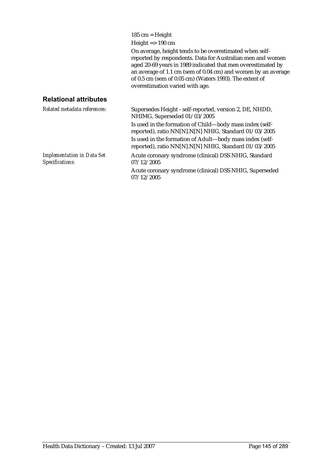185 cm = Height

Height  $\approx$  190 cm

On average, height tends to be overestimated when selfreported by respondents. Data for Australian men and women aged 20-69 years in 1989 indicated that men overestimated by an average of 1.1 cm (sem of 0.04 cm) and women by an average of 0.5 cm (sem of 0.05 cm) (Waters 1993). The extent of overestimation varied with age.

#### **Relational attributes**

| Related metadata references:                         | Supersedes Height - self-reported, version 2, DE, NHDD,<br>NHIMG, Superseded 01/03/2005                           |
|------------------------------------------------------|-------------------------------------------------------------------------------------------------------------------|
|                                                      | Is used in the formation of Child—body mass index (self-<br>reported), ratio NN[N].N[N] NHIG, Standard 01/03/2005 |
|                                                      | Is used in the formation of Adult-body mass index (self-<br>reported), ratio NN[N].N[N] NHIG, Standard 01/03/2005 |
| <b>Implementation in Data Set</b><br>Specifications: | Acute coronary syndrome (clinical) DSS NHIG, Standard<br>07/12/2005                                               |
|                                                      | Acute coronary syndrome (clinical) DSS NHIG, Superseded<br>07/12/2005                                             |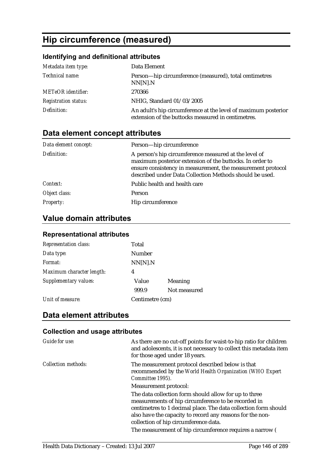# **Hip circumference (measured)**

## **Identifying and definitional attributes**

| Metadata item type:         | Data Element                                                                                                         |
|-----------------------------|----------------------------------------------------------------------------------------------------------------------|
| Technical name:             | Person—hip circumference (measured), total centimetres<br>NN[N].N                                                    |
| <b>METeOR</b> identifier:   | 270366                                                                                                               |
| <b>Registration status:</b> | NHIG, Standard 01/03/2005                                                                                            |
| Definition:                 | An adult's hip circumference at the level of maximum posterior<br>extension of the buttocks measured in centimetres. |

# **Data element concept attributes**

| Data element concept: | Person-hip circumference                                                                                                                                                                                                                    |
|-----------------------|---------------------------------------------------------------------------------------------------------------------------------------------------------------------------------------------------------------------------------------------|
| Definition:           | A person's hip circumference measured at the level of<br>maximum posterior extension of the buttocks. In order to<br>ensure consistency in measurement, the measurement protocol<br>described under Data Collection Methods should be used. |
| Context:              | Public health and health care                                                                                                                                                                                                               |
| Object class:         | Person                                                                                                                                                                                                                                      |
| Property:             | Hip circumference                                                                                                                                                                                                                           |

# **Value domain attributes**

### **Representational attributes**

| <b>Representation class:</b> | Total           |              |
|------------------------------|-----------------|--------------|
| Data type:                   | <b>Number</b>   |              |
| Format:                      | NN[N].N         |              |
| Maximum character length:    | 4               |              |
| Supplementary values:        | Value           | Meaning      |
|                              | 999.9           | Not measured |
| Unit of measure:             | Centimetre (cm) |              |

## **Data element attributes**

### **Collection and usage attributes**

| Guide for use:             | As there are no cut-off points for waist-to-hip ratio for children<br>and adolescents, it is not necessary to collect this metadata item<br>for those aged under 18 years.                                                                                                            |
|----------------------------|---------------------------------------------------------------------------------------------------------------------------------------------------------------------------------------------------------------------------------------------------------------------------------------|
| <b>Collection methods:</b> | The measurement protocol described below is that<br>recommended by the World Health Organization (WHO Expert<br>Committee 1995).                                                                                                                                                      |
|                            | Measurement protocol:                                                                                                                                                                                                                                                                 |
|                            | The data collection form should allow for up to three<br>measurements of hip circumference to be recorded in<br>centimetres to 1 decimal place. The data collection form should<br>also have the capacity to record any reasons for the non-<br>collection of hip circumference data. |
|                            | The measurement of hip circumference requires a narrow (                                                                                                                                                                                                                              |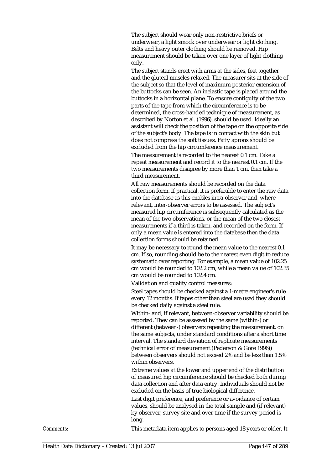The subject should wear only non-restrictive briefs or underwear, a light smock over underwear or light clothing. Belts and heavy outer clothing should be removed. Hip measurement should be taken over one layer of light clothing only.

The subject stands erect with arms at the sides, feet together and the gluteal muscles relaxed. The measurer sits at the side of the subject so that the level of maximum posterior extension of the buttocks can be seen. An inelastic tape is placed around the buttocks in a horizontal plane. To ensure contiguity of the two parts of the tape from which the circumference is to be determined, the cross-handed technique of measurement, as described by Norton et al. (1996), should be used. Ideally an assistant will check the position of the tape on the opposite side of the subject's body. The tape is in contact with the skin but does not compress the soft tissues. Fatty aprons should be excluded from the hip circumference measurement.

The measurement is recorded to the nearest 0.1 cm. Take a repeat measurement and record it to the nearest 0.1 cm. If the two measurements disagree by more than 1 cm, then take a third measurement.

All raw measurements should be recorded on the data collection form. If practical, it is preferable to enter the raw data into the database as this enables intra-observer and, where relevant, inter-observer errors to be assessed. The subject's measured hip circumference is subsequently calculated as the mean of the two observations, or the mean of the two closest measurements if a third is taken, and recorded on the form. If only a mean value is entered into the database then the data collection forms should be retained.

It may be necessary to round the mean value to the nearest 0.1 cm. If so, rounding should be to the nearest even digit to reduce systematic over reporting. For example, a mean value of 102.25 cm would be rounded to 102.2 cm, while a mean value of 102.35 cm would be rounded to 102.4 cm.

Validation and quality control measures:

Steel tapes should be checked against a 1-metre engineer's rule every 12 months. If tapes other than steel are used they should be checked daily against a steel rule.

Within- and, if relevant, between-observer variability should be reported. They can be assessed by the same (within-) or different (between-) observers repeating the measurement, on the same subjects, under standard conditions after a short time interval. The standard deviation of replicate measurements (technical error of measurement (Pederson & Gore 1996)) between observers should not exceed 2% and be less than 1.5% within observers.

Extreme values at the lower and upper end of the distribution of measured hip circumference should be checked both during data collection and after data entry. Individuals should not be excluded on the basis of true biological difference.

Last digit preference, and preference or avoidance of certain values, should be analysed in the total sample and (if relevant) by observer, survey site and over time if the survey period is long.

*Comments:* This metadata item applies to persons aged 18 years or older. It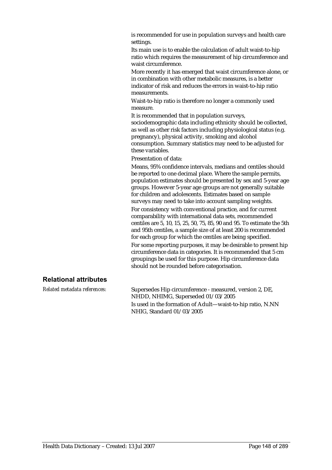is recommended for use in population surveys and health care settings.

Its main use is to enable the calculation of adult waist-to-hip ratio which requires the measurement of hip circumference and waist circumference.

More recently it has emerged that waist circumference alone, or in combination with other metabolic measures, is a better indicator of risk and reduces the errors in waist-to-hip ratio measurements.

Waist-to-hip ratio is therefore no longer a commonly used measure.

It is recommended that in population surveys, sociodemographic data including ethnicity should be collected, as well as other risk factors including physiological status (e.g. pregnancy), physical activity, smoking and alcohol consumption. Summary statistics may need to be adjusted for these variables.

Presentation of data:

Means, 95% confidence intervals, medians and centiles should be reported to one decimal place. Where the sample permits, population estimates should be presented by sex and 5-year age groups. However 5-year age groups are not generally suitable for children and adolescents. Estimates based on sample surveys may need to take into account sampling weights. For consistency with conventional practice, and for current comparability with international data sets, recommended centiles are 5, 10, 15, 25, 50, 75, 85, 90 and 95. To estimate the 5th and 95th centiles, a sample size of at least 200 is recommended for each group for which the centiles are being specified. For some reporting purposes, it may be desirable to present hip circumference data in categories. It is recommended that 5 cm groupings be used for this purpose. Hip circumference data should not be rounded before categorisation.

#### **Relational attributes**

*Related metadata references:* Supersedes Hip circumference - measured, version 2, DE, NHDD, NHIMG, Superseded 01/03/2005 Is used in the formation of Adult—waist-to-hip ratio, N.NN NHIG, Standard 01/03/2005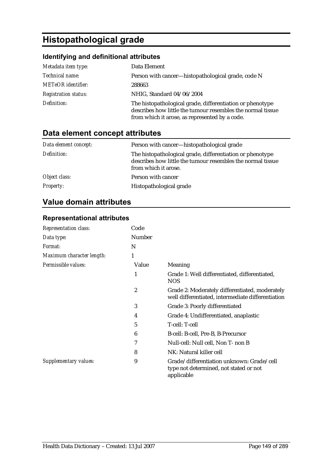# **Histopathological grade**

## **Identifying and definitional attributes**

| Metadata item type:         | Data Element                                                                                                                                                               |
|-----------------------------|----------------------------------------------------------------------------------------------------------------------------------------------------------------------------|
| Technical name:             | Person with cancer—histopathological grade, code N                                                                                                                         |
| <b>METeOR</b> identifier:   | 288663                                                                                                                                                                     |
| <b>Registration status:</b> | NHIG, Standard 04/06/2004                                                                                                                                                  |
| Definition:                 | The histopathological grade, differentiation or phenotype<br>describes how little the tumour resembles the normal tissue<br>from which it arose, as represented by a code. |

# **Data element concept attributes**

| Data element concept: | Person with cancer—histopathological grade                                                                                                       |
|-----------------------|--------------------------------------------------------------------------------------------------------------------------------------------------|
| Definition:           | The histopathological grade, differentiation or phenotype<br>describes how little the tumour resembles the normal tissue<br>from which it arose. |
| Object class:         | Person with cancer                                                                                                                               |
| <b>Property:</b>      | Histopathological grade                                                                                                                          |

# **Value domain attributes**

### **Representational attributes**

| <b>Representation class:</b> | Code          |                                                                                                     |
|------------------------------|---------------|-----------------------------------------------------------------------------------------------------|
| Data type:                   | <b>Number</b> |                                                                                                     |
| Format:                      | N             |                                                                                                     |
| Maximum character length:    | 1             |                                                                                                     |
| Permissible values:          | Value         | Meaning                                                                                             |
|                              | 1             | Grade 1: Well differentiated, differentiated,<br><b>NOS</b>                                         |
|                              | 2             | Grade 2: Moderately differentiated, moderately<br>well differentiated, intermediate differentiation |
|                              | 3             | Grade 3: Poorly differentiated                                                                      |
|                              | 4             | Grade 4: Undifferentiated, anaplastic                                                               |
|                              | 5             | T-cell: T-cell                                                                                      |
|                              | 6             | B-cell: B-cell, Pre-B, B-Precursor                                                                  |
|                              | 7             | Null-cell: Null cell, Non T- non B                                                                  |
|                              | 8             | NK: Natural killer cell                                                                             |
| Supplementary values:        | 9             | Grade/differentiation unknown: Grade/cell<br>type not determined, not stated or not<br>applicable   |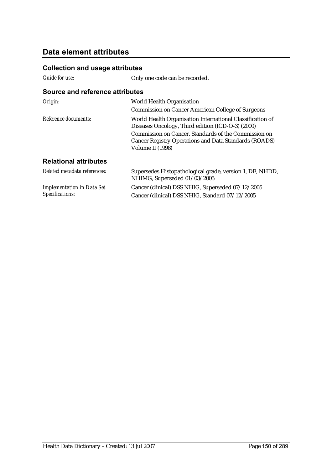## **Data element attributes**

### **Collection and usage attributes**

| Guide for use: |  |
|----------------|--|
|----------------|--|

*Implementation in Data Set* 

*Specifications:*

Only one code can be recorded.

#### **Source and reference attributes**

| Origin:                      | World Health Organisation<br><b>Commission on Cancer American College of Surgeons</b>                                                                                                                                                               |
|------------------------------|-----------------------------------------------------------------------------------------------------------------------------------------------------------------------------------------------------------------------------------------------------|
| Reference documents:         | World Health Organisation International Classification of<br>Diseases Oncology, Third edition (ICD-O-3) (2000)<br>Commission on Cancer, Standards of the Commission on<br>Cancer Registry Operations and Data Standards (ROADS)<br>Volume II (1998) |
| <b>Relational attributes</b> |                                                                                                                                                                                                                                                     |
| Related metadata references: | Supersedes Histopathological grade, version 1, DE, NHDD,<br>NHIMG, Superseded 01/03/2005                                                                                                                                                            |

Cancer (clinical) DSS NHIG, Superseded 07/12/2005 Cancer (clinical) DSS NHIG, Standard 07/12/2005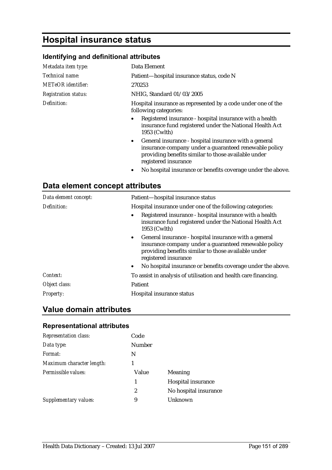# **Hospital insurance status**

## **Identifying and definitional attributes**

| Metadata item type:         | Data Element                                                                                                                                                                                    |
|-----------------------------|-------------------------------------------------------------------------------------------------------------------------------------------------------------------------------------------------|
| Technical name:             | Patient-hospital insurance status, code N                                                                                                                                                       |
| METeOR identifier:          | 270253                                                                                                                                                                                          |
| <b>Registration status:</b> | NHIG, Standard 01/03/2005                                                                                                                                                                       |
| Definition:                 | Hospital insurance as represented by a code under one of the<br>following categories:                                                                                                           |
|                             | Registered insurance - hospital insurance with a health<br>insurance fund registered under the National Health Act<br>1953 (Cwlth)                                                              |
|                             | • General insurance - hospital insurance with a general<br>insurance company under a guaranteed renewable policy<br>providing benefits similar to those available under<br>registered insurance |

• No hospital insurance or benefits coverage under the above.

## **Data element concept attributes**

| Data element concept: | Patient-hospital insurance status                                                                                                                                                               |
|-----------------------|-------------------------------------------------------------------------------------------------------------------------------------------------------------------------------------------------|
| Definition:           | Hospital insurance under one of the following categories:                                                                                                                                       |
|                       | Registered insurance - hospital insurance with a health<br>insurance fund registered under the National Health Act<br>1953 (Cwlth)                                                              |
|                       | • General insurance - hospital insurance with a general<br>insurance company under a guaranteed renewable policy<br>providing benefits similar to those available under<br>registered insurance |
|                       | No hospital insurance or benefits coverage under the above.<br>$\bullet$                                                                                                                        |
| Context:              | To assist in analysis of utilisation and health care financing.                                                                                                                                 |
| Object class:         | Patient                                                                                                                                                                                         |
| <b>Property:</b>      | Hospital insurance status                                                                                                                                                                       |

## **Value domain attributes**

#### **Representational attributes**

| <b>Representation class:</b> | Code   |                       |
|------------------------------|--------|-----------------------|
| Data type:                   | Number |                       |
| Format:                      | N      |                       |
| Maximum character length:    |        |                       |
| Permissible values:          | Value  | Meaning               |
|                              | 1      | Hospital insurance    |
|                              | 2      | No hospital insurance |
| Supplementary values:        | 9      | Unknown               |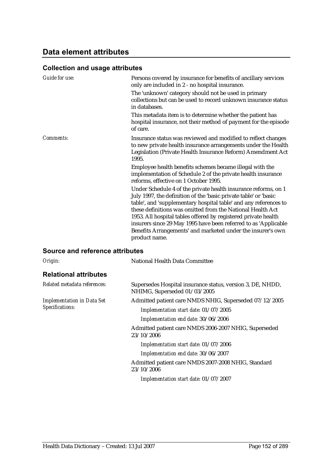## **Data element attributes**

## **Collection and usage attributes**

| Guide for use: | Persons covered by insurance for benefits of ancillary services<br>only are included in 2 - no hospital insurance.                                                                                                                                                                                                                                                                                        |
|----------------|-----------------------------------------------------------------------------------------------------------------------------------------------------------------------------------------------------------------------------------------------------------------------------------------------------------------------------------------------------------------------------------------------------------|
|                | The 'unknown' category should not be used in primary<br>collections but can be used to record unknown insurance status<br>in databases.                                                                                                                                                                                                                                                                   |
|                | This metadata item is to determine whether the patient has<br>hospital insurance, not their method of payment for the episode<br>of care.                                                                                                                                                                                                                                                                 |
| Comments:      | Insurance status was reviewed and modified to reflect changes<br>to new private health insurance arrangements under the Health<br>Legislation (Private Health Insurance Reform) Amendment Act<br>1995.                                                                                                                                                                                                    |
|                | Employee health benefits schemes became illegal with the<br>implementation of Schedule 2 of the private health insurance<br>reforms, effective on 1 October 1995.                                                                                                                                                                                                                                         |
|                | Under Schedule 4 of the private health insurance reforms, on 1<br>July 1997, the definition of the 'basic private table' or 'basic<br>table', and 'supplementary hospital table' and any references to<br>these definitions was omitted from the National Health Act<br>1953. All hospital tables offered by registered private health<br>insurers since 29 May 1995 have been referred to as 'Applicable |
|                | Benefits Arrangements' and marketed under the insurer's own<br>product name.                                                                                                                                                                                                                                                                                                                              |

| Origin:                                              | National Health Data Committee                                                             |
|------------------------------------------------------|--------------------------------------------------------------------------------------------|
| <b>Relational attributes</b>                         |                                                                                            |
| Related metadata references:                         | Supersedes Hospital insurance status, version 3, DE, NHDD,<br>NHIMG, Superseded 01/03/2005 |
| <b>Implementation in Data Set</b><br>Specifications: | Admitted patient care NMDS NHIG, Superseded 07/12/2005                                     |
|                                                      | Implementation start date: 01/07/2005                                                      |
|                                                      | Implementation end date: 30/06/2006                                                        |
|                                                      | Admitted patient care NMDS 2006-2007 NHIG, Superseded<br>23/10/2006                        |
|                                                      | Implementation start date: 01/07/2006                                                      |
|                                                      | Implementation end date: 30/06/2007                                                        |
|                                                      | Admitted patient care NMDS 2007-2008 NHIG, Standard<br>23/10/2006                          |
|                                                      | Implementation start date: 01/07/2007                                                      |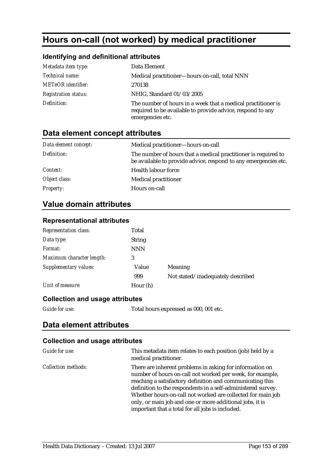# **Hours on-call (not worked) by medical practitioner**

### **Identifying and definitional attributes**

| Metadata item type:         | Data Element                                                                                                                                   |
|-----------------------------|------------------------------------------------------------------------------------------------------------------------------------------------|
| Technical name:             | Medical practitioner-hours on-call, total NNN                                                                                                  |
| <b>METeOR</b> identifier:   | 270138                                                                                                                                         |
| <b>Registration status:</b> | NHIG, Standard 01/03/2005                                                                                                                      |
| Definition:                 | The number of hours in a week that a medical practitioner is<br>required to be available to provide advice, respond to any<br>emergencies etc. |

## **Data element concept attributes**

| Data element concept: | Medical practitioner-hours on-call                                                                                                |
|-----------------------|-----------------------------------------------------------------------------------------------------------------------------------|
| Definition:           | The number of hours that a medical practitioner is required to<br>be available to provide advice, respond to any emergencies etc. |
| Context:              | Health labour force                                                                                                               |
| Object class:         | <b>Medical practitioner</b>                                                                                                       |
| <b>Property:</b>      | Hours on-call                                                                                                                     |

## **Value domain attributes**

#### **Representational attributes**

| <b>Representation class:</b> | Total         |                                   |
|------------------------------|---------------|-----------------------------------|
| Data type:                   | <b>String</b> |                                   |
| Format:                      | <b>NNN</b>    |                                   |
| Maximum character length:    | 3             |                                   |
| Supplementary values:        | Value         | Meaning                           |
|                              | 999           | Not stated/inadequately described |
| Unit of measure:             | Hour (h)      |                                   |

#### **Collection and usage attributes**

*Guide for use:* Total hours expressed as 000, 001 etc.

## **Data element attributes**

#### **Collection and usage attributes**

| Guide for use:             | This metadata item relates to each position (job) held by a<br>medical practitioner.                                                                                                                                                                                                                                                                                                                                              |
|----------------------------|-----------------------------------------------------------------------------------------------------------------------------------------------------------------------------------------------------------------------------------------------------------------------------------------------------------------------------------------------------------------------------------------------------------------------------------|
| <b>Collection methods:</b> | There are inherent problems in asking for information on<br>number of hours on-call not worked per week, for example,<br>reaching a satisfactory definition and communicating this<br>definition to the respondents in a self-administered survey.<br>Whether hours on-call not worked are collected for main job<br>only, or main job and one or more additional jobs, it is<br>important that a total for all jobs is included. |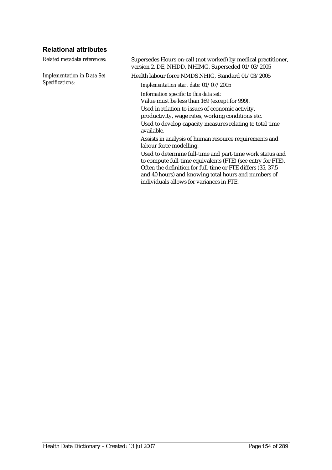## **Relational attributes**

*Implementation in Data Set Specifications:*

*Related metadata references:* Supersedes Hours on-call (not worked) by medical practitioner, version 2, DE, NHDD, NHIMG, Superseded 01/03/2005

Health labour force NMDS NHIG, Standard 01/03/2005

*Implementation start date:* 01/07/2005

*Information specific to this data set:*

Value must be less than 169 (except for 999).

Used in relation to issues of economic activity, productivity, wage rates, working conditions etc.

Used to develop capacity measures relating to total time available.

Assists in analysis of human resource requirements and labour force modelling.

Used to determine full-time and part-time work status and to compute full-time equivalents (FTE) (see entry for FTE). Often the definition for full-time or FTE differs (35, 37.5 and 40 hours) and knowing total hours and numbers of individuals allows for variances in FTE.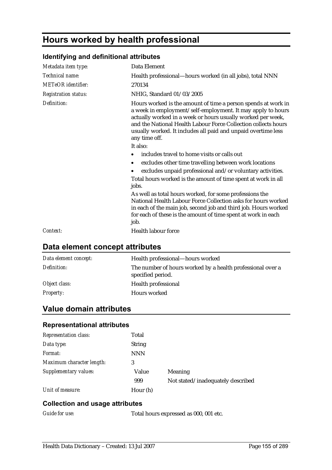# **Hours worked by health professional**

## **Identifying and definitional attributes**

| Metadata item type:         | Data Element                                                                                                                                                                                                                                                                                                                                                                                                                                                                      |
|-----------------------------|-----------------------------------------------------------------------------------------------------------------------------------------------------------------------------------------------------------------------------------------------------------------------------------------------------------------------------------------------------------------------------------------------------------------------------------------------------------------------------------|
| Technical name:             | Health professional—hours worked (in all jobs), total NNN                                                                                                                                                                                                                                                                                                                                                                                                                         |
| <b>METeOR</b> identifier:   | 270134                                                                                                                                                                                                                                                                                                                                                                                                                                                                            |
| <b>Registration status:</b> | NHIG, Standard 01/03/2005                                                                                                                                                                                                                                                                                                                                                                                                                                                         |
| Definition:                 | Hours worked is the amount of time a person spends at work in<br>a week in employment/self-employment. It may apply to hours<br>actually worked in a week or hours usually worked per week,<br>and the National Health Labour Force Collection collects hours<br>usually worked. It includes all paid and unpaid overtime less<br>any time off.<br>It also:                                                                                                                       |
|                             | includes travel to home visits or calls out                                                                                                                                                                                                                                                                                                                                                                                                                                       |
|                             | excludes other time travelling between work locations<br>$\bullet$<br>excludes unpaid professional and/or voluntary activities.<br>Total hours worked is the amount of time spent at work in all<br>jobs.<br>As well as total hours worked, for some professions the<br>National Health Labour Force Collection asks for hours worked<br>in each of the main job, second job and third job. Hours worked<br>for each of these is the amount of time spent at work in each<br>job. |
| Context:                    | Health labour force                                                                                                                                                                                                                                                                                                                                                                                                                                                               |

## **Data element concept attributes**

| Data element concept: | Health professional-hours worked                                                |
|-----------------------|---------------------------------------------------------------------------------|
| Definition:           | The number of hours worked by a health professional over a<br>specified period. |
| Object class:         | Health professional                                                             |
| <b>Property:</b>      | Hours worked                                                                    |

## **Value domain attributes**

### **Representational attributes**

| <b>Representation class:</b> | Total         |                                   |
|------------------------------|---------------|-----------------------------------|
| Data type:                   | <b>String</b> |                                   |
| Format:                      | <b>NNN</b>    |                                   |
| Maximum character length:    | 3             |                                   |
| Supplementary values:        | Value         | Meaning                           |
|                              | 999           | Not stated/inadequately described |
| Unit of measure:             | Hour (h)      |                                   |

#### **Collection and usage attributes**

*Guide for use:* Total hours expressed as 000, 001 etc.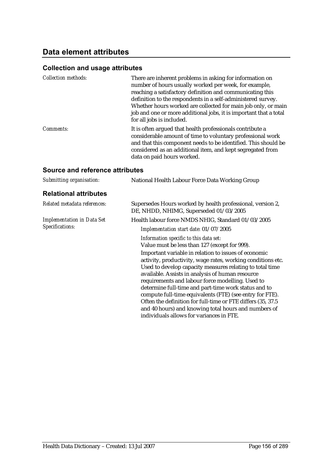## **Data element attributes**

## **Collection and usage attributes**

| <b>Collection methods:</b> | There are inherent problems in asking for information on<br>number of hours usually worked per week, for example,<br>reaching a satisfactory definition and communicating this<br>definition to the respondents in a self-administered survey.<br>Whether hours worked are collected for main job only, or main<br>job and one or more additional jobs, it is important that a total<br>for all jobs is included. |
|----------------------------|-------------------------------------------------------------------------------------------------------------------------------------------------------------------------------------------------------------------------------------------------------------------------------------------------------------------------------------------------------------------------------------------------------------------|
| <i>Comments:</i>           | It is often argued that health professionals contribute a<br>considerable amount of time to voluntary professional work<br>and that this component needs to be identified. This should be<br>considered as an additional item, and kept segregated from<br>data on paid hours worked.                                                                                                                             |

| Submitting organisation:                             | National Health Labour Force Data Working Group                                                                                                                                                                                                                                                                                                                                                                                                                                                                                                                                 |
|------------------------------------------------------|---------------------------------------------------------------------------------------------------------------------------------------------------------------------------------------------------------------------------------------------------------------------------------------------------------------------------------------------------------------------------------------------------------------------------------------------------------------------------------------------------------------------------------------------------------------------------------|
| <b>Relational attributes</b>                         |                                                                                                                                                                                                                                                                                                                                                                                                                                                                                                                                                                                 |
| Related metadata references:                         | Supersedes Hours worked by health professional, version 2,<br>DE, NHDD, NHIMG, Superseded 01/03/2005                                                                                                                                                                                                                                                                                                                                                                                                                                                                            |
| <b>Implementation in Data Set</b><br>Specifications: | Health labour force NMDS NHIG, Standard 01/03/2005                                                                                                                                                                                                                                                                                                                                                                                                                                                                                                                              |
|                                                      | Implementation start date: 01/07/2005                                                                                                                                                                                                                                                                                                                                                                                                                                                                                                                                           |
|                                                      | Information specific to this data set:<br>Value must be less than 127 (except for 999).                                                                                                                                                                                                                                                                                                                                                                                                                                                                                         |
|                                                      | Important variable in relation to issues of economic<br>activity, productivity, wage rates, working conditions etc.<br>Used to develop capacity measures relating to total time<br>available. Assists in analysis of human resource<br>requirements and labour force modelling. Used to<br>determine full-time and part-time work status and to<br>compute full-time equivalents (FTE) (see entry for FTE).<br>Often the definition for full-time or FTE differs (35, 37.5)<br>and 40 hours) and knowing total hours and numbers of<br>individuals allows for variances in FTE. |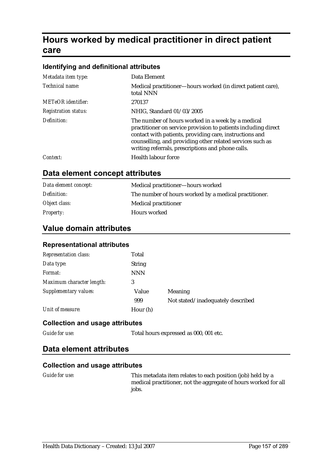# **Hours worked by medical practitioner in direct patient care**

#### **Identifying and definitional attributes**

| Metadata item type:         | Data Element                                                                                                                                                                                                                                                                                     |
|-----------------------------|--------------------------------------------------------------------------------------------------------------------------------------------------------------------------------------------------------------------------------------------------------------------------------------------------|
| Technical name:             | Medical practitioner-hours worked (in direct patient care),<br>total NNN                                                                                                                                                                                                                         |
| METeOR identifier:          | 270137                                                                                                                                                                                                                                                                                           |
| <b>Registration status:</b> | NHIG, Standard 01/03/2005                                                                                                                                                                                                                                                                        |
| Definition:                 | The number of hours worked in a week by a medical<br>practitioner on service provision to patients including direct<br>contact with patients, providing care, instructions and<br>counselling, and providing other related services such as<br>writing referrals, prescriptions and phone calls. |
| Context:                    | Health labour force                                                                                                                                                                                                                                                                              |

## **Data element concept attributes**

| Data element concept: | Medical practitioner-hours worked                     |
|-----------------------|-------------------------------------------------------|
| Definition:           | The number of hours worked by a medical practitioner. |
| Object class:         | Medical practitioner                                  |
| <i>Property:</i>      | <b>Hours</b> worked                                   |

### **Value domain attributes**

#### **Representational attributes**

| <b>Representation class:</b> | Total         |                                   |
|------------------------------|---------------|-----------------------------------|
| Data type:                   | <b>String</b> |                                   |
| Format:                      | <b>NNN</b>    |                                   |
| Maximum character length:    | 3             |                                   |
| Supplementary values:        | Value         | Meaning                           |
|                              | 999           | Not stated/inadequately described |
| Unit of measure:             | Hour (h)      |                                   |

#### **Collection and usage attributes**

*Guide for use:* Total hours expressed as 000, 001 etc.

### **Data element attributes**

#### **Collection and usage attributes**

*Guide for use:* This metadata item relates to each position (job) held by a medical practitioner, not the aggregate of hours worked for all jobs.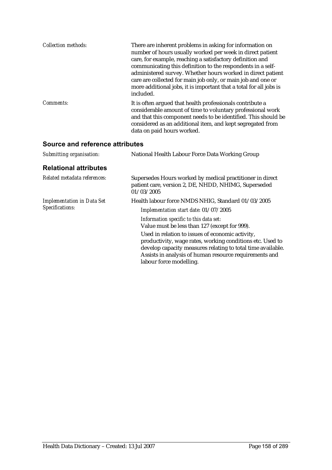| <b>Collection methods:</b> | There are inherent problems in asking for information on<br>number of hours usually worked per week in direct patient<br>care, for example, reaching a satisfactory definition and<br>communicating this definition to the respondents in a self-<br>administered survey. Whether hours worked in direct patient<br>care are collected for main job only, or main job and one or<br>more additional jobs, it is important that a total for all jobs is<br>included. |
|----------------------------|---------------------------------------------------------------------------------------------------------------------------------------------------------------------------------------------------------------------------------------------------------------------------------------------------------------------------------------------------------------------------------------------------------------------------------------------------------------------|
| Comments:                  | It is often argued that health professionals contribute a<br>considerable amount of time to voluntary professional work<br>and that this component needs to be identified. This should be<br>considered as an additional item, and kept segregated from<br>data on paid hours worked.                                                                                                                                                                               |

| National Health Labour Force Data Working Group                                                                                                                                                                                                                   |
|-------------------------------------------------------------------------------------------------------------------------------------------------------------------------------------------------------------------------------------------------------------------|
|                                                                                                                                                                                                                                                                   |
| Supersedes Hours worked by medical practitioner in direct<br>patient care, version 2, DE, NHDD, NHIMG, Superseded<br>01/03/2005                                                                                                                                   |
| Health labour force NMDS NHIG, Standard 01/03/2005<br>Implementation start date: 01/07/2005                                                                                                                                                                       |
| Information specific to this data set:<br>Value must be less than 127 (except for 999).                                                                                                                                                                           |
| Used in relation to issues of economic activity,<br>productivity, wage rates, working conditions etc. Used to<br>develop capacity measures relating to total time available.<br>Assists in analysis of human resource requirements and<br>labour force modelling. |
|                                                                                                                                                                                                                                                                   |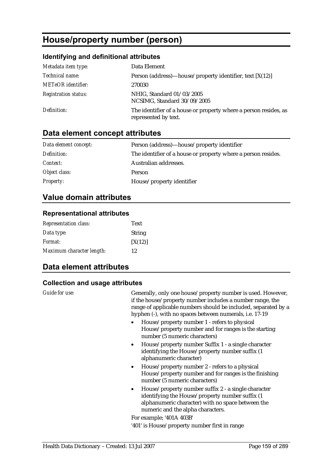# **House/property number (person)**

## **Identifying and definitional attributes**

| Metadata item type:         | Data Element                                                                             |
|-----------------------------|------------------------------------------------------------------------------------------|
| Technical name:             | Person (address)—house/property identifier, text $[X(12)]$                               |
| <b>METeOR</b> identifier:   | 270030                                                                                   |
| <b>Registration status:</b> | NHIG, Standard 01/03/2005<br>NCSIMG, Standard 30/09/2005                                 |
| Definition:                 | The identifier of a house or property where a person resides, as<br>represented by text. |

# **Data element concept attributes**

| Data element concept: | Person (address)—house/property identifier                    |
|-----------------------|---------------------------------------------------------------|
| Definition:           | The identifier of a house or property where a person resides. |
| <i>Context:</i>       | Australian addresses.                                         |
| Object class:         | <b>Person</b>                                                 |
| <b>Property:</b>      | House/property identifier                                     |

# **Value domain attributes**

#### **Representational attributes**

| <b>Representation class:</b> | <b>Text</b>   |
|------------------------------|---------------|
| Data type:                   | <b>String</b> |
| Format:                      | [X(12)]       |
| Maximum character length:    | 12            |

# **Data element attributes**

### **Collection and usage attributes**

| Guide for use: | Generally, only one house/property number is used. However,<br>if the house/property number includes a number range, the<br>range of applicable numbers should be included, separated by a<br>hyphen (-), with no spaces between numerals, i.e. 17-19 |
|----------------|-------------------------------------------------------------------------------------------------------------------------------------------------------------------------------------------------------------------------------------------------------|
|                | House/property number 1 - refers to physical<br>House/property number and for ranges is the starting<br>number (5 numeric characters)                                                                                                                 |
|                | House/property number Suffix 1 - a single character<br>$\bullet$<br>identifying the House/property number suffix (1<br>alphanumeric character)                                                                                                        |
|                | House/property number 2 - refers to a physical<br>$\bullet$<br>House/property number and for ranges is the finishing<br>number (5 numeric characters)                                                                                                 |
|                | House/property number suffix 2 - a single character<br>$\bullet$<br>identifying the House/property number suffix (1<br>alphanumeric character) with no space between the<br>numeric and the alpha characters.                                         |
|                | For example; '401A 403B'                                                                                                                                                                                                                              |
|                | '401' is House/property number first in range                                                                                                                                                                                                         |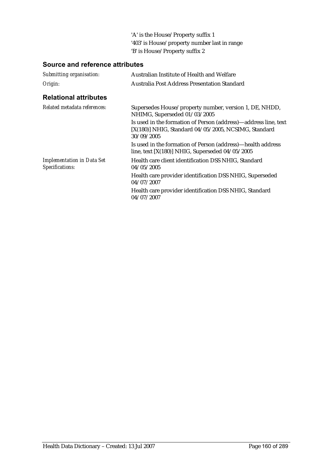'A' is the House/Property suffix 1 '403' is House/property number last in range 'B' is House/Property suffix 2

| Submitting organisation:                             | Australian Institute of Health and Welfare                                                                                              |
|------------------------------------------------------|-----------------------------------------------------------------------------------------------------------------------------------------|
| Origin:                                              | Australia Post Address Presentation Standard                                                                                            |
| <b>Relational attributes</b>                         |                                                                                                                                         |
| Related metadata references:                         | Supersedes House/property number, version 1, DE, NHDD,<br>NHIMG, Superseded 01/03/2005                                                  |
|                                                      | Is used in the formation of Person (address)—address line, text<br>$[X(180)]$ NHIG, Standard 04/05/2005, NCSIMG, Standard<br>30/09/2005 |
|                                                      | Is used in the formation of Person (address)—health address<br>line, text $[X(180)]$ NHIG, Superseded $04/05/2005$                      |
| <b>Implementation in Data Set</b><br>Specifications: | Health care client identification DSS NHIG, Standard<br>04/05/2005                                                                      |
|                                                      | Health care provider identification DSS NHIG, Superseded<br>04/07/2007                                                                  |
|                                                      | Health care provider identification DSS NHIG, Standard<br>04/07/2007                                                                    |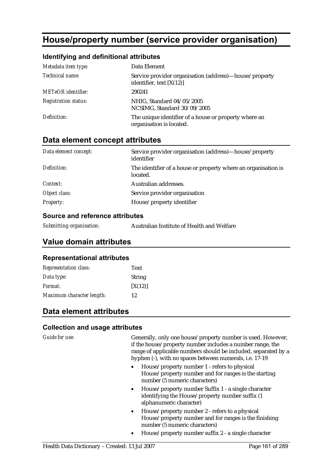# **House/property number (service provider organisation)**

#### **Identifying and definitional attributes**

| Metadata item type:         | Data Element                                                                         |
|-----------------------------|--------------------------------------------------------------------------------------|
| Technical name:             | Service provider organisation (address)—house/property<br>identifier, text $[X(12)]$ |
| <b>METeOR</b> identifier:   | 290241                                                                               |
| <b>Registration status:</b> | NHIG, Standard 04/05/2005<br>NCSIMG, Standard 30/09/2005                             |
| Definition:                 | The unique identifier of a house or property where an<br>organisation is located.    |

## **Data element concept attributes**

| Data element concept: | Service provider organisation (address)—house/property<br>identifier       |
|-----------------------|----------------------------------------------------------------------------|
| Definition:           | The identifier of a house or property where an organisation is<br>located. |
| Context:              | Australian addresses.                                                      |
| Object class:         | Service provider organisation                                              |
| <b>Property:</b>      | House/property identifier                                                  |

#### **Source and reference attributes**

| Submitting organisation: | Australian Institute of Health and Welfare |
|--------------------------|--------------------------------------------|
|                          |                                            |

### **Value domain attributes**

#### **Representational attributes**

| <b>Representation class:</b> | <b>Text</b>   |
|------------------------------|---------------|
| Data type:                   | <b>String</b> |
| Format:                      | [X(12)]       |
| Maximum character length:    | 12            |

## **Data element attributes**

#### **Collection and usage attributes**

Guide for use: Generally, only one house/property number is used. However, if the house/property number includes a number range, the range of applicable numbers should be included, separated by a hyphen (-), with no spaces between numerals, i.e. 17-19

- House/property number 1 refers to physical House/property number and for ranges is the starting number (5 numeric characters)
- House/property number Suffix 1 a single character identifying the House/property number suffix (1 alphanumeric character)
- House/property number 2 refers to a physical House/property number and for ranges is the finishing number (5 numeric characters)
- House/property number suffix 2 a single character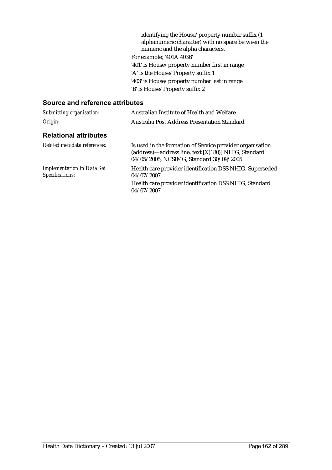|                               | identifying the House/property number suffix (1)  |
|-------------------------------|---------------------------------------------------|
|                               | alphanumeric character) with no space between the |
|                               | numeric and the alpha characters.                 |
|                               | For example; '401A 403B'                          |
|                               | '401' is House/property number first in range     |
|                               | 'A' is the House/Property suffix 1                |
|                               | '403' is House/property number last in range      |
|                               | 'B' is House/Property suffix 2                    |
| xaa and xafaxanaa affxibuttaa |                                                   |
|                               |                                                   |

| Submitting organisation:                             | Australian Institute of Health and Welfare                                                                                                                   |  |
|------------------------------------------------------|--------------------------------------------------------------------------------------------------------------------------------------------------------------|--|
| Origin:                                              | Australia Post Address Presentation Standard                                                                                                                 |  |
| <b>Relational attributes</b>                         |                                                                                                                                                              |  |
| Related metadata references:                         | Is used in the formation of Service provider organisation<br>(address)—address line, text [X(180)] NHIG, Standard<br>04/05/2005, NCSIMG, Standard 30/09/2005 |  |
| <b>Implementation in Data Set</b><br>Specifications: | Health care provider identification DSS NHIG, Superseded<br>04/07/2007                                                                                       |  |
|                                                      | Health care provider identification DSS NHIG, Standard<br>04/07/2007                                                                                         |  |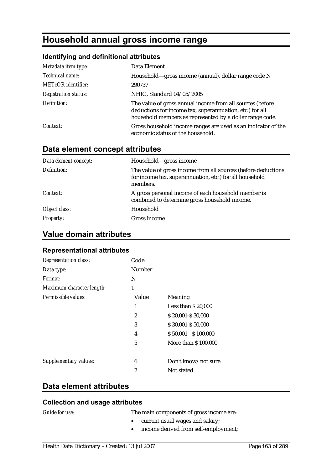# **Household annual gross income range**

### **Identifying and definitional attributes**

| Metadata item type:         | Data Element                                                                                                                                                                      |
|-----------------------------|-----------------------------------------------------------------------------------------------------------------------------------------------------------------------------------|
| Technical name:             | Household—gross income (annual), dollar range code N                                                                                                                              |
| <b>METeOR</b> identifier:   | 290737                                                                                                                                                                            |
| <b>Registration status:</b> | NHIG, Standard 04/05/2005                                                                                                                                                         |
| Definition:                 | The value of gross annual income from all sources (before<br>deductions for income tax, superannuation, etc.) for all<br>household members as represented by a dollar range code. |
| Context:                    | Gross household income ranges are used as an indicator of the<br>economic status of the household.                                                                                |

## **Data element concept attributes**

| Data element concept: | Household—gross income                                                                                                               |
|-----------------------|--------------------------------------------------------------------------------------------------------------------------------------|
| Definition:           | The value of gross income from all sources (before deductions<br>for income tax, superannuation, etc.) for all household<br>members. |
| Context:              | A gross personal income of each household member is<br>combined to determine gross household income.                                 |
| Object class:         | Household                                                                                                                            |
| <b>Property:</b>      | Gross income                                                                                                                         |

## **Value domain attributes**

#### **Representational attributes**

| <b>Representation class:</b> | Code   |                      |
|------------------------------|--------|----------------------|
| Data type:                   | Number |                      |
| Format:                      | N      |                      |
| Maximum character length:    | 1      |                      |
| Permissible values:          | Value  | Meaning              |
|                              | 1      | Less than $$20,000$  |
|                              | 2      | \$20,001-\$30,000    |
|                              | 3      | \$30,001-\$50,000    |
|                              | 4      | $$50,001 - $100,000$ |
|                              | 5      | More than \$100,000  |
|                              |        |                      |
| Supplementary values:        | 6      | Don't know/not sure  |
|                              | 7      | Not stated           |
|                              |        |                      |

### **Data element attributes**

#### **Collection and usage attributes**

*Guide for use:* The main components of gross income are:

- current usual wages and salary;
- income derived from self-employment;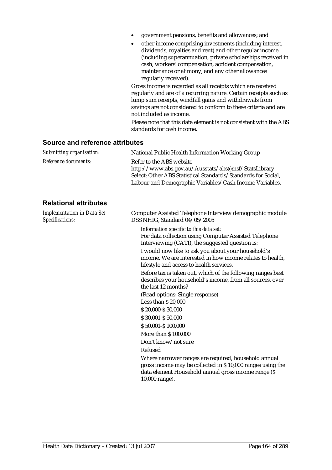- government pensions, benefits and allowances; and
- other income comprising investments (including interest, dividends, royalties and rent) and other regular income (including superannuation, private scholarships received in cash, workers' compensation, accident compensation, maintenance or alimony, and any other allowances regularly received).

Gross income is regarded as all receipts which are received regularly and are of a recurring nature. Certain receipts such as lump sum receipts, windfall gains and withdrawals from savings are not considered to conform to these criteria and are not included as income.

Please note that this data element is not consistent with the ABS standards for cash income.

#### **Source and reference attributes**

| Submitting organisation: | National Public Health Information Working Group                                                                                                                                                             |
|--------------------------|--------------------------------------------------------------------------------------------------------------------------------------------------------------------------------------------------------------|
| Reference documents:     | Refer to the ABS website<br>http://www.abs.gov.au/Ausstats/abs@.nsf/StatsLibrary<br>Select: Other ABS Statistical Standards/Standards for Social,<br>Labour and Demographic Variables/Cash Income Variables. |
|                          |                                                                                                                                                                                                              |

#### **Relational attributes**

| <b>Implementation in Data Set</b><br>Specifications: | Computer Assisted Telephone Interview demographic module<br>DSS NHIG, Standard 04/05/2005                                                                                                     |
|------------------------------------------------------|-----------------------------------------------------------------------------------------------------------------------------------------------------------------------------------------------|
|                                                      | Information specific to this data set:<br>For data collection using Computer Assisted Telephone<br>Interviewing (CATI), the suggested question is:                                            |
|                                                      | I would now like to ask you about your household's<br>income. We are interested in how income relates to health,<br>lifestyle and access to health services.                                  |
|                                                      | Before tax is taken out, which of the following ranges best<br>describes your household's income, from all sources, over<br>the last 12 months?                                               |
|                                                      | (Read options: Single response)                                                                                                                                                               |
|                                                      | Less than \$ 20,000                                                                                                                                                                           |
|                                                      | \$20,000-\$30,000                                                                                                                                                                             |
|                                                      | \$30,001-\$50,000                                                                                                                                                                             |
|                                                      | \$50,001-\$100,000                                                                                                                                                                            |
|                                                      | More than \$100,000                                                                                                                                                                           |
|                                                      | Don't know/not sure                                                                                                                                                                           |
|                                                      | Refused                                                                                                                                                                                       |
|                                                      | Where narrower ranges are required, household annual<br>gross income may be collected in \$10,000 ranges using the<br>data element Household annual gross income range (\$)<br>10,000 range). |
|                                                      |                                                                                                                                                                                               |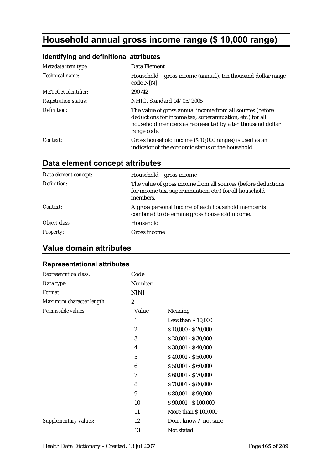# **Household annual gross income range (\$ 10,000 range)**

## **Identifying and definitional attributes**

| Metadata item type:         | Data Element                                                                                                                                                                                      |
|-----------------------------|---------------------------------------------------------------------------------------------------------------------------------------------------------------------------------------------------|
| Technical name:             | Household—gross income (annual), ten thousand dollar range<br>code N[N]                                                                                                                           |
| <b>METeOR</b> identifier:   | 290742                                                                                                                                                                                            |
| <b>Registration status:</b> | NHIG, Standard 04/05/2005                                                                                                                                                                         |
| Definition:                 | The value of gross annual income from all sources (before<br>deductions for income tax, superannuation, etc.) for all<br>household members as represented by a ten thousand dollar<br>range code. |
| Context:                    | Gross household income (\$10,000 ranges) is used as an<br>indicator of the economic status of the household.                                                                                      |

# **Data element concept attributes**

| Data element concept: | Household—gross income                                                                                                               |
|-----------------------|--------------------------------------------------------------------------------------------------------------------------------------|
| Definition:           | The value of gross income from all sources (before deductions<br>for income tax, superannuation, etc.) for all household<br>members. |
| Context:              | A gross personal income of each household member is<br>combined to determine gross household income.                                 |
| Object class:         | Household                                                                                                                            |
| <b>Property:</b>      | Gross income                                                                                                                         |

# **Value domain attributes**

### **Representational attributes**

| Representation class:        | Code           |                       |
|------------------------------|----------------|-----------------------|
| Data type:                   | <b>Number</b>  |                       |
| Format:                      | N[N]           |                       |
| Maximum character length:    | $\overline{2}$ |                       |
| Permissible values:          | Value          | Meaning               |
|                              | 1              | Less than \$10,000    |
|                              | $\overline{2}$ | $$10,000 - $20,000$   |
|                              | 3              | $$20,001 - $30,000$   |
|                              | 4              | $$30,001 - $40,000$   |
|                              | 5              | $$40,001 - $50,000$   |
|                              | 6              | $$50,001 - $60,000$   |
|                              | 7              | $$60,001 - $70,000$   |
|                              | 8              | $$70,001 - $80,000$   |
|                              | 9              | $$80,001 - $90,000$   |
|                              | 10             | $$90,001 - $100,000$  |
|                              | 11             | More than \$100,000   |
| <b>Supplementary values:</b> | 12             | Don't know / not sure |
|                              | 13             | Not stated            |
|                              |                |                       |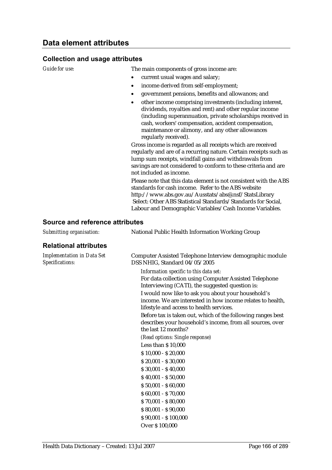#### **Collection and usage attributes**

*Guide for use:* The main components of gross income are:

- current usual wages and salary;
- income derived from self-employment;
- government pensions, benefits and allowances; and
- other income comprising investments (including interest, dividends, royalties and rent) and other regular income (including superannuation, private scholarships received in cash, workers' compensation, accident compensation, maintenance or alimony, and any other allowances regularly received).

Gross income is regarded as all receipts which are received regularly and are of a recurring nature. Certain receipts such as lump sum receipts, windfall gains and withdrawals from savings are not considered to conform to these criteria and are not included as income.

Please note that this data element is not consistent with the ABS standards for cash income. Refer to the ABS website http://www.abs.gov.au/Ausstats/abs@.nsf/StatsLibrary Select: Other ABS Statistical Standards/Standards for Social, Labour and Demographic Variables/Cash Income Variables.

| Submitting organisation:                             | National Public Health Information Working Group                                                                                                             |
|------------------------------------------------------|--------------------------------------------------------------------------------------------------------------------------------------------------------------|
| <b>Relational attributes</b>                         |                                                                                                                                                              |
| <b>Implementation in Data Set</b><br>Specifications: | Computer Assisted Telephone Interview demographic module<br>DSS NHIG, Standard 04/05/2005                                                                    |
|                                                      | Information specific to this data set:<br>For data collection using Computer Assisted Telephone<br>Interviewing (CATI), the suggested question is:           |
|                                                      | I would now like to ask you about your household's<br>income. We are interested in how income relates to health,<br>lifestyle and access to health services. |
|                                                      | Before tax is taken out, which of the following ranges best<br>describes your household's income, from all sources, over<br>the last 12 months?              |
|                                                      | (Read options: Single response)                                                                                                                              |
|                                                      | Less than \$10,000                                                                                                                                           |
|                                                      | $$10,000 - $20,000$                                                                                                                                          |
|                                                      | $$20,001 - $30,000$                                                                                                                                          |
|                                                      | $$30,001 - $40,000$                                                                                                                                          |
|                                                      | $$40,001 - $50,000$                                                                                                                                          |
|                                                      | $$50,001 - $60,000$                                                                                                                                          |
|                                                      | $$60,001 - $70,000$                                                                                                                                          |
|                                                      | $$70,001 - $80,000$                                                                                                                                          |
|                                                      | $$80,001 - $90,000$                                                                                                                                          |
|                                                      | $$90,001 - $100,000$                                                                                                                                         |
|                                                      | Over \$100,000                                                                                                                                               |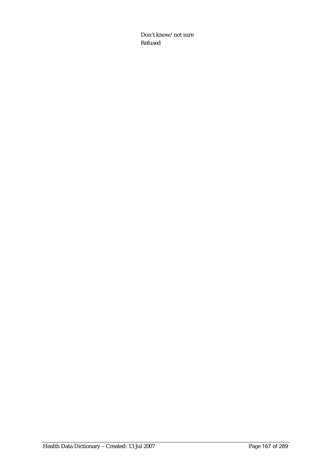Don't know/not sure Refused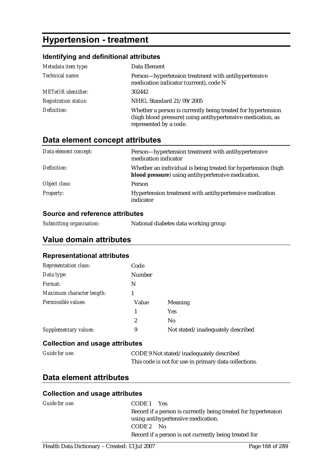# **Hypertension - treatment**

### **Identifying and definitional attributes**

| Metadata item type:         | Data Element                                                                                                                                          |
|-----------------------------|-------------------------------------------------------------------------------------------------------------------------------------------------------|
| Technical name:             | Person—hypertension treatment with antihypertensive<br>medication indicator (current), code N                                                         |
| <b>METeOR</b> identifier:   | 302442                                                                                                                                                |
| <b>Registration status:</b> | NHIG, Standard 21/09/2005                                                                                                                             |
| Definition:                 | Whether a person is currently being treated for hypertension<br>(high blood pressure) using antihypertensive medication, as<br>represented by a code. |

# **Data element concept attributes**

| Data element concept: | Person—hypertension treatment with antihypertensive<br>medication indicator                                         |
|-----------------------|---------------------------------------------------------------------------------------------------------------------|
| Definition:           | Whether an individual is being treated for hypertension (high<br>blood pressure) using antihypertensive medication. |
| Object class:         | <b>Person</b>                                                                                                       |
| <b>Property:</b>      | Hypertension treatment with antihypertensive medication<br>indicator                                                |

#### **Source and reference attributes**

*Submitting organisation:* National diabetes data working group

## **Value domain attributes**

#### **Representational attributes**

| <b>Representation class:</b> | Code           |                                   |
|------------------------------|----------------|-----------------------------------|
| Data type:                   | Number         |                                   |
| Format:                      | N              |                                   |
| Maximum character length:    |                |                                   |
| Permissible values:          | Value          | <b>Meaning</b>                    |
|                              |                | <b>Yes</b>                        |
|                              | $\overline{2}$ | N <sub>0</sub>                    |
| Supplementary values:        | 9              | Not stated/inadequately described |

#### **Collection and usage attributes**

| <b>Guide for use:</b> | CODE 9 Not stated/inadequately described              |
|-----------------------|-------------------------------------------------------|
|                       | This code is not for use in primary data collections. |

## **Data element attributes**

#### **Collection and usage attributes**

| Guide for use: | CODE <sub>1</sub> Yes                                          |
|----------------|----------------------------------------------------------------|
|                | Record if a person is currently being treated for hypertension |
|                | using antihypertensive medication.                             |
|                | CODE 2 No                                                      |
|                | Record if a person is not currently being treated for          |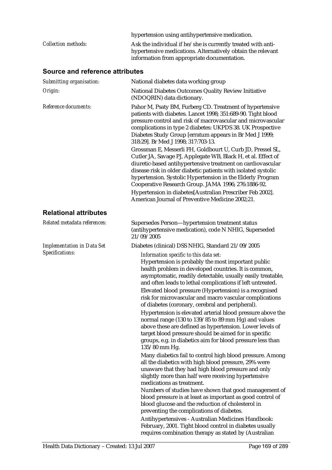|                            | hypertension using antihypertensive medication.              |
|----------------------------|--------------------------------------------------------------|
| <i>Collection methods:</i> | Ask the individual if he/she is currently treated with anti- |
|                            | hypertensive medications. Alternatively obtain the relevant  |
|                            | information from appropriate documentation.                  |

| Submitting organisation:          | National diabetes data working group                                                                                                                                                                                                                                                                                                                                                                                                                                                                                                                                                                                                                                                                                                                                                |
|-----------------------------------|-------------------------------------------------------------------------------------------------------------------------------------------------------------------------------------------------------------------------------------------------------------------------------------------------------------------------------------------------------------------------------------------------------------------------------------------------------------------------------------------------------------------------------------------------------------------------------------------------------------------------------------------------------------------------------------------------------------------------------------------------------------------------------------|
| Origin:                           | National Diabetes Outcomes Quality Review Initiative<br>(NDOQRIN) data dictionary.                                                                                                                                                                                                                                                                                                                                                                                                                                                                                                                                                                                                                                                                                                  |
| Reference documents:              | Pahor M, Psaty BM, Furberg CD. Treatment of hypertensive<br>patients with diabetes. Lancet 1998; 351:689-90. Tight blood<br>pressure control and risk of macrovascular and microvascular<br>complications in type 2 diabetes: UKPDS 38. UK Prospective<br>Diabetes Study Group [erratum appears in Br Med J 1999;<br>318:29]. Br Med J 1998; 317:703-13.                                                                                                                                                                                                                                                                                                                                                                                                                            |
|                                   | Grossman E, Messerli FH, Goldbourt U, Curb JD, Pressel SL,<br>Cutler JA, Savage PJ, Applegate WB, Black H, et al. Effect of<br>diuretic-based antihypertensive treatment on cardiovascular<br>disease risk in older diabetic patients with isolated systolic<br>hypertension. Systolic Hypertension in the Elderly Program<br>Cooperative Research Group. JAMA 1996; 276:1886-92.<br>Hypertension in diabetes[Australian Prescriber Feb 2002].                                                                                                                                                                                                                                                                                                                                      |
|                                   | American Journal of Preventive Medicine 2002;21.                                                                                                                                                                                                                                                                                                                                                                                                                                                                                                                                                                                                                                                                                                                                    |
| <b>Relational attributes</b>      |                                                                                                                                                                                                                                                                                                                                                                                                                                                                                                                                                                                                                                                                                                                                                                                     |
| Related metadata references:      | Supersedes Person-hypertension treatment status<br>(antihypertensive medication), code N NHIG, Superseded<br>21/09/2005                                                                                                                                                                                                                                                                                                                                                                                                                                                                                                                                                                                                                                                             |
| <b>Implementation in Data Set</b> | Diabetes (clinical) DSS NHIG, Standard 21/09/2005                                                                                                                                                                                                                                                                                                                                                                                                                                                                                                                                                                                                                                                                                                                                   |
| Specifications:                   | Information specific to this data set:<br>Hypertension is probably the most important public<br>health problem in developed countries. It is common,<br>asymptomatic, readily detectable, usually easily treatable,<br>and often leads to lethal complications if left untreated.<br>Elevated blood pressure (Hypertension) is a recognised<br>risk for microvascular and macro vascular complications<br>of diabetes (coronary, cerebral and peripheral).<br>Hypertension is elevated arterial blood pressure above the<br>normal range (130 to 139/85 to 89 mm Hg) and values<br>above these are defined as hypertension. Lower levels of<br>target blood pressure should be aimed for in specific<br>groups, e.g. in diabetics aim for blood pressure less than<br>135/80 mm Hg. |
|                                   | Many diabetics fail to control high blood pressure. Among<br>all the diabetics with high blood pressure, 29% were<br>unaware that they had high blood pressure and only<br>slightly more than half were receiving hypertensive<br>medications as treatment.<br>Numbers of studies have shown that good management of<br>blood pressure is at least as important as good control of<br>blood glucose and the reduction of cholesterol in<br>preventing the complications of diabetes.<br>Antihypertensives - Australian Medicines Handbook:<br>February, 2001. Tight blood control in diabetes usually<br>requires combination therapy as stated by (Australian                                                                                                                      |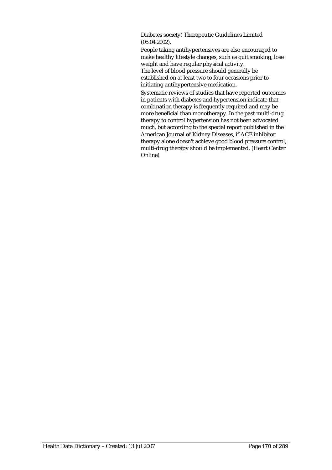Diabetes society) Therapeutic Guidelines Limited (05.04.2002).

People taking antihypertensives are also encouraged to make healthy lifestyle changes, such as quit smoking, lose weight and have regular physical activity. The level of blood pressure should generally be established on at least two to four occasions prior to initiating antihypertensive medication.

Systematic reviews of studies that have reported outcomes in patients with diabetes and hypertension indicate that combination therapy is frequently required and may be more beneficial than monotherapy. In the past multi-drug therapy to control hypertension has not been advocated much, but according to the special report published in the American Journal of Kidney Diseases, if ACE inhibitor therapy alone doesn't achieve good blood pressure control, multi-drug therapy should be implemented. (Heart Center Online)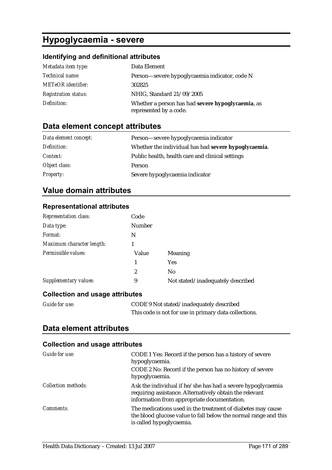# **Hypoglycaemia - severe**

## **Identifying and definitional attributes**

| Metadata item type:         | Data Element                                                                |
|-----------------------------|-----------------------------------------------------------------------------|
| <i>Technical name:</i>      | Person—severe hypoglycaemia indicator, code N                               |
| <b>METeOR</b> identifier:   | 302825                                                                      |
| <b>Registration status:</b> | NHIG, Standard 21/09/2005                                                   |
| Definition:                 | Whether a person has had severe hypoglycaemia, as<br>represented by a code. |

# **Data element concept attributes**

| Data element concept: | Person—severe hypoglycaemia indicator                |
|-----------------------|------------------------------------------------------|
| Definition:           | Whether the individual has had severe hypoglycaemia. |
| Context:              | Public health, health care and clinical settings     |
| Object class:         | Person                                               |
| <b>Property:</b>      | Severe hypoglycaemia indicator                       |

# **Value domain attributes**

#### **Representational attributes**

| <b>Representation class:</b>           | Code          |                                   |
|----------------------------------------|---------------|-----------------------------------|
| Data type:                             | <b>Number</b> |                                   |
| Format:                                | N             |                                   |
| Maximum character length:              |               |                                   |
| Permissible values:                    | Value         | Meaning                           |
|                                        | 1             | <b>Yes</b>                        |
|                                        | 2             | N <sub>0</sub>                    |
| Supplementary values:                  | 9             | Not stated/inadequately described |
| <b>Collection and usage attributes</b> |               |                                   |

| Guide for use: | CODE 9 Not stated/inadequately described              |
|----------------|-------------------------------------------------------|
|                | This code is not for use in primary data collections. |

## **Data element attributes**

### **Collection and usage attributes**

| Guide for use:             | CODE 1 Yes: Record if the person has a history of severe<br>hypoglycaemia.                                                                                            |
|----------------------------|-----------------------------------------------------------------------------------------------------------------------------------------------------------------------|
|                            | CODE 2 No: Record if the person has no history of severe<br>hypoglycaemia.                                                                                            |
| <b>Collection methods:</b> | Ask the individual if he/she has had a severe hypoglycaemia<br>requiring assistance. Alternatively obtain the relevant<br>information from appropriate documentation. |
| <i>Comments:</i>           | The medications used in the treatment of diabetes may cause<br>the blood glucose value to fall below the normal range and this<br>is called hypoglycaemia.            |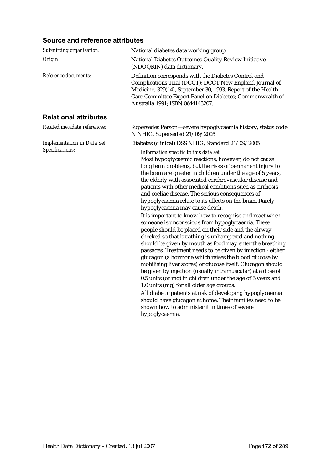| Submitting organisation:          | National diabetes data working group                                                                                                                                                                                                                                                                                                                                                                                                                                                                                                                                                                                                                                                                                                                                                                                                                                                                                                                                                                                                                                                                                                                                                                                                                                                                                                                  |
|-----------------------------------|-------------------------------------------------------------------------------------------------------------------------------------------------------------------------------------------------------------------------------------------------------------------------------------------------------------------------------------------------------------------------------------------------------------------------------------------------------------------------------------------------------------------------------------------------------------------------------------------------------------------------------------------------------------------------------------------------------------------------------------------------------------------------------------------------------------------------------------------------------------------------------------------------------------------------------------------------------------------------------------------------------------------------------------------------------------------------------------------------------------------------------------------------------------------------------------------------------------------------------------------------------------------------------------------------------------------------------------------------------|
| Origin:                           | National Diabetes Outcomes Quality Review Initiative<br>(NDOQRIN) data dictionary.                                                                                                                                                                                                                                                                                                                                                                                                                                                                                                                                                                                                                                                                                                                                                                                                                                                                                                                                                                                                                                                                                                                                                                                                                                                                    |
| Reference documents:              | Definition corresponds with the Diabetes Control and<br>Complications Trial (DCCT): DCCT New England Journal of<br>Medicine, 329(14), September 30, 1993. Report of the Health<br>Care Committee Expert Panel on Diabetes; Commonwealth of<br>Australia 1991; ISBN 0644143207.                                                                                                                                                                                                                                                                                                                                                                                                                                                                                                                                                                                                                                                                                                                                                                                                                                                                                                                                                                                                                                                                        |
| <b>Relational attributes</b>      |                                                                                                                                                                                                                                                                                                                                                                                                                                                                                                                                                                                                                                                                                                                                                                                                                                                                                                                                                                                                                                                                                                                                                                                                                                                                                                                                                       |
| Related metadata references:      | Supersedes Person-severe hypoglycaemia history, status code<br>N NHIG, Superseded 21/09/2005                                                                                                                                                                                                                                                                                                                                                                                                                                                                                                                                                                                                                                                                                                                                                                                                                                                                                                                                                                                                                                                                                                                                                                                                                                                          |
| <b>Implementation in Data Set</b> | Diabetes (clinical) DSS NHIG, Standard 21/09/2005                                                                                                                                                                                                                                                                                                                                                                                                                                                                                                                                                                                                                                                                                                                                                                                                                                                                                                                                                                                                                                                                                                                                                                                                                                                                                                     |
| Specifications:                   | Information specific to this data set:<br>Most hypoglycaemic reactions, however, do not cause<br>long term problems, but the risks of permanent injury to<br>the brain are greater in children under the age of 5 years,<br>the elderly with associated cerebrovascular disease and<br>patients with other medical conditions such as cirrhosis<br>and coeliac disease. The serious consequences of<br>hypoglycaemia relate to its effects on the brain. Rarely<br>hypoglycaemia may cause death.<br>It is important to know how to recognise and react when<br>someone is unconscious from hypoglycaemia. These<br>people should be placed on their side and the airway<br>checked so that breathing is unhampered and nothing<br>should be given by mouth as food may enter the breathing<br>passages. Treatment needs to be given by injection - either<br>glucagon (a hormone which raises the blood glucose by<br>mobilising liver stores) or glucose itself. Glucagon should<br>be given by injection (usually intramuscular) at a dose of<br>0.5 units (or mg) in children under the age of 5 years and<br>1.0 units (mg) for all older age groups.<br>All diabetic patients at risk of developing hypoglycaemia<br>should have glucagon at home. Their families need to be<br>shown how to administer it in times of severe<br>hypoglycaemia. |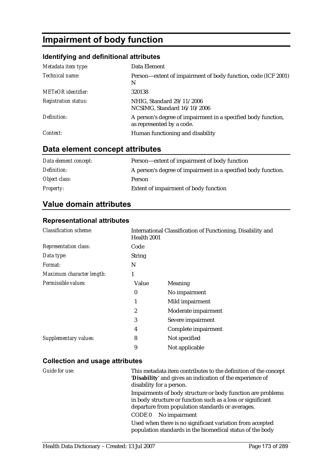# **Impairment of body function**

## **Identifying and definitional attributes**

| Metadata item type:         | Data Element                                                                               |
|-----------------------------|--------------------------------------------------------------------------------------------|
| Technical name:             | Person—extent of impairment of body function, code (ICF 2001)<br>N                         |
| <b>METeOR</b> identifier:   | 320138                                                                                     |
| <b>Registration status:</b> | NHIG, Standard 29/11/2006<br>NCSIMG, Standard 16/10/2006                                   |
| Definition:                 | A person's degree of impairment in a specified body function,<br>as represented by a code. |
| Context:                    | Human functioning and disability                                                           |

# **Data element concept attributes**

| Data element concept: | Person—extent of impairment of body function                  |
|-----------------------|---------------------------------------------------------------|
| Definition:           | A person's degree of impairment in a specified body function. |
| Object class:         | Person                                                        |
| <i>Property:</i>      | Extent of impairment of body function                         |

## **Value domain attributes**

#### **Representational attributes**

| <b>Classification scheme:</b> | Health 2001   | International Classification of Functioning, Disability and |
|-------------------------------|---------------|-------------------------------------------------------------|
| <b>Representation class:</b>  | Code          |                                                             |
| Data type:                    | <b>String</b> |                                                             |
| Format:                       | N             |                                                             |
| Maximum character length:     | 1             |                                                             |
| Permissible values:           | Value         | Meaning                                                     |
|                               | $\bf{0}$      | No impairment                                               |
|                               | 1             | Mild impairment                                             |
|                               | 2             | Moderate impairment                                         |
|                               | 3             | Severe impairment                                           |
|                               | 4             | Complete impairment                                         |
| Supplementary values:         | 8             | Not specified                                               |
|                               | 9             | Not applicable                                              |

## **Collection and usage attributes**

| Guide for use: | This metadata item contributes to the definition of the concept<br>'Disability' and gives an indication of the experience of<br>disability for a person.                       |
|----------------|--------------------------------------------------------------------------------------------------------------------------------------------------------------------------------|
|                | Impairments of body structure or body function are problems<br>in body structure or function such as a loss or significant<br>departure from population standards or averages. |
|                | No impairment<br>CODE 0                                                                                                                                                        |
|                | Used when there is no significant variation from accepted<br>population standards in the biomedical status of the body                                                         |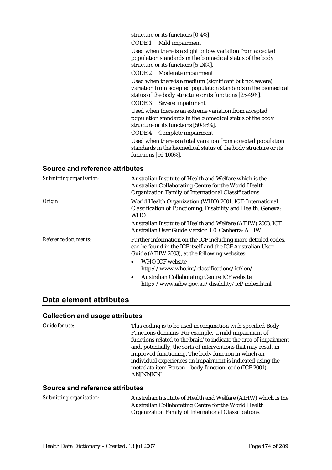structure or its functions [0-4%].

CODE 1 Mild impairment

Used when there is a slight or low variation from accepted population standards in the biomedical status of the body structure or its functions [5-24%].

CODE 2 Moderate impairment

Used when there is a medium (significant but not severe) variation from accepted population standards in the biomedical status of the body structure or its functions [25-49%].

CODE 3 Severe impairment

Used when there is an extreme variation from accepted population standards in the biomedical status of the body structure or its functions [50-95%].

CODE 4 Complete impairment

Used when there is a total variation from accepted population standards in the biomedical status of the body structure or its functions [96-100%].

#### **Source and reference attributes**

| Submitting organisation: | Australian Institute of Health and Welfare which is the<br>Australian Collaborating Centre for the World Health<br>Organization Family of International Classifications.     |
|--------------------------|------------------------------------------------------------------------------------------------------------------------------------------------------------------------------|
| Origin:                  | World Health Organization (WHO) 2001. ICF: International<br>Classification of Functioning, Disability and Health. Geneva:<br>WHO                                             |
|                          | Australian Institute of Health and Welfare (AIHW) 2003. ICF<br>Australian User Guide Version 1.0. Canberra: AIHW                                                             |
| Reference documents:     | Further information on the ICF including more detailed codes,<br>can be found in the ICF itself and the ICF Australian User<br>Guide (AIHW 2003), at the following websites: |
|                          | WHO ICF website<br>$\bullet$<br>http://www.who.int/classifications/icf/en/                                                                                                   |
|                          | <b>Australian Collaborating Centre ICF website</b><br>$\bullet$<br>http://www.aihw.gov.au/disability/icf/index.html                                                          |

## **Data element attributes**

#### **Collection and usage attributes**

*Guide for use:* This coding is to be used in conjunction with specified Body Functions domains. For example, 'a mild impairment of functions related to the brain' to indicate the area of impairment and, potentially, the sorts of interventions that may result in improved functioning. The body function in which an individual experiences an impairment is indicated using the metadata item Person—body function, code (ICF 2001) AN[NNNN].

#### **Source and reference attributes**

*Submitting organisation:* Australian Institute of Health and Welfare (AIHW) which is the Australian Collaborating Centre for the World Health Organization Family of International Classifications.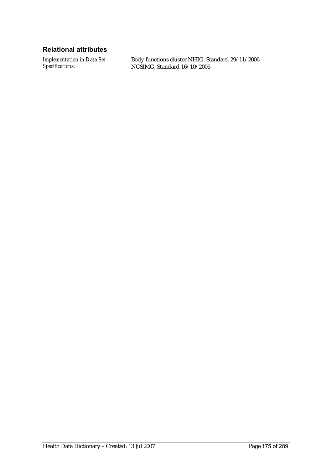### **Relational attributes**

*Implementation in Data Set Specifications:*

Body functions cluster NHIG, Standard 29/11/2006 NCSIMG, Standard 16/10/2006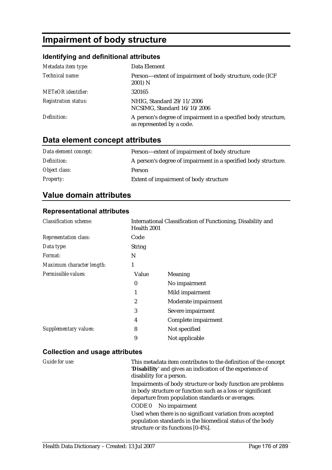# **Impairment of body structure**

#### **Identifying and definitional attributes**

| Metadata item type:         | Data Element                                                                                |
|-----------------------------|---------------------------------------------------------------------------------------------|
| Technical name:             | Person—extent of impairment of body structure, code (ICF)<br>2001) N                        |
| <b>METeOR</b> identifier:   | 320165                                                                                      |
| <b>Registration status:</b> | NHIG, Standard 29/11/2006<br>NCSIMG, Standard 16/10/2006                                    |
| Definition:                 | A person's degree of impairment in a specified body structure,<br>as represented by a code. |

### **Data element concept attributes**

| Data element concept: | Person—extent of impairment of body structure                  |
|-----------------------|----------------------------------------------------------------|
| Definition:           | A person's degree of impairment in a specified body structure. |
| Object class:         | Person                                                         |
| <b>Property:</b>      | Extent of impairment of body structure                         |

### **Value domain attributes**

#### **Representational attributes**

| <b>Classification scheme:</b> | Health 2001   | International Classification of Functioning, Disability and |
|-------------------------------|---------------|-------------------------------------------------------------|
| <b>Representation class:</b>  | Code          |                                                             |
| Data type:                    | <b>String</b> |                                                             |
| Format:                       | N             |                                                             |
| Maximum character length:     | 1             |                                                             |
| Permissible values:           | Value         | Meaning                                                     |
|                               | $\bf{0}$      | No impairment                                               |
|                               | 1             | Mild impairment                                             |
|                               | 2             | Moderate impairment                                         |
|                               | 3             | Severe impairment                                           |
|                               | 4             | Complete impairment                                         |
| Supplementary values:         | 8             | Not specified                                               |
|                               | 9             | Not applicable                                              |
|                               |               |                                                             |

#### **Collection and usage attributes**

*Guide for use:* This metadata item contributes to the definition of the concept '**Disability**' and gives an indication of the experience of disability for a person. Impairments of body structure or body function are problems in body structure or function such as a loss or significant departure from population standards or averages. CODE 0 No impairment Used when there is no significant variation from accepted population standards in the biomedical status of the body structure or its functions [0-4%].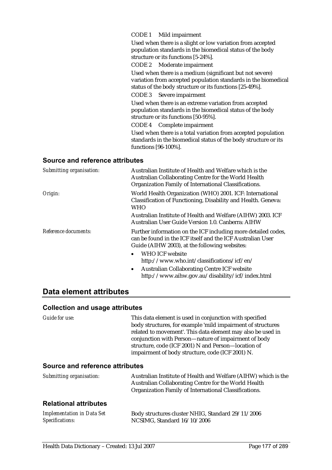CODE 1 Mild impairment

Used when there is a slight or low variation from accepted population standards in the biomedical status of the body structure or its functions [5-24%].

CODE 2 Moderate impairment

Used when there is a medium (significant but not severe) variation from accepted population standards in the biomedical status of the body structure or its functions [25-49%].

CODE 3 Severe impairment

Used when there is an extreme variation from accepted population standards in the biomedical status of the body structure or its functions [50-95%].

CODE 4 Complete impairment

Used when there is a total variation from accepted population standards in the biomedical status of the body structure or its functions [96-100%].

#### **Source and reference attributes**

| Submitting organisation: | Australian Institute of Health and Welfare which is the<br>Australian Collaborating Centre for the World Health<br>Organization Family of International Classifications.     |
|--------------------------|------------------------------------------------------------------------------------------------------------------------------------------------------------------------------|
| Origin:                  | World Health Organization (WHO) 2001. ICF: International<br>Classification of Functioning, Disability and Health. Geneva:<br><b>WHO</b>                                      |
|                          | Australian Institute of Health and Welfare (AIHW) 2003. ICF<br>Australian User Guide Version 1.0. Canberra: AIHW                                                             |
| Reference documents:     | Further information on the ICF including more detailed codes,<br>can be found in the ICF itself and the ICF Australian User<br>Guide (AIHW 2003), at the following websites: |
|                          | <b>WHO ICF website</b><br>$\bullet$<br>http://www.who.int/classifications/icf/en/                                                                                            |
|                          | <b>Australian Collaborating Centre ICF website</b><br>$\bullet$<br>http://www.aihw.gov.au/disability/icf/index.html                                                          |

### **Data element attributes**

#### **Collection and usage attributes**

*Guide for use:* This data element is used in conjunction with specified body structures, for example 'mild impairment of structures related to movement'. This data element may also be used in conjunction with Person—nature of impairment of body structure, code (ICF 2001) N and Person—location of impairment of body structure, code (ICF 2001) N.

#### **Source and reference attributes**

| Submitting organisation: | Australian Institute of Health and Welfare (AIHW) which is the |
|--------------------------|----------------------------------------------------------------|
|                          | Australian Collaborating Centre for the World Health           |
|                          | Organization Family of International Classifications.          |

#### **Relational attributes**

| <b>Implementation in Data Set</b> | Body structures cluster NHIG, Standard 29/11/2006 |
|-----------------------------------|---------------------------------------------------|
| Specifications:                   | NCSIMG, Standard 16/10/2006                       |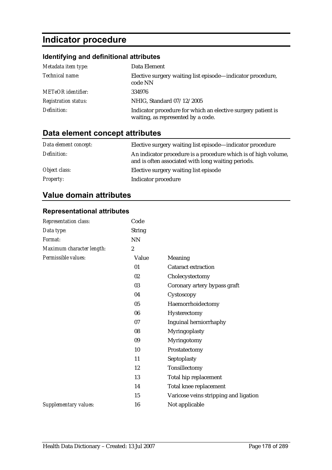# **Indicator procedure**

## **Identifying and definitional attributes**

| Metadata item type:         | Data Element                                                                                       |
|-----------------------------|----------------------------------------------------------------------------------------------------|
| Technical name:             | Elective surgery waiting list episode—indicator procedure,<br>code NN                              |
| <b>METeOR</b> identifier:   | 334976                                                                                             |
| <b>Registration status:</b> | NHIG, Standard 07/12/2005                                                                          |
| Definition:                 | Indicator procedure for which an elective surgery patient is<br>waiting, as represented by a code. |

# **Data element concept attributes**

| Data element concept: | Elective surgery waiting list episode-indicator procedure                                                            |
|-----------------------|----------------------------------------------------------------------------------------------------------------------|
| Definition:           | An indicator procedure is a procedure which is of high volume,<br>and is often associated with long waiting periods. |
| Object class:         | Elective surgery waiting list episode                                                                                |
| <b>Property:</b>      | Indicator procedure                                                                                                  |

# **Value domain attributes**

#### **Representational attributes**

| Representation class:     | Code             |                                       |
|---------------------------|------------------|---------------------------------------|
| Data type:                | <b>String</b>    |                                       |
| Format:                   | <b>NN</b>        |                                       |
| Maximum character length: | $\boldsymbol{2}$ |                                       |
| Permissible values:       | Value            | Meaning                               |
|                           | 01               | <b>Cataract extraction</b>            |
|                           | 02               | Cholecystectomy                       |
|                           | 03               | Coronary artery bypass graft          |
|                           | 04               | Cystoscopy                            |
|                           | 05               | Haemorrhoidectomy                     |
|                           | 06               | Hysterectomy                          |
|                           | 07               | Inguinal herniorrhaphy                |
|                           | 08               | Myringoplasty                         |
|                           | 09               | Myringotomy                           |
|                           | 10               | Prostatectomy                         |
|                           | 11               | Septoplasty                           |
|                           | 12               | Tonsillectomy                         |
|                           | 13               | Total hip replacement                 |
|                           | 14               | Total knee replacement                |
|                           | 15               | Varicose veins stripping and ligation |
| Supplementary values:     | 16               | Not applicable                        |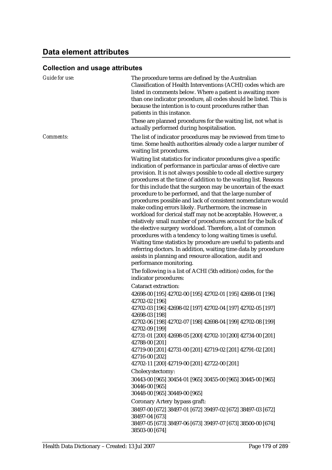# **Data element attributes**

# **Collection and usage attributes**

| Guide for use: | The procedure terms are defined by the Australian<br>Classification of Health Interventions (ACHI) codes which are<br>listed in comments below. Where a patient is awaiting more<br>than one indicator procedure, all codes should be listed. This is<br>because the intention is to count procedures rather than<br>patients in this instance.<br>These are planned procedures for the waiting list, not what is<br>actually performed during hospitalisation.                                                                                                                                                                                                                                                                                                                                                                                                                                                                                                                                                                                                                                                           |
|----------------|---------------------------------------------------------------------------------------------------------------------------------------------------------------------------------------------------------------------------------------------------------------------------------------------------------------------------------------------------------------------------------------------------------------------------------------------------------------------------------------------------------------------------------------------------------------------------------------------------------------------------------------------------------------------------------------------------------------------------------------------------------------------------------------------------------------------------------------------------------------------------------------------------------------------------------------------------------------------------------------------------------------------------------------------------------------------------------------------------------------------------|
| Comments:      | The list of indicator procedures may be reviewed from time to<br>time. Some health authorities already code a larger number of                                                                                                                                                                                                                                                                                                                                                                                                                                                                                                                                                                                                                                                                                                                                                                                                                                                                                                                                                                                            |
|                | waiting list procedures.<br>Waiting list statistics for indicator procedures give a specific<br>indication of performance in particular areas of elective care<br>provision. It is not always possible to code all elective surgery<br>procedures at the time of addition to the waiting list. Reasons<br>for this include that the surgeon may be uncertain of the exact<br>procedure to be performed, and that the large number of<br>procedures possible and lack of consistent nomenclature would<br>make coding errors likely. Furthermore, the increase in<br>workload for clerical staff may not be acceptable. However, a<br>relatively small number of procedures account for the bulk of<br>the elective surgery workload. Therefore, a list of common<br>procedures with a tendency to long waiting times is useful.<br>Waiting time statistics by procedure are useful to patients and<br>referring doctors. In addition, waiting time data by procedure<br>assists in planning and resource allocation, audit and<br>performance monitoring.<br>The following is a list of ACHI (5th edition) codes, for the |
|                | indicator procedures:                                                                                                                                                                                                                                                                                                                                                                                                                                                                                                                                                                                                                                                                                                                                                                                                                                                                                                                                                                                                                                                                                                     |
|                | <b>Cataract extraction:</b>                                                                                                                                                                                                                                                                                                                                                                                                                                                                                                                                                                                                                                                                                                                                                                                                                                                                                                                                                                                                                                                                                               |
|                | 42698-00 [195] 42702-00 [195] 42702-01 [195] 42698-01 [196]<br>42702-02 [196]<br>42702-03 [196] 42698-02 [197] 42702-04 [197] 42702-05 [197]                                                                                                                                                                                                                                                                                                                                                                                                                                                                                                                                                                                                                                                                                                                                                                                                                                                                                                                                                                              |
|                | 42698-03 [198]<br>42702-06 [198] 42702-07 [198] 42698-04 [199] 42702-08 [199]                                                                                                                                                                                                                                                                                                                                                                                                                                                                                                                                                                                                                                                                                                                                                                                                                                                                                                                                                                                                                                             |
|                | 42702-09 [199]<br>42731-01 [200] 42698-05 [200] 42702-10 [200] 42734-00 [201]<br>42788-00 [201]                                                                                                                                                                                                                                                                                                                                                                                                                                                                                                                                                                                                                                                                                                                                                                                                                                                                                                                                                                                                                           |
|                | 42719-00 [201] 42731-00 [201] 42719-02 [201] 42791-02 [201]<br>42716-00 [202]<br>42702-11 [200] 42719-00 [201] 42722-00 [201]                                                                                                                                                                                                                                                                                                                                                                                                                                                                                                                                                                                                                                                                                                                                                                                                                                                                                                                                                                                             |
|                | Cholecystectomy:                                                                                                                                                                                                                                                                                                                                                                                                                                                                                                                                                                                                                                                                                                                                                                                                                                                                                                                                                                                                                                                                                                          |
|                | 30443-00 [965] 30454-01 [965] 30455-00 [965] 30445-00 [965]<br>30446-00 [965]<br>30448-00 [965] 30449-00 [965]                                                                                                                                                                                                                                                                                                                                                                                                                                                                                                                                                                                                                                                                                                                                                                                                                                                                                                                                                                                                            |
|                | Coronary Artery bypass graft:                                                                                                                                                                                                                                                                                                                                                                                                                                                                                                                                                                                                                                                                                                                                                                                                                                                                                                                                                                                                                                                                                             |
|                | 38497-00 [672] 38497-01 [672] 39497-02 [672] 38497-03 [672]<br>38497-04 [673]                                                                                                                                                                                                                                                                                                                                                                                                                                                                                                                                                                                                                                                                                                                                                                                                                                                                                                                                                                                                                                             |
|                | 38497-05 [673] 38497-06 [673] 39497-07 [673] 38500-00 [674]<br>38503-00 [674]                                                                                                                                                                                                                                                                                                                                                                                                                                                                                                                                                                                                                                                                                                                                                                                                                                                                                                                                                                                                                                             |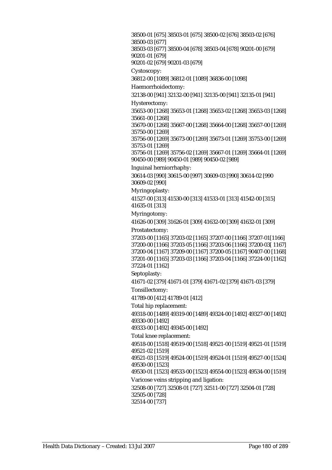38500-01 [675] 38503-01 [675] 38500-02 [676] 38503-02 [676] 38500-03 [677] 38503-03 [677] 38500-04 [678] 38503-04 [678] 90201-00 [679] 90201-01 [679] 90201-02 [679] 90201-03 [679] Cystoscopy: 36812-00 [1089] 36812-01 [1089] 36836-00 [1098] Haemorrhoidectomy: 32138-00 [941] 32132-00 [941] 32135-00 [941] 32135-01 [941] Hysterectomy: 35653-00 [1268] 35653-01 [1268] 35653-02 [1268] 35653-03 [1268] 35661-00 [1268] 35670-00 [1268] 35667-00 [1268] 35664-00 [1268] 35657-00 [1269] 35750-00 [1269] 35756-00 [1269] 35673-00 [1269] 35673-01 [1269] 35753-00 [1269] 35753-01 [1269] 35756-01 [1269] 35756-02 [1269] 35667-01 [1269] 35664-01 [1269] 90450-00 [989] 90450-01 [989] 90450-02 [989] Inguinal herniorrhaphy: 30614-03 [990] 30615-00 [997] 30609-03 [990] 30614-02 [990 30609-02 [990] Myringoplasty: 41527-00 [313] 41530-00 [313] 41533-01 [313] 41542-00 [315] 41635-01 [313] Myringotomy: 41626-00 [309] 31626-01 [309] 41632-00 [309] 41632-01 [309] Prostatectomy: 37203-00 [1165] 37203-02 [1165] 37207-00 [1166] 37207-01[1166] 37200-00 [1166] 37203-05 [1166] 37203-06 [1166] 37200-03[ 1167] 37200-04 [1167] 37209-00 [1167] 37200-05 [1167] 90407-00 [1168] 37201-00 [1165] 37203-03 [1166] 37203-04 [1166] 37224-00 [1162] 37224-01 [1162] Septoplasty: 41671-02 [379] 41671-01 [379] 41671-02 [379] 41671-03 [379] Tonsillectomy: 41789-00 [412] 41789-01 [412] Total hip replacement: 49318-00 [1489] 49319-00 [1489] 49324-00 [1492] 49327-00 [1492] 49330-00 [1492] 49333-00 [1492] 49345-00 [1492] Total knee replacement: 49518-00 [1518] 49519-00 [1518] 49521-00 [1519] 49521-01 [1519] 49521-02 [1519] 49521-03 [1519] 49524-00 [1519] 49524-01 [1519] 49527-00 [1524] 49530-00 [1523] 49530-01 [1523] 49533-00 [1523] 49554-00 [1523] 49534-00 [1519] Varicose veins stripping and ligation: 32508-00 [727] 32508-01 [727] 32511-00 [727] 32504-01 [728] 32505-00 [728] 32514-00 [737]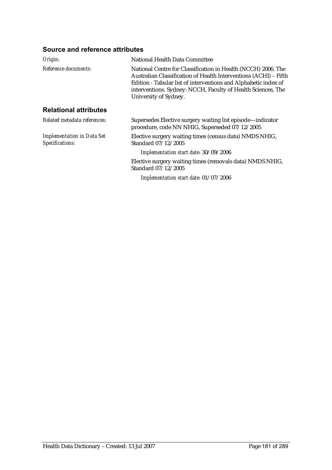| Origin:                                              | National Health Data Committee                                                                                                                                                                                                                                                                |
|------------------------------------------------------|-----------------------------------------------------------------------------------------------------------------------------------------------------------------------------------------------------------------------------------------------------------------------------------------------|
| Reference documents:                                 | National Centre for Classification in Health (NCCH) 2006. The<br>Australian Classification of Health Interventions (ACHI) - Fifth<br>Edition - Tabular list of interventions and Alphabetic index of<br>interventions. Sydney: NCCH, Faculty of Health Sciences, The<br>University of Sydney. |
| <b>Relational attributes</b>                         |                                                                                                                                                                                                                                                                                               |
| Related metadata references:                         | Supersedes Elective surgery waiting list episode—indicator<br>procedure, code NN NHIG, Superseded 07/12/2005                                                                                                                                                                                  |
| <b>Implementation in Data Set</b><br>Specifications: | Elective surgery waiting times (census data) NMDS NHIG,<br>Standard 07/12/2005                                                                                                                                                                                                                |
|                                                      | Implementation start date: 30/09/2006                                                                                                                                                                                                                                                         |
|                                                      | Elective surgery waiting times (removals data) NMDS NHIG,<br>Standard 07/12/2005                                                                                                                                                                                                              |
|                                                      | Implementation start date: 01/07/2006                                                                                                                                                                                                                                                         |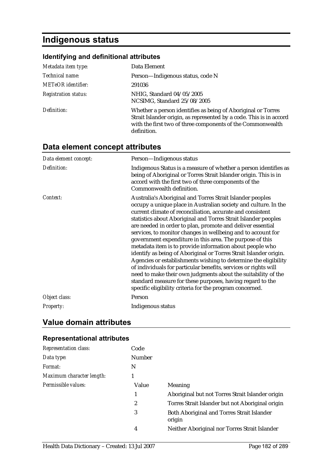# **Indigenous status**

# **Identifying and definitional attributes**

| Metadata item type:         | Data Element                                                                                                                                                                                                     |
|-----------------------------|------------------------------------------------------------------------------------------------------------------------------------------------------------------------------------------------------------------|
| Technical name:             | Person-Indigenous status, code N                                                                                                                                                                                 |
| <b>METeOR</b> identifier:   | 291036                                                                                                                                                                                                           |
| <b>Registration status:</b> | NHIG, Standard 04/05/2005<br>NCSIMG, Standard 25/08/2005                                                                                                                                                         |
| Definition:                 | Whether a person identifies as being of Aboriginal or Torres<br>Strait Islander origin, as represented by a code. This is in accord<br>with the first two of three components of the Commonwealth<br>definition. |

# **Data element concept attributes**

| Data element concept: | Person-Indigenous status                                                                                                                                                                                                                                                                                                                                                                                                                                                                                                                                                                                                                                                                                                                                                                                                                                                                                                |
|-----------------------|-------------------------------------------------------------------------------------------------------------------------------------------------------------------------------------------------------------------------------------------------------------------------------------------------------------------------------------------------------------------------------------------------------------------------------------------------------------------------------------------------------------------------------------------------------------------------------------------------------------------------------------------------------------------------------------------------------------------------------------------------------------------------------------------------------------------------------------------------------------------------------------------------------------------------|
| Definition:           | Indigenous Status is a measure of whether a person identifies as<br>being of Aboriginal or Torres Strait Islander origin. This is in<br>accord with the first two of three components of the<br>Commonwealth definition.                                                                                                                                                                                                                                                                                                                                                                                                                                                                                                                                                                                                                                                                                                |
| Context:              | Australia's Aboriginal and Torres Strait Islander peoples<br>occupy a unique place in Australian society and culture. In the<br>current climate of reconciliation, accurate and consistent<br>statistics about Aboriginal and Torres Strait Islander peoples<br>are needed in order to plan, promote and deliver essential<br>services, to monitor changes in wellbeing and to account for<br>government expenditure in this area. The purpose of this<br>metadata item is to provide information about people who<br>identify as being of Aboriginal or Torres Strait Islander origin.<br>Agencies or establishments wishing to determine the eligibility<br>of individuals for particular benefits, services or rights will<br>need to make their own judgments about the suitability of the<br>standard measure for these purposes, having regard to the<br>specific eligibility criteria for the program concerned. |
| Object class:         | Person                                                                                                                                                                                                                                                                                                                                                                                                                                                                                                                                                                                                                                                                                                                                                                                                                                                                                                                  |
| Property:             | Indigenous status                                                                                                                                                                                                                                                                                                                                                                                                                                                                                                                                                                                                                                                                                                                                                                                                                                                                                                       |

# **Value domain attributes**

| <b>Representation class:</b> | Code             |                                                             |
|------------------------------|------------------|-------------------------------------------------------------|
| Data type:                   | Number           |                                                             |
| Format:                      | N                |                                                             |
| Maximum character length:    |                  |                                                             |
| Permissible values:          | Value            | Meaning                                                     |
|                              | 1                | Aboriginal but not Torres Strait Islander origin            |
|                              | $\boldsymbol{2}$ | Torres Strait Islander but not Aboriginal origin            |
|                              | 3                | <b>Both Aboriginal and Torres Strait Islander</b><br>origin |
|                              | 4                | Neither Aboriginal nor Torres Strait Islander               |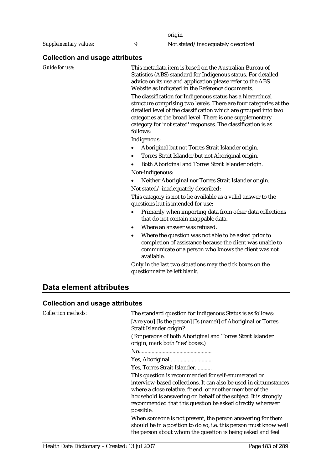origin

*Supplementary values:* 9 Not stated/inadequately described

### **Collection and usage attributes**

*Guide for use:* This metadata item is based on the Australian Bureau of Statistics (ABS) standard for Indigenous status. For detailed advice on its use and application please refer to the ABS Website as indicated in the Reference documents.

> The classification for Indigenous status has a hierarchical structure comprising two levels. There are four categories at the detailed level of the classification which are grouped into two categories at the broad level. There is one supplementary category for 'not stated' responses. The classification is as follows:

Indigenous:

- Aboriginal but not Torres Strait Islander origin.
- Torres Strait Islander but not Aboriginal origin.
- Both Aboriginal and Torres Strait Islander origin. Non-indigenous:
- Neither Aboriginal nor Torres Strait Islander origin. Not stated/ inadequately described:

This category is not to be available as a valid answer to the questions but is intended for use:

- Primarily when importing data from other data collections that do not contain mappable data.
- Where an answer was refused.
- Where the question was not able to be asked prior to completion of assistance because the client was unable to communicate or a person who knows the client was not available.

Only in the last two situations may the tick boxes on the questionnaire be left blank.

# **Data element attributes**

#### **Collection and usage attributes**

| <b>Collection methods:</b> | The standard question for Indigenous Status is as follows:<br>[Are you] [Is the person] [Is (name)] of Aboriginal or Torres<br>Strait Islander origin?                                                                                                                                                                            |
|----------------------------|-----------------------------------------------------------------------------------------------------------------------------------------------------------------------------------------------------------------------------------------------------------------------------------------------------------------------------------|
|                            | (For persons of both Aboriginal and Torres Strait Islander)<br>origin, mark both 'Yes' boxes.)                                                                                                                                                                                                                                    |
|                            |                                                                                                                                                                                                                                                                                                                                   |
|                            |                                                                                                                                                                                                                                                                                                                                   |
|                            | Yes, Torres Strait Islander                                                                                                                                                                                                                                                                                                       |
|                            | This question is recommended for self-enumerated or<br>interview-based collections. It can also be used in circumstances<br>where a close relative, friend, or another member of the<br>household is answering on behalf of the subject. It is strongly<br>recommended that this question be asked directly wherever<br>possible. |
|                            | When someone is not present, the person answering for them<br>should be in a position to do so, i.e. this person must know well<br>the person about whom the question is being asked and feel                                                                                                                                     |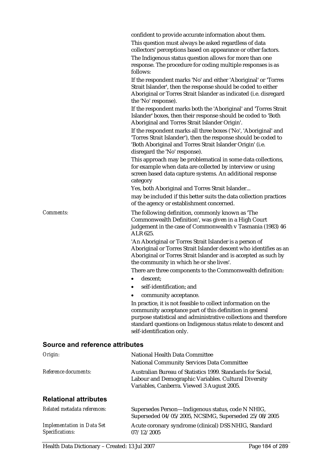|                                        | This question must always be asked regardless of data<br>collectors' perceptions based on appearance or other factors.<br>The Indigenous status question allows for more than one<br>response. The procedure for coding multiple responses is as<br>follows:                               |
|----------------------------------------|--------------------------------------------------------------------------------------------------------------------------------------------------------------------------------------------------------------------------------------------------------------------------------------------|
|                                        | If the respondent marks 'No' and either 'Aboriginal' or 'Torres<br>Strait Islander', then the response should be coded to either<br>Aboriginal or Torres Strait Islander as indicated (i.e. disregard<br>the 'No' response).                                                               |
|                                        | If the respondent marks both the 'Aboriginal' and 'Torres Strait<br>Islander' boxes, then their response should be coded to 'Both<br>Aboriginal and Torres Strait Islander Origin'.                                                                                                        |
|                                        | If the respondent marks all three boxes ('No', 'Aboriginal' and<br>'Torres Strait Islander'), then the response should be coded to<br>'Both Aboriginal and Torres Strait Islander Origin' (i.e.<br>disregard the 'No' response).                                                           |
|                                        | This approach may be problematical in some data collections,<br>for example when data are collected by interview or using<br>screen based data capture systems. An additional response<br>category                                                                                         |
|                                        | Yes, both Aboriginal and Torres Strait Islander                                                                                                                                                                                                                                            |
|                                        | may be included if this better suits the data collection practices<br>of the agency or establishment concerned.                                                                                                                                                                            |
| Comments:                              | The following definition, commonly known as 'The<br>Commonwealth Definition', was given in a High Court<br>judgement in the case of Commonwealth v Tasmania (1983) 46<br>ALR 625.                                                                                                          |
|                                        | 'An Aboriginal or Torres Strait Islander is a person of<br>Aboriginal or Torres Strait Islander descent who identifies as an<br>Aboriginal or Torres Strait Islander and is accepted as such by<br>the community in which he or she lives'.                                                |
|                                        | There are three components to the Commonwealth definition:                                                                                                                                                                                                                                 |
|                                        | descent;<br>٠                                                                                                                                                                                                                                                                              |
|                                        | self-identification; and                                                                                                                                                                                                                                                                   |
|                                        | community acceptance.                                                                                                                                                                                                                                                                      |
|                                        | In practice, it is not feasible to collect information on the<br>community acceptance part of this definition in general<br>purpose statistical and administrative collections and therefore<br>standard questions on Indigenous status relate to descent and<br>self-identification only. |
| <b>Source and reference attributes</b> |                                                                                                                                                                                                                                                                                            |
| Origin:                                | National Health Data Committee                                                                                                                                                                                                                                                             |
|                                        | <b>National Community Services Data Committee</b>                                                                                                                                                                                                                                          |
| Reference documents:                   | Australian Bureau of Statistics 1999. Standards for Social,<br>Labour and Demographic Variables. Cultural Diversity                                                                                                                                                                        |

confident to provide accurate information about them.

### **Relational attributes**

| Related metadata references:      | Supersedes Person—Indigenous status, code N NHIG,<br>Superseded 04/05/2005, NCSIMG, Superseded 25/08/2005 |
|-----------------------------------|-----------------------------------------------------------------------------------------------------------|
| <b>Implementation in Data Set</b> | Acute coronary syndrome (clinical) DSS NHIG, Standard                                                     |
| <i>Specifications:</i>            | 07/12/2005                                                                                                |

Variables, Canberra. Viewed 3 August 2005.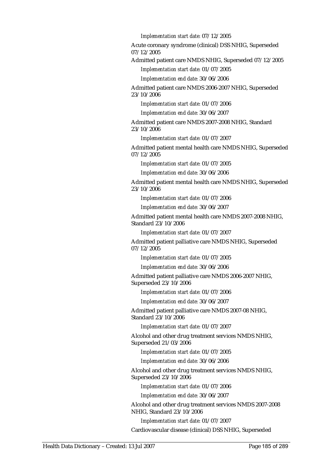*Implementation start date:* 07/12/2005

Acute coronary syndrome (clinical) DSS NHIG, Superseded 07/12/2005

Admitted patient care NMDS NHIG, Superseded 07/12/2005

*Implementation start date:* 01/07/2005

*Implementation end date:* 30/06/2006

Admitted patient care NMDS 2006-2007 NHIG, Superseded 23/10/2006

*Implementation start date:* 01/07/2006

*Implementation end date:* 30/06/2007

Admitted patient care NMDS 2007-2008 NHIG, Standard 23/10/2006

*Implementation start date:* 01/07/2007

Admitted patient mental health care NMDS NHIG, Superseded 07/12/2005

*Implementation start date:* 01/07/2005

*Implementation end date:* 30/06/2006

Admitted patient mental health care NMDS NHIG, Superseded 23/10/2006

*Implementation start date:* 01/07/2006

*Implementation end date:* 30/06/2007

Admitted patient mental health care NMDS 2007-2008 NHIG, Standard 23/10/2006

*Implementation start date:* 01/07/2007

Admitted patient palliative care NMDS NHIG, Superseded 07/12/2005

*Implementation start date:* 01/07/2005

*Implementation end date:* 30/06/2006

Admitted patient palliative care NMDS 2006-2007 NHIG, Superseded 23/10/2006

*Implementation start date:* 01/07/2006

*Implementation end date:* 30/06/2007

Admitted patient palliative care NMDS 2007-08 NHIG, Standard 23/10/2006

*Implementation start date:* 01/07/2007

Alcohol and other drug treatment services NMDS NHIG, Superseded 21/03/2006

*Implementation start date:* 01/07/2005

*Implementation end date:* 30/06/2006

Alcohol and other drug treatment services NMDS NHIG, Superseded 23/10/2006

*Implementation start date:* 01/07/2006

*Implementation end date:* 30/06/2007

Alcohol and other drug treatment services NMDS 2007-2008 NHIG, Standard 23/10/2006

*Implementation start date:* 01/07/2007

Cardiovascular disease (clinical) DSS NHIG, Superseded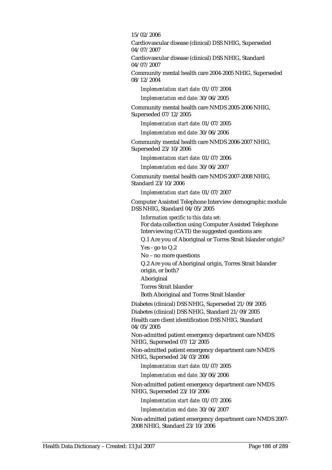15/02/2006

Cardiovascular disease (clinical) DSS NHIG, Superseded 04/07/2007

Cardiovascular disease (clinical) DSS NHIG, Standard 04/07/2007

Community mental health care 2004-2005 NHIG, Superseded 08/12/2004

*Implementation start date:* 01/07/2004

*Implementation end date:* 30/06/2005

Community mental health care NMDS 2005-2006 NHIG, Superseded 07/12/2005

*Implementation start date:* 01/07/2005

*Implementation end date:* 30/06/2006

Community mental health care NMDS 2006-2007 NHIG, Superseded 23/10/2006

*Implementation start date:* 01/07/2006

*Implementation end date:* 30/06/2007

Community mental health care NMDS 2007-2008 NHIG, Standard 23/10/2006

*Implementation start date:* 01/07/2007

Computer Assisted Telephone Interview demographic module DSS NHIG, Standard 04/05/2005

*Information specific to this data set:* For data collection using Computer Assisted Telephone Interviewing (CATI) the suggested questions are:

Q.1 Are you of Aboriginal or Torres Strait Islander origin? Yes - go to Q.2

No – no more questions

Q.2 Are you of Aboriginal origin, Torres Strait Islander origin, or both?

Aboriginal

Torres Strait Islander

Both Aboriginal and Torres Strait Islander

Diabetes (clinical) DSS NHIG, Superseded 21/09/2005

Diabetes (clinical) DSS NHIG, Standard 21/09/2005 Health care client identification DSS NHIG, Standard 04/05/2005

Non-admitted patient emergency department care NMDS NHIG, Superseded 07/12/2005

Non-admitted patient emergency department care NMDS NHIG, Superseded 24/03/2006

*Implementation start date:* 01/07/2005

*Implementation end date:* 30/06/2006

Non-admitted patient emergency department care NMDS NHIG, Superseded 23/10/2006

*Implementation start date:* 01/07/2006

*Implementation end date:* 30/06/2007

Non-admitted patient emergency department care NMDS 2007- 2008 NHIG, Standard 23/10/2006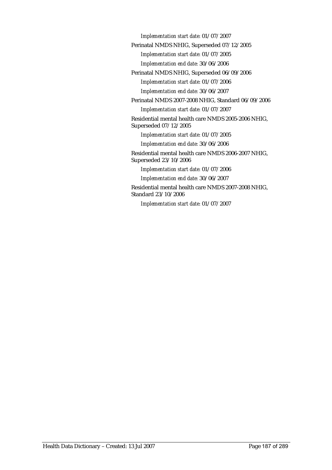*Implementation start date:* 01/07/2007

Perinatal NMDS NHIG, Superseded 07/12/2005

*Implementation start date:* 01/07/2005

*Implementation end date:* 30/06/2006

Perinatal NMDS NHIG, Superseded 06/09/2006 *Implementation start date:* 01/07/2006 *Implementation end date:* 30/06/2007

Perinatal NMDS 2007-2008 NHIG, Standard 06/09/2006

*Implementation start date:* 01/07/2007

Residential mental health care NMDS 2005-2006 NHIG, Superseded 07/12/2005

*Implementation start date:* 01/07/2005

*Implementation end date:* 30/06/2006

Residential mental health care NMDS 2006-2007 NHIG, Superseded 23/10/2006

*Implementation start date:* 01/07/2006

*Implementation end date:* 30/06/2007

Residential mental health care NMDS 2007-2008 NHIG, Standard 23/10/2006

*Implementation start date:* 01/07/2007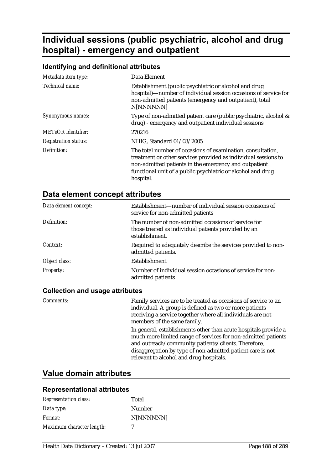# **Individual sessions (public psychiatric, alcohol and drug hospital) - emergency and outpatient**

# **Identifying and definitional attributes**

| Metadata item type:         | Data Element                                                                                                                                                                                                                                                       |
|-----------------------------|--------------------------------------------------------------------------------------------------------------------------------------------------------------------------------------------------------------------------------------------------------------------|
| Technical name:             | Establishment (public psychiatric or alcohol and drug<br>hospital)—number of individual session occasions of service for<br>non-admitted patients (emergency and outpatient), total<br>N[NNNNNN]                                                                   |
| Synonymous names:           | Type of non-admitted patient care (public psychiatric, alcohol &<br>drug) - emergency and outpatient individual sessions                                                                                                                                           |
| METeOR identifier:          | 270216                                                                                                                                                                                                                                                             |
| <b>Registration status:</b> | NHIG, Standard 01/03/2005                                                                                                                                                                                                                                          |
| Definition:                 | The total number of occasions of examination, consultation,<br>treatment or other services provided as individual sessions to<br>non-admitted patients in the emergency and outpatient<br>functional unit of a public psychiatric or alcohol and drug<br>hospital. |

# **Data element concept attributes**

| Data element concept: | Establishment—number of individual session occasions of<br>service for non-admitted patients                                 |
|-----------------------|------------------------------------------------------------------------------------------------------------------------------|
| Definition:           | The number of non-admitted occasions of service for<br>those treated as individual patients provided by an<br>establishment. |
| Context:              | Required to adequately describe the services provided to non-<br>admitted patients.                                          |
| Object class:         | Establishment                                                                                                                |
| <i>Property:</i>      | Number of individual session occasions of service for non-<br>admitted patients                                              |

#### **Collection and usage attributes**

| <i>Comments:</i> | Family services are to be treated as occasions of service to an<br>individual. A group is defined as two or more patients<br>receiving a service together where all individuals are not<br>members of the same family.                                                                           |
|------------------|--------------------------------------------------------------------------------------------------------------------------------------------------------------------------------------------------------------------------------------------------------------------------------------------------|
|                  | In general, establishments other than acute hospitals provide a<br>much more limited range of services for non-admitted patients<br>and outreach/community patients/clients. Therefore,<br>disaggregation by type of non-admitted patient care is not<br>relevant to alcohol and drug hospitals. |

# **Value domain attributes**

| <b>Representation class:</b> | Total     |
|------------------------------|-----------|
| Data type:                   | Number    |
| Format:                      | N[NNNNNN] |
| Maximum character length:    | 7         |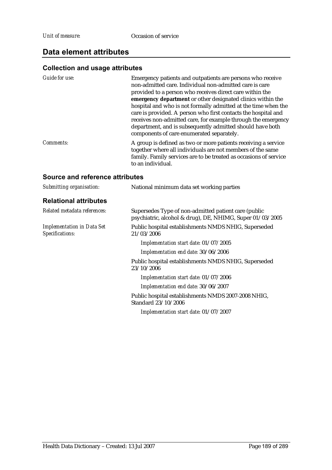# **Data element attributes**

## **Collection and usage attributes**

| Guide for use:   | Emergency patients and outpatients are persons who receive<br>non-admitted care. Individual non-admitted care is care<br>provided to a person who receives direct care within the<br>emergency department or other designated clinics within the<br>hospital and who is not formally admitted at the time when the<br>care is provided. A person who first contacts the hospital and<br>receives non-admitted care, for example through the emergency<br>department, and is subsequently admitted should have both<br>components of care enumerated separately. |
|------------------|-----------------------------------------------------------------------------------------------------------------------------------------------------------------------------------------------------------------------------------------------------------------------------------------------------------------------------------------------------------------------------------------------------------------------------------------------------------------------------------------------------------------------------------------------------------------|
| <i>Comments:</i> | A group is defined as two or more patients receiving a service<br>together where all individuals are not members of the same<br>family. Family services are to be treated as occasions of service<br>to an individual.                                                                                                                                                                                                                                                                                                                                          |
|                  |                                                                                                                                                                                                                                                                                                                                                                                                                                                                                                                                                                 |

| Submitting organisation:                             | National minimum data set working parties                                                                         |
|------------------------------------------------------|-------------------------------------------------------------------------------------------------------------------|
| <b>Relational attributes</b>                         |                                                                                                                   |
| Related metadata references:                         | Supersedes Type of non-admitted patient care (public<br>psychiatric, alcohol & drug), DE, NHIMG, Super 01/03/2005 |
| <b>Implementation in Data Set</b><br>Specifications: | Public hospital establishments NMDS NHIG, Superseded<br>21/03/2006                                                |
|                                                      | Implementation start date: 01/07/2005                                                                             |
|                                                      | Implementation end date: 30/06/2006                                                                               |
|                                                      | Public hospital establishments NMDS NHIG, Superseded<br>23/10/2006                                                |
|                                                      | Implementation start date: 01/07/2006                                                                             |
|                                                      | Implementation end date: 30/06/2007                                                                               |
|                                                      | Public hospital establishments NMDS 2007-2008 NHIG,<br>Standard 23/10/2006                                        |
|                                                      | Implementation start date: 01/07/2007                                                                             |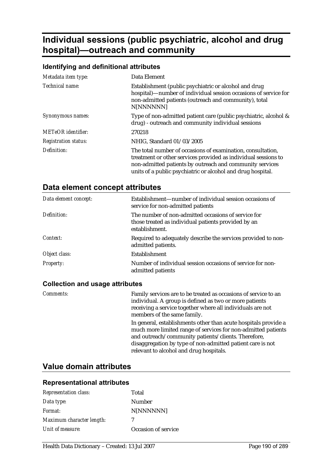# **Individual sessions (public psychiatric, alcohol and drug hospital)—outreach and community**

## **Identifying and definitional attributes**

| Metadata item type:         | Data Element                                                                                                                                                                                                                                             |
|-----------------------------|----------------------------------------------------------------------------------------------------------------------------------------------------------------------------------------------------------------------------------------------------------|
| Technical name:             | Establishment (public psychiatric or alcohol and drug<br>hospital)—number of individual session occasions of service for<br>non-admitted patients (outreach and community), total<br>N[NNNNNN]                                                           |
| Synonymous names:           | Type of non-admitted patient care (public psychiatric, alcohol &<br>drug) - outreach and community individual sessions                                                                                                                                   |
| <b>METeOR</b> identifier:   | 270218                                                                                                                                                                                                                                                   |
| <b>Registration status:</b> | NHIG, Standard 01/03/2005                                                                                                                                                                                                                                |
| Definition:                 | The total number of occasions of examination, consultation,<br>treatment or other services provided as individual sessions to<br>non-admitted patients by outreach and community services<br>units of a public psychiatric or alcohol and drug hospital. |

# **Data element concept attributes**

| Data element concept: | Establishment—number of individual session occasions of<br>service for non-admitted patients                                 |
|-----------------------|------------------------------------------------------------------------------------------------------------------------------|
| Definition:           | The number of non-admitted occasions of service for<br>those treated as individual patients provided by an<br>establishment. |
| Context:              | Required to adequately describe the services provided to non-<br>admitted patients.                                          |
| Object class:         | Establishment                                                                                                                |
| <i>Property:</i>      | Number of individual session occasions of service for non-<br>admitted patients                                              |

#### **Collection and usage attributes**

| Comments: | Family services are to be treated as occasions of service to an<br>individual. A group is defined as two or more patients<br>receiving a service together where all individuals are not<br>members of the same family.                                                                           |
|-----------|--------------------------------------------------------------------------------------------------------------------------------------------------------------------------------------------------------------------------------------------------------------------------------------------------|
|           | In general, establishments other than acute hospitals provide a<br>much more limited range of services for non-admitted patients<br>and outreach/community patients/clients. Therefore,<br>disaggregation by type of non-admitted patient care is not<br>relevant to alcohol and drug hospitals. |

# **Value domain attributes**

| <b>Representation class:</b> | Total               |
|------------------------------|---------------------|
| Data type:                   | Number              |
| Format:                      | N[NNNNNN]           |
| Maximum character length:    | 7                   |
| Unit of measure:             | Occasion of service |
|                              |                     |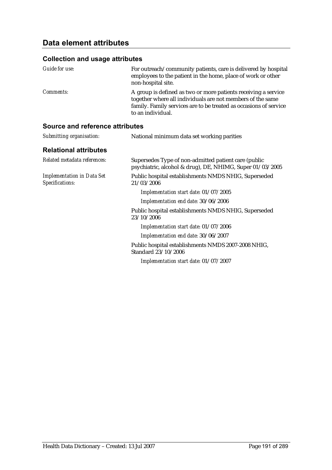| <i>Guide for use:</i> | For outreach/community patients, care is delivered by hospital<br>employees to the patient in the home, place of work or other<br>non-hospital site.                                                                   |
|-----------------------|------------------------------------------------------------------------------------------------------------------------------------------------------------------------------------------------------------------------|
| <i>Comments:</i>      | A group is defined as two or more patients receiving a service<br>together where all individuals are not members of the same<br>family. Family services are to be treated as occasions of service<br>to an individual. |

| Submitting organisation:                             | National minimum data set working parities                                                                        |
|------------------------------------------------------|-------------------------------------------------------------------------------------------------------------------|
| <b>Relational attributes</b>                         |                                                                                                                   |
| Related metadata references:                         | Supersedes Type of non-admitted patient care (public<br>psychiatric, alcohol & drug), DE, NHIMG, Super 01/03/2005 |
| <b>Implementation in Data Set</b><br>Specifications: | Public hospital establishments NMDS NHIG, Superseded<br>21/03/2006                                                |
|                                                      | Implementation start date: 01/07/2005                                                                             |
|                                                      | Implementation end date: 30/06/2006                                                                               |
|                                                      | Public hospital establishments NMDS NHIG, Superseded<br>23/10/2006                                                |
|                                                      | Implementation start date: 01/07/2006                                                                             |
|                                                      | Implementation end date: 30/06/2007                                                                               |
|                                                      | Public hospital establishments NMDS 2007-2008 NHIG,<br>Standard 23/10/2006                                        |
|                                                      | Implementation start date: 01/07/2007                                                                             |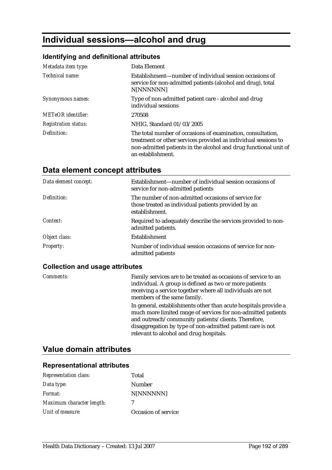# **Individual sessions—alcohol and drug**

# **Identifying and definitional attributes**

| Metadata item type:         | Data Element                                                                                                                                                                                                           |
|-----------------------------|------------------------------------------------------------------------------------------------------------------------------------------------------------------------------------------------------------------------|
| Technical name:             | Establishment—number of individual session occasions of<br>service for non-admitted patients (alcohol and drug), total<br>N[NNNNNN]                                                                                    |
| Synonymous names:           | Type of non-admitted patient care - alcohol and drug<br>individual sessions                                                                                                                                            |
| <b>METeOR</b> identifier:   | 270508                                                                                                                                                                                                                 |
| <b>Registration status:</b> | NHIG, Standard 01/03/2005                                                                                                                                                                                              |
| Definition:                 | The total number of occasions of examination, consultation,<br>treatment or other services provided as individual sessions to<br>non-admitted patients in the alcohol and drug functional unit of<br>an establishment. |

# **Data element concept attributes**

| Data element concept: | Establishment—number of individual session occasions of<br>service for non-admitted patients                                 |
|-----------------------|------------------------------------------------------------------------------------------------------------------------------|
| Definition:           | The number of non-admitted occasions of service for<br>those treated as individual patients provided by an<br>establishment. |
| Context:              | Required to adequately describe the services provided to non-<br>admitted patients.                                          |
| Object class:         | <b>Establishment</b>                                                                                                         |
| <b>Property:</b>      | Number of individual session occasions of service for non-<br>admitted patients                                              |

## **Collection and usage attributes**

| <b>Comments:</b> | Family services are to be treated as occasions of service to an<br>individual. A group is defined as two or more patients<br>receiving a service together where all individuals are not<br>members of the same family.                                                                           |
|------------------|--------------------------------------------------------------------------------------------------------------------------------------------------------------------------------------------------------------------------------------------------------------------------------------------------|
|                  | In general, establishments other than acute hospitals provide a<br>much more limited range of services for non-admitted patients<br>and outreach/community patients/clients. Therefore,<br>disaggregation by type of non-admitted patient care is not<br>relevant to alcohol and drug hospitals. |

# **Value domain attributes**

| <b>Representation class:</b> | Total               |
|------------------------------|---------------------|
| Data type:                   | Number              |
| Format:                      | N[NNNNNN]           |
| Maximum character length:    | 7                   |
| Unit of measure:             | Occasion of service |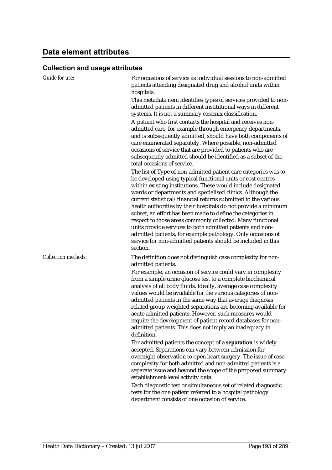| Guide for use:             | For occasions of service as individual sessions to non-admitted<br>patients attending designated drug and alcohol units within                                                                                                                                                                                                                                                                                                                                                                                                                                                                                                                                                                                                        |
|----------------------------|---------------------------------------------------------------------------------------------------------------------------------------------------------------------------------------------------------------------------------------------------------------------------------------------------------------------------------------------------------------------------------------------------------------------------------------------------------------------------------------------------------------------------------------------------------------------------------------------------------------------------------------------------------------------------------------------------------------------------------------|
|                            | hospitals.                                                                                                                                                                                                                                                                                                                                                                                                                                                                                                                                                                                                                                                                                                                            |
|                            | This metadata item identifies types of services provided to non-<br>admitted patients in different institutional ways in different<br>systems. It is not a summary casemix classification.                                                                                                                                                                                                                                                                                                                                                                                                                                                                                                                                            |
|                            | A patient who first contacts the hospital and receives non-<br>admitted care, for example through emergency departments,<br>and is subsequently admitted, should have both components of<br>care enumerated separately. Where possible, non-admitted<br>occasions of service that are provided to patients who are<br>subsequently admitted should be identified as a subset of the<br>total occasions of service.                                                                                                                                                                                                                                                                                                                    |
|                            | The list of Type of non-admitted patient care categories was to<br>be developed using typical functional units or cost centres<br>within existing institutions. These would include designated<br>wards or departments and specialised clinics. Although the<br>current statistical/financial returns submitted to the various<br>health authorities by their hospitals do not provide a minimum<br>subset, an effort has been made to define the categories in<br>respect to those areas commonly collected. Many functional<br>units provide services to both admitted patients and non-<br>admitted patients, for example pathology. Only occasions of<br>service for non-admitted patients should be included in this<br>section. |
| <b>Collection methods:</b> | The definition does not distinguish case complexity for non-<br>admitted patients.                                                                                                                                                                                                                                                                                                                                                                                                                                                                                                                                                                                                                                                    |
|                            | For example, an occasion of service could vary in complexity<br>from a simple urine glucose test to a complete biochemical<br>analysis of all body fluids. Ideally, average case complexity<br>values would be available for the various categories of non-<br>admitted patients in the same way that average diagnosis<br>related group weighted separations are becoming available for<br>acute admitted patients. However, such measures would<br>require the development of patient record databases for non-<br>admitted patients. This does not imply an inadequacy in<br>definition.                                                                                                                                           |
|                            | For admitted patients the concept of a separation is widely<br>accepted. Separations can vary between admission for<br>overnight observation to open heart surgery. The issue of case<br>complexity for both admitted and non-admitted patients is a<br>separate issue and beyond the scope of the proposed summary<br>establishment-level activity data.                                                                                                                                                                                                                                                                                                                                                                             |
|                            | Each diagnostic test or simultaneous set of related diagnostic<br>tests for the one patient referred to a hospital pathology<br>department consists of one occasion of service.                                                                                                                                                                                                                                                                                                                                                                                                                                                                                                                                                       |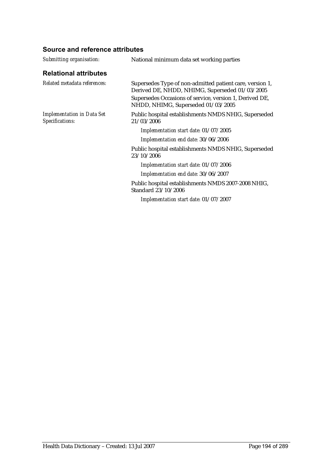| <b>Relational attributes</b><br>Related metadata references:<br>Supersedes Type of non-admitted patient care, version 1,<br>Derived DE, NHDD, NHIMG, Superseded 01/03/2005<br>Supersedes Occasions of service, version 1, Derived DE,<br>NHDD, NHIMG, Superseded 01/03/2005<br><b>Implementation in Data Set</b><br>Public hospital establishments NMDS NHIG, Superseded |  |
|--------------------------------------------------------------------------------------------------------------------------------------------------------------------------------------------------------------------------------------------------------------------------------------------------------------------------------------------------------------------------|--|
|                                                                                                                                                                                                                                                                                                                                                                          |  |
|                                                                                                                                                                                                                                                                                                                                                                          |  |
|                                                                                                                                                                                                                                                                                                                                                                          |  |
| Specifications:<br>21/03/2006                                                                                                                                                                                                                                                                                                                                            |  |
| Implementation start date: 01/07/2005                                                                                                                                                                                                                                                                                                                                    |  |
| Implementation end date: 30/06/2006                                                                                                                                                                                                                                                                                                                                      |  |
| Public hospital establishments NMDS NHIG, Superseded<br>23/10/2006                                                                                                                                                                                                                                                                                                       |  |
| Implementation start date: 01/07/2006                                                                                                                                                                                                                                                                                                                                    |  |
| Implementation end date: 30/06/2007                                                                                                                                                                                                                                                                                                                                      |  |
| Public hospital establishments NMDS 2007-2008 NHIG,<br>Standard 23/10/2006                                                                                                                                                                                                                                                                                               |  |
| Implementation start date: 01/07/2007                                                                                                                                                                                                                                                                                                                                    |  |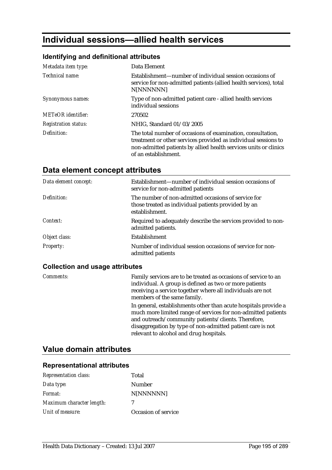# **Individual sessions—allied health services**

## **Identifying and definitional attributes**

| Metadata item type:         | Data Element                                                                                                                                                                                                              |
|-----------------------------|---------------------------------------------------------------------------------------------------------------------------------------------------------------------------------------------------------------------------|
| Technical name:             | Establishment—number of individual session occasions of<br>service for non-admitted patients (allied health services), total<br>N[NNNNNN]                                                                                 |
| Synonymous names:           | Type of non-admitted patient care - allied health services<br>individual sessions                                                                                                                                         |
| <b>METeOR</b> identifier:   | 270502                                                                                                                                                                                                                    |
| <i>Registration status:</i> | NHIG, Standard 01/03/2005                                                                                                                                                                                                 |
| Definition:                 | The total number of occasions of examination, consultation,<br>treatment or other services provided as individual sessions to<br>non-admitted patients by allied health services units or clinics<br>of an establishment. |

# **Data element concept attributes**

| Data element concept: | Establishment—number of individual session occasions of<br>service for non-admitted patients                                 |
|-----------------------|------------------------------------------------------------------------------------------------------------------------------|
| Definition:           | The number of non-admitted occasions of service for<br>those treated as individual patients provided by an<br>establishment. |
| Context:              | Required to adequately describe the services provided to non-<br>admitted patients.                                          |
| Object class:         | <b>Establishment</b>                                                                                                         |
| Property:             | Number of individual session occasions of service for non-<br>admitted patients                                              |

## **Collection and usage attributes**

| <b>Comments:</b> | Family services are to be treated as occasions of service to an<br>individual. A group is defined as two or more patients<br>receiving a service together where all individuals are not<br>members of the same family.                                                                           |
|------------------|--------------------------------------------------------------------------------------------------------------------------------------------------------------------------------------------------------------------------------------------------------------------------------------------------|
|                  | In general, establishments other than acute hospitals provide a<br>much more limited range of services for non-admitted patients<br>and outreach/community patients/clients. Therefore,<br>disaggregation by type of non-admitted patient care is not<br>relevant to alcohol and drug hospitals. |

# **Value domain attributes**

| <b>Representation class:</b> | Total               |
|------------------------------|---------------------|
| Data type:                   | Number              |
| Format:                      | N[NNNNNN]           |
| Maximum character length:    | 7                   |
| Unit of measure:             | Occasion of service |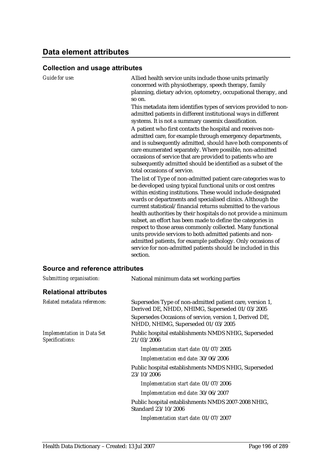| $\sim$ - $\sim$ - $\sim$ - $\sim$ - $\sim$           |                                                                                                                                                                                                                                                                                                                                                                                                                                                                                                                                                                                                                                                                                                                                                                                                                                                                                                                                                                                                                                                                                                                                                                                                                                                                                                                                                                                                                                                                                                                                                            |
|------------------------------------------------------|------------------------------------------------------------------------------------------------------------------------------------------------------------------------------------------------------------------------------------------------------------------------------------------------------------------------------------------------------------------------------------------------------------------------------------------------------------------------------------------------------------------------------------------------------------------------------------------------------------------------------------------------------------------------------------------------------------------------------------------------------------------------------------------------------------------------------------------------------------------------------------------------------------------------------------------------------------------------------------------------------------------------------------------------------------------------------------------------------------------------------------------------------------------------------------------------------------------------------------------------------------------------------------------------------------------------------------------------------------------------------------------------------------------------------------------------------------------------------------------------------------------------------------------------------------|
| Guide for use:                                       | Allied health service units include those units primarily<br>concerned with physiotherapy, speech therapy, family<br>planning, dietary advice, optometry, occupational therapy, and<br>so on.<br>This metadata item identifies types of services provided to non-<br>admitted patients in different institutional ways in different<br>systems. It is not a summary casemix classification.<br>A patient who first contacts the hospital and receives non-<br>admitted care, for example through emergency departments,<br>and is subsequently admitted, should have both components of<br>care enumerated separately. Where possible, non-admitted<br>occasions of service that are provided to patients who are<br>subsequently admitted should be identified as a subset of the<br>total occasions of service.<br>The list of Type of non-admitted patient care categories was to<br>be developed using typical functional units or cost centres<br>within existing institutions. These would include designated<br>wards or departments and specialised clinics. Although the<br>current statistical/financial returns submitted to the various<br>health authorities by their hospitals do not provide a minimum<br>subset, an effort has been made to define the categories in<br>respect to those areas commonly collected. Many functional<br>units provide services to both admitted patients and non-<br>admitted patients, for example pathology. Only occasions of<br>service for non-admitted patients should be included in this<br>section. |
| <b>Source and reference attributes</b>               |                                                                                                                                                                                                                                                                                                                                                                                                                                                                                                                                                                                                                                                                                                                                                                                                                                                                                                                                                                                                                                                                                                                                                                                                                                                                                                                                                                                                                                                                                                                                                            |
| Submitting organisation:                             | National minimum data set working parties                                                                                                                                                                                                                                                                                                                                                                                                                                                                                                                                                                                                                                                                                                                                                                                                                                                                                                                                                                                                                                                                                                                                                                                                                                                                                                                                                                                                                                                                                                                  |
| <b>Relational attributes</b>                         |                                                                                                                                                                                                                                                                                                                                                                                                                                                                                                                                                                                                                                                                                                                                                                                                                                                                                                                                                                                                                                                                                                                                                                                                                                                                                                                                                                                                                                                                                                                                                            |
| Related metadata references:                         | Supersedes Type of non-admitted patient care, version 1,<br>Derived DE, NHDD, NHIMG, Superseded 01/03/2005                                                                                                                                                                                                                                                                                                                                                                                                                                                                                                                                                                                                                                                                                                                                                                                                                                                                                                                                                                                                                                                                                                                                                                                                                                                                                                                                                                                                                                                 |
|                                                      | Supersedes Occasions of service, version 1, Derived DE,<br>NHDD, NHIMG, Superseded 01/03/2005                                                                                                                                                                                                                                                                                                                                                                                                                                                                                                                                                                                                                                                                                                                                                                                                                                                                                                                                                                                                                                                                                                                                                                                                                                                                                                                                                                                                                                                              |
| <b>Implementation in Data Set</b><br>Specifications: | Public hospital establishments NMDS NHIG, Superseded<br>21/03/2006                                                                                                                                                                                                                                                                                                                                                                                                                                                                                                                                                                                                                                                                                                                                                                                                                                                                                                                                                                                                                                                                                                                                                                                                                                                                                                                                                                                                                                                                                         |
|                                                      | Implementation start date: 01/07/2005                                                                                                                                                                                                                                                                                                                                                                                                                                                                                                                                                                                                                                                                                                                                                                                                                                                                                                                                                                                                                                                                                                                                                                                                                                                                                                                                                                                                                                                                                                                      |
|                                                      | Implementation end date: 30/06/2006                                                                                                                                                                                                                                                                                                                                                                                                                                                                                                                                                                                                                                                                                                                                                                                                                                                                                                                                                                                                                                                                                                                                                                                                                                                                                                                                                                                                                                                                                                                        |

Public hospital establishments NMDS NHIG, Superseded 23/10/2006

*Implementation start date:* 01/07/2006 *Implementation end date:* 30/06/2007

Public hospital establishments NMDS 2007-2008 NHIG, Standard 23/10/2006

*Implementation start date:* 01/07/2007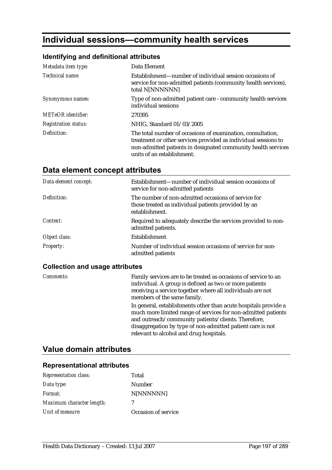# **Individual sessions—community health services**

# **Identifying and definitional attributes**

| Metadata item type:         | Data Element                                                                                                                                                                                                                 |
|-----------------------------|------------------------------------------------------------------------------------------------------------------------------------------------------------------------------------------------------------------------------|
| Technical name:             | Establishment—number of individual session occasions of<br>service for non-admitted patients (community health services),<br>total N[NNNNNN]                                                                                 |
| Synonymous names:           | Type of non-admitted patient care - community health services<br>individual sessions                                                                                                                                         |
| <b>METeOR</b> identifier:   | 270395                                                                                                                                                                                                                       |
| <b>Registration status:</b> | NHIG, Standard 01/03/2005                                                                                                                                                                                                    |
| Definition:                 | The total number of occasions of examination, consultation,<br>treatment or other services provided as individual sessions to<br>non-admitted patients in designated community health services<br>units of an establishment. |

# **Data element concept attributes**

| Data element concept: | Establishment—number of individual session occasions of<br>service for non-admitted patients                                 |
|-----------------------|------------------------------------------------------------------------------------------------------------------------------|
| Definition:           | The number of non-admitted occasions of service for<br>those treated as individual patients provided by an<br>establishment. |
| Context:              | Required to adequately describe the services provided to non-<br>admitted patients.                                          |
| Object class:         | Establishment                                                                                                                |
| <b>Property:</b>      | Number of individual session occasions of service for non-<br>admitted patients                                              |

## **Collection and usage attributes**

| Comments: | Family services are to be treated as occasions of service to an<br>individual. A group is defined as two or more patients<br>receiving a service together where all individuals are not<br>members of the same family.                                                                           |
|-----------|--------------------------------------------------------------------------------------------------------------------------------------------------------------------------------------------------------------------------------------------------------------------------------------------------|
|           | In general, establishments other than acute hospitals provide a<br>much more limited range of services for non-admitted patients<br>and outreach/community patients/clients. Therefore,<br>disaggregation by type of non-admitted patient care is not<br>relevant to alcohol and drug hospitals. |

# **Value domain attributes**

| <b>Representation class:</b> | Total               |
|------------------------------|---------------------|
| Data type:                   | Number              |
| Format:                      | N[NNNNNN]           |
| Maximum character length:    | 7                   |
| Unit of measure:             | Occasion of service |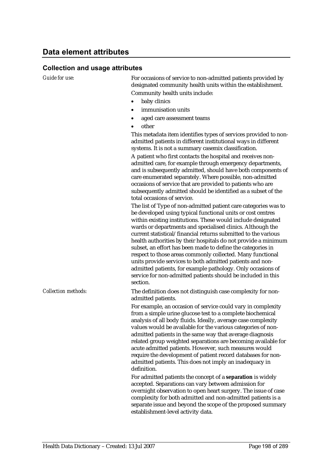*Guide for use:* For occasions of service to non-admitted patients provided by designated community health units within the establishment. Community health units include:

- baby clinics
- immunisation units
- aged care assessment teams
- other

This metadata item identifies types of services provided to nonadmitted patients in different institutional ways in different systems. It is not a summary casemix classification.

A patient who first contacts the hospital and receives nonadmitted care, for example through emergency departments, and is subsequently admitted, should have both components of care enumerated separately. Where possible, non-admitted occasions of service that are provided to patients who are subsequently admitted should be identified as a subset of the total occasions of service.

The list of Type of non-admitted patient care categories was to be developed using typical functional units or cost centres within existing institutions. These would include designated wards or departments and specialised clinics. Although the current statistical/financial returns submitted to the various health authorities by their hospitals do not provide a minimum subset, an effort has been made to define the categories in respect to those areas commonly collected. Many functional units provide services to both admitted patients and nonadmitted patients, for example pathology. Only occasions of service for non-admitted patients should be included in this section.

*Collection methods:* The definition does not distinguish case complexity for nonadmitted patients.

> For example, an occasion of service could vary in complexity from a simple urine glucose test to a complete biochemical analysis of all body fluids. Ideally, average case complexity values would be available for the various categories of nonadmitted patients in the same way that average diagnosis related group weighted separations are becoming available for acute admitted patients. However, such measures would require the development of patient record databases for nonadmitted patients. This does not imply an inadequacy in definition.

> For admitted patients the concept of a **separation** is widely accepted. Separations can vary between admission for overnight observation to open heart surgery. The issue of case complexity for both admitted and non-admitted patients is a separate issue and beyond the scope of the proposed summary establishment-level activity data.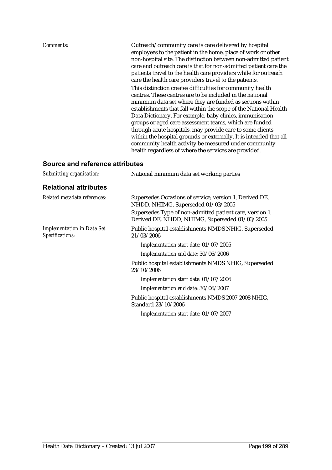| Comments:                       | Outreach/community care is care delivered by hospital<br>employees to the patient in the home, place of work or other<br>non-hospital site. The distinction between non-admitted patient<br>care and outreach care is that for non-admitted patient care the<br>patients travel to the health care providers while for outreach<br>care the health care providers travel to the patients.                                                                                                                                                                                                                                           |
|---------------------------------|-------------------------------------------------------------------------------------------------------------------------------------------------------------------------------------------------------------------------------------------------------------------------------------------------------------------------------------------------------------------------------------------------------------------------------------------------------------------------------------------------------------------------------------------------------------------------------------------------------------------------------------|
|                                 | This distinction creates difficulties for community health<br>centres. These centres are to be included in the national<br>minimum data set where they are funded as sections within<br>establishments that fall within the scope of the National Health<br>Data Dictionary. For example, baby clinics, immunisation<br>groups or aged care assessment teams, which are funded<br>through acute hospitals, may provide care to some clients<br>within the hospital grounds or externally. It is intended that all<br>community health activity be measured under community<br>health regardless of where the services are provided. |
| Source and reference attributes |                                                                                                                                                                                                                                                                                                                                                                                                                                                                                                                                                                                                                                     |

# *Submitting organisation:* National minimum data set working parties

| <b>Relational attributes</b>                         |                                                                                                            |
|------------------------------------------------------|------------------------------------------------------------------------------------------------------------|
| Related metadata references:                         | Supersedes Occasions of service, version 1, Derived DE,<br>NHDD, NHIMG, Superseded 01/03/2005              |
|                                                      | Supersedes Type of non-admitted patient care, version 1,<br>Derived DE, NHDD, NHIMG, Superseded 01/03/2005 |
| <b>Implementation in Data Set</b><br>Specifications: | Public hospital establishments NMDS NHIG, Superseded<br>21/03/2006                                         |
|                                                      | Implementation start date: 01/07/2005                                                                      |
|                                                      | Implementation end date: 30/06/2006                                                                        |
|                                                      | Public hospital establishments NMDS NHIG, Superseded<br>23/10/2006                                         |
|                                                      | Implementation start date: 01/07/2006                                                                      |
|                                                      | Implementation end date: 30/06/2007                                                                        |
|                                                      | Public hospital establishments NMDS 2007-2008 NHIG,<br>Standard 23/10/2006                                 |
|                                                      | Implementation start date: 01/07/2007                                                                      |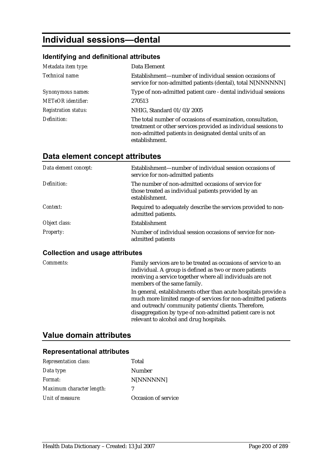# **Individual sessions—dental**

#### **Identifying and definitional attributes**

| Metadata item type:         | Data Element                                                                                                                                                                                              |
|-----------------------------|-----------------------------------------------------------------------------------------------------------------------------------------------------------------------------------------------------------|
| Technical name:             | Establishment—number of individual session occasions of<br>service for non-admitted patients (dental), total N[NNNNNN]                                                                                    |
| Synonymous names:           | Type of non-admitted patient care - dental individual sessions                                                                                                                                            |
| <b>METeOR</b> identifier:   | 270513                                                                                                                                                                                                    |
| <b>Registration status:</b> | NHIG, Standard 01/03/2005                                                                                                                                                                                 |
| Definition:                 | The total number of occasions of examination, consultation,<br>treatment or other services provided as individual sessions to<br>non-admitted patients in designated dental units of an<br>establishment. |

# **Data element concept attributes**

| Data element concept: | Establishment—number of individual session occasions of<br>service for non-admitted patients                                 |
|-----------------------|------------------------------------------------------------------------------------------------------------------------------|
| Definition:           | The number of non-admitted occasions of service for<br>those treated as individual patients provided by an<br>establishment. |
| Context:              | Required to adequately describe the services provided to non-<br>admitted patients.                                          |
| Object class:         | Establishment                                                                                                                |
| <b>Property:</b>      | Number of individual session occasions of service for non-<br>admitted patients                                              |

#### **Collection and usage attributes**

*Comments:* Family services are to be treated as occasions of service to an individual. A group is defined as two or more patients receiving a service together where all individuals are not members of the same family. In general, establishments other than acute hospitals provide a much more limited range of services for non-admitted patients and outreach/community patients/clients. Therefore, disaggregation by type of non-admitted patient care is not relevant to alcohol and drug hospitals.

# **Value domain attributes**

| <b>Representation class:</b> | Total               |
|------------------------------|---------------------|
| Data type:                   | Number              |
| Format:                      | N[NNNNNN]           |
| Maximum character length:    | 7                   |
| Unit of measure:             | Occasion of service |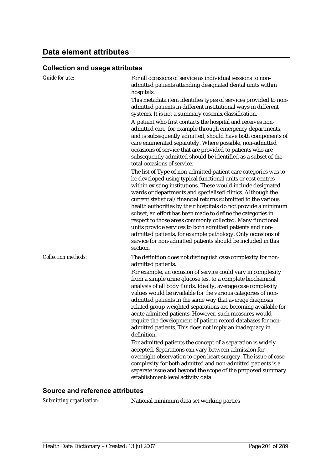| <b>Guide for use:</b>      | For all occasions of service as individual sessions to non-<br>admitted patients attending designated dental units within<br>hospitals.<br>This metadata item identifies types of services provided to non-<br>admitted patients in different institutional ways in different<br>systems. It is not a summary casemix classification.<br>A patient who first contacts the hospital and receives non-<br>admitted care, for example through emergency departments,<br>and is subsequently admitted, should have both components of<br>care enumerated separately. Where possible, non-admitted<br>occasions of service that are provided to patients who are<br>subsequently admitted should be identified as a subset of the<br>total occasions of service.                                                                                                                                                                                                                                                                                    |
|----------------------------|------------------------------------------------------------------------------------------------------------------------------------------------------------------------------------------------------------------------------------------------------------------------------------------------------------------------------------------------------------------------------------------------------------------------------------------------------------------------------------------------------------------------------------------------------------------------------------------------------------------------------------------------------------------------------------------------------------------------------------------------------------------------------------------------------------------------------------------------------------------------------------------------------------------------------------------------------------------------------------------------------------------------------------------------|
|                            | The list of Type of non-admitted patient care categories was to<br>be developed using typical functional units or cost centres<br>within existing institutions. These would include designated<br>wards or departments and specialised clinics. Although the<br>current statistical/financial returns submitted to the various<br>health authorities by their hospitals do not provide a minimum<br>subset, an effort has been made to define the categories in<br>respect to those areas commonly collected. Many functional<br>units provide services to both admitted patients and non-<br>admitted patients, for example pathology. Only occasions of<br>service for non-admitted patients should be included in this<br>section.                                                                                                                                                                                                                                                                                                          |
| <b>Collection methods:</b> | The definition does not distinguish case complexity for non-<br>admitted patients.<br>For example, an occasion of service could vary in complexity<br>from a simple urine glucose test to a complete biochemical<br>analysis of all body fluids. Ideally, average case complexity<br>values would be available for the various categories of non-<br>admitted patients in the same way that average diagnosis<br>related group weighted separations are becoming available for<br>acute admitted patients. However, such measures would<br>require the development of patient record databases for non-<br>admitted patients. This does not imply an inadequacy in<br>definition.<br>For admitted patients the concept of a separation is widely<br>accepted. Separations can vary between admission for<br>overnight observation to open heart surgery. The issue of case<br>complexity for both admitted and non-admitted patients is a<br>separate issue and beyond the scope of the proposed summary<br>establishment-level activity data. |

## **Source and reference attributes**

*Submitting organisation:* National minimum data set working parties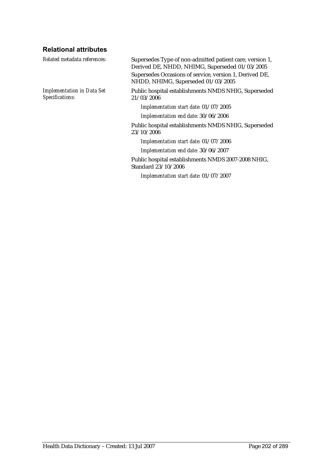# **Relational attributes**

| Supersedes Type of non-admitted patient care, version 1,<br>Derived DE, NHDD, NHIMG, Superseded 01/03/2005<br>Supersedes Occasions of service, version 1, Derived DE,<br>NHDD, NHIMG, Superseded 01/03/2005 |
|-------------------------------------------------------------------------------------------------------------------------------------------------------------------------------------------------------------|
| Public hospital establishments NMDS NHIG, Superseded<br>21/03/2006                                                                                                                                          |
| Implementation start date: 01/07/2005                                                                                                                                                                       |
| Implementation end date: 30/06/2006                                                                                                                                                                         |
| Public hospital establishments NMDS NHIG, Superseded<br>23/10/2006                                                                                                                                          |
| Implementation start date: 01/07/2006                                                                                                                                                                       |
| Implementation end date: 30/06/2007                                                                                                                                                                         |
| Public hospital establishments NMDS 2007-2008 NHIG,<br>Standard 23/10/2006                                                                                                                                  |
| Implementation start date: 01/07/2007                                                                                                                                                                       |
|                                                                                                                                                                                                             |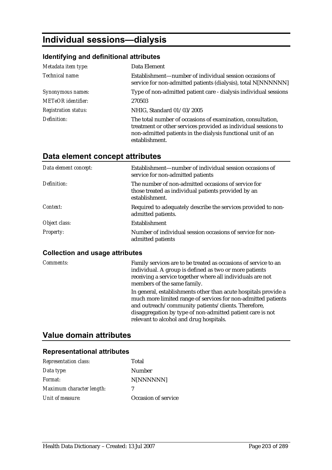# **Individual sessions—dialysis**

#### **Identifying and definitional attributes**

| Metadata item type:         | Data Element                                                                                                                                                                                                   |
|-----------------------------|----------------------------------------------------------------------------------------------------------------------------------------------------------------------------------------------------------------|
| Technical name:             | Establishment—number of individual session occasions of<br>service for non-admitted patients (dialysis), total N[NNNNNN]                                                                                       |
| Synonymous names:           | Type of non-admitted patient care - dialysis individual sessions                                                                                                                                               |
| <b>METeOR</b> identifier:   | 270503                                                                                                                                                                                                         |
| <b>Registration status:</b> | NHIG, Standard 01/03/2005                                                                                                                                                                                      |
| Definition:                 | The total number of occasions of examination, consultation,<br>treatment or other services provided as individual sessions to<br>non-admitted patients in the dialysis functional unit of an<br>establishment. |

# **Data element concept attributes**

| Data element concept: | Establishment—number of individual session occasions of<br>service for non-admitted patients                                 |
|-----------------------|------------------------------------------------------------------------------------------------------------------------------|
| Definition:           | The number of non-admitted occasions of service for<br>those treated as individual patients provided by an<br>establishment. |
| Context:              | Required to adequately describe the services provided to non-<br>admitted patients.                                          |
| Object class:         | <b>Establishment</b>                                                                                                         |
| <b>Property:</b>      | Number of individual session occasions of service for non-<br>admitted patients                                              |

#### **Collection and usage attributes**

*Comments:* Family services are to be treated as occasions of service to an individual. A group is defined as two or more patients receiving a service together where all individuals are not members of the same family. In general, establishments other than acute hospitals provide a much more limited range of services for non-admitted patients and outreach/community patients/clients. Therefore, disaggregation by type of non-admitted patient care is not relevant to alcohol and drug hospitals.

# **Value domain attributes**

| <b>Representation class:</b> | Total               |
|------------------------------|---------------------|
| Data type:                   | Number              |
| Format:                      | N[NNNNNN]           |
| Maximum character length:    | 7                   |
| Unit of measure:             | Occasion of service |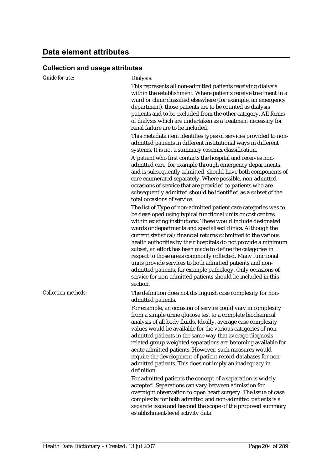| Guide for use:             | Dialysis:                                                                                                                                                                                                                                                                                                                                                                                                                                                                                                                                                                                                                                                                                                                             |
|----------------------------|---------------------------------------------------------------------------------------------------------------------------------------------------------------------------------------------------------------------------------------------------------------------------------------------------------------------------------------------------------------------------------------------------------------------------------------------------------------------------------------------------------------------------------------------------------------------------------------------------------------------------------------------------------------------------------------------------------------------------------------|
|                            | This represents all non-admitted patients receiving dialysis<br>within the establishment. Where patients receive treatment in a<br>ward or clinic classified elsewhere (for example, an emergency<br>department), those patients are to be counted as dialysis<br>patients and to be excluded from the other category. All forms<br>of dialysis which are undertaken as a treatment necessary for<br>renal failure are to be included.                                                                                                                                                                                                                                                                                                |
|                            | This metadata item identifies types of services provided to non-<br>admitted patients in different institutional ways in different<br>systems. It is not a summary casemix classification.                                                                                                                                                                                                                                                                                                                                                                                                                                                                                                                                            |
|                            | A patient who first contacts the hospital and receives non-<br>admitted care, for example through emergency departments,<br>and is subsequently admitted, should have both components of<br>care enumerated separately. Where possible, non-admitted<br>occasions of service that are provided to patients who are<br>subsequently admitted should be identified as a subset of the<br>total occasions of service.                                                                                                                                                                                                                                                                                                                    |
|                            | The list of Type of non-admitted patient care categories was to<br>be developed using typical functional units or cost centres<br>within existing institutions. These would include designated<br>wards or departments and specialised clinics. Although the<br>current statistical/financial returns submitted to the various<br>health authorities by their hospitals do not provide a minimum<br>subset, an effort has been made to define the categories in<br>respect to those areas commonly collected. Many functional<br>units provide services to both admitted patients and non-<br>admitted patients, for example pathology. Only occasions of<br>service for non-admitted patients should be included in this<br>section. |
| <b>Collection methods:</b> | The definition does not distinguish case complexity for non-<br>admitted patients.                                                                                                                                                                                                                                                                                                                                                                                                                                                                                                                                                                                                                                                    |
|                            | For example, an occasion of service could vary in complexity<br>from a simple urine glucose test to a complete biochemical<br>analysis of all body fluids. Ideally, average case complexity<br>values would be available for the various categories of non-<br>admitted patients in the same way that average diagnosis<br>related group weighted separations are becoming available for<br>acute admitted patients. However, such measures would<br>require the development of patient record databases for non-<br>admitted patients. This does not imply an inadequacy in<br>definition.                                                                                                                                           |
|                            | For admitted patients the concept of a separation is widely<br>accepted. Separations can vary between admission for<br>overnight observation to open heart surgery. The issue of case<br>complexity for both admitted and non-admitted patients is a<br>separate issue and beyond the scope of the proposed summary<br>establishment-level activity data.                                                                                                                                                                                                                                                                                                                                                                             |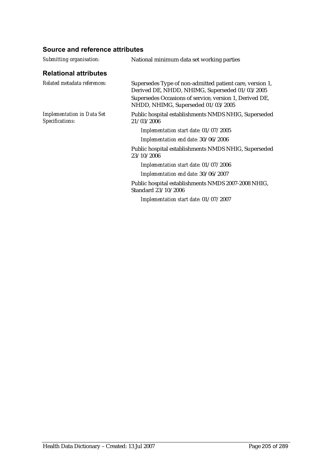| Submitting organisation:                             | National minimum data set working parties                                                                  |
|------------------------------------------------------|------------------------------------------------------------------------------------------------------------|
| <b>Relational attributes</b>                         |                                                                                                            |
| Related metadata references:                         | Supersedes Type of non-admitted patient care, version 1,<br>Derived DE, NHDD, NHIMG, Superseded 01/03/2005 |
|                                                      | Supersedes Occasions of service, version 1, Derived DE,<br>NHDD, NHIMG, Superseded 01/03/2005              |
| <b>Implementation in Data Set</b><br>Specifications: | Public hospital establishments NMDS NHIG, Superseded<br>21/03/2006                                         |
|                                                      | Implementation start date: 01/07/2005                                                                      |
|                                                      | Implementation end date: 30/06/2006                                                                        |
|                                                      | Public hospital establishments NMDS NHIG, Superseded<br>23/10/2006                                         |
|                                                      | Implementation start date: 01/07/2006                                                                      |
|                                                      | Implementation end date: 30/06/2007                                                                        |
|                                                      | Public hospital establishments NMDS 2007-2008 NHIG,<br>Standard 23/10/2006                                 |
|                                                      | Implementation start date: 01/07/2007                                                                      |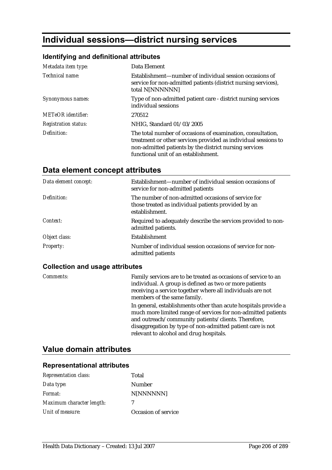# **Individual sessions—district nursing services**

## **Identifying and definitional attributes**

| Metadata item type:         | Data Element                                                                                                                                                                                                                    |
|-----------------------------|---------------------------------------------------------------------------------------------------------------------------------------------------------------------------------------------------------------------------------|
| Technical name:             | Establishment—number of individual session occasions of<br>service for non-admitted patients (district nursing services),<br>total N[NNNNNN]                                                                                    |
| Synonymous names:           | Type of non-admitted patient care - district nursing services<br>individual sessions                                                                                                                                            |
| <b>METeOR</b> identifier:   | 270512                                                                                                                                                                                                                          |
| <b>Registration status:</b> | NHIG, Standard 01/03/2005                                                                                                                                                                                                       |
| Definition:                 | The total number of occasions of examination, consultation,<br>treatment or other services provided as individual sessions to<br>non-admitted patients by the district nursing services<br>functional unit of an establishment. |

# **Data element concept attributes**

| Data element concept: | Establishment—number of individual session occasions of<br>service for non-admitted patients                                 |
|-----------------------|------------------------------------------------------------------------------------------------------------------------------|
| Definition:           | The number of non-admitted occasions of service for<br>those treated as individual patients provided by an<br>establishment. |
| Context:              | Required to adequately describe the services provided to non-<br>admitted patients.                                          |
| Object class:         | <b>Establishment</b>                                                                                                         |
| Property:             | Number of individual session occasions of service for non-<br>admitted patients                                              |

## **Collection and usage attributes**

| Comments: | Family services are to be treated as occasions of service to an<br>individual. A group is defined as two or more patients<br>receiving a service together where all individuals are not<br>members of the same family.                                                                           |
|-----------|--------------------------------------------------------------------------------------------------------------------------------------------------------------------------------------------------------------------------------------------------------------------------------------------------|
|           | In general, establishments other than acute hospitals provide a<br>much more limited range of services for non-admitted patients<br>and outreach/community patients/clients. Therefore,<br>disaggregation by type of non-admitted patient care is not<br>relevant to alcohol and drug hospitals. |

# **Value domain attributes**

| <b>Representation class:</b> | Total               |
|------------------------------|---------------------|
| Data type:                   | Number              |
| Format:                      | N[NNNNNN]           |
| Maximum character length:    | 7                   |
| Unit of measure:             | Occasion of service |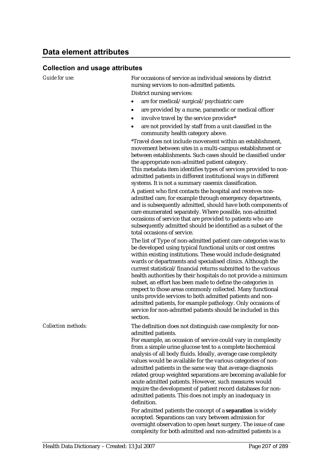*Guide for use:* For occasions of service as individual sessions by district nursing services to non-admitted patients. District nursing services:

- are for medical/surgical/psychiatric care
- are provided by a nurse, paramedic or medical officer
- involve travel by the service provider\*
- are not provided by staff from a unit classified in the community health category above.

\*Travel does not include movement within an establishment, movement between sites in a multi-campus establishment or between establishments. Such cases should be classified under the appropriate non-admitted patient category. This metadata item identifies types of services provided to nonadmitted patients in different institutional ways in different systems. It is not a summary casemix classification.

A patient who first contacts the hospital and receives nonadmitted care, for example through emergency departments, and is subsequently admitted, should have both components of care enumerated separately. Where possible, non-admitted occasions of service that are provided to patients who are subsequently admitted should be identified as a subset of the total occasions of service.

The list of Type of non-admitted patient care categories was to be developed using typical functional units or cost centres within existing institutions. These would include designated wards or departments and specialised clinics. Although the current statistical/financial returns submitted to the various health authorities by their hospitals do not provide a minimum subset, an effort has been made to define the categories in respect to those areas commonly collected. Many functional units provide services to both admitted patients and nonadmitted patients, for example pathology. Only occasions of service for non-admitted patients should be included in this section.

*Collection methods:* The definition does not distinguish case complexity for nonadmitted patients.

> For example, an occasion of service could vary in complexity from a simple urine glucose test to a complete biochemical analysis of all body fluids. Ideally, average case complexity values would be available for the various categories of nonadmitted patients in the same way that average diagnosis related group weighted separations are becoming available for acute admitted patients. However, such measures would require the development of patient record databases for nonadmitted patients. This does not imply an inadequacy in definition.

For admitted patients the concept of a **separation** is widely accepted. Separations can vary between admission for overnight observation to open heart surgery. The issue of case complexity for both admitted and non-admitted patients is a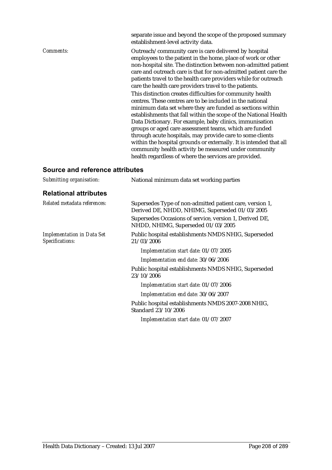|                                 | separate issue and beyond the scope of the proposed summary<br>establishment-level activity data.                                                                                                                                                                                                                                                                                         |
|---------------------------------|-------------------------------------------------------------------------------------------------------------------------------------------------------------------------------------------------------------------------------------------------------------------------------------------------------------------------------------------------------------------------------------------|
| <i>Comments:</i>                | Outreach/community care is care delivered by hospital<br>employees to the patient in the home, place of work or other<br>non-hospital site. The distinction between non-admitted patient<br>care and outreach care is that for non-admitted patient care the<br>patients travel to the health care providers while for outreach<br>care the health care providers travel to the patients. |
|                                 | This distinction creates difficulties for community health<br>centres. These centres are to be included in the national<br>minimum data set where they are funded as sections within<br>establishments that fall within the scope of the National Health<br>Data Dictionary. For example, baby clinics, immunisation<br>groups or aged care assessment teams, which are funded            |
|                                 | through acute hospitals, may provide care to some clients<br>within the hospital grounds or externally. It is intended that all<br>community health activity be measured under community<br>health regardless of where the services are provided.                                                                                                                                         |
| Source and reference attributes |                                                                                                                                                                                                                                                                                                                                                                                           |

| Submitting organisation:                             | National minimum data set working parties                                                                  |
|------------------------------------------------------|------------------------------------------------------------------------------------------------------------|
| <b>Relational attributes</b>                         |                                                                                                            |
| Related metadata references:                         | Supersedes Type of non-admitted patient care, version 1,<br>Derived DE, NHDD, NHIMG, Superseded 01/03/2005 |
|                                                      | Supersedes Occasions of service, version 1, Derived DE,<br>NHDD, NHIMG, Superseded 01/03/2005              |
| <b>Implementation in Data Set</b><br>Specifications: | Public hospital establishments NMDS NHIG, Superseded<br>21/03/2006                                         |
|                                                      | Implementation start date: 01/07/2005                                                                      |
|                                                      | Implementation end date: 30/06/2006                                                                        |
|                                                      | Public hospital establishments NMDS NHIG, Superseded<br>23/10/2006                                         |
|                                                      | Implementation start date: 01/07/2006                                                                      |
|                                                      | Implementation end date: 30/06/2007                                                                        |
|                                                      | Public hospital establishments NMDS 2007-2008 NHIG,<br>Standard 23/10/2006                                 |
|                                                      | Implementation start date: 01/07/2007                                                                      |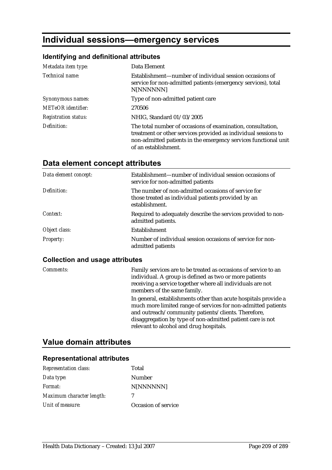# **Individual sessions—emergency services**

# **Identifying and definitional attributes**

| Metadata item type:         | Data Element                                                                                                                                                                                                             |
|-----------------------------|--------------------------------------------------------------------------------------------------------------------------------------------------------------------------------------------------------------------------|
| Technical name:             | Establishment—number of individual session occasions of<br>service for non-admitted patients (emergency services), total<br>N[NNNNNN]                                                                                    |
| Synonymous names:           | Type of non-admitted patient care                                                                                                                                                                                        |
| <b>METeOR</b> identifier:   | 270506                                                                                                                                                                                                                   |
| <b>Registration status:</b> | NHIG, Standard 01/03/2005                                                                                                                                                                                                |
| Definition:                 | The total number of occasions of examination, consultation,<br>treatment or other services provided as individual sessions to<br>non-admitted patients in the emergency services functional unit<br>of an establishment. |

# **Data element concept attributes**

| Data element concept: | Establishment—number of individual session occasions of<br>service for non-admitted patients                                 |
|-----------------------|------------------------------------------------------------------------------------------------------------------------------|
| Definition:           | The number of non-admitted occasions of service for<br>those treated as individual patients provided by an<br>establishment. |
| Context:              | Required to adequately describe the services provided to non-<br>admitted patients.                                          |
| Object class:         | <b>Establishment</b>                                                                                                         |
| <b>Property:</b>      | Number of individual session occasions of service for non-<br>admitted patients                                              |

#### **Collection and usage attributes**

| Comments: | Family services are to be treated as occasions of service to an<br>individual. A group is defined as two or more patients<br>receiving a service together where all individuals are not<br>members of the same family.                                                                           |
|-----------|--------------------------------------------------------------------------------------------------------------------------------------------------------------------------------------------------------------------------------------------------------------------------------------------------|
|           | In general, establishments other than acute hospitals provide a<br>much more limited range of services for non-admitted patients<br>and outreach/community patients/clients. Therefore,<br>disaggregation by type of non-admitted patient care is not<br>relevant to alcohol and drug hospitals. |

# **Value domain attributes**

| <b>Representation class:</b> | Total               |
|------------------------------|---------------------|
| Data type:                   | Number              |
| Format:                      | N[NNNNNN]           |
| Maximum character length:    |                     |
| Unit of measure:             | Occasion of service |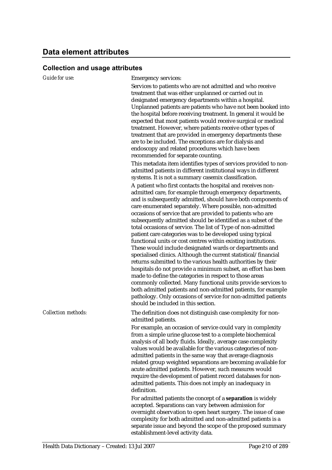| onaanan ana adag           |                                                                                                                                                                                                                                                                                                                                                                                                                                                                                                                                                                                                                                                                                                                                                                                                                                                                                                                                                                                                                                                                                                                                                         |
|----------------------------|---------------------------------------------------------------------------------------------------------------------------------------------------------------------------------------------------------------------------------------------------------------------------------------------------------------------------------------------------------------------------------------------------------------------------------------------------------------------------------------------------------------------------------------------------------------------------------------------------------------------------------------------------------------------------------------------------------------------------------------------------------------------------------------------------------------------------------------------------------------------------------------------------------------------------------------------------------------------------------------------------------------------------------------------------------------------------------------------------------------------------------------------------------|
| <b>Guide for use:</b>      | <b>Emergency services:</b>                                                                                                                                                                                                                                                                                                                                                                                                                                                                                                                                                                                                                                                                                                                                                                                                                                                                                                                                                                                                                                                                                                                              |
|                            | Services to patients who are not admitted and who receive<br>treatment that was either unplanned or carried out in<br>designated emergency departments within a hospital.<br>Unplanned patients are patients who have not been booked into<br>the hospital before receiving treatment. In general it would be<br>expected that most patients would receive surgical or medical<br>treatment. However, where patients receive other types of<br>treatment that are provided in emergency departments these<br>are to be included. The exceptions are for dialysis and<br>endoscopy and related procedures which have been                                                                                                                                                                                                                                                                                                                                                                                                                                                                                                                                |
|                            | recommended for separate counting.                                                                                                                                                                                                                                                                                                                                                                                                                                                                                                                                                                                                                                                                                                                                                                                                                                                                                                                                                                                                                                                                                                                      |
|                            | This metadata item identifies types of services provided to non-<br>admitted patients in different institutional ways in different<br>systems. It is not a summary casemix classification.                                                                                                                                                                                                                                                                                                                                                                                                                                                                                                                                                                                                                                                                                                                                                                                                                                                                                                                                                              |
|                            | A patient who first contacts the hospital and receives non-<br>admitted care, for example through emergency departments,<br>and is subsequently admitted, should have both components of<br>care enumerated separately. Where possible, non-admitted<br>occasions of service that are provided to patients who are<br>subsequently admitted should be identified as a subset of the<br>total occasions of service. The list of Type of non-admitted<br>patient care categories was to be developed using typical<br>functional units or cost centres within existing institutions.<br>These would include designated wards or departments and<br>specialised clinics. Although the current statistical/financial<br>returns submitted to the various health authorities by their<br>hospitals do not provide a minimum subset, an effort has been<br>made to define the categories in respect to those areas<br>commonly collected. Many functional units provide services to<br>both admitted patients and non-admitted patients, for example<br>pathology. Only occasions of service for non-admitted patients<br>should be included in this section. |
| <b>Collection methods:</b> | The definition does not distinguish case complexity for non-<br>admitted patients.                                                                                                                                                                                                                                                                                                                                                                                                                                                                                                                                                                                                                                                                                                                                                                                                                                                                                                                                                                                                                                                                      |
|                            | For example, an occasion of service could vary in complexity<br>from a simple urine glucose test to a complete biochemical<br>analysis of all body fluids. Ideally, average case complexity<br>values would be available for the various categories of non-<br>admitted patients in the same way that average diagnosis<br>related group weighted separations are becoming available for<br>acute admitted patients. However, such measures would<br>require the development of patient record databases for non-<br>admitted patients. This does not imply an inadequacy in<br>definition.<br>For admitted patients the concept of a separation is widely                                                                                                                                                                                                                                                                                                                                                                                                                                                                                              |
|                            | accepted. Separations can vary between admission for<br>overnight observation to open heart surgery. The issue of case<br>complexity for both admitted and non-admitted patients is a<br>separate issue and beyond the scope of the proposed summary<br>establishment-level activity data.                                                                                                                                                                                                                                                                                                                                                                                                                                                                                                                                                                                                                                                                                                                                                                                                                                                              |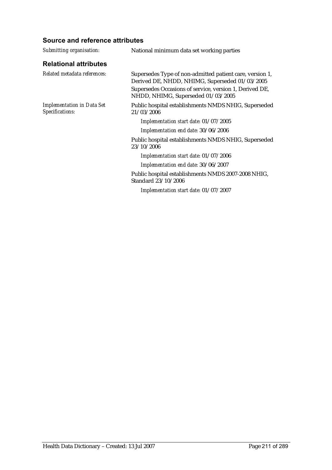| Submitting organisation:                             | National minimum data set working parties                                                                                                                                                                   |
|------------------------------------------------------|-------------------------------------------------------------------------------------------------------------------------------------------------------------------------------------------------------------|
| <b>Relational attributes</b>                         |                                                                                                                                                                                                             |
| Related metadata references:                         | Supersedes Type of non-admitted patient care, version 1,<br>Derived DE, NHDD, NHIMG, Superseded 01/03/2005<br>Supersedes Occasions of service, version 1, Derived DE,<br>NHDD, NHIMG, Superseded 01/03/2005 |
| <b>Implementation in Data Set</b><br>Specifications: | Public hospital establishments NMDS NHIG, Superseded<br>21/03/2006                                                                                                                                          |
|                                                      | Implementation start date: 01/07/2005                                                                                                                                                                       |
|                                                      | Implementation end date: 30/06/2006                                                                                                                                                                         |
|                                                      | Public hospital establishments NMDS NHIG, Superseded<br>23/10/2006                                                                                                                                          |
|                                                      | Implementation start date: 01/07/2006                                                                                                                                                                       |
|                                                      | Implementation end date: 30/06/2007                                                                                                                                                                         |
|                                                      | Public hospital establishments NMDS 2007-2008 NHIG,<br>Standard 23/10/2006                                                                                                                                  |
|                                                      | Implementation start date: 01/07/2007                                                                                                                                                                       |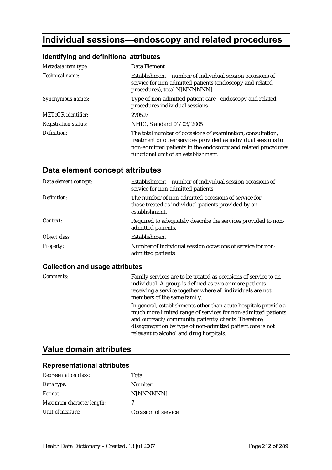# **Individual sessions—endoscopy and related procedures**

# **Identifying and definitional attributes**

| Metadata item type:         | Data Element                                                                                                                                                                                                                           |
|-----------------------------|----------------------------------------------------------------------------------------------------------------------------------------------------------------------------------------------------------------------------------------|
| Technical name:             | Establishment—number of individual session occasions of<br>service for non-admitted patients (endoscopy and related<br>procedures), total N[NNNNNN]                                                                                    |
| Synonymous names:           | Type of non-admitted patient care - endoscopy and related<br>procedures individual sessions                                                                                                                                            |
| <b>METeOR</b> identifier:   | 270507                                                                                                                                                                                                                                 |
| <b>Registration status:</b> | NHIG, Standard 01/03/2005                                                                                                                                                                                                              |
| Definition:                 | The total number of occasions of examination, consultation,<br>treatment or other services provided as individual sessions to<br>non-admitted patients in the endoscopy and related procedures<br>functional unit of an establishment. |

# **Data element concept attributes**

| Data element concept: | Establishment—number of individual session occasions of<br>service for non-admitted patients                                 |
|-----------------------|------------------------------------------------------------------------------------------------------------------------------|
| Definition:           | The number of non-admitted occasions of service for<br>those treated as individual patients provided by an<br>establishment. |
| Context:              | Required to adequately describe the services provided to non-<br>admitted patients.                                          |
| Object class:         | <b>Establishment</b>                                                                                                         |
| <b>Property:</b>      | Number of individual session occasions of service for non-<br>admitted patients                                              |

## **Collection and usage attributes**

| Comments: | Family services are to be treated as occasions of service to an<br>individual. A group is defined as two or more patients<br>receiving a service together where all individuals are not<br>members of the same family.                                                                           |
|-----------|--------------------------------------------------------------------------------------------------------------------------------------------------------------------------------------------------------------------------------------------------------------------------------------------------|
|           | In general, establishments other than acute hospitals provide a<br>much more limited range of services for non-admitted patients<br>and outreach/community patients/clients. Therefore,<br>disaggregation by type of non-admitted patient care is not<br>relevant to alcohol and drug hospitals. |

# **Value domain attributes**

| <b>Representation class:</b> | Total               |
|------------------------------|---------------------|
| Data type:                   | Number              |
| Format:                      | N[NNNNNN]           |
| Maximum character length:    | 7                   |
| Unit of measure:             | Occasion of service |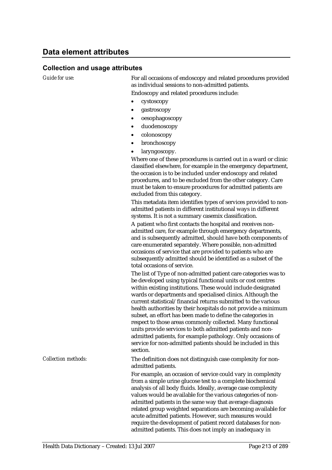*Guide for use:* For all occasions of endoscopy and related procedures provided as individual sessions to non-admitted patients. Endoscopy and related procedures include:

- cystoscopy
- gastroscopy
- oesophagoscopy
- duodenoscopy
- colonoscopy
- bronchoscopy
- laryngoscopy.

Where one of these procedures is carried out in a ward or clinic classified elsewhere, for example in the emergency department, the occasion is to be included under endoscopy and related procedures, and to be excluded from the other category. Care must be taken to ensure procedures for admitted patients are excluded from this category.

This metadata item identifies types of services provided to nonadmitted patients in different institutional ways in different systems. It is not a summary casemix classification.

A patient who first contacts the hospital and receives nonadmitted care, for example through emergency departments, and is subsequently admitted, should have both components of care enumerated separately. Where possible, non-admitted occasions of service that are provided to patients who are subsequently admitted should be identified as a subset of the total occasions of service.

The list of Type of non-admitted patient care categories was to be developed using typical functional units or cost centres within existing institutions. These would include designated wards or departments and specialised clinics. Although the current statistical/financial returns submitted to the various health authorities by their hospitals do not provide a minimum subset, an effort has been made to define the categories in respect to those areas commonly collected. Many functional units provide services to both admitted patients and nonadmitted patients, for example pathology. Only occasions of service for non-admitted patients should be included in this section.

*Collection methods:* The definition does not distinguish case complexity for nonadmitted patients.

> For example, an occasion of service could vary in complexity from a simple urine glucose test to a complete biochemical analysis of all body fluids. Ideally, average case complexity values would be available for the various categories of nonadmitted patients in the same way that average diagnosis related group weighted separations are becoming available for acute admitted patients. However, such measures would require the development of patient record databases for nonadmitted patients. This does not imply an inadequacy in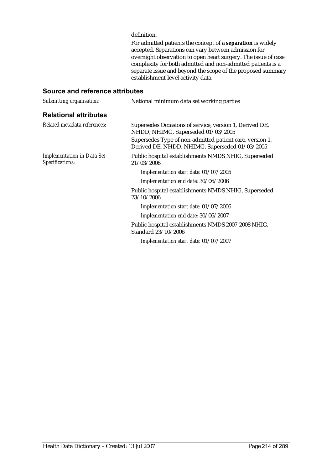#### definition.

For admitted patients the concept of a **separation** is widely accepted. Separations can vary between admission for overnight observation to open heart surgery. The issue of case complexity for both admitted and non-admitted patients is a separate issue and beyond the scope of the proposed summary establishment-level activity data.

| Submitting organisation:                             | National minimum data set working parties                                                                  |
|------------------------------------------------------|------------------------------------------------------------------------------------------------------------|
| <b>Relational attributes</b>                         |                                                                                                            |
| Related metadata references:                         | Supersedes Occasions of service, version 1, Derived DE,<br>NHDD, NHIMG, Superseded 01/03/2005              |
|                                                      | Supersedes Type of non-admitted patient care, version 1,<br>Derived DE, NHDD, NHIMG, Superseded 01/03/2005 |
| <b>Implementation in Data Set</b><br>Specifications: | Public hospital establishments NMDS NHIG, Superseded<br>21/03/2006                                         |
|                                                      | Implementation start date: 01/07/2005                                                                      |
|                                                      | Implementation end date: 30/06/2006                                                                        |
|                                                      | Public hospital establishments NMDS NHIG, Superseded<br>23/10/2006                                         |
|                                                      | Implementation start date: 01/07/2006                                                                      |
|                                                      | Implementation end date: 30/06/2007                                                                        |
|                                                      | Public hospital establishments NMDS 2007-2008 NHIG,<br>Standard 23/10/2006                                 |
|                                                      | Implementation start date: 01/07/2007                                                                      |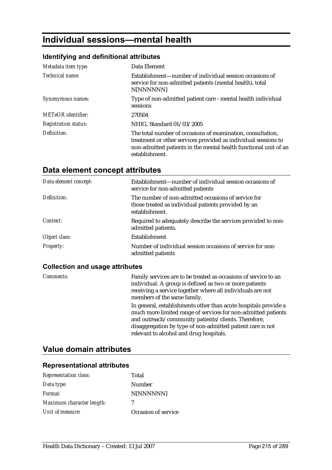# **Individual sessions—mental health**

## **Identifying and definitional attributes**

| Metadata item type:         | Data Element                                                                                                                                                                                                        |
|-----------------------------|---------------------------------------------------------------------------------------------------------------------------------------------------------------------------------------------------------------------|
| Technical name:             | Establishment—number of individual session occasions of<br>service for non-admitted patients (mental health), total<br>N[NNNNNN]                                                                                    |
| Synonymous names:           | Type of non-admitted patient care - mental health individual<br>sessions                                                                                                                                            |
| <b>METeOR</b> identifier:   | 270504                                                                                                                                                                                                              |
| <b>Registration status:</b> | NHIG, Standard 01/03/2005                                                                                                                                                                                           |
| Definition:                 | The total number of occasions of examination, consultation,<br>treatment or other services provided as individual sessions to<br>non-admitted patients in the mental health functional unit of an<br>establishment. |

# **Data element concept attributes**

| Data element concept: | Establishment—number of individual session occasions of<br>service for non-admitted patients                                 |
|-----------------------|------------------------------------------------------------------------------------------------------------------------------|
| Definition:           | The number of non-admitted occasions of service for<br>those treated as individual patients provided by an<br>establishment. |
| Context:              | Required to adequately describe the services provided to non-<br>admitted patients.                                          |
| Object class:         | Establishment                                                                                                                |
| <b>Property:</b>      | Number of individual session occasions of service for non-<br>admitted patients                                              |

## **Collection and usage attributes**

| Comments: | Family services are to be treated as occasions of service to an<br>individual. A group is defined as two or more patients<br>receiving a service together where all individuals are not<br>members of the same family.                                                                           |
|-----------|--------------------------------------------------------------------------------------------------------------------------------------------------------------------------------------------------------------------------------------------------------------------------------------------------|
|           | In general, establishments other than acute hospitals provide a<br>much more limited range of services for non-admitted patients<br>and outreach/community patients/clients. Therefore,<br>disaggregation by type of non-admitted patient care is not<br>relevant to alcohol and drug hospitals. |

# **Value domain attributes**

| <b>Representation class:</b> | Total               |
|------------------------------|---------------------|
| Data type:                   | Number              |
| Format:                      | N[NNNNNN]           |
| Maximum character length:    | 7                   |
| Unit of measure:             | Occasion of service |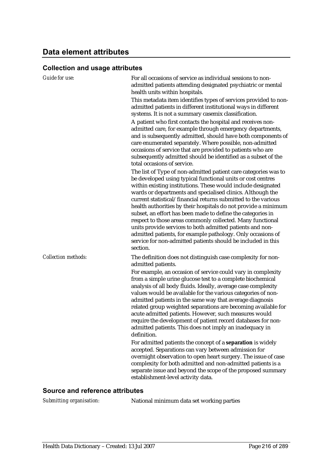| Guide for use:             | For all occasions of service as individual sessions to non-<br>admitted patients attending designated psychiatric or mental<br>health units within hospitals.<br>This metadata item identifies types of services provided to non-<br>admitted patients in different institutional ways in different<br>systems. It is not a summary casemix classification.<br>A patient who first contacts the hospital and receives non-<br>admitted care, for example through emergency departments,<br>and is subsequently admitted, should have both components of<br>care enumerated separately. Where possible, non-admitted<br>occasions of service that are provided to patients who are<br>subsequently admitted should be identified as a subset of the<br>total occasions of service.                                                                                                                                                                                                                                                              |
|----------------------------|------------------------------------------------------------------------------------------------------------------------------------------------------------------------------------------------------------------------------------------------------------------------------------------------------------------------------------------------------------------------------------------------------------------------------------------------------------------------------------------------------------------------------------------------------------------------------------------------------------------------------------------------------------------------------------------------------------------------------------------------------------------------------------------------------------------------------------------------------------------------------------------------------------------------------------------------------------------------------------------------------------------------------------------------|
|                            | The list of Type of non-admitted patient care categories was to<br>be developed using typical functional units or cost centres<br>within existing institutions. These would include designated<br>wards or departments and specialised clinics. Although the<br>current statistical/financial returns submitted to the various<br>health authorities by their hospitals do not provide a minimum<br>subset, an effort has been made to define the categories in<br>respect to those areas commonly collected. Many functional<br>units provide services to both admitted patients and non-<br>admitted patients, for example pathology. Only occasions of<br>service for non-admitted patients should be included in this<br>section.                                                                                                                                                                                                                                                                                                          |
| <b>Collection methods:</b> | The definition does not distinguish case complexity for non-<br>admitted patients.<br>For example, an occasion of service could vary in complexity<br>from a simple urine glucose test to a complete biochemical<br>analysis of all body fluids. Ideally, average case complexity<br>values would be available for the various categories of non-<br>admitted patients in the same way that average diagnosis<br>related group weighted separations are becoming available for<br>acute admitted patients. However, such measures would<br>require the development of patient record databases for non-<br>admitted patients. This does not imply an inadequacy in<br>definition.<br>For admitted patients the concept of a separation is widely<br>accepted. Separations can vary between admission for<br>overnight observation to open heart surgery. The issue of case<br>complexity for both admitted and non-admitted patients is a<br>separate issue and beyond the scope of the proposed summary<br>establishment-level activity data. |

## **Source and reference attributes**

*Submitting organisation:* National minimum data set working parties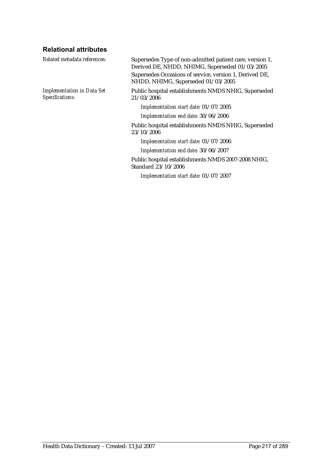## **Relational attributes**

| Related metadata references:                         | Supersedes Type of non-admitted patient care, version 1,<br>Derived DE, NHDD, NHIMG, Superseded 01/03/2005 |
|------------------------------------------------------|------------------------------------------------------------------------------------------------------------|
|                                                      | Supersedes Occasions of service, version 1, Derived DE,<br>NHDD, NHIMG, Superseded 01/03/2005              |
| <b>Implementation in Data Set</b><br>Specifications: | Public hospital establishments NMDS NHIG, Superseded<br>21/03/2006                                         |
|                                                      | Implementation start date: 01/07/2005                                                                      |
|                                                      | Implementation end date: 30/06/2006                                                                        |
|                                                      | Public hospital establishments NMDS NHIG, Superseded<br>23/10/2006                                         |
|                                                      | Implementation start date: 01/07/2006                                                                      |
|                                                      | Implementation end date: 30/06/2007                                                                        |
|                                                      | Public hospital establishments NMDS 2007-2008 NHIG,<br>Standard 23/10/2006                                 |
|                                                      | Implementation start date: 01/07/2007                                                                      |
|                                                      |                                                                                                            |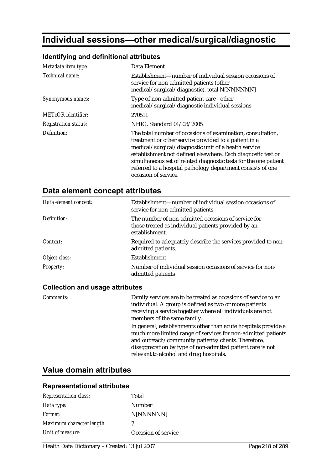# **Individual sessions—other medical/surgical/diagnostic**

#### **Identifying and definitional attributes**

| Metadata item type:         | Data Element                                                                                                                                                                                                                                                                                                                                                                    |
|-----------------------------|---------------------------------------------------------------------------------------------------------------------------------------------------------------------------------------------------------------------------------------------------------------------------------------------------------------------------------------------------------------------------------|
| Technical name:             | Establishment—number of individual session occasions of<br>service for non-admitted patients (other<br>medical/surgical/diagnostic), total N[NNNNNN]                                                                                                                                                                                                                            |
| Synonymous names:           | Type of non-admitted patient care - other<br>medical/surgical/diagnostic individual sessions                                                                                                                                                                                                                                                                                    |
| <b>METeOR</b> identifier:   | 270511                                                                                                                                                                                                                                                                                                                                                                          |
| <b>Registration status:</b> | NHIG, Standard 01/03/2005                                                                                                                                                                                                                                                                                                                                                       |
| Definition:                 | The total number of occasions of examination, consultation,<br>treatment or other service provided to a patient in a<br>medical/surgical/diagnostic unit of a health service<br>establishment not defined elsewhere. Each diagnostic test or<br>simultaneous set of related diagnostic tests for the one patient<br>referred to a hospital pathology department consists of one |

occasion of service.

| Data element concept: | Establishment—number of individual session occasions of<br>service for non-admitted patients                                 |
|-----------------------|------------------------------------------------------------------------------------------------------------------------------|
| Definition:           | The number of non-admitted occasions of service for<br>those treated as individual patients provided by an<br>establishment. |
| Context:              | Required to adequately describe the services provided to non-<br>admitted patients.                                          |
| Object class:         | Establishment                                                                                                                |
| <b>Property:</b>      | Number of individual session occasions of service for non-<br>admitted patients                                              |

#### **Collection and usage attributes**

*Comments:* Family services are to be treated as occasions of service to an individual. A group is defined as two or more patients receiving a service together where all individuals are not members of the same family. In general, establishments other than acute hospitals provide a much more limited range of services for non-admitted patients and outreach/community patients/clients. Therefore, disaggregation by type of non-admitted patient care is not relevant to alcohol and drug hospitals.

### **Value domain attributes**

| <b>Representation class:</b> | Total               |
|------------------------------|---------------------|
| Data type:                   | <b>Number</b>       |
| Format:                      | N[NNNNNN]           |
| Maximum character length:    | 7                   |
| Unit of measure:             | Occasion of service |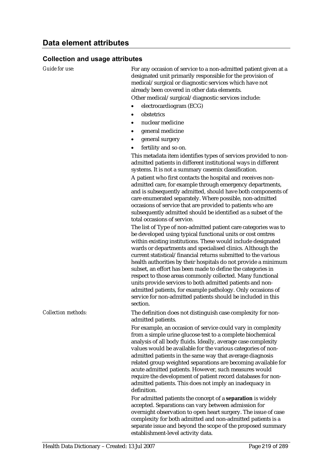#### **Collection and usage attributes**

*Guide for use:* For any occasion of service to a non-admitted patient given at a designated unit primarily responsible for the provision of medical/surgical or diagnostic services which have not already been covered in other data elements.

Other medical/surgical/diagnostic services include:

- electrocardiogram (ECG)
- obstetrics
- nuclear medicine
- general medicine
- general surgery
- fertility and so on.

This metadata item identifies types of services provided to nonadmitted patients in different institutional ways in different systems. It is not a summary casemix classification.

A patient who first contacts the hospital and receives nonadmitted care, for example through emergency departments, and is subsequently admitted, should have both components of care enumerated separately. Where possible, non-admitted occasions of service that are provided to patients who are subsequently admitted should be identified as a subset of the total occasions of service.

The list of Type of non-admitted patient care categories was to be developed using typical functional units or cost centres within existing institutions. These would include designated wards or departments and specialised clinics. Although the current statistical/financial returns submitted to the various health authorities by their hospitals do not provide a minimum subset, an effort has been made to define the categories in respect to those areas commonly collected. Many functional units provide services to both admitted patients and nonadmitted patients, for example pathology. Only occasions of service for non-admitted patients should be included in this section.

*Collection methods:* The definition does not distinguish case complexity for nonadmitted patients.

> For example, an occasion of service could vary in complexity from a simple urine glucose test to a complete biochemical analysis of all body fluids. Ideally, average case complexity values would be available for the various categories of nonadmitted patients in the same way that average diagnosis related group weighted separations are becoming available for acute admitted patients. However, such measures would require the development of patient record databases for nonadmitted patients. This does not imply an inadequacy in definition.

> For admitted patients the concept of a **separation** is widely accepted. Separations can vary between admission for overnight observation to open heart surgery. The issue of case complexity for both admitted and non-admitted patients is a separate issue and beyond the scope of the proposed summary establishment-level activity data.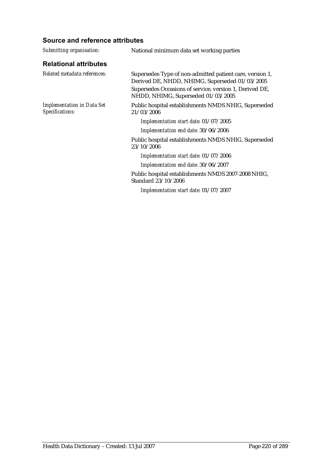| Submitting organisation:                             | National minimum data set working parties                                                                                                                                                                   |
|------------------------------------------------------|-------------------------------------------------------------------------------------------------------------------------------------------------------------------------------------------------------------|
| <b>Relational attributes</b>                         |                                                                                                                                                                                                             |
| Related metadata references:                         | Supersedes Type of non-admitted patient care, version 1,<br>Derived DE, NHDD, NHIMG, Superseded 01/03/2005<br>Supersedes Occasions of service, version 1, Derived DE,<br>NHDD, NHIMG, Superseded 01/03/2005 |
| <b>Implementation in Data Set</b><br>Specifications: | Public hospital establishments NMDS NHIG, Superseded<br>21/03/2006                                                                                                                                          |
|                                                      | Implementation start date: 01/07/2005                                                                                                                                                                       |
|                                                      | Implementation end date: 30/06/2006                                                                                                                                                                         |
|                                                      | Public hospital establishments NMDS NHIG, Superseded<br>23/10/2006                                                                                                                                          |
|                                                      | Implementation start date: 01/07/2006                                                                                                                                                                       |
|                                                      | Implementation end date: 30/06/2007                                                                                                                                                                         |
|                                                      | Public hospital establishments NMDS 2007-2008 NHIG,<br>Standard 23/10/2006                                                                                                                                  |
|                                                      | Implementation start date: 01/07/2007                                                                                                                                                                       |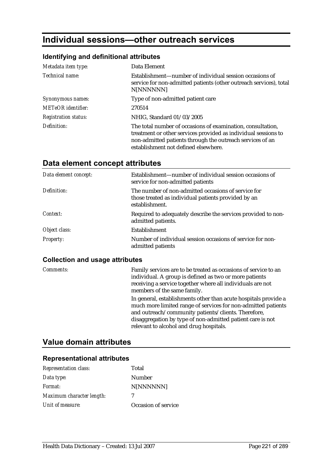# **Individual sessions—other outreach services**

### **Identifying and definitional attributes**

| Metadata item type:         | Data Element                                                                                                                                                                                                                       |
|-----------------------------|------------------------------------------------------------------------------------------------------------------------------------------------------------------------------------------------------------------------------------|
| Technical name:             | Establishment—number of individual session occasions of<br>service for non-admitted patients (other outreach services), total<br>N[NNNNNN]                                                                                         |
| Synonymous names:           | Type of non-admitted patient care                                                                                                                                                                                                  |
| <b>METeOR</b> identifier:   | 270514                                                                                                                                                                                                                             |
| <b>Registration status:</b> | NHIG, Standard 01/03/2005                                                                                                                                                                                                          |
| Definition:                 | The total number of occasions of examination, consultation,<br>treatment or other services provided as individual sessions to<br>non-admitted patients through the outreach services of an<br>establishment not defined elsewhere. |

# **Data element concept attributes**

| Data element concept: | Establishment—number of individual session occasions of<br>service for non-admitted patients                                 |
|-----------------------|------------------------------------------------------------------------------------------------------------------------------|
| Definition:           | The number of non-admitted occasions of service for<br>those treated as individual patients provided by an<br>establishment. |
| Context:              | Required to adequately describe the services provided to non-<br>admitted patients.                                          |
| Object class:         | <b>Establishment</b>                                                                                                         |
| <b>Property:</b>      | Number of individual session occasions of service for non-<br>admitted patients                                              |

#### **Collection and usage attributes**

| Comments: | Family services are to be treated as occasions of service to an<br>individual. A group is defined as two or more patients<br>receiving a service together where all individuals are not<br>members of the same family.                                                                           |
|-----------|--------------------------------------------------------------------------------------------------------------------------------------------------------------------------------------------------------------------------------------------------------------------------------------------------|
|           | In general, establishments other than acute hospitals provide a<br>much more limited range of services for non-admitted patients<br>and outreach/community patients/clients. Therefore,<br>disaggregation by type of non-admitted patient care is not<br>relevant to alcohol and drug hospitals. |

# **Value domain attributes**

| <b>Representation class:</b> | Total               |
|------------------------------|---------------------|
| Data type:                   | Number              |
| Format:                      | N[NNNNNN]           |
| Maximum character length:    |                     |
| Unit of measure:             | Occasion of service |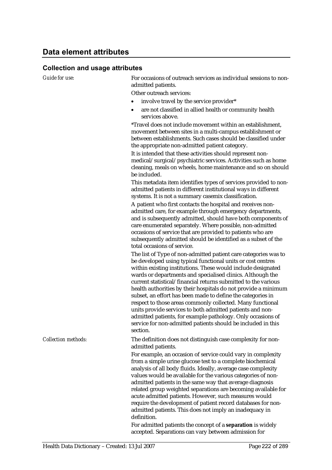#### **Collection and usage attributes**

*Guide for use:* For occasions of outreach services as individual sessions to nonadmitted patients.

Other outreach services:

- involve travel by the service provider\*
- are not classified in allied health or community health services above.

\*Travel does not include movement within an establishment, movement between sites in a multi-campus establishment or between establishments. Such cases should be classified under the appropriate non-admitted patient category.

It is intended that these activities should represent nonmedical/surgical/psychiatric services. Activities such as home cleaning, meals on wheels, home maintenance and so on should be included.

This metadata item identifies types of services provided to nonadmitted patients in different institutional ways in different systems. It is not a summary casemix classification.

A patient who first contacts the hospital and receives nonadmitted care, for example through emergency departments, and is subsequently admitted, should have both components of care enumerated separately. Where possible, non-admitted occasions of service that are provided to patients who are subsequently admitted should be identified as a subset of the total occasions of service.

The list of Type of non-admitted patient care categories was to be developed using typical functional units or cost centres within existing institutions. These would include designated wards or departments and specialised clinics. Although the current statistical/financial returns submitted to the various health authorities by their hospitals do not provide a minimum subset, an effort has been made to define the categories in respect to those areas commonly collected. Many functional units provide services to both admitted patients and nonadmitted patients, for example pathology. Only occasions of service for non-admitted patients should be included in this section.

*Collection methods:* The definition does not distinguish case complexity for nonadmitted patients.

> For example, an occasion of service could vary in complexity from a simple urine glucose test to a complete biochemical analysis of all body fluids. Ideally, average case complexity values would be available for the various categories of nonadmitted patients in the same way that average diagnosis related group weighted separations are becoming available for acute admitted patients. However, such measures would require the development of patient record databases for nonadmitted patients. This does not imply an inadequacy in definition.

For admitted patients the concept of a **separation** is widely accepted. Separations can vary between admission for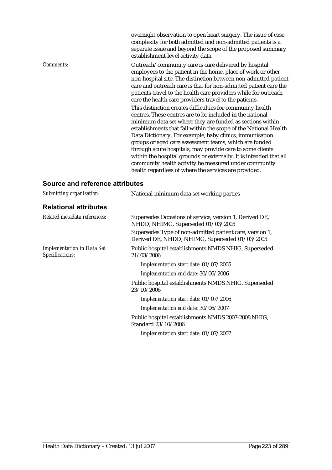complexity for both admitted and non-admitted patients is a separate issue and beyond the scope of the proposed summary establishment-level activity data. *Comments:* Outreach/community care is care delivered by hospital employees to the patient in the home, place of work or other non-hospital site. The distinction between non-admitted patient care and outreach care is that for non-admitted patient care the patients travel to the health care providers while for outreach care the health care providers travel to the patients. This distinction creates difficulties for community health centres. These centres are to be included in the national minimum data set where they are funded as sections within establishments that fall within the scope of the National Health Data Dictionary. For example, baby clinics, immunisation groups or aged care assessment teams, which are funded through acute hospitals, may provide care to some clients within the hospital grounds or externally. It is intended that all community health activity be measured under community health regardless of where the services are provided.

overnight observation to open heart surgery. The issue of case

| Submitting organisation:                             | National minimum data set working parties                                                                  |
|------------------------------------------------------|------------------------------------------------------------------------------------------------------------|
| <b>Relational attributes</b>                         |                                                                                                            |
| Related metadata references:                         | Supersedes Occasions of service, version 1, Derived DE,<br>NHDD, NHIMG, Superseded 01/03/2005              |
|                                                      | Supersedes Type of non-admitted patient care, version 1,<br>Derived DE, NHDD, NHIMG, Superseded 01/03/2005 |
| <b>Implementation in Data Set</b><br>Specifications: | Public hospital establishments NMDS NHIG, Superseded<br>21/03/2006                                         |
|                                                      | Implementation start date: 01/07/2005                                                                      |
|                                                      | Implementation end date: 30/06/2006                                                                        |
|                                                      | Public hospital establishments NMDS NHIG, Superseded<br>23/10/2006                                         |
|                                                      | Implementation start date: 01/07/2006                                                                      |
|                                                      | Implementation end date: 30/06/2007                                                                        |
|                                                      | Public hospital establishments NMDS 2007-2008 NHIG,<br>Standard 23/10/2006                                 |
|                                                      | Implementation start date: 01/07/2007                                                                      |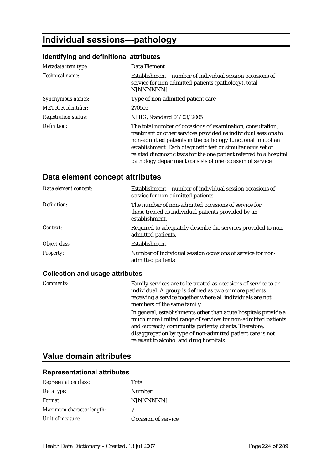# **Individual sessions—pathology**

#### **Identifying and definitional attributes**

| Metadata item type:         | Data Element                                                                                                                                                                                                                                                                                                                                                                                    |
|-----------------------------|-------------------------------------------------------------------------------------------------------------------------------------------------------------------------------------------------------------------------------------------------------------------------------------------------------------------------------------------------------------------------------------------------|
| Technical name:             | Establishment—number of individual session occasions of<br>service for non-admitted patients (pathology), total<br>N[NNNNNN]                                                                                                                                                                                                                                                                    |
| Synonymous names:           | Type of non-admitted patient care                                                                                                                                                                                                                                                                                                                                                               |
| <b>METeOR</b> identifier:   | 270505                                                                                                                                                                                                                                                                                                                                                                                          |
| <b>Registration status:</b> | NHIG, Standard 01/03/2005                                                                                                                                                                                                                                                                                                                                                                       |
| Definition:                 | The total number of occasions of examination, consultation,<br>treatment or other services provided as individual sessions to<br>non-admitted patients in the pathology functional unit of an<br>establishment. Each diagnostic test or simultaneous set of<br>related diagnostic tests for the one patient referred to a hospital<br>pathology department consists of one occasion of service. |

## **Data element concept attributes**

| Data element concept: | Establishment—number of individual session occasions of<br>service for non-admitted patients                                 |
|-----------------------|------------------------------------------------------------------------------------------------------------------------------|
| Definition:           | The number of non-admitted occasions of service for<br>those treated as individual patients provided by an<br>establishment. |
| Context:              | Required to adequately describe the services provided to non-<br>admitted patients.                                          |
| Object class:         | <b>Establishment</b>                                                                                                         |
| <b>Property:</b>      | Number of individual session occasions of service for non-<br>admitted patients                                              |

## **Collection and usage attributes**

| Comments: | Family services are to be treated as occasions of service to an<br>individual. A group is defined as two or more patients<br>receiving a service together where all individuals are not<br>members of the same family.                                                                           |
|-----------|--------------------------------------------------------------------------------------------------------------------------------------------------------------------------------------------------------------------------------------------------------------------------------------------------|
|           | In general, establishments other than acute hospitals provide a<br>much more limited range of services for non-admitted patients<br>and outreach/community patients/clients. Therefore,<br>disaggregation by type of non-admitted patient care is not<br>relevant to alcohol and drug hospitals. |

# **Value domain attributes**

| <b>Representation class:</b> | Total               |
|------------------------------|---------------------|
| Data type:                   | Number              |
| <i>Format:</i>               | N[NNNNNN]           |
| Maximum character length:    | 7                   |
| Unit of measure:             | Occasion of service |
|                              |                     |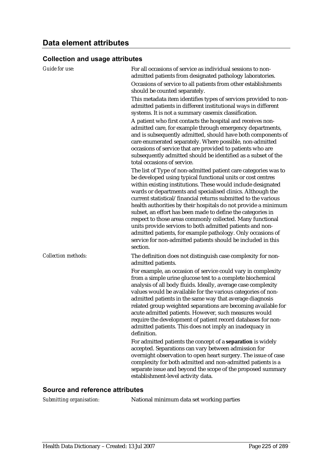#### **Collection and usage attributes**

| <b>Guide for use:</b>      | For all occasions of service as individual sessions to non-<br>admitted patients from designated pathology laboratories.                                                                                                                                                                                                                                                                                                                                                                                                                                                                                                                                                                                                                                                                                                                                                                                                                                 |
|----------------------------|----------------------------------------------------------------------------------------------------------------------------------------------------------------------------------------------------------------------------------------------------------------------------------------------------------------------------------------------------------------------------------------------------------------------------------------------------------------------------------------------------------------------------------------------------------------------------------------------------------------------------------------------------------------------------------------------------------------------------------------------------------------------------------------------------------------------------------------------------------------------------------------------------------------------------------------------------------|
|                            | Occasions of service to all patients from other establishments<br>should be counted separately.                                                                                                                                                                                                                                                                                                                                                                                                                                                                                                                                                                                                                                                                                                                                                                                                                                                          |
|                            | This metadata item identifies types of services provided to non-<br>admitted patients in different institutional ways in different<br>systems. It is not a summary casemix classification.                                                                                                                                                                                                                                                                                                                                                                                                                                                                                                                                                                                                                                                                                                                                                               |
|                            | A patient who first contacts the hospital and receives non-<br>admitted care, for example through emergency departments,<br>and is subsequently admitted, should have both components of<br>care enumerated separately. Where possible, non-admitted<br>occasions of service that are provided to patients who are<br>subsequently admitted should be identified as a subset of the<br>total occasions of service.                                                                                                                                                                                                                                                                                                                                                                                                                                                                                                                                       |
|                            | The list of Type of non-admitted patient care categories was to<br>be developed using typical functional units or cost centres<br>within existing institutions. These would include designated<br>wards or departments and specialised clinics. Although the<br>current statistical/financial returns submitted to the various<br>health authorities by their hospitals do not provide a minimum<br>subset, an effort has been made to define the categories in<br>respect to those areas commonly collected. Many functional<br>units provide services to both admitted patients and non-<br>admitted patients, for example pathology. Only occasions of<br>service for non-admitted patients should be included in this<br>section.                                                                                                                                                                                                                    |
| <b>Collection methods:</b> | The definition does not distinguish case complexity for non-<br>admitted patients.                                                                                                                                                                                                                                                                                                                                                                                                                                                                                                                                                                                                                                                                                                                                                                                                                                                                       |
|                            | For example, an occasion of service could vary in complexity<br>from a simple urine glucose test to a complete biochemical<br>analysis of all body fluids. Ideally, average case complexity<br>values would be available for the various categories of non-<br>admitted patients in the same way that average diagnosis<br>related group weighted separations are becoming available for<br>acute admitted patients. However, such measures would<br>require the development of patient record databases for non-<br>admitted patients. This does not imply an inadequacy in<br>definition.<br>For admitted patients the concept of a separation is widely<br>accepted. Separations can vary between admission for<br>overnight observation to open heart surgery. The issue of case<br>complexity for both admitted and non-admitted patients is a<br>separate issue and beyond the scope of the proposed summary<br>establishment-level activity data. |

#### **Source and reference attributes**

*Submitting organisation:* National minimum data set working parties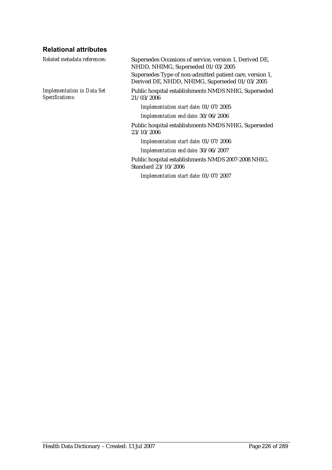## **Relational attributes**

| Related metadata references:                         | Supersedes Occasions of service, version 1, Derived DE,<br>NHDD, NHIMG, Superseded 01/03/2005              |
|------------------------------------------------------|------------------------------------------------------------------------------------------------------------|
|                                                      | Supersedes Type of non-admitted patient care, version 1,<br>Derived DE, NHDD, NHIMG, Superseded 01/03/2005 |
| <b>Implementation in Data Set</b><br>Specifications: | Public hospital establishments NMDS NHIG, Superseded<br>21/03/2006                                         |
|                                                      | Implementation start date: 01/07/2005                                                                      |
|                                                      | Implementation end date: 30/06/2006                                                                        |
|                                                      | Public hospital establishments NMDS NHIG, Superseded<br>23/10/2006                                         |
|                                                      | Implementation start date: 01/07/2006                                                                      |
|                                                      | Implementation end date: 30/06/2007                                                                        |
|                                                      | Public hospital establishments NMDS 2007-2008 NHIG,<br>Standard 23/10/2006                                 |
|                                                      | Implementation start date: 01/07/2007                                                                      |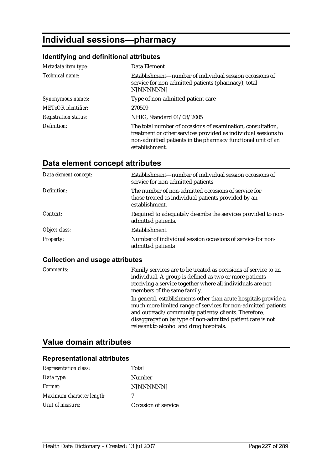# **Individual sessions—pharmacy**

## **Identifying and definitional attributes**

| Metadata item type:         | Data Element                                                                                                                                                                                                   |
|-----------------------------|----------------------------------------------------------------------------------------------------------------------------------------------------------------------------------------------------------------|
| Technical name:             | Establishment—number of individual session occasions of<br>service for non-admitted patients (pharmacy), total<br>N[NNNNNN]                                                                                    |
| Synonymous names:           | Type of non-admitted patient care                                                                                                                                                                              |
| <b>METeOR</b> identifier:   | 270509                                                                                                                                                                                                         |
| <b>Registration status:</b> | NHIG, Standard 01/03/2005                                                                                                                                                                                      |
| Definition:                 | The total number of occasions of examination, consultation,<br>treatment or other services provided as individual sessions to<br>non-admitted patients in the pharmacy functional unit of an<br>establishment. |

# **Data element concept attributes**

| Data element concept: | Establishment—number of individual session occasions of<br>service for non-admitted patients                                 |
|-----------------------|------------------------------------------------------------------------------------------------------------------------------|
| Definition:           | The number of non-admitted occasions of service for<br>those treated as individual patients provided by an<br>establishment. |
| Context:              | Required to adequately describe the services provided to non-<br>admitted patients.                                          |
| Object class:         | <b>Establishment</b>                                                                                                         |
| <b>Property:</b>      | Number of individual session occasions of service for non-<br>admitted patients                                              |

#### **Collection and usage attributes**

| Comments: | Family services are to be treated as occasions of service to an<br>individual. A group is defined as two or more patients<br>receiving a service together where all individuals are not<br>members of the same family.                                                                           |
|-----------|--------------------------------------------------------------------------------------------------------------------------------------------------------------------------------------------------------------------------------------------------------------------------------------------------|
|           | In general, establishments other than acute hospitals provide a<br>much more limited range of services for non-admitted patients<br>and outreach/community patients/clients. Therefore,<br>disaggregation by type of non-admitted patient care is not<br>relevant to alcohol and drug hospitals. |

# **Value domain attributes**

| Representation class:     | Total               |
|---------------------------|---------------------|
| Data type:                | Number              |
| Format:                   | N[NNNNNN]           |
| Maximum character length: | 7                   |
| Unit of measure:          | Occasion of service |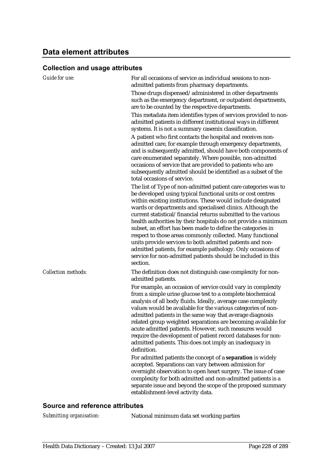### **Collection and usage attributes**

| <b>Guide for use:</b>      | For all occasions of service as individual sessions to non-<br>admitted patients from pharmacy departments.<br>Those drugs dispensed/administered in other departments<br>such as the emergency department, or outpatient departments,<br>are to be counted by the respective departments.<br>This metadata item identifies types of services provided to non-<br>admitted patients in different institutional ways in different<br>systems. It is not a summary casemix classification.<br>A patient who first contacts the hospital and receives non-<br>admitted care, for example through emergency departments,<br>and is subsequently admitted, should have both components of<br>care enumerated separately. Where possible, non-admitted<br>occasions of service that are provided to patients who are<br>subsequently admitted should be identified as a subset of the<br>total occasions of service.                                                                                                                                 |
|----------------------------|------------------------------------------------------------------------------------------------------------------------------------------------------------------------------------------------------------------------------------------------------------------------------------------------------------------------------------------------------------------------------------------------------------------------------------------------------------------------------------------------------------------------------------------------------------------------------------------------------------------------------------------------------------------------------------------------------------------------------------------------------------------------------------------------------------------------------------------------------------------------------------------------------------------------------------------------------------------------------------------------------------------------------------------------|
|                            | The list of Type of non-admitted patient care categories was to<br>be developed using typical functional units or cost centres<br>within existing institutions. These would include designated<br>wards or departments and specialised clinics. Although the<br>current statistical/financial returns submitted to the various<br>health authorities by their hospitals do not provide a minimum<br>subset, an effort has been made to define the categories in<br>respect to those areas commonly collected. Many functional<br>units provide services to both admitted patients and non-<br>admitted patients, for example pathology. Only occasions of<br>service for non-admitted patients should be included in this<br>section.                                                                                                                                                                                                                                                                                                          |
| <b>Collection methods:</b> | The definition does not distinguish case complexity for non-<br>admitted patients.<br>For example, an occasion of service could vary in complexity<br>from a simple urine glucose test to a complete biochemical<br>analysis of all body fluids. Ideally, average case complexity<br>values would be available for the various categories of non-<br>admitted patients in the same way that average diagnosis<br>related group weighted separations are becoming available for<br>acute admitted patients. However, such measures would<br>require the development of patient record databases for non-<br>admitted patients. This does not imply an inadequacy in<br>definition.<br>For admitted patients the concept of a separation is widely<br>accepted. Separations can vary between admission for<br>overnight observation to open heart surgery. The issue of case<br>complexity for both admitted and non-admitted patients is a<br>separate issue and beyond the scope of the proposed summary<br>establishment-level activity data. |

#### **Source and reference attributes**

*Submitting organisation:* National minimum data set working parties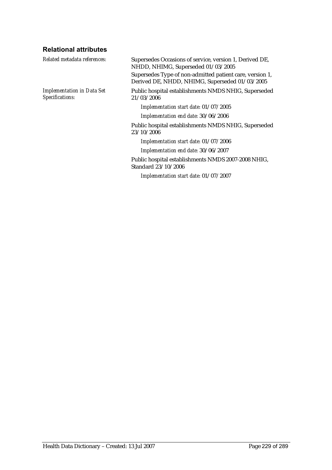## **Relational attributes**

| Related metadata references:                         | Supersedes Occasions of service, version 1, Derived DE,<br>NHDD, NHIMG, Superseded 01/03/2005              |
|------------------------------------------------------|------------------------------------------------------------------------------------------------------------|
|                                                      | Supersedes Type of non-admitted patient care, version 1,<br>Derived DE, NHDD, NHIMG, Superseded 01/03/2005 |
| <b>Implementation in Data Set</b><br>Specifications: | Public hospital establishments NMDS NHIG, Superseded<br>21/03/2006                                         |
|                                                      | Implementation start date: 01/07/2005                                                                      |
|                                                      | Implementation end date: 30/06/2006                                                                        |
|                                                      | Public hospital establishments NMDS NHIG, Superseded<br>23/10/2006                                         |
|                                                      | Implementation start date: 01/07/2006                                                                      |
|                                                      | Implementation end date: 30/06/2007                                                                        |
|                                                      | Public hospital establishments NMDS 2007-2008 NHIG,<br>Standard 23/10/2006                                 |
|                                                      | Implementation start date: 01/07/2007                                                                      |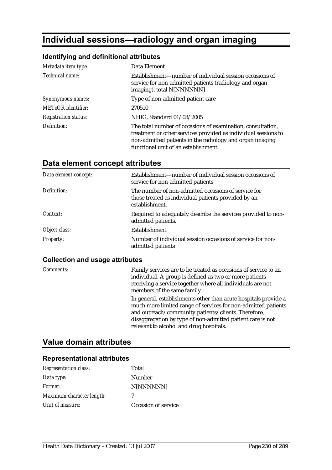# **Individual sessions—radiology and organ imaging**

### **Identifying and definitional attributes**

| Metadata item type:         | Data Element                                                                                                                                                                                                                      |
|-----------------------------|-----------------------------------------------------------------------------------------------------------------------------------------------------------------------------------------------------------------------------------|
| Technical name:             | Establishment—number of individual session occasions of<br>service for non-admitted patients (radiology and organ<br>imaging), total N[NNNNNN]                                                                                    |
| Synonymous names:           | Type of non-admitted patient care                                                                                                                                                                                                 |
| <b>METeOR</b> identifier:   | 270510                                                                                                                                                                                                                            |
| <b>Registration status:</b> | NHIG, Standard 01/03/2005                                                                                                                                                                                                         |
| Definition:                 | The total number of occasions of examination, consultation,<br>treatment or other services provided as individual sessions to<br>non-admitted patients in the radiology and organ imaging<br>functional unit of an establishment. |

# **Data element concept attributes**

| Data element concept: | Establishment—number of individual session occasions of<br>service for non-admitted patients                                 |
|-----------------------|------------------------------------------------------------------------------------------------------------------------------|
| Definition:           | The number of non-admitted occasions of service for<br>those treated as individual patients provided by an<br>establishment. |
| Context:              | Required to adequately describe the services provided to non-<br>admitted patients.                                          |
| Object class:         | <b>Establishment</b>                                                                                                         |
| <b>Property:</b>      | Number of individual session occasions of service for non-<br>admitted patients                                              |

#### **Collection and usage attributes**

| Comments: | Family services are to be treated as occasions of service to an<br>individual. A group is defined as two or more patients<br>receiving a service together where all individuals are not<br>members of the same family.<br>In general, establishments other than acute hospitals provide a |
|-----------|-------------------------------------------------------------------------------------------------------------------------------------------------------------------------------------------------------------------------------------------------------------------------------------------|
|           | much more limited range of services for non-admitted patients<br>and outreach/community patients/clients. Therefore,<br>disaggregation by type of non-admitted patient care is not<br>relevant to alcohol and drug hospitals.                                                             |

## **Value domain attributes**

| <b>Representation class:</b> | Total               |
|------------------------------|---------------------|
| Data type:                   | Number              |
| Format:                      | N[NNNNNN]           |
| Maximum character length:    | 7                   |
| Unit of measure:             | Occasion of service |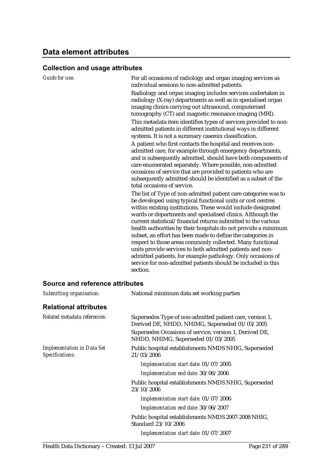#### **Collection and usage attributes**

| Guide for use:                                       | For all occasions of radiology and organ imaging services as<br>individual sessions to non-admitted patients.<br>Radiology and organ imaging includes services undertaken in<br>radiology (X-ray) departments as well as in specialised organ<br>imaging clinics carrying out ultrasound, computerised<br>tomography (CT) and magnetic resonance imaging (MRI).<br>This metadata item identifies types of services provided to non-<br>admitted patients in different institutional ways in different<br>systems. It is not a summary casemix classification.<br>A patient who first contacts the hospital and receives non-<br>admitted care, for example through emergency departments,<br>and is subsequently admitted, should have both components of<br>care enumerated separately. Where possible, non-admitted<br>occasions of service that are provided to patients who are<br>subsequently admitted should be identified as a subset of the<br>total occasions of service. |
|------------------------------------------------------|-------------------------------------------------------------------------------------------------------------------------------------------------------------------------------------------------------------------------------------------------------------------------------------------------------------------------------------------------------------------------------------------------------------------------------------------------------------------------------------------------------------------------------------------------------------------------------------------------------------------------------------------------------------------------------------------------------------------------------------------------------------------------------------------------------------------------------------------------------------------------------------------------------------------------------------------------------------------------------------|
|                                                      | The list of Type of non-admitted patient care categories was to<br>be developed using typical functional units or cost centres<br>within existing institutions. These would include designated<br>wards or departments and specialised clinics. Although the<br>current statistical/financial returns submitted to the various<br>health authorities by their hospitals do not provide a minimum<br>subset, an effort has been made to define the categories in<br>respect to those areas commonly collected. Many functional<br>units provide services to both admitted patients and non-<br>admitted patients, for example pathology. Only occasions of<br>service for non-admitted patients should be included in this<br>section.                                                                                                                                                                                                                                               |
| Source and reference attributes                      |                                                                                                                                                                                                                                                                                                                                                                                                                                                                                                                                                                                                                                                                                                                                                                                                                                                                                                                                                                                     |
| Submitting organisation:                             | National minimum data set working parties                                                                                                                                                                                                                                                                                                                                                                                                                                                                                                                                                                                                                                                                                                                                                                                                                                                                                                                                           |
| <b>Relational attributes</b>                         |                                                                                                                                                                                                                                                                                                                                                                                                                                                                                                                                                                                                                                                                                                                                                                                                                                                                                                                                                                                     |
| Related metadata references:                         | Supersedes Type of non-admitted patient care, version 1,<br>Derived DE, NHDD, NHIMG, Superseded 01/03/2005<br>Supersedes Occasions of service, version 1, Derived DE,<br>NHDD, NHIMG, Superseded 01/03/2005                                                                                                                                                                                                                                                                                                                                                                                                                                                                                                                                                                                                                                                                                                                                                                         |
| <b>Implementation in Data Set</b><br>Specifications: | Public hospital establishments NMDS NHIG, Superseded<br>21/03/2006                                                                                                                                                                                                                                                                                                                                                                                                                                                                                                                                                                                                                                                                                                                                                                                                                                                                                                                  |
|                                                      | Implementation start date: 01/07/2005                                                                                                                                                                                                                                                                                                                                                                                                                                                                                                                                                                                                                                                                                                                                                                                                                                                                                                                                               |
|                                                      | Implementation end date: 30/06/2006                                                                                                                                                                                                                                                                                                                                                                                                                                                                                                                                                                                                                                                                                                                                                                                                                                                                                                                                                 |
|                                                      | Public hospital establishments NMDS NHIG, Superseded<br>23/10/2006                                                                                                                                                                                                                                                                                                                                                                                                                                                                                                                                                                                                                                                                                                                                                                                                                                                                                                                  |
|                                                      | Implementation start date: 01/07/2006                                                                                                                                                                                                                                                                                                                                                                                                                                                                                                                                                                                                                                                                                                                                                                                                                                                                                                                                               |

*Implementation end date:* 30/06/2007

Public hospital establishments NMDS 2007-2008 NHIG, Standard 23/10/2006

*Implementation start date:* 01/07/2007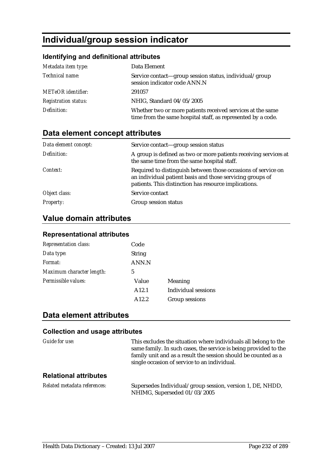# **Individual/group session indicator**

## **Identifying and definitional attributes**

| Metadata item type:         | Data Element                                                                                                               |
|-----------------------------|----------------------------------------------------------------------------------------------------------------------------|
| Technical name:             | Service contact—group session status, individual/group<br>session indicator code ANN.N                                     |
| <b>METeOR</b> identifier:   | 291057                                                                                                                     |
| <b>Registration status:</b> | NHIG, Standard 04/05/2005                                                                                                  |
| Definition:                 | Whether two or more patients received services at the same<br>time from the same hospital staff, as represented by a code. |

## **Data element concept attributes**

| Data element concept: | Service contact—group session status                                                                                                                                                |
|-----------------------|-------------------------------------------------------------------------------------------------------------------------------------------------------------------------------------|
| Definition:           | A group is defined as two or more patients receiving services at<br>the same time from the same hospital staff.                                                                     |
| Context:              | Required to distinguish between those occasions of service on<br>an individual patient basis and those servicing groups of<br>patients. This distinction has resource implications. |
| Object class:         | Service contact                                                                                                                                                                     |
| <b>Property:</b>      | Group session status                                                                                                                                                                |

# **Value domain attributes**

#### **Representational attributes**

| <b>Representation class:</b> | Code          |                     |
|------------------------------|---------------|---------------------|
| Data type:                   | <b>String</b> |                     |
| Format:                      | ANN.N         |                     |
| Maximum character length:    | 5             |                     |
| Permissible values:          | Value         | Meaning             |
|                              | A12.1         | Individual sessions |
|                              | A12.2         | Group sessions      |

## **Data element attributes**

| Guide for use:               | This excludes the situation where individuals all belong to the<br>same family. In such cases, the service is being provided to the<br>family unit and as a result the session should be counted as a<br>single occasion of service to an individual. |
|------------------------------|-------------------------------------------------------------------------------------------------------------------------------------------------------------------------------------------------------------------------------------------------------|
| <b>Relational attributes</b> |                                                                                                                                                                                                                                                       |
| Related metadata references: | Supersedes Individual/group session, version 1, DE, NHDD,<br>NHIMG, Superseded 01/03/2005                                                                                                                                                             |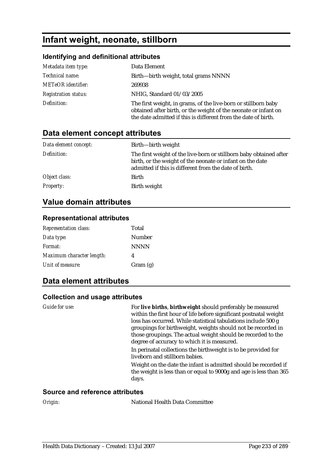# **Infant weight, neonate, stillborn**

### **Identifying and definitional attributes**

| Metadata item type:         | Data Element                                                                                                                                                                                        |
|-----------------------------|-----------------------------------------------------------------------------------------------------------------------------------------------------------------------------------------------------|
| Technical name:             | Birth—birth weight, total grams NNNN                                                                                                                                                                |
| <b>METeOR</b> identifier:   | 269938                                                                                                                                                                                              |
| <b>Registration status:</b> | NHIG, Standard 01/03/2005                                                                                                                                                                           |
| Definition:                 | The first weight, in grams, of the live-born or stillborn baby<br>obtained after birth, or the weight of the neonate or infant on<br>the date admitted if this is different from the date of birth. |

# **Data element concept attributes**

| Data element concept: | Birth-birth weight                                                                                                                                                                       |
|-----------------------|------------------------------------------------------------------------------------------------------------------------------------------------------------------------------------------|
| Definition:           | The first weight of the live-born or stillborn baby obtained after<br>birth, or the weight of the neonate or infant on the date<br>admitted if this is different from the date of birth. |
| Object class:         | Birth                                                                                                                                                                                    |
| <b>Property:</b>      | Birth weight                                                                                                                                                                             |

## **Value domain attributes**

### **Representational attributes**

| <b>Representation class:</b> | Total       |
|------------------------------|-------------|
| Data type:                   | Number      |
| Format:                      | <b>NNNN</b> |
| Maximum character length:    | 4           |
| Unit of measure:             | Gram $(g)$  |

## **Data element attributes**

#### **Collection and usage attributes**

| Guide for use:                   | For live births, birthweight should preferably be measured<br>within the first hour of life before significant postnatal weight<br>loss has occurred. While statistical tabulations include 500 g<br>groupings for birthweight, weights should not be recorded in<br>those groupings. The actual weight should be recorded to the<br>degree of accuracy to which it is measured. |
|----------------------------------|----------------------------------------------------------------------------------------------------------------------------------------------------------------------------------------------------------------------------------------------------------------------------------------------------------------------------------------------------------------------------------|
|                                  | In perinatal collections the birthweight is to be provided for<br>liveborn and stillborn babies.                                                                                                                                                                                                                                                                                 |
|                                  | Weight on the date the infant is admitted should be recorded if<br>the weight is less than or equal to 9000g and age is less than 365<br>days.                                                                                                                                                                                                                                   |
| Oarrea and esfavoras atteikritas |                                                                                                                                                                                                                                                                                                                                                                                  |

#### **Source and reference attributes**

**National Health Data Committee**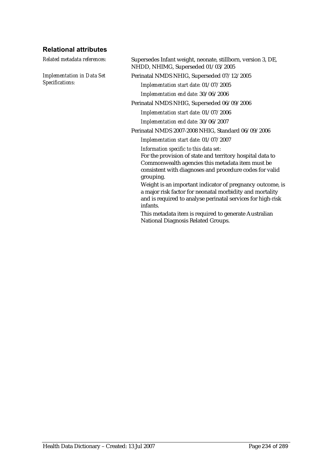## **Relational attributes**

*Implementation in Data Set Specifications:*

*Related metadata references:* Supersedes Infant weight, neonate, stillborn, version 3, DE, NHDD, NHIMG, Superseded 01/03/2005

Perinatal NMDS NHIG, Superseded 07/12/2005

*Implementation start date:* 01/07/2005

*Implementation end date:* 30/06/2006

Perinatal NMDS NHIG, Superseded 06/09/2006

*Implementation start date:* 01/07/2006

*Implementation end date:* 30/06/2007

Perinatal NMDS 2007-2008 NHIG, Standard 06/09/2006

*Implementation start date:* 01/07/2007

*Information specific to this data set:* For the provision of state and territory hospital data to Commonwealth agencies this metadata item must be consistent with diagnoses and procedure codes for valid grouping.

Weight is an important indicator of pregnancy outcome, is a major risk factor for neonatal morbidity and mortality and is required to analyse perinatal services for high-risk infants.

This metadata item is required to generate Australian National Diagnosis Related Groups.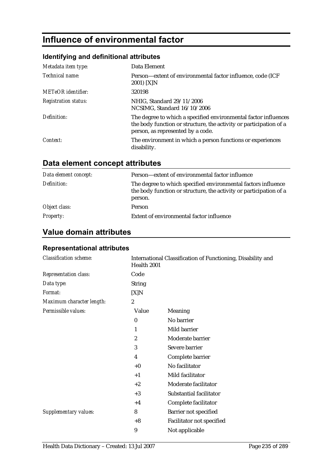# **Influence of environmental factor**

## **Identifying and definitional attributes**

| Metadata item type:         | Data Element                                                                                                                                                               |
|-----------------------------|----------------------------------------------------------------------------------------------------------------------------------------------------------------------------|
| Technical name:             | Person-extent of environmental factor influence, code (ICF<br>2001) [X]N                                                                                                   |
| <b>METeOR</b> identifier:   | 320198                                                                                                                                                                     |
| <b>Registration status:</b> | NHIG, Standard 29/11/2006<br>NCSIMG, Standard 16/10/2006                                                                                                                   |
| Definition:                 | The degree to which a specified environmental factor influences<br>the body function or structure, the activity or participation of a<br>person, as represented by a code. |
| Context:                    | The environment in which a person functions or experiences<br>disability.                                                                                                  |

# **Data element concept attributes**

| Data element concept: | Person—extent of environmental factor influence                                                                                                |
|-----------------------|------------------------------------------------------------------------------------------------------------------------------------------------|
| Definition:           | The degree to which specified environmental factors influence<br>the body function or structure, the activity or participation of a<br>person. |
| Object class:         | <b>Person</b>                                                                                                                                  |
| <b>Property:</b>      | Extent of environmental factor influence                                                                                                       |

# **Value domain attributes**

| <b>Classification scheme:</b> | International Classification of Functioning, Disability and<br>Health 2001 |                           |
|-------------------------------|----------------------------------------------------------------------------|---------------------------|
| <b>Representation class:</b>  | Code                                                                       |                           |
| Data type:                    | <b>String</b>                                                              |                           |
| Format:                       | [X]N                                                                       |                           |
| Maximum character length:     | $\overline{c}$                                                             |                           |
| Permissible values:           | Value                                                                      | Meaning                   |
|                               | $\bf{0}$                                                                   | No barrier                |
|                               | 1                                                                          | Mild barrier              |
|                               | $\overline{2}$                                                             | Moderate barrier          |
|                               | 3                                                                          | Severe barrier            |
|                               | $\overline{4}$                                                             | Complete barrier          |
|                               | $+0$                                                                       | No facilitator            |
|                               | $+1$                                                                       | Mild facilitator          |
|                               | $+2$                                                                       | Moderate facilitator      |
|                               | $+3$                                                                       | Substantial facilitator   |
|                               | $+4$                                                                       | Complete facilitator      |
| <b>Supplementary values:</b>  | 8                                                                          | Barrier not specified     |
|                               | $+8$                                                                       | Facilitator not specified |
|                               | 9                                                                          | Not applicable            |
|                               |                                                                            |                           |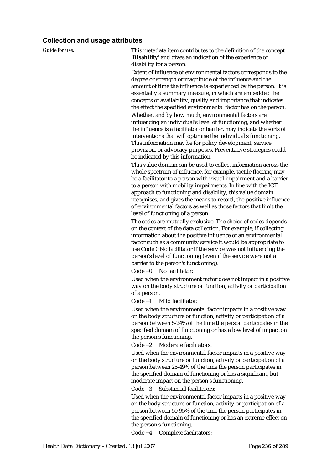#### **Collection and usage attributes**

*Guide for use:* This metadata item contributes to the definition of the concept '**Disability**' and gives an indication of the experience of disability for a person.

> Extent of influence of environmental factors corresponds to the degree or strength or magnitude of the influence and the amount of time the influence is experienced by the person. It is essentially a summary measure, in which are embedded the concepts of availability, quality and importance,that indicates the effect the specified environmental factor has on the person. Whether, and by how much, environmental factors are influencing an individual's level of functioning, and whether the influence is a facilitator or barrier, may indicate the sorts of interventions that will optimise the individual's functioning. This information may be for policy development, service provision, or advocacy purposes. Preventative strategies could be indicated by this information.

This value domain can be used to collect information across the whole spectrum of influence, for example, tactile flooring may be a facilitator to a person with visual impairment and a barrier to a person with mobility impairments. In line with the ICF approach to functioning and disability, this value domain recognises, and gives the means to record, the positive influence of environmental factors as well as those factors that limit the level of functioning of a person.

The codes are mutually exclusive. The choice of codes depends on the context of the data collection. For example; if collecting information about the positive influence of an environmental factor such as a community service it would be appropriate to use Code 0 No facilitator if the service was not influencing the person's level of functioning (even if the service were not a barrier to the person's functioning).

Code +0 No facilitator:

Used when the environment factor does not impact in a positive way on the body structure or function, activity or participation of a person.

Code +1 Mild facilitator:

Used when the environmental factor impacts in a positive way on the body structure or function, activity or participation of a person between 5-24% of the time the person participates in the specified domain of functioning or has a low level of impact on the person's functioning.

Code +2 Moderate facilitators:

Used when the environmental factor impacts in a positive way on the body structure or function, activity or participation of a person between 25-49% of the time the person participates in the specified domain of functioning or has a significant, but moderate impact on the person's functioning.

Code +3 Substantial facilitators:

Used when the environmental factor impacts in a positive way on the body structure or function, activity or participation of a person between 50-95% of the time the person participates in the specified domain of functioning or has an extreme effect on the person's functioning.

Code +4 Complete facilitators: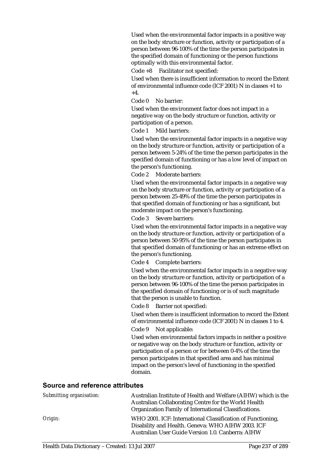Used when the environmental factor impacts in a positive way on the body structure or function, activity or participation of a person between 96-100% of the time the person participates in the specified domain of functioning or the person functions optimally with this environmental factor.

Code +8 Facilitator not specified:

Used when there is insufficient information to record the Extent of environmental influence code (ICF 2001) N in classes +1 to  $+4.$ 

Code 0 No barrier:

Used when the environment factor does not impact in a negative way on the body structure or function, activity or participation of a person.

Code 1 Mild barriers:

Used when the environmental factor impacts in a negative way on the body structure or function, activity or participation of a person between 5-24% of the time the person participates in the specified domain of functioning or has a low level of impact on the person's functioning.

Code 2 Moderate barriers:

Used when the environmental factor impacts in a negative way on the body structure or function, activity or participation of a person between 25-49% of the time the person participates in that specified domain of functioning or has a significant, but moderate impact on the person's functioning.

Code 3 Severe barriers:

Used when the environmental factor impacts in a negative way on the body structure or function, activity or participation of a person between 50-95% of the time the person participates in that specified domain of functioning or has an extreme effect on the person's functioning.

Code 4 Complete barriers:

Used when the environmental factor impacts in a negative way on the body structure or function, activity or participation of a person between 96-100% of the time the person participates in the specified domain of functioning or is of such magnitude that the person is unable to function.

Code 8 Barrier not specified:

Used when there is insufficient information to record the Extent of environmental influence code (ICF 2001) N in classes 1 to 4.

Code 9 Not applicable:

Used when environmental factors impacts in neither a positive or negative way on the body structure or function, activity or participation of a person or for between 0-4% of the time the person participates in that specified area and has minimal impact on the person's level of functioning in the specified domain.

| Submitting organisation: | Australian Institute of Health and Welfare (AIHW) which is the<br>Australian Collaborating Centre for the World Health<br>Organization Family of International Classifications. |
|--------------------------|---------------------------------------------------------------------------------------------------------------------------------------------------------------------------------|
| Origin:                  | WHO 2001. ICF: International Classification of Functioning,<br>Disability and Health. Geneva: WHO AIHW 2003. ICF<br>Australian User Guide Version 1.0. Canberra: AIHW           |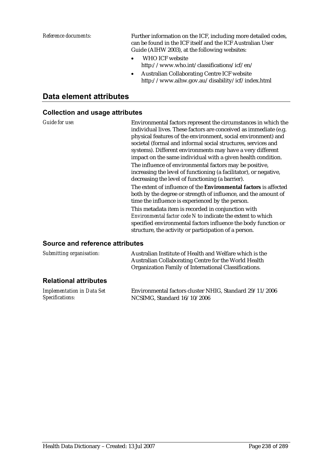*Reference documents:* Further information on the ICF, including more detailed codes, can be found in the ICF itself and the ICF Australian User Guide (AIHW 2003), at the following websites:

- WHO ICF website http://www.who.int/classifications/icf/en/
- Australian Collaborating Centre ICF website http://www.aihw.gov.au/disability/icf/index.html

## **Data element attributes**

#### **Collection and usage attributes**

*Guide for use:* Environmental factors represent the circumstances in which the individual lives. These factors are conceived as immediate (e.g. physical features of the environment, social environment) and societal (formal and informal social structures, services and systems). Different environments may have a very different impact on the same individual with a given health condition. The influence of environmental factors may be positive,

increasing the level of functioning (a facilitator), or negative, decreasing the level of functioning (a barrier).

The extent of influence of the **Environmental factors** is affected both by the degree or strength of influence, and the amount of time the influence is experienced by the person.

This metadata item is recorded in conjunction with *Environmental factor code N* to indicate the extent to which specified environmental factors influence the body function or structure, the activity or participation of a person.

| Submitting organisation:     | Australian Institute of Health and Welfare which is the<br>Australian Collaborating Centre for the World Health<br>Organization Family of International Classifications. |  |  |
|------------------------------|--------------------------------------------------------------------------------------------------------------------------------------------------------------------------|--|--|
| <b>Relational attributes</b> |                                                                                                                                                                          |  |  |
|                              |                                                                                                                                                                          |  |  |

| Implementation in Data Set | Environmental factors cluster NHIG, Standard 29/11/2006 |
|----------------------------|---------------------------------------------------------|
| Specifications:            | NCSIMG, Standard 16/10/2006                             |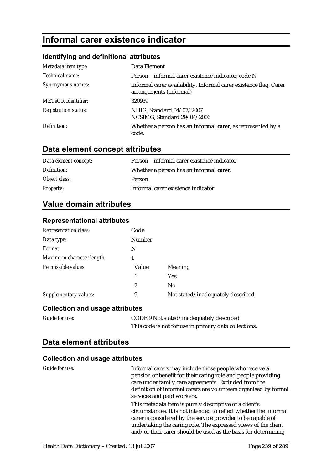# **Informal carer existence indicator**

## **Identifying and definitional attributes**

| Metadata item type:         | Data Element                                                                                 |
|-----------------------------|----------------------------------------------------------------------------------------------|
| Technical name:             | Person-informal carer existence indicator, code N                                            |
| Synonymous names:           | Informal carer availability, Informal carer existence flag, Carer<br>arrangements (informal) |
| <b>METeOR</b> identifier:   | 320939                                                                                       |
| <b>Registration status:</b> | NHIG, Standard 04/07/2007<br>NCSIMG, Standard 29/04/2006                                     |
| Definition:                 | Whether a person has an informal carer, as represented by a<br>code.                         |

## **Data element concept attributes**

| Data element concept: | Person-informal carer existence indicator       |
|-----------------------|-------------------------------------------------|
| Definition:           | Whether a person has an <b>informal carer</b> . |
| Object class:         | Person                                          |
| <i>Property:</i>      | Informal carer existence indicator              |

## **Value domain attributes**

| <b>Representation class:</b> | Code          |                                   |
|------------------------------|---------------|-----------------------------------|
| Data type:                   | <b>Number</b> |                                   |
| Format:                      | N             |                                   |
| Maximum character length:    |               |                                   |
| Permissible values:          | Value         | Meaning                           |
|                              | 1             | <b>Yes</b>                        |
|                              | 2             | N <sub>0</sub>                    |
| <b>Supplementary values:</b> | 9             | Not stated/inadequately described |

## **Representational attributes**

## **Collection and usage attributes**

| <b>Guide for use:</b> | CODE 9 Not stated/inadequately described              |
|-----------------------|-------------------------------------------------------|
|                       | This code is not for use in primary data collections. |

## **Data element attributes**

| Guide for use: | Informal carers may include those people who receive a<br>pension or benefit for their caring role and people providing<br>care under family care agreements. Excluded from the<br>definition of informal carers are volunteers organised by formal<br>services and paid workers.                                               |
|----------------|---------------------------------------------------------------------------------------------------------------------------------------------------------------------------------------------------------------------------------------------------------------------------------------------------------------------------------|
|                | This metadata item is purely descriptive of a client's<br>circumstances. It is not intended to reflect whether the informal<br>carer is considered by the service provider to be capable of<br>undertaking the caring role. The expressed views of the client<br>and/or their carer should be used as the basis for determining |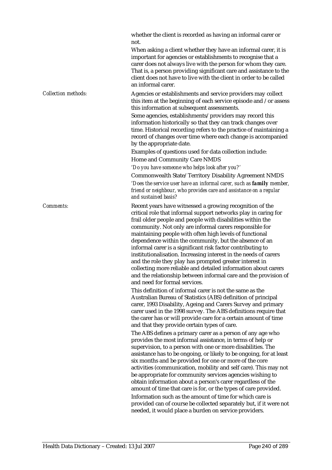whether the client is recorded as having an informal carer or not.

When asking a client whether they have an informal carer, it is important for agencies or establishments to recognise that a carer does not always live with the person for whom they care. That is, a person providing significant care and assistance to the client does not have to live with the client in order to be called an informal carer.

*Collection methods:* Agencies or establishments and service providers may collect this item at the beginning of each service episode and /or assess this information at subsequent assessments.

> Some agencies, establishments/providers may record this information historically so that they can track changes over time. Historical recording refers to the practice of maintaining a record of changes over time where each change is accompanied by the appropriate date.

Examples of questions used for data collection include: Home and Community Care NMDS

*'Do you have someone who helps look after you?'* 

Commonwealth State/Territory Disability Agreement NMDS *'Does the service user have an informal carer, such as family member, friend or neighbour, who provides care and assistance on a regular and sustained basis?* 

*Comments:* Recent years have witnessed a growing recognition of the critical role that informal support networks play in caring for frail older people and people with disabilities within the community. Not only are informal carers responsible for maintaining people with often high levels of functional dependence within the community, but the absence of an informal carer is a significant risk factor contributing to institutionalisation. Increasing interest in the needs of carers and the role they play has prompted greater interest in collecting more reliable and detailed information about carers and the relationship between informal care and the provision of and need for formal services.

> This definition of informal carer is not the same as the Australian Bureau of Statistics (ABS) definition of principal carer, 1993 Disability, Ageing and Carers Survey and primary carer used in the 1998 survey. The ABS definitions require that the carer has or will provide care for a certain amount of time and that they provide certain types of care.

The ABS defines a primary carer as a person of any age who provides the most informal assistance, in terms of help or supervision, to a person with one or more disabilities. The assistance has to be ongoing, or likely to be ongoing, for at least six months and be provided for one or more of the core activities (communication, mobility and self care). This may not be appropriate for community services agencies wishing to obtain information about a person's carer regardless of the amount of time that care is for, or the types of care provided. Information such as the amount of time for which care is provided can of course be collected separately but, if it were not needed, it would place a burden on service providers.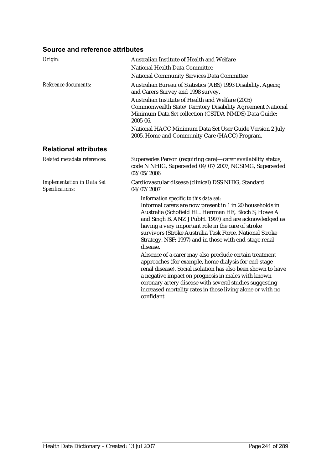| Origin:                                              | Australian Institute of Health and Welfare<br>National Health Data Committee<br><b>National Community Services Data Committee</b>                                                                                                                                                                                                                                                                                                                                                                                                                                                                                                                                                                                                                                                          |
|------------------------------------------------------|--------------------------------------------------------------------------------------------------------------------------------------------------------------------------------------------------------------------------------------------------------------------------------------------------------------------------------------------------------------------------------------------------------------------------------------------------------------------------------------------------------------------------------------------------------------------------------------------------------------------------------------------------------------------------------------------------------------------------------------------------------------------------------------------|
| Reference documents:                                 | Australian Bureau of Statistics (ABS) 1993 Disability, Ageing<br>and Carers Survey and 1998 survey.<br>Australian Institute of Health and Welfare (2005)<br>Commonwealth State/Territory Disability Agreement National<br>Minimum Data Set collection (CSTDA NMDS) Data Guide:<br>2005-06.<br>National HACC Minimum Data Set User Guide Version 2 July<br>2005. Home and Community Care (HACC) Program.                                                                                                                                                                                                                                                                                                                                                                                    |
| <b>Relational attributes</b>                         |                                                                                                                                                                                                                                                                                                                                                                                                                                                                                                                                                                                                                                                                                                                                                                                            |
| Related metadata references:                         | Supersedes Person (requiring care)-carer availability status,<br>code N NHIG, Superseded 04/07/2007, NCSIMG, Superseded<br>02/05/2006                                                                                                                                                                                                                                                                                                                                                                                                                                                                                                                                                                                                                                                      |
| <b>Implementation in Data Set</b><br>Specifications: | Cardiovascular disease (clinical) DSS NHIG, Standard<br>04/07/2007                                                                                                                                                                                                                                                                                                                                                                                                                                                                                                                                                                                                                                                                                                                         |
|                                                      | Information specific to this data set:<br>Informal carers are now present in 1 in 20 households in<br>Australia (Schofield HL. Herrman HE, Bloch S, Howe A<br>and Singh B. ANZ J PubH. 1997) and are acknowledged as<br>having a very important role in the care of stroke<br>survivors (Stroke Australia Task Force. National Stroke<br>Strategy. NSF; 1997) and in those with end-stage renal<br>disease.<br>Absence of a carer may also preclude certain treatment<br>approaches (for example, home dialysis for end-stage<br>renal disease). Social isolation has also been shown to have<br>a negative impact on prognosis in males with known<br>coronary artery disease with several studies suggesting<br>increased mortality rates in those living alone or with no<br>confidant. |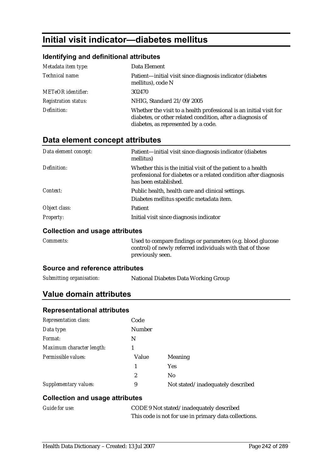# **Initial visit indicator—diabetes mellitus**

### **Identifying and definitional attributes**

| Metadata item type:         | Data Element                                                                                                                                                            |
|-----------------------------|-------------------------------------------------------------------------------------------------------------------------------------------------------------------------|
| Technical name:             | Patient—initial visit since diagnosis indicator (diabetes<br>mellitus), code N                                                                                          |
| <b>METeOR</b> identifier:   | 302470                                                                                                                                                                  |
| <b>Registration status:</b> | NHIG, Standard 21/09/2005                                                                                                                                               |
| Definition:                 | Whether the visit to a health professional is an initial visit for<br>diabetes, or other related condition, after a diagnosis of<br>diabetes, as represented by a code. |

## **Data element concept attributes**

| Data element concept: | Patient-initial visit since diagnosis indicator (diabetes<br>mellitus)                                                                                    |
|-----------------------|-----------------------------------------------------------------------------------------------------------------------------------------------------------|
| Definition:           | Whether this is the initial visit of the patient to a health<br>professional for diabetes or a related condition after diagnosis<br>has been established. |
| Context:              | Public health, health care and clinical settings.                                                                                                         |
|                       | Diabetes mellitus specific metadata item.                                                                                                                 |
| Object class:         | Patient                                                                                                                                                   |
| <b>Property:</b>      | Initial visit since diagnosis indicator                                                                                                                   |

#### **Collection and usage attributes**

| <i>Comments:</i> | Used to compare findings or parameters (e.g. blood glucose |
|------------------|------------------------------------------------------------|
|                  | control) of newly referred individuals with that of those  |
|                  | previously seen.                                           |

#### **Source and reference attributes**

| Submitting organisation: | National Diabetes Data Working Group |  |
|--------------------------|--------------------------------------|--|
|                          |                                      |  |

## **Value domain attributes**

#### **Representational attributes**

| <b>Representation class:</b> | Code          |                                   |
|------------------------------|---------------|-----------------------------------|
| Data type:                   | <b>Number</b> |                                   |
| Format:                      | N             |                                   |
| Maximum character length:    |               |                                   |
| Permissible values:          | Value         | Meaning                           |
|                              |               | <b>Yes</b>                        |
|                              | 2             | No                                |
| Supplementary values:        | 9             | Not stated/inadequately described |

| Guide for use: | CODE 9 Not stated/inadequately described              |
|----------------|-------------------------------------------------------|
|                | This code is not for use in primary data collections. |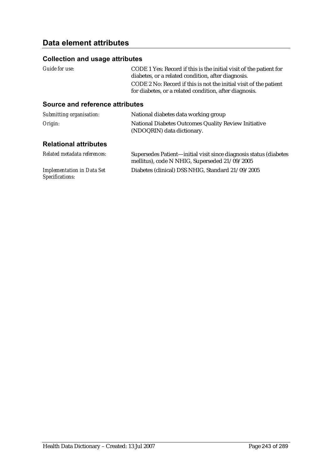# **Data element attributes**

### **Collection and usage attributes**

| Guide for use: | CODE 1 Yes: Record if this is the initial visit of the patient for |
|----------------|--------------------------------------------------------------------|
|                | diabetes, or a related condition, after diagnosis.                 |
|                | CODE 2 No: Record if this is not the initial visit of the patient  |
|                | for diabetes, or a related condition, after diagnosis.             |
|                |                                                                    |

| Submitting organisation:                             | National diabetes data working group                                                                               |
|------------------------------------------------------|--------------------------------------------------------------------------------------------------------------------|
| Origin:                                              | National Diabetes Outcomes Quality Review Initiative<br>(NDOQRIN) data dictionary.                                 |
| <b>Relational attributes</b>                         |                                                                                                                    |
| Related metadata references:                         | Supersedes Patient-initial visit since diagnosis status (diabetes<br>mellitus), code N NHIG, Superseded 21/09/2005 |
| <b>Implementation in Data Set</b><br>Specifications: | Diabetes (clinical) DSS NHIG, Standard 21/09/2005                                                                  |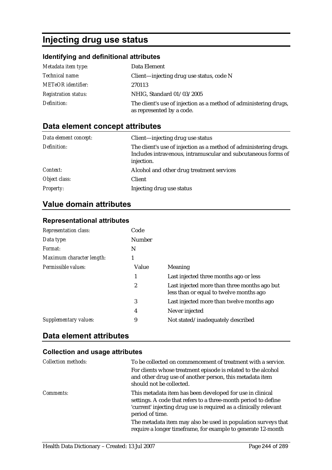# **Injecting drug use status**

# **Identifying and definitional attributes**

| Metadata item type:         | Data Element                                                                                   |
|-----------------------------|------------------------------------------------------------------------------------------------|
| <i>Technical name:</i>      | Client-injecting drug use status, code N                                                       |
| <b>METeOR</b> identifier:   | 270113                                                                                         |
| <b>Registration status:</b> | NHIG, Standard 01/03/2005                                                                      |
| Definition:                 | The client's use of injection as a method of administering drugs,<br>as represented by a code. |

# **Data element concept attributes**

| Data element concept: | Client—injecting drug use status                                                                                                                 |
|-----------------------|--------------------------------------------------------------------------------------------------------------------------------------------------|
| Definition:           | The client's use of injection as a method of administering drugs.<br>Includes intravenous, intramuscular and subcutaneous forms of<br>injection. |
| Context:              | Alcohol and other drug treatment services                                                                                                        |
| Object class:         | <b>Client</b>                                                                                                                                    |
| <b>Property:</b>      | Injecting drug use status                                                                                                                        |

## **Value domain attributes**

| <b>Representation class:</b> | Code   |                                                                                         |
|------------------------------|--------|-----------------------------------------------------------------------------------------|
| Data type:                   | Number |                                                                                         |
| Format:                      | N      |                                                                                         |
| Maximum character length:    |        |                                                                                         |
| Permissible values:          | Value  | Meaning                                                                                 |
|                              | 1      | Last injected three months ago or less                                                  |
|                              | 2      | Last injected more than three months ago but<br>less than or equal to twelve months ago |
|                              | 3      | Last injected more than twelve months ago                                               |
|                              | 4      | Never injected                                                                          |
| Supplementary values:        | 9      | Not stated/inadequately described                                                       |

## **Representational attributes**

# **Data element attributes**

| <b>Collection methods:</b> | To be collected on commencement of treatment with a service.                                                                                                                                                        |
|----------------------------|---------------------------------------------------------------------------------------------------------------------------------------------------------------------------------------------------------------------|
|                            | For clients whose treatment episode is related to the alcohol<br>and other drug use of another person, this metadata item<br>should not be collected.                                                               |
| <i>Comments:</i>           | This metadata item has been developed for use in clinical<br>settings. A code that refers to a three-month period to define<br>'current' injecting drug use is required as a clinically relevant<br>period of time. |
|                            | The metadata item may also be used in population surveys that<br>require a longer timeframe, for example to generate 12-month                                                                                       |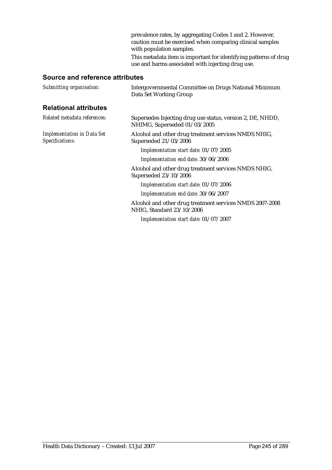prevalence rates, by aggregating Codes 1 and 2. However, caution must be exercised when comparing clinical samples with population samples. This metadata item is important for identifying patterns of drug use and harms associated with injecting drug use.

| Submitting organisation:                             | Intergovernmental Committee on Drugs National Minimum<br>Data Set Working Group            |
|------------------------------------------------------|--------------------------------------------------------------------------------------------|
| <b>Relational attributes</b>                         |                                                                                            |
| Related metadata references:                         | Supersedes Injecting drug use status, version 2, DE, NHDD,<br>NHIMG, Superseded 01/03/2005 |
| <b>Implementation in Data Set</b><br>Specifications: | Alcohol and other drug treatment services NMDS NHIG,<br>Superseded 21/03/2006              |
|                                                      | Implementation start date: 01/07/2005                                                      |
|                                                      | Implementation end date: 30/06/2006                                                        |
|                                                      | Alcohol and other drug treatment services NMDS NHIG,<br>Superseded 23/10/2006              |
|                                                      | Implementation start date: 01/07/2006                                                      |
|                                                      | Implementation end date: 30/06/2007                                                        |
|                                                      | Alcohol and other drug treatment services NMDS 2007-2008<br>NHIG, Standard 23/10/2006      |
|                                                      | Implementation start date: 01/07/2007                                                      |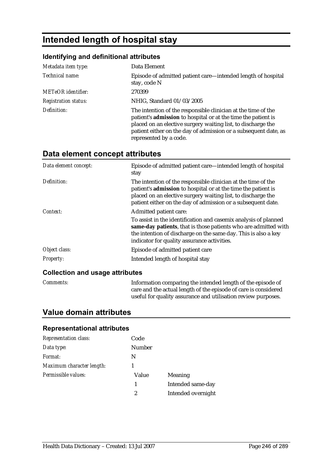# **Intended length of hospital stay**

#### **Identifying and definitional attributes**

| Metadata item type:         | Data Element                                                                                                                                                                                                                                                                                |
|-----------------------------|---------------------------------------------------------------------------------------------------------------------------------------------------------------------------------------------------------------------------------------------------------------------------------------------|
| Technical name:             | Episode of admitted patient care—intended length of hospital<br>stay, code N                                                                                                                                                                                                                |
| <b>METeOR</b> identifier:   | 270399                                                                                                                                                                                                                                                                                      |
| <b>Registration status:</b> | NHIG, Standard 01/03/2005                                                                                                                                                                                                                                                                   |
| Definition:                 | The intention of the responsible clinician at the time of the<br>patient's admission to hospital or at the time the patient is<br>placed on an elective surgery waiting list, to discharge the<br>patient either on the day of admission or a subsequent date, as<br>represented by a code. |

# **Data element concept attributes**

| Data element concept:           | Episode of admitted patient care—intended length of hospital<br>stay                                                                                                                                                                                           |
|---------------------------------|----------------------------------------------------------------------------------------------------------------------------------------------------------------------------------------------------------------------------------------------------------------|
| Definition:                     | The intention of the responsible clinician at the time of the<br>patient's admission to hospital or at the time the patient is<br>placed on an elective surgery waiting list, to discharge the<br>patient either on the day of admission or a subsequent date. |
| Context:                        | Admitted patient care:                                                                                                                                                                                                                                         |
|                                 | To assist in the identification and casemix analysis of planned<br>same-day patients, that is those patients who are admitted with<br>the intention of discharge on the same day. This is also a key<br>indicator for quality assurance activities.            |
| Object class:                   | Episode of admitted patient care                                                                                                                                                                                                                               |
| Property:                       | Intended length of hospital stay                                                                                                                                                                                                                               |
| Colloction and usage attributes |                                                                                                                                                                                                                                                                |

#### **Collection and usage attributes**

*Comments:* Information comparing the intended length of the episode of care and the actual length of the episode of care is considered useful for quality assurance and utilisation review purposes.

## **Value domain attributes**

| <b>Representation class:</b> | Code          |                    |
|------------------------------|---------------|--------------------|
| Data type:                   | <b>Number</b> |                    |
| Format:                      | N             |                    |
| Maximum character length:    |               |                    |
| Permissible values:          | Value         | Meaning            |
|                              | 1             | Intended same-day  |
|                              | 2             | Intended overnight |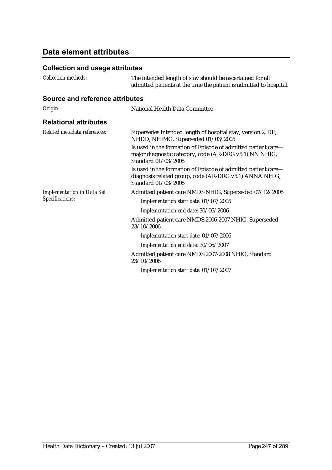# **Data element attributes**

| <b>Collection methods:</b>        | The intended length of stay should be ascertained for all<br>admitted patients at the time the patient is admitted to hospital.                |
|-----------------------------------|------------------------------------------------------------------------------------------------------------------------------------------------|
| Source and reference attributes   |                                                                                                                                                |
| Origin:                           | National Health Data Committee                                                                                                                 |
| <b>Relational attributes</b>      |                                                                                                                                                |
| Related metadata references:      | Supersedes Intended length of hospital stay, version 2, DE,<br>NHDD, NHIMG, Superseded 01/03/2005                                              |
|                                   | Is used in the formation of Episode of admitted patient care-<br>major diagnostic category, code (AR-DRG v5.1) NN NHIG,<br>Standard 01/03/2005 |
|                                   | Is used in the formation of Episode of admitted patient care-<br>diagnosis related group, code (AR-DRG v5.1) ANNA NHIG,<br>Standard 01/03/2005 |
| <b>Implementation in Data Set</b> | Admitted patient care NMDS NHIG, Superseded 07/12/2005                                                                                         |
| Specifications:                   | Implementation start date: 01/07/2005                                                                                                          |
|                                   | Implementation end date: 30/06/2006                                                                                                            |
|                                   | Admitted patient care NMDS 2006-2007 NHIG, Superseded<br>23/10/2006                                                                            |
|                                   | Implementation start date: 01/07/2006                                                                                                          |
|                                   | Implementation end date: 30/06/2007                                                                                                            |
|                                   | Admitted patient care NMDS 2007-2008 NHIG, Standard<br>23/10/2006                                                                              |
|                                   | Implementation start date: 01/07/2007                                                                                                          |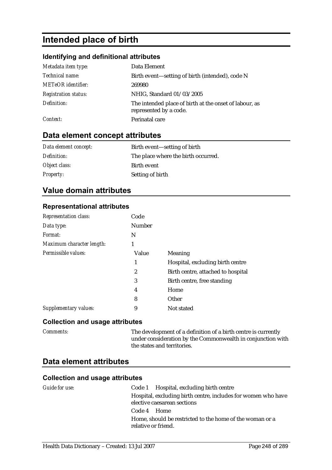# **Intended place of birth**

#### **Identifying and definitional attributes**

| Metadata item type:         | Data Element                                                                     |
|-----------------------------|----------------------------------------------------------------------------------|
| Technical name:             | Birth event—setting of birth (intended), code N                                  |
| METeOR identifier:          | 269980                                                                           |
| <b>Registration status:</b> | NHIG, Standard 01/03/2005                                                        |
| Definition:                 | The intended place of birth at the onset of labour, as<br>represented by a code. |
| Context:                    | Perinatal care                                                                   |

## **Data element concept attributes**

| Data element concept: | Birth event—setting of birth        |
|-----------------------|-------------------------------------|
| Definition:           | The place where the birth occurred. |
| Object class:         | Birth event                         |
| <b>Property:</b>      | Setting of birth                    |

### **Value domain attributes**

#### **Representational attributes**

| <b>Representation class:</b> | Code          |                                    |
|------------------------------|---------------|------------------------------------|
| Data type:                   | <b>Number</b> |                                    |
| Format:                      | N             |                                    |
| Maximum character length:    | 1             |                                    |
| Permissible values:          | Value         | Meaning                            |
|                              | 1             | Hospital, excluding birth centre   |
|                              | 2             | Birth centre, attached to hospital |
|                              | 3             | Birth centre, free standing        |
|                              | 4             | Home                               |
|                              | 8             | Other                              |
| Supplementary values:        | 9             | Not stated                         |

#### **Collection and usage attributes**

*Comments:* The development of a definition of a birth centre is currently under consideration by the Commonwealth in conjunction with the states and territories.

### **Data element attributes**

| Guide for use: | Code 1 Hospital, excluding birth centre                                         |
|----------------|---------------------------------------------------------------------------------|
|                | Hospital, excluding birth centre, includes for women who have                   |
|                | elective caesarean sections                                                     |
|                | Code 4 Home                                                                     |
|                | Home, should be restricted to the home of the woman or a<br>relative or friend. |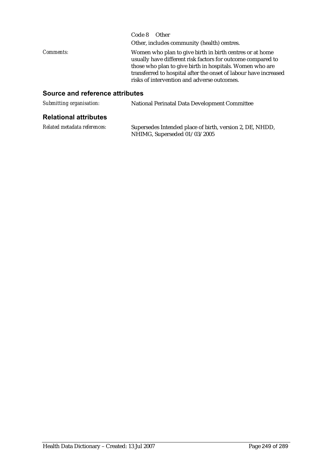|                  | Code 8 Other                                                                                                                                                                                                                                                                                           |
|------------------|--------------------------------------------------------------------------------------------------------------------------------------------------------------------------------------------------------------------------------------------------------------------------------------------------------|
|                  | Other, includes community (health) centres.                                                                                                                                                                                                                                                            |
| <i>Comments:</i> | Women who plan to give birth in birth centres or at home<br>usually have different risk factors for outcome compared to<br>those who plan to give birth in hospitals. Women who are<br>transferred to hospital after the onset of labour have increased<br>risks of intervention and adverse outcomes. |

| Submitting organisation:     | <b>National Perinatal Data Development Committee</b>                                     |  |
|------------------------------|------------------------------------------------------------------------------------------|--|
| <b>Relational attributes</b> |                                                                                          |  |
| Related metadata references: | Supersedes Intended place of birth, version 2, DE, NHDD,<br>NHIMG, Superseded 01/03/2005 |  |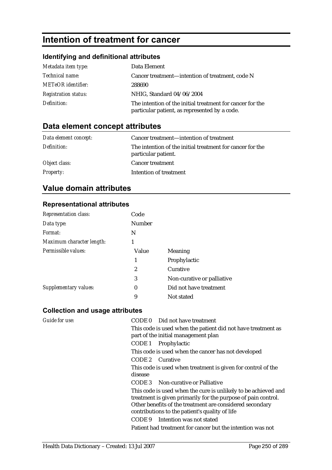# **Intention of treatment for cancer**

## **Identifying and definitional attributes**

| Metadata item type:         | Data Element                                                                                               |  |
|-----------------------------|------------------------------------------------------------------------------------------------------------|--|
| Technical name:             | Cancer treatment—intention of treatment, code N                                                            |  |
| <b>METeOR</b> identifier:   | 288690                                                                                                     |  |
| <b>Registration status:</b> | NHIG, Standard 04/06/2004                                                                                  |  |
| Definition:                 | The intention of the initial treatment for cancer for the<br>particular patient, as represented by a code. |  |

# **Data element concept attributes**

| Data element concept: | Cancer treatment—intention of treatment                                          |
|-----------------------|----------------------------------------------------------------------------------|
| Definition:           | The intention of the initial treatment for cancer for the<br>particular patient. |
| Object class:         | <b>Cancer treatment</b>                                                          |
| <b>Property:</b>      | Intention of treatment                                                           |

# **Value domain attributes**

#### **Representational attributes**

| <b>Representation class:</b> | Code             |                            |  |
|------------------------------|------------------|----------------------------|--|
| Data type:                   | Number           |                            |  |
| Format:                      | N                |                            |  |
| Maximum character length:    | 1                |                            |  |
| Permissible values:          | Value            | Meaning                    |  |
|                              | 1                | Prophylactic               |  |
|                              | $\overline{c}$   | Curative                   |  |
|                              | 3                | Non-curative or palliative |  |
| Supplementary values:        | $\boldsymbol{0}$ | Did not have treatment     |  |
|                              | 9                | Not stated                 |  |

| Guide for use: | CODE 0 Did not have treatment                                                                              |
|----------------|------------------------------------------------------------------------------------------------------------|
|                | This code is used when the patient did not have treatment as                                               |
|                | part of the initial management plan                                                                        |
|                | CODE 1 Prophylactic                                                                                        |
|                | This code is used when the cancer has not developed                                                        |
|                | CODE 2 Curative                                                                                            |
|                | This code is used when treatment is given for control of the                                               |
|                | disease                                                                                                    |
|                | <b>CODE 3</b> Non-curative or Palliative                                                                   |
|                | This code is used when the cure is unlikely to be achieved and                                             |
|                | treatment is given primarily for the purpose of pain control.                                              |
|                | Other benefits of the treatment are considered secondary<br>contributions to the patient's quality of life |
|                | CODE 9 Intention was not stated                                                                            |
|                | Patient had treatment for cancer but the intention was not                                                 |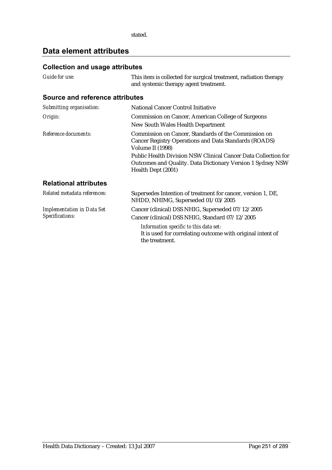stated.

# **Data element attributes**

| Guide for use:                                       | This item is collected for surgical treatment, radiation therapy<br>and systemic therapy agent treatment.                                          |  |
|------------------------------------------------------|----------------------------------------------------------------------------------------------------------------------------------------------------|--|
| Source and reference attributes                      |                                                                                                                                                    |  |
| Submitting organisation:                             | <b>National Cancer Control Initiative</b>                                                                                                          |  |
| Origin:                                              | <b>Commission on Cancer, American College of Surgeons</b><br>New South Wales Health Department                                                     |  |
| Reference documents:                                 | Commission on Cancer, Standards of the Commission on<br><b>Cancer Registry Operations and Data Standards (ROADS)</b><br>Volume II (1998)           |  |
|                                                      | Public Health Division NSW Clinical Cancer Data Collection for<br>Outcomes and Quality. Data Dictionary Version 1 Sydney NSW<br>Health Dept (2001) |  |
| <b>Relational attributes</b>                         |                                                                                                                                                    |  |
| Related metadata references:                         | Supersedes Intention of treatment for cancer, version 1, DE,<br>NHDD, NHIMG, Superseded 01/03/2005                                                 |  |
| <b>Implementation in Data Set</b><br>Specifications: | Cancer (clinical) DSS NHIG, Superseded 07/12/2005                                                                                                  |  |
|                                                      | Cancer (clinical) DSS NHIG, Standard 07/12/2005                                                                                                    |  |
|                                                      | Information specific to this data set:<br>It is used for correlating outcome with original intent of<br>the treatment.                             |  |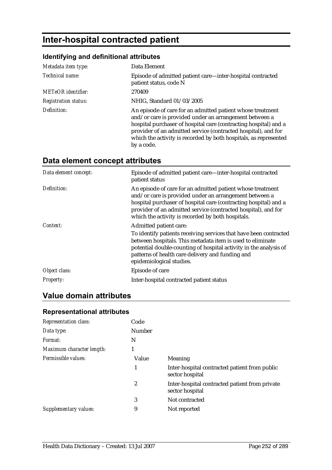# **Inter-hospital contracted patient**

## **Identifying and definitional attributes**

| Metadata item type:         | Data Element                                                                                                                                                                                                                                                                                                                                 |  |  |
|-----------------------------|----------------------------------------------------------------------------------------------------------------------------------------------------------------------------------------------------------------------------------------------------------------------------------------------------------------------------------------------|--|--|
| Technical name:             | Episode of admitted patient care—inter-hospital contracted<br>patient status, code N                                                                                                                                                                                                                                                         |  |  |
| <b>METeOR</b> identifier:   | 270409                                                                                                                                                                                                                                                                                                                                       |  |  |
| <b>Registration status:</b> | NHIG, Standard 01/03/2005                                                                                                                                                                                                                                                                                                                    |  |  |
| Definition:                 | An episode of care for an admitted patient whose treatment<br>and/or care is provided under an arrangement between a<br>hospital purchaser of hospital care (contracting hospital) and a<br>provider of an admitted service (contracted hospital), and for<br>which the activity is recorded by both hospitals, as represented<br>by a code. |  |  |

## **Data element concept attributes**

| Definition:<br>An episode of care for an admitted patient whose treatment                                                                                                                                                                                                            |
|--------------------------------------------------------------------------------------------------------------------------------------------------------------------------------------------------------------------------------------------------------------------------------------|
| and/or care is provided under an arrangement between a<br>hospital purchaser of hospital care (contracting hospital) and a<br>provider of an admitted service (contracted hospital), and for<br>which the activity is recorded by both hospitals.                                    |
| Context:<br>Admitted patient care:                                                                                                                                                                                                                                                   |
| To identify patients receiving services that have been contracted<br>between hospitals. This metadata item is used to eliminate<br>potential double-counting of hospital activity in the analysis of<br>patterns of health care delivery and funding and<br>epidemiological studies. |
| Object class:<br>Episode of care                                                                                                                                                                                                                                                     |
| <i>Property:</i><br>Inter-hospital contracted patient status                                                                                                                                                                                                                         |

## **Value domain attributes**

| Code             |                                                                   |
|------------------|-------------------------------------------------------------------|
| <b>Number</b>    |                                                                   |
| N                |                                                                   |
| 1                |                                                                   |
| Value            | Meaning                                                           |
| 1                | Inter-hospital contracted patient from public<br>sector hospital  |
| $\boldsymbol{2}$ | Inter-hospital contracted patient from private<br>sector hospital |
| 3                | Not contracted                                                    |
| 9                | Not reported                                                      |
|                  |                                                                   |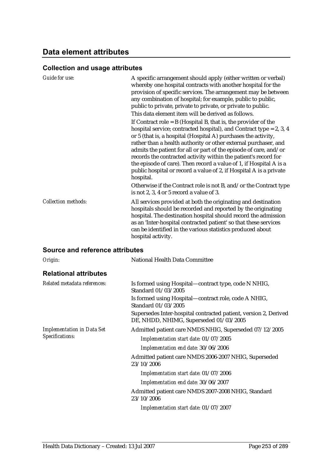## **Data element attributes**

# **Collection and usage attributes**

| Guide for use:             | A specific arrangement should apply (either written or verbal)<br>whereby one hospital contracts with another hospital for the<br>provision of specific services. The arrangement may be between<br>any combination of hospital; for example, public to public,<br>public to private, private to private, or private to public.<br>This data element item will be derived as follows.                                                                                                                                                                                           |
|----------------------------|---------------------------------------------------------------------------------------------------------------------------------------------------------------------------------------------------------------------------------------------------------------------------------------------------------------------------------------------------------------------------------------------------------------------------------------------------------------------------------------------------------------------------------------------------------------------------------|
|                            | If Contract role = $B$ (Hospital B, that is, the provider of the<br>hospital service; contracted hospital), and Contract type = $2, 3, 4$<br>or 5 (that is, a hospital (Hospital A) purchases the activity,<br>rather than a health authority or other external purchaser, and<br>admits the patient for all or part of the episode of care, and/or<br>records the contracted activity within the patient's record for<br>the episode of care). Then record a value of 1, if Hospital A is a<br>public hospital or record a value of 2, if Hospital A is a private<br>hospital. |
|                            | Otherwise if the Contract role is not B, and/or the Contract type<br>is not 2, 3, 4 or 5 record a value of 3.                                                                                                                                                                                                                                                                                                                                                                                                                                                                   |
| <b>Collection methods:</b> | All services provided at both the originating and destination<br>hospitals should be recorded and reported by the originating<br>hospital. The destination hospital should record the admission<br>as an 'Inter-hospital contracted patient' so that these services<br>can be identified in the various statistics produced about<br>hospital activity.                                                                                                                                                                                                                         |

| Origin:                           | <b>National Health Data Committee</b>                                                                      |
|-----------------------------------|------------------------------------------------------------------------------------------------------------|
| <b>Relational attributes</b>      |                                                                                                            |
| Related metadata references:      | Is formed using Hospital—contract type, code N NHIG,<br>Standard 01/03/2005                                |
|                                   | Is formed using Hospital—contract role, code A NHIG,<br>Standard 01/03/2005                                |
|                                   | Supersedes Inter-hospital contracted patient, version 2, Derived<br>DE, NHDD, NHIMG, Superseded 01/03/2005 |
| <b>Implementation in Data Set</b> | Admitted patient care NMDS NHIG, Superseded 07/12/2005                                                     |
| Specifications:                   | Implementation start date: 01/07/2005                                                                      |
|                                   | Implementation end date: 30/06/2006                                                                        |
|                                   | Admitted patient care NMDS 2006-2007 NHIG, Superseded<br>23/10/2006                                        |
|                                   | Implementation start date: 01/07/2006                                                                      |
|                                   | Implementation end date: 30/06/2007                                                                        |
|                                   | Admitted patient care NMDS 2007-2008 NHIG, Standard<br>23/10/2006                                          |
|                                   | Implementation start date: 01/07/2007                                                                      |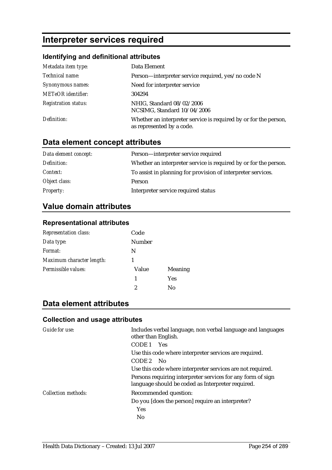# **Interpreter services required**

### **Identifying and definitional attributes**

| Metadata item type:         | Data Element                                                                                  |
|-----------------------------|-----------------------------------------------------------------------------------------------|
| Technical name:             | Person—interpreter service required, yes/no code N                                            |
| Synonymous names:           | Need for interpreter service                                                                  |
| <b>METeOR</b> identifier:   | 304294                                                                                        |
| <b>Registration status:</b> | NHIG, Standard 08/02/2006<br>NCSIMG, Standard 10/04/2006                                      |
| Definition:                 | Whether an interpreter service is required by or for the person,<br>as represented by a code. |

# **Data element concept attributes**

| Data element concept: | Person-interpreter service required                              |
|-----------------------|------------------------------------------------------------------|
| Definition:           | Whether an interpreter service is required by or for the person. |
| Context:              | To assist in planning for provision of interpreter services.     |
| Object class:         | Person                                                           |
| <b>Property:</b>      | Interpreter service required status                              |

# **Value domain attributes**

### **Representational attributes**

| <b>Representation class:</b> | Code   |                |
|------------------------------|--------|----------------|
| Data type:                   | Number |                |
| Format:                      | N      |                |
| Maximum character length:    |        |                |
| Permissible values:          | Value  | <b>Meaning</b> |
|                              | 1      | <b>Yes</b>     |
|                              | 2      | No             |

# **Data element attributes**

| Guide for use:      | Includes verbal language, non verbal language and languages<br>other than English.<br>CODE 1<br><b>Yes</b><br>Use this code where interpreter services are required.<br>CODE 2<br>- No<br>Use this code where interpreter services are not required. |
|---------------------|------------------------------------------------------------------------------------------------------------------------------------------------------------------------------------------------------------------------------------------------------|
|                     | Persons requiring interpreter services for any form of sign<br>language should be coded as Interpreter required.                                                                                                                                     |
| Collection methods: | Recommended question:<br>Do you [does the person] require an interpreter?<br><b>Yes</b><br>No                                                                                                                                                        |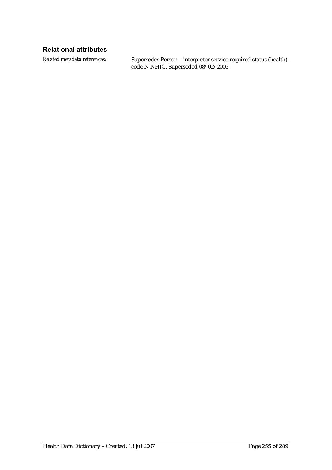### **Relational attributes**

*Related metadata references:* Supersedes Person—interpreter service required status (health), code N NHIG, Superseded 08/02/2006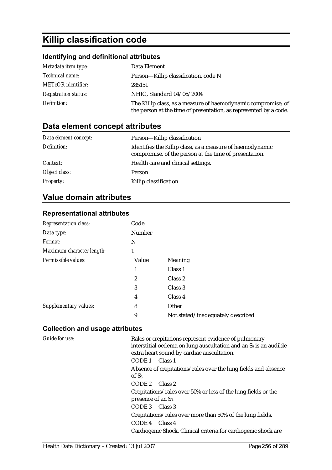# **Killip classification code**

# **Identifying and definitional attributes**

| Metadata item type:         | Data Element                                                                                                                       |
|-----------------------------|------------------------------------------------------------------------------------------------------------------------------------|
| Technical name:             | Person—Killip classification, code N                                                                                               |
| <b>METeOR</b> identifier:   | 285151                                                                                                                             |
| <b>Registration status:</b> | NHIG, Standard 04/06/2004                                                                                                          |
| Definition:                 | The Killip class, as a measure of haemodynamic compromise, of<br>the person at the time of presentation, as represented by a code. |

# **Data element concept attributes**

| Data element concept: | Person-Killip classification                                                                                        |
|-----------------------|---------------------------------------------------------------------------------------------------------------------|
| Definition:           | Identifies the Killip class, as a measure of haemodynamic<br>compromise, of the person at the time of presentation. |
| Context:              | Health care and clinical settings.                                                                                  |
| Object class:         | Person                                                                                                              |
| <b>Property:</b>      | Killip classification                                                                                               |

# **Value domain attributes**

#### **Representational attributes**

| Code          |                                   |
|---------------|-----------------------------------|
| <b>Number</b> |                                   |
| N             |                                   |
| 1             |                                   |
| Value         | Meaning                           |
| 1             | Class 1                           |
| 2             | Class 2                           |
| 3             | Class 3                           |
| 4             | Class 4                           |
| 8             | Other                             |
| 9             | Not stated/inadequately described |
|               |                                   |

| Guide for use: | Rales or crepitations represent evidence of pulmonary<br>interstitial oedema on lung auscultation and an S <sub>3</sub> is an audible<br>extra heart sound by cardiac auscultation. |
|----------------|-------------------------------------------------------------------------------------------------------------------------------------------------------------------------------------|
|                | CODE 1 Class 1                                                                                                                                                                      |
|                | Absence of crepitations/rales over the lung fields and absence<br>of $S_3$                                                                                                          |
|                | CODE 2 Class 2                                                                                                                                                                      |
|                | Crepitations/rales over 50% or less of the lung fields or the<br>presence of an $S_3$ .                                                                                             |
|                | CODE 3 Class 3                                                                                                                                                                      |
|                | Crepitations/rales over more than 50% of the lung fields.                                                                                                                           |
|                | CODE 4 Class 4                                                                                                                                                                      |
|                | Cardiogenic Shock. Clinical criteria for cardiogenic shock are                                                                                                                      |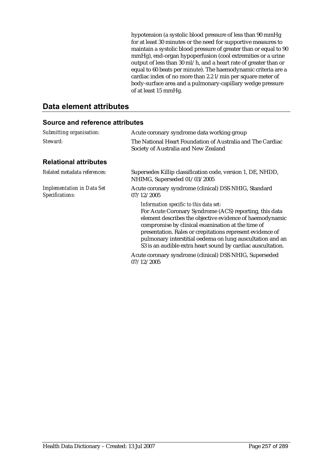hypotension (a systolic blood pressure of less than 90 mmHg for at least 30 minutes or the need for supportive measures to maintain a systolic blood pressure of greater than or equal to 90 mmHg), end-organ hypoperfusion (cool extremities or a urine output of less than 30 ml/h, and a heart rate of greater than or equal to 60 beats per minute). The haemodynamic criteria are a cardiac index of no more than 2.2 l/min per square meter of body-surface area and a pulmonary-capillary wedge pressure of at least 15 mmHg.

### **Data element attributes**

| Submitting organisation:                             | Acute coronary syndrome data working group                                                                                                                                                                                                                                                                                                                                                                 |  |
|------------------------------------------------------|------------------------------------------------------------------------------------------------------------------------------------------------------------------------------------------------------------------------------------------------------------------------------------------------------------------------------------------------------------------------------------------------------------|--|
| Steward:                                             | The National Heart Foundation of Australia and The Cardiac<br>Society of Australia and New Zealand                                                                                                                                                                                                                                                                                                         |  |
| <b>Relational attributes</b>                         |                                                                                                                                                                                                                                                                                                                                                                                                            |  |
| Related metadata references:                         | Supersedes Killip classification code, version 1, DE, NHDD,<br>NHIMG, Superseded 01/03/2005                                                                                                                                                                                                                                                                                                                |  |
| <b>Implementation in Data Set</b><br>Specifications: | Acute coronary syndrome (clinical) DSS NHIG, Standard<br>07/12/2005                                                                                                                                                                                                                                                                                                                                        |  |
|                                                      | Information specific to this data set:<br>For Acute Coronary Syndrome (ACS) reporting, this data<br>element describes the objective evidence of haemodynamic<br>compromise by clinical examination at the time of<br>presentation. Rales or crepitations represent evidence of<br>pulmonary interstitial oedema on lung auscultation and an<br>S3 is an audible extra heart sound by cardiac auscultation. |  |
|                                                      | Acute coronary syndrome (clinical) DSS NHIG, Superseded<br>07/12/2005                                                                                                                                                                                                                                                                                                                                      |  |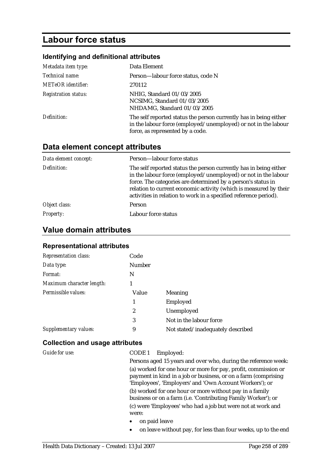# **Labour force status**

# **Identifying and definitional attributes**

| Metadata item type:         | Data Element                                                                                                                                                            |
|-----------------------------|-------------------------------------------------------------------------------------------------------------------------------------------------------------------------|
| Technical name:             | Person-labour force status, code N                                                                                                                                      |
| <b>METeOR</b> identifier:   | 270112                                                                                                                                                                  |
| <b>Registration status:</b> | NHIG, Standard 01/03/2005<br>NCSIMG, Standard 01/03/2005<br>NHDAMG, Standard 01/03/2005                                                                                 |
| Definition:                 | The self reported status the person currently has in being either<br>in the labour force (employed/unemployed) or not in the labour<br>force, as represented by a code. |

# **Data element concept attributes**

| Data element concept: | Person-labour force status                                                                                                                                                                                                                                                                                                                   |
|-----------------------|----------------------------------------------------------------------------------------------------------------------------------------------------------------------------------------------------------------------------------------------------------------------------------------------------------------------------------------------|
| Definition:           | The self reported status the person currently has in being either<br>in the labour force (employed/unemployed) or not in the labour<br>force. The categories are determined by a person's status in<br>relation to current economic activity (which is measured by their<br>activities in relation to work in a specified reference period). |
| Object class:         | Person                                                                                                                                                                                                                                                                                                                                       |
| <b>Property:</b>      | Labour force status                                                                                                                                                                                                                                                                                                                          |

## **Value domain attributes**

### **Representational attributes**

| <b>Representation class:</b> | Code   |                                   |
|------------------------------|--------|-----------------------------------|
| Data type:                   | Number |                                   |
| Format:                      | N      |                                   |
| Maximum character length:    |        |                                   |
| Permissible values:          | Value  | <b>Meaning</b>                    |
|                              | 1      | Employed                          |
|                              | 2      | Unemployed                        |
|                              | 3      | Not in the labour force           |
| Supplementary values:        | 9      | Not stated/inadequately described |

| Guide for use: | CODE 1<br>Employed:                                                                                                                                                                         |
|----------------|---------------------------------------------------------------------------------------------------------------------------------------------------------------------------------------------|
|                | Persons aged 15 years and over who, during the reference week:                                                                                                                              |
|                | (a) worked for one hour or more for pay, profit, commission or<br>payment in kind in a job or business, or on a farm (comprising<br>'Employees', 'Employers' and 'Own Account Workers'); or |
|                | (b) worked for one hour or more without pay in a family<br>business or on a farm (i.e. 'Contributing Family Worker'); or                                                                    |
|                | (c) were 'Employees' who had a job but were not at work and<br>were:                                                                                                                        |
|                | on paid leave<br>$\bullet$                                                                                                                                                                  |
|                | on leave without pay, for less than four weeks, up to the end                                                                                                                               |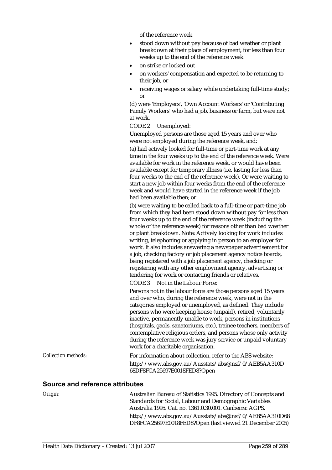of the reference week

- stood down without pay because of bad weather or plant breakdown at their place of employment, for less than four weeks up to the end of the reference week
- on strike or locked out
- on workers' compensation and expected to be returning to their job, or
- receiving wages or salary while undertaking full-time study; or

(d) were 'Employers', 'Own Account Workers' or 'Contributing Family Workers' who had a job, business or farm, but were not at work.

CODE 2 Unemployed:

Unemployed persons are those aged 15 years and over who were not employed during the reference week, and:

(a) had actively looked for full-time or part-time work at any time in the four weeks up to the end of the reference week. Were available for work in the reference week, or would have been available except for temporary illness (i.e. lasting for less than four weeks to the end of the reference week). Or were waiting to start a new job within four weeks from the end of the reference week and would have started in the reference week if the job had been available then; or

(b) were waiting to be called back to a full-time or part-time job from which they had been stood down without pay for less than four weeks up to the end of the reference week (including the whole of the reference week) for reasons other than bad weather or plant breakdown. Note: Actively looking for work includes writing, telephoning or applying in person to an employer for work. It also includes answering a newspaper advertisement for a job, checking factory or job placement agency notice boards, being registered with a job placement agency, checking or registering with any other employment agency, advertising or tendering for work or contacting friends or relatives.

CODE 3 Not in the Labour Force:

Persons not in the labour force are those persons aged 15 years and over who, during the reference week, were not in the categories employed or unemployed, as defined. They include persons who were keeping house (unpaid), retired, voluntarily inactive, permanently unable to work, persons in institutions (hospitals, gaols, sanatoriums, etc.), trainee teachers, members of contemplative religious orders, and persons whose only activity during the reference week was jury service or unpaid voluntary work for a charitable organisation.

*Collection methods:* For information about collection, refer to the ABS website: http://www.abs.gov.au/Ausstats/abs@.nsf/0/AEB5AA310D 68DF8FCA25697E0018FED8?Open

#### **Source and reference attributes**

*Origin:* Australian Bureau of Statistics 1995. Directory of Concepts and Standards for Social, Labour and Demographic Variables. Australia 1995. Cat. no. 1361.0.30.001. Canberra: AGPS. http://www.abs.gov.au/Ausstats/abs@.nsf/0/AEB5AA310D68 DF8FCA25697E0018FED8?Open (last viewed 21 December 2005)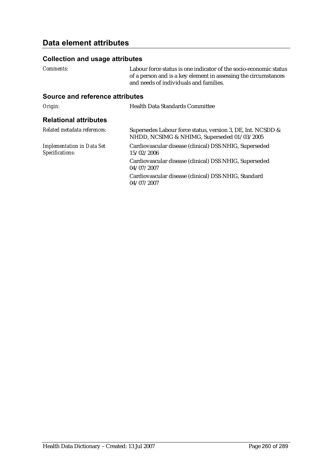## **Data element attributes**

#### **Collection and usage attributes**

*Comments:* Labour force status is one indicator of the socio-economic status of a person and is a key element in assessing the circumstances and needs of individuals and families.

#### **Source and reference attributes**

**Origin:** Health Data Standards Committee

#### **Relational attributes**

| Related metadata references:                         | Supersedes Labour force status, version 3, DE, Int. NCSDD &<br>NHDD, NCSIMG & NHIMG, Superseded 01/03/2005 |
|------------------------------------------------------|------------------------------------------------------------------------------------------------------------|
| <b>Implementation in Data Set</b><br>Specifications: | Cardiovascular disease (clinical) DSS NHIG, Superseded<br>15/02/2006                                       |
|                                                      | Cardiovascular disease (clinical) DSS NHIG, Superseded<br>04/07/2007                                       |
|                                                      | Cardiovascular disease (clinical) DSS NHIG, Standard<br>04/07/2007                                         |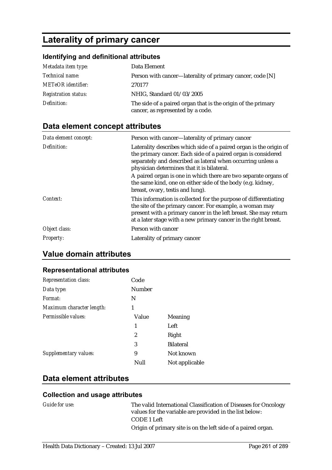# **Laterality of primary cancer**

## **Identifying and definitional attributes**

| Metadata item type:         | Data Element                                                                                      |
|-----------------------------|---------------------------------------------------------------------------------------------------|
| <i>Technical name:</i>      | Person with cancer—laterality of primary cancer, code [N]                                         |
| <b>METeOR</b> identifier:   | 270177                                                                                            |
| <b>Registration status:</b> | NHIG, Standard 01/03/2005                                                                         |
| Definition:                 | The side of a paired organ that is the origin of the primary<br>cancer, as represented by a code. |

# **Data element concept attributes**

| Data element concept: | Person with cancer—laterality of primary cancer                                                                                                                                                                                                                     |
|-----------------------|---------------------------------------------------------------------------------------------------------------------------------------------------------------------------------------------------------------------------------------------------------------------|
| Definition:           | Laterality describes which side of a paired organ is the origin of<br>the primary cancer. Each side of a paired organ is considered<br>separately and described as lateral when occurring unless a<br>physician determines that it is bilateral.                    |
|                       | A paired organ is one in which there are two separate organs of<br>the same kind, one on either side of the body (e.g. kidney,<br>breast, ovary, test is and lung).                                                                                                 |
| Context:              | This information is collected for the purpose of differentiating<br>the site of the primary cancer. For example, a woman may<br>present with a primary cancer in the left breast. She may return<br>at a later stage with a new primary cancer in the right breast. |
| Object class:         | Person with cancer                                                                                                                                                                                                                                                  |
| <b>Property:</b>      | Laterality of primary cancer                                                                                                                                                                                                                                        |

# **Value domain attributes**

#### **Representational attributes**

| <b>Representation class:</b> | Code           |                  |
|------------------------------|----------------|------------------|
| Data type:                   | Number         |                  |
| Format:                      | N              |                  |
| Maximum character length:    | 1              |                  |
| Permissible values:          | Value          | <b>Meaning</b>   |
|                              | 1              | Left             |
|                              | $\overline{2}$ | Right            |
|                              | 3              | <b>Bilateral</b> |
| Supplementary values:        | 9              | Not known        |
|                              | Null           | Not applicable   |

# **Data element attributes**

| Guide for use: | The valid International Classification of Diseases for Oncology<br>values for the variable are provided in the list below: |
|----------------|----------------------------------------------------------------------------------------------------------------------------|
|                | CODE 1 Left                                                                                                                |
|                | Origin of primary site is on the left side of a paired organ.                                                              |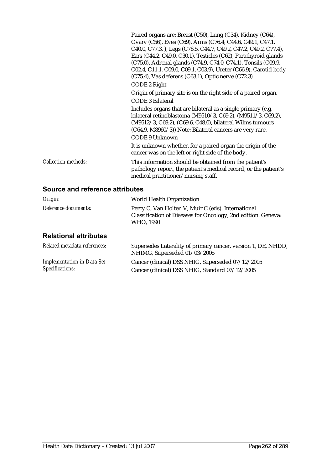|                            | Paired organs are: Breast (C50), Lung (C34), Kidney (C64),<br>Ovary (C56), Eyes (C69), Arms (C76.4, C44.6, C49.1, C47.1,<br>C40.0, C77.3, ), Legs (C76.5, C44.7, C49.2, C47.2, C40.2, C77.4),<br>Ears (C44.2, C49.0, C30.1), Testicles (C62), Parathyroid glands<br>(C75.0), Adrenal glands (C74.9, C74.0, C74.1), Tonsils (C09.9,<br>C02.4, C11.1, C09.0, C09.1, C03.9), Ureter (C66.9), Carotid body<br>$(C75.4)$ , Vas deferens $(C63.1)$ , Optic nerve $(C72.3)$ |
|----------------------------|----------------------------------------------------------------------------------------------------------------------------------------------------------------------------------------------------------------------------------------------------------------------------------------------------------------------------------------------------------------------------------------------------------------------------------------------------------------------|
|                            | CODE 2 Right                                                                                                                                                                                                                                                                                                                                                                                                                                                         |
|                            | Origin of primary site is on the right side of a paired organ.                                                                                                                                                                                                                                                                                                                                                                                                       |
|                            | <b>CODE 3 Bilateral</b>                                                                                                                                                                                                                                                                                                                                                                                                                                              |
|                            | Includes organs that are bilateral as a single primary (e.g.<br>bilateral retinoblastoma (M9510/3, C69.2), (M9511/3, C69.2),<br>(M9512/3, C69.2), (C69.6, C48.0), bilateral Wilms tumours<br>(C64.9, M8960/3)) Note: Bilateral cancers are very rare.                                                                                                                                                                                                                |
|                            | <b>CODE 9 Unknown</b>                                                                                                                                                                                                                                                                                                                                                                                                                                                |
|                            | It is unknown whether, for a paired organ the origin of the<br>cancer was on the left or right side of the body.                                                                                                                                                                                                                                                                                                                                                     |
| <b>Collection methods:</b> | This information should be obtained from the patient's<br>pathology report, the patient's medical record, or the patient's<br>medical practitioner/nursing staff.                                                                                                                                                                                                                                                                                                    |

| Origin:                                              | World Health Organization                                                                                                        |
|------------------------------------------------------|----------------------------------------------------------------------------------------------------------------------------------|
| Reference documents:                                 | Percy C, Van Holten V, Muir C (eds). International<br>Classification of Diseases for Oncology, 2nd edition. Geneva:<br>WHO, 1990 |
| <b>Relational attributes</b>                         |                                                                                                                                  |
| Related metadata references:                         | Supersedes Laterality of primary cancer, version 1, DE, NHDD,<br>NHIMG, Superseded 01/03/2005                                    |
| <b>Implementation in Data Set</b><br>Specifications: | Cancer (clinical) DSS NHIG, Superseded 07/12/2005<br>Cancer (clinical) DSS NHIG, Standard 07/12/2005                             |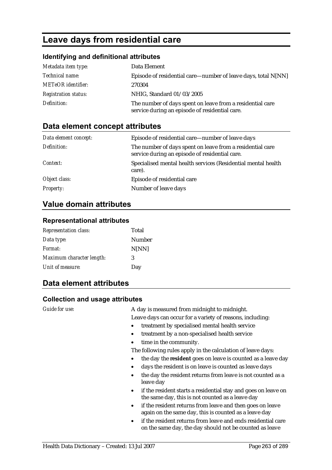# **Leave days from residential care**

### **Identifying and definitional attributes**

| Metadata item type:         | Data Element                                                                                                |
|-----------------------------|-------------------------------------------------------------------------------------------------------------|
| Technical name:             | Episode of residential care—number of leave days, total N[NN]                                               |
| <b>METeOR</b> identifier:   | 270304                                                                                                      |
| <b>Registration status:</b> | NHIG, Standard 01/03/2005                                                                                   |
| Definition:                 | The number of days spent on leave from a residential care<br>service during an episode of residential care. |

### **Data element concept attributes**

| Data element concept: | Episode of residential care—number of leave days                                                            |
|-----------------------|-------------------------------------------------------------------------------------------------------------|
| Definition:           | The number of days spent on leave from a residential care<br>service during an episode of residential care. |
| Context:              | Specialised mental health services (Residential mental health<br>care).                                     |
| Object class:         | Episode of residential care                                                                                 |
| <b>Property:</b>      | Number of leave days                                                                                        |

### **Value domain attributes**

#### **Representational attributes**

| <b>Representation class:</b> | Total  |
|------------------------------|--------|
| Data type:                   | Number |
| Format:                      | N[NN]  |
| Maximum character length:    | 3      |
| Unit of measure:             | Day    |

### **Data element attributes**

#### **Collection and usage attributes**

*Guide for use:* A day is measured from midnight to midnight. Leave days can occur for a variety of reasons, including:

- treatment by specialised mental health service
- treatment by a non-specialised health service
- time in the community.
- The following rules apply in the calculation of leave days:
- the day the **resident** goes on leave is counted as a leave day
- days the resident is on leave is counted as leave days
- the day the resident returns from leave is not counted as a leave day
- if the resident starts a residential stay and goes on leave on the same day, this is not counted as a leave day
- if the resident returns from leave and then goes on leave again on the same day, this is counted as a leave day
- if the resident returns from leave and ends residential care on the same day, the day should not be counted as leave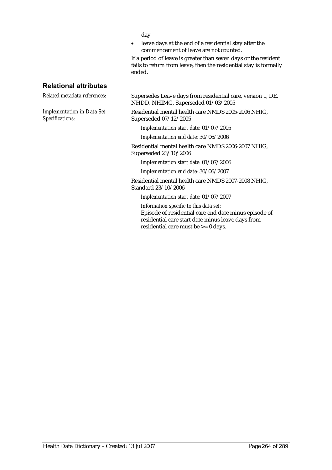day

• leave days at the end of a residential stay after the commencement of leave are not counted.

If a period of leave is greater than seven days or the resident fails to return from leave, then the residential stay is formally ended.

### **Relational attributes**

*Implementation in Data Set Specifications:*

*Related metadata references:* Supersedes Leave days from residential care, version 1, DE, NHDD, NHIMG, Superseded 01/03/2005

> Residential mental health care NMDS 2005-2006 NHIG, Superseded 07/12/2005

*Implementation start date:* 01/07/2005

*Implementation end date:* 30/06/2006

Residential mental health care NMDS 2006-2007 NHIG, Superseded 23/10/2006

*Implementation start date:* 01/07/2006

*Implementation end date:* 30/06/2007

Residential mental health care NMDS 2007-2008 NHIG, Standard 23/10/2006

*Implementation start date:* 01/07/2007

*Information specific to this data set:* Episode of residential care end date minus episode of residential care start date minus leave days from residential care must be >= 0 days.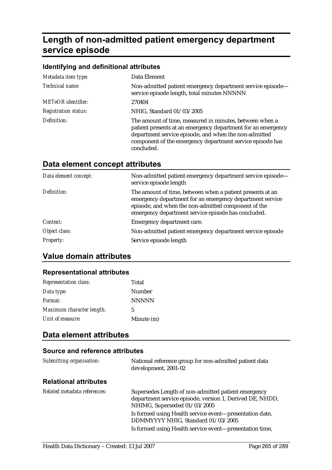# **Length of non-admitted patient emergency department service episode**

#### **Identifying and definitional attributes**

| Metadata item type:         | Data Element                                                                                                                                                                                                                                                |
|-----------------------------|-------------------------------------------------------------------------------------------------------------------------------------------------------------------------------------------------------------------------------------------------------------|
| Technical name:             | Non-admitted patient emergency department service episode-<br>service episode length, total minutes NNNNN                                                                                                                                                   |
| <b>METeOR</b> identifier:   | 270404                                                                                                                                                                                                                                                      |
| <b>Registration status:</b> | NHIG, Standard 01/03/2005                                                                                                                                                                                                                                   |
| Definition:                 | The amount of time, measured in minutes, between when a<br>patient presents at an emergency department for an emergency<br>department service episode, and when the non-admitted<br>component of the emergency department service episode has<br>concluded. |

# **Data element concept attributes**

| Data element concept: | Non-admitted patient emergency department service episode-<br>service episode length                                                                                                                                                |
|-----------------------|-------------------------------------------------------------------------------------------------------------------------------------------------------------------------------------------------------------------------------------|
| Definition:           | The amount of time, between when a patient presents at an<br>emergency department for an emergency department service<br>episode, and when the non-admitted component of the<br>emergency department service episode has concluded. |
| Context:              | Emergency department care.                                                                                                                                                                                                          |
| Object class:         | Non-admitted patient emergency department service episode                                                                                                                                                                           |
| <b>Property:</b>      | Service episode length                                                                                                                                                                                                              |

### **Value domain attributes**

# **Representational attributes**

| <b>Representation class:</b> | Total        |
|------------------------------|--------------|
| Data type:                   | Number       |
| Format:                      | <b>NNNNN</b> |
| Maximum character length:    | 5            |
| Unit of measure:             | Minute (m)   |

## **Data element attributes**

| Submitting organisation:     | National reference group for non-admitted patient data<br>development, 2001-02                                                                  |
|------------------------------|-------------------------------------------------------------------------------------------------------------------------------------------------|
| <b>Relational attributes</b> |                                                                                                                                                 |
| Related metadata references: | Supersedes Length of non-admitted patient emergency<br>department service episode, version 1, Derived DE, NHDD,<br>NHIMG, Superseded 01/03/2005 |
|                              | Is formed using Health service event—presentation date,<br>DDMMYYYY NHIG, Standard 01/03/2005                                                   |
|                              | Is formed using Health service event—presentation time,                                                                                         |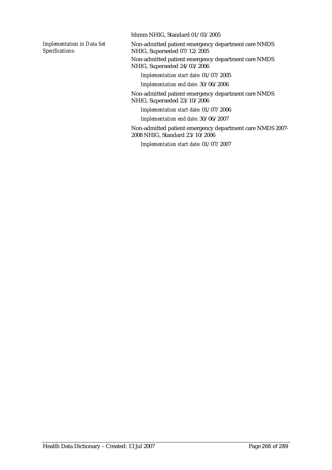*Implementation in Data Set Specifications:*

hhmm NHIG, Standard 01/03/2005

Non-admitted patient emergency department care NMDS NHIG, Superseded 07/12/2005 Non-admitted patient emergency department care NMDS NHIG, Superseded 24/03/2006

*Implementation start date:* 01/07/2005

*Implementation end date:* 30/06/2006

Non-admitted patient emergency department care NMDS NHIG, Superseded 23/10/2006

*Implementation start date:* 01/07/2006

*Implementation end date:* 30/06/2007

Non-admitted patient emergency department care NMDS 2007- 2008 NHIG, Standard 23/10/2006

*Implementation start date:* 01/07/2007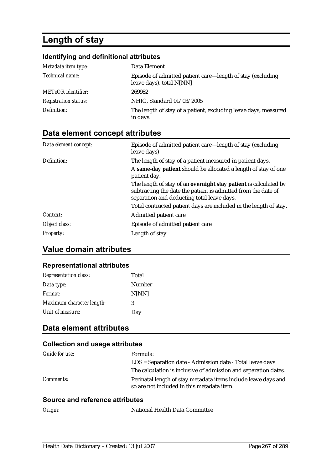# **Length of stay**

### **Identifying and definitional attributes**

| Metadata item type:         | Data Element                                                                           |
|-----------------------------|----------------------------------------------------------------------------------------|
| Technical name:             | Episode of admitted patient care—length of stay (excluding<br>leave days), total N[NN] |
| METeOR identifier:          | 269982                                                                                 |
| <b>Registration status:</b> | NHIG, Standard 01/03/2005                                                              |
| Definition:                 | The length of stay of a patient, excluding leave days, measured<br>in days.            |

# **Data element concept attributes**

| Data element concept: | Episode of admitted patient care—length of stay (excluding<br>leave days)                                                                                                       |
|-----------------------|---------------------------------------------------------------------------------------------------------------------------------------------------------------------------------|
| Definition:           | The length of stay of a patient measured in patient days.                                                                                                                       |
|                       | A same-day patient should be allocated a length of stay of one<br>patient day.                                                                                                  |
|                       | The length of stay of an overnight stay patient is calculated by<br>subtracting the date the patient is admitted from the date of<br>separation and deducting total leave days. |
|                       | Total contracted patient days are included in the length of stay.                                                                                                               |
| Context:              | Admitted patient care                                                                                                                                                           |
| Object class:         | Episode of admitted patient care                                                                                                                                                |
| <b>Property:</b>      | Length of stay                                                                                                                                                                  |

# **Value domain attributes**

#### **Representational attributes**

| <b>Representation class:</b> | Total  |
|------------------------------|--------|
| Data type:                   | Number |
| Format:                      | N[NN]  |
| Maximum character length:    | 3      |
| Unit of measure:             | Day    |

## **Data element attributes**

### **Collection and usage attributes**

| Guide for use:   | Formula:                                                                                                     |
|------------------|--------------------------------------------------------------------------------------------------------------|
|                  | LOS = Separation date - Admission date - Total leave days                                                    |
|                  | The calculation is inclusive of admission and separation dates.                                              |
| <i>Comments:</i> | Perinatal length of stay metadata items include leave days and<br>so are not included in this metadata item. |

| Origin: | National Health Data Committee |
|---------|--------------------------------|
|         |                                |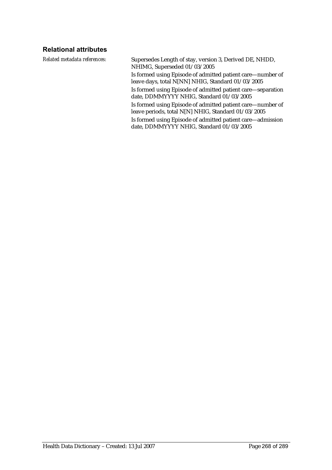### **Relational attributes**

*Related metadata references:* Supersedes Length of stay, version 3, Derived DE, NHDD, NHIMG, Superseded 01/03/2005 Is formed using Episode of admitted patient care—number of leave days, total N[NN] NHIG, Standard 01/03/2005 Is formed using Episode of admitted patient care—separation date, DDMMYYYY NHIG, Standard 01/03/2005 Is formed using Episode of admitted patient care—number of leave periods, total N[N] NHIG, Standard 01/03/2005 Is formed using Episode of admitted patient care—admission date, DDMMYYYY NHIG, Standard 01/03/2005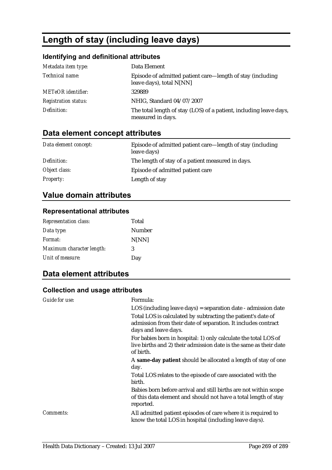# **Length of stay (including leave days)**

### **Identifying and definitional attributes**

| Metadata item type:         | Data Element                                                                            |
|-----------------------------|-----------------------------------------------------------------------------------------|
| Technical name:             | Episode of admitted patient care—length of stay (including<br>leave days), total N[NN]  |
| <b>METeOR</b> identifier:   | 329889                                                                                  |
| <b>Registration status:</b> | NHIG, Standard 04/07/2007                                                               |
| Definition:                 | The total length of stay (LOS) of a patient, including leave days,<br>measured in days. |

# **Data element concept attributes**

| Data element concept: | Episode of admitted patient care—length of stay (including<br>leave days) |
|-----------------------|---------------------------------------------------------------------------|
| Definition:           | The length of stay of a patient measured in days.                         |
| Object class:         | Episode of admitted patient care                                          |
| <b>Property:</b>      | Length of stay                                                            |

# **Value domain attributes**

# **Representational attributes**

| <b>Representation class:</b> | Total         |
|------------------------------|---------------|
| Data type:                   | <b>Number</b> |
| <i>Format:</i>               | N[NN]         |
| Maximum character length:    | 3             |
| Unit of measure:             | Day           |

# **Data element attributes**

| Guide for use: | Formula:                                                                                                                                              |
|----------------|-------------------------------------------------------------------------------------------------------------------------------------------------------|
|                | $LOS$ (including leave days) = separation date - admission date                                                                                       |
|                | Total LOS is calculated by subtracting the patient's date of<br>admission from their date of separation. It includes contract<br>days and leave days. |
|                | For babies born in hospital: 1) only calculate the total LOS of<br>live births and 2) their admission date is the same as their date<br>of birth.     |
|                | A same-day patient should be allocated a length of stay of one<br>day.                                                                                |
|                | Total LOS relates to the episode of care associated with the<br>birth.                                                                                |
|                | Babies born before arrival and still births are not within scope<br>of this data element and should not have a total length of stay<br>reported.      |
| Comments:      | All admitted patient episodes of care where it is required to<br>know the total LOS in hospital (including leave days).                               |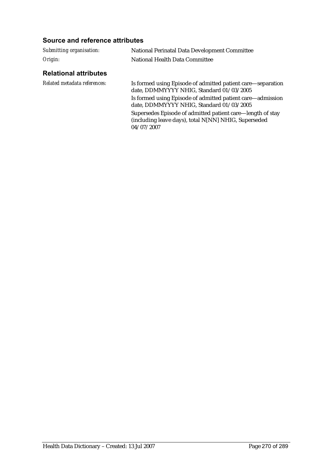| Submitting organisation:     | National Perinatal Data Development Committee                                                                                    |
|------------------------------|----------------------------------------------------------------------------------------------------------------------------------|
| Origin:                      | National Health Data Committee                                                                                                   |
| <b>Relational attributes</b> |                                                                                                                                  |
| Related metadata references: | Is formed using Episode of admitted patient care—separation<br>date, DDMMYYYY NHIG, Standard 01/03/2005                          |
|                              | Is formed using Episode of admitted patient care—admission<br>date, DDMMYYYY NHIG, Standard 01/03/2005                           |
|                              | Supersedes Episode of admitted patient care—length of stay<br>(including leave days), total N[NN] NHIG, Superseded<br>04/07/2007 |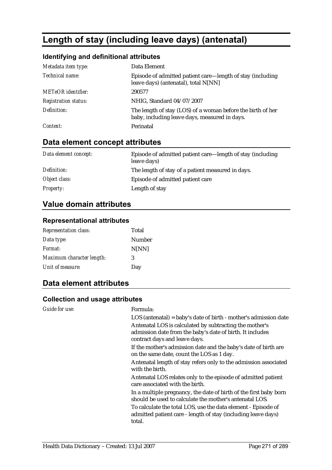# **Length of stay (including leave days) (antenatal)**

### **Identifying and definitional attributes**

| Metadata item type:         | Data Element                                                                                                 |
|-----------------------------|--------------------------------------------------------------------------------------------------------------|
| Technical name:             | Episode of admitted patient care—length of stay (including<br>leave days) (antenatal), total N[NN]           |
| <b>METeOR</b> identifier:   | 290577                                                                                                       |
| <b>Registration status:</b> | NHIG, Standard 04/07/2007                                                                                    |
| Definition:                 | The length of stay (LOS) of a woman before the birth of her<br>baby, including leave days, measured in days. |
| Context:                    | Perinatal                                                                                                    |

# **Data element concept attributes**

| Data element concept: | Episode of admitted patient care—length of stay (including<br>leave days) |
|-----------------------|---------------------------------------------------------------------------|
| Definition:           | The length of stay of a patient measured in days.                         |
| Object class:         | Episode of admitted patient care                                          |
| <b>Property:</b>      | Length of stay                                                            |

# **Value domain attributes**

### **Representational attributes**

| <b>Representation class:</b> | Total  |
|------------------------------|--------|
| Data type:                   | Number |
| Format:                      | N[NN]  |
| Maximum character length:    | 3      |
| Unit of measure:             | Day    |

### **Data element attributes**

| Guide for use: | Formula:<br>$LOS$ (antenatal) = baby's date of birth - mother's admission date<br>Antenatal LOS is calculated by subtracting the mother's<br>admission date from the baby's date of birth. It includes<br>contract days and leave days. |
|----------------|-----------------------------------------------------------------------------------------------------------------------------------------------------------------------------------------------------------------------------------------|
|                | If the mother's admission date and the baby's date of birth are<br>on the same date, count the LOS as 1 day.                                                                                                                            |
|                | Antenatal length of stay refers only to the admission associated<br>with the birth.                                                                                                                                                     |
|                | Antenatal LOS relates only to the episode of admitted patient<br>care associated with the birth.                                                                                                                                        |
|                | In a multiple pregnancy, the date of birth of the first baby born<br>should be used to calculate the mother's antenatal LOS.                                                                                                            |
|                | To calculate the total LOS, use the data element - Episode of<br>admitted patient care - length of stay (including leave days)<br>total.                                                                                                |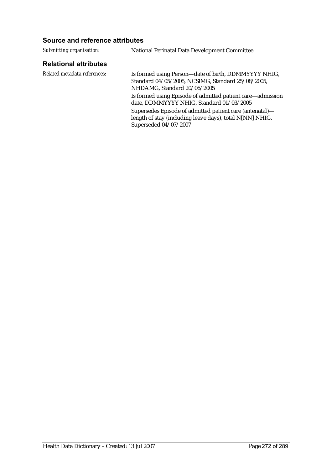#### **Source and reference attributes**

*Submitting organisation:* National Perinatal Data Development Committee

#### **Relational attributes**

*Related metadata references:* Is formed using Person—date of birth, DDMMYYYY NHIG, Standard 04/05/2005, NCSIMG, Standard 25/08/2005, NHDAMG, Standard 20/06/2005 Is formed using Episode of admitted patient care—admission date, DDMMYYYY NHIG, Standard 01/03/2005 Supersedes Episode of admitted patient care (antenatal) length of stay (including leave days), total N[NN] NHIG, Superseded 04/07/2007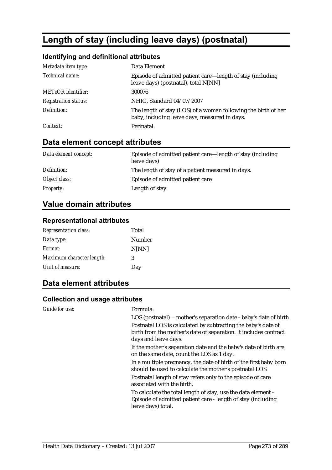# **Length of stay (including leave days) (postnatal)**

### **Identifying and definitional attributes**

| Metadata item type:         | Data Element                                                                                                    |
|-----------------------------|-----------------------------------------------------------------------------------------------------------------|
| Technical name:             | Episode of admitted patient care—length of stay (including<br>leave days) (postnatal), total N[NN]              |
| <b>METeOR</b> identifier:   | 300076                                                                                                          |
| <b>Registration status:</b> | NHIG, Standard 04/07/2007                                                                                       |
| Definition:                 | The length of stay (LOS) of a woman following the birth of her<br>baby, including leave days, measured in days. |
| Context:                    | Perinatal.                                                                                                      |

# **Data element concept attributes**

| Data element concept: | Episode of admitted patient care—length of stay (including<br>leave days) |
|-----------------------|---------------------------------------------------------------------------|
| Definition:           | The length of stay of a patient measured in days.                         |
| Object class:         | Episode of admitted patient care                                          |
| <b>Property:</b>      | Length of stay                                                            |

# **Value domain attributes**

### **Representational attributes**

| <b>Representation class:</b> | Total        |
|------------------------------|--------------|
| Data type:                   | Number       |
| Format:                      | <b>N[NN]</b> |
| Maximum character length:    | 3            |
| Unit of measure:             | Day          |

### **Data element attributes**

| <b>Guide for use:</b> | Formula:                                                                                                                                                  |
|-----------------------|-----------------------------------------------------------------------------------------------------------------------------------------------------------|
|                       | $LOS$ (postnatal) = mother's separation date - baby's date of birth                                                                                       |
|                       | Postnatal LOS is calculated by subtracting the baby's date of<br>birth from the mother's date of separation. It includes contract<br>days and leave days. |
|                       | If the mother's separation date and the baby's date of birth are<br>on the same date, count the LOS as 1 day.                                             |
|                       | In a multiple pregnancy, the date of birth of the first baby born<br>should be used to calculate the mother's postnatal LOS.                              |
|                       | Postnatal length of stay refers only to the episode of care<br>associated with the birth.                                                                 |
|                       | To calculate the total length of stay, use the data element -<br>Episode of admitted patient care - length of stay (including<br>leave days) total.       |
|                       |                                                                                                                                                           |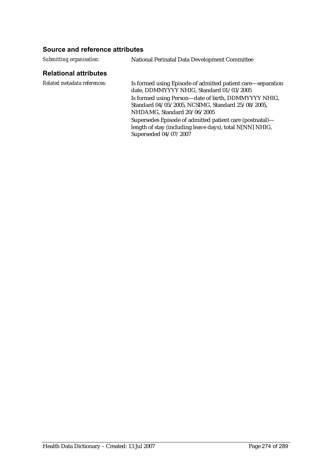#### **Source and reference attributes**

*Submitting organisation:* National Perinatal Data Development Committee

#### **Relational attributes**

*Related metadata references:* Is formed using Episode of admitted patient care—separation date, DDMMYYYY NHIG, Standard 01/03/2005 Is formed using Person—date of birth, DDMMYYYY NHIG, Standard 04/05/2005, NCSIMG, Standard 25/08/2005, NHDAMG, Standard 20/06/2005 Supersedes Episode of admitted patient care (postnatal) length of stay (including leave days), total N[NN] NHIG, Superseded 04/07/2007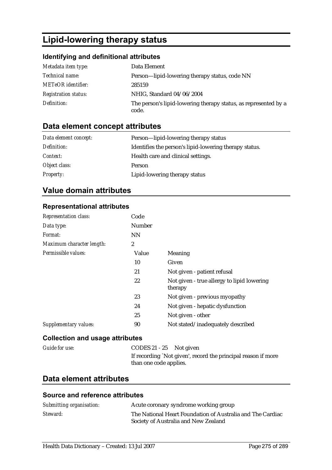# **Lipid-lowering therapy status**

### **Identifying and definitional attributes**

| Metadata item type:         | Data Element                                                             |
|-----------------------------|--------------------------------------------------------------------------|
| <i>Technical name:</i>      | Person—lipid-lowering therapy status, code NN                            |
| <b>METeOR</b> identifier:   | 285159                                                                   |
| <b>Registration status:</b> | NHIG, Standard 04/06/2004                                                |
| Definition:                 | The person's lipid-lowering therapy status, as represented by a<br>code. |

# **Data element concept attributes**

| Data element concept: | Person—lipid-lowering therapy status                   |
|-----------------------|--------------------------------------------------------|
| Definition:           | Identifies the person's lipid-lowering therapy status. |
| <i>Context:</i>       | Health care and clinical settings.                     |
| Object class:         | <b>Person</b>                                          |
| <b>Property:</b>      | Lipid-lowering therapy status                          |

# **Value domain attributes**

#### **Representational attributes**

| Representation class:           | Code           |                                                       |
|---------------------------------|----------------|-------------------------------------------------------|
| Data type:                      | Number         |                                                       |
| <i>Format:</i>                  | <b>NN</b>      |                                                       |
| Maximum character length:       | $\overline{2}$ |                                                       |
| Permissible values:             | Value          | Meaning                                               |
|                                 | 10             | Given                                                 |
|                                 | 21             | Not given - patient refusal                           |
|                                 | 22             | Not given - true allergy to lipid lowering<br>therapy |
|                                 | 23             | Not given - previous myopathy                         |
|                                 | 24             | Not given - hepatic dysfunction                       |
|                                 | 25             | Not given - other                                     |
| Supplementary values:           | 90             | Not stated/inadequately described                     |
| Calloction and usens attributos |                |                                                       |

#### **Collection and usage attributes**

| CODES $21 - 25$ Not given                                                               |
|-----------------------------------------------------------------------------------------|
| If recording `Not given', record the principal reason if more<br>than one code applies. |
|                                                                                         |

# **Data element attributes**

| Submitting organisation: | Acute coronary syndrome working group                                                              |
|--------------------------|----------------------------------------------------------------------------------------------------|
| Steward:                 | The National Heart Foundation of Australia and The Cardiac<br>Society of Australia and New Zealand |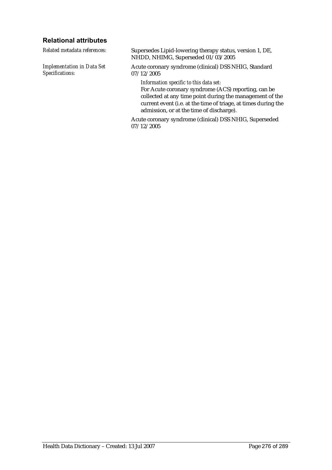### **Relational attributes**

*Related metadata references:* Supersedes Lipid-lowering therapy status, version 1, DE, NHDD, NHIMG, Superseded 01/03/2005 *Implementation in Data Set Specifications:* Acute coronary syndrome (clinical) DSS NHIG, Standard 07/12/2005 *Information specific to this data set:* For Acute coronary syndrome (ACS) reporting, can be

collected at any time point during the management of the current event (i.e. at the time of triage, at times during the admission, or at the time of discharge).

Acute coronary syndrome (clinical) DSS NHIG, Superseded 07/12/2005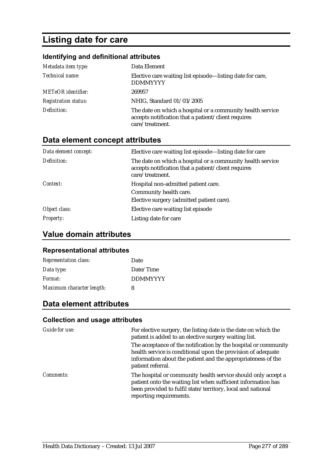# **Listing date for care**

### **Identifying and definitional attributes**

| Metadata item type:         | Data Element                                                                                                                         |
|-----------------------------|--------------------------------------------------------------------------------------------------------------------------------------|
| Technical name:             | Elective care waiting list episode—listing date for care,<br><b>DDMMYYYY</b>                                                         |
| <b>METeOR</b> identifier:   | 269957                                                                                                                               |
| <b>Registration status:</b> | NHIG, Standard 01/03/2005                                                                                                            |
| Definition:                 | The date on which a hospital or a community health service<br>accepts notification that a patient/client requires<br>care/treatment. |

# **Data element concept attributes**

| Data element concept: | Elective care waiting list episode—listing date for care                                                                             |
|-----------------------|--------------------------------------------------------------------------------------------------------------------------------------|
| Definition:           | The date on which a hospital or a community health service<br>accepts notification that a patient/client requires<br>care/treatment. |
| Context:              | Hospital non-admitted patient care.                                                                                                  |
|                       | Community health care.                                                                                                               |
|                       | Elective surgery (admitted patient care).                                                                                            |
| Object class:         | Elective care waiting list episode                                                                                                   |
| <i>Property:</i>      | Listing date for care                                                                                                                |

# **Value domain attributes**

#### **Representational attributes**

| <b>Representation class:</b> | Date            |
|------------------------------|-----------------|
| Data type:                   | Date/Time       |
| Format:                      | <b>DDMMYYYY</b> |
| Maximum character length:    | 8               |

# **Data element attributes**

| Guide for use:   | For elective surgery, the listing date is the date on which the<br>patient is added to an elective surgery waiting list.                                                                                                 |
|------------------|--------------------------------------------------------------------------------------------------------------------------------------------------------------------------------------------------------------------------|
|                  | The acceptance of the notification by the hospital or community<br>health service is conditional upon the provision of adequate<br>information about the patient and the appropriateness of the<br>patient referral.     |
| <i>Comments:</i> | The hospital or community health service should only accept a<br>patient onto the waiting list when sufficient information has<br>been provided to fulfil state/territory, local and national<br>reporting requirements. |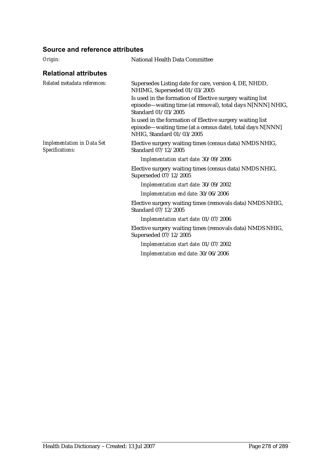| Origin:                                              | <b>National Health Data Committee</b>                                                                                                                |  |
|------------------------------------------------------|------------------------------------------------------------------------------------------------------------------------------------------------------|--|
| <b>Relational attributes</b>                         |                                                                                                                                                      |  |
| Related metadata references:                         | Supersedes Listing date for care, version 4, DE, NHDD,<br>NHIMG, Superseded 01/03/2005                                                               |  |
|                                                      | Is used in the formation of Elective surgery waiting list<br>episode—waiting time (at removal), total days N[NNN] NHIG,<br>Standard 01/03/2005       |  |
|                                                      | Is used in the formation of Elective surgery waiting list<br>episode—waiting time (at a census date), total days N[NNN]<br>NHIG, Standard 01/03/2005 |  |
| <b>Implementation in Data Set</b><br>Specifications: | Elective surgery waiting times (census data) NMDS NHIG,<br>Standard 07/12/2005                                                                       |  |
|                                                      | Implementation start date: 30/09/2006                                                                                                                |  |
|                                                      | Elective surgery waiting times (census data) NMDS NHIG,<br>Superseded 07/12/2005                                                                     |  |
|                                                      | Implementation start date: 30/09/2002                                                                                                                |  |
|                                                      | Implementation end date: 30/06/2006                                                                                                                  |  |
|                                                      | Elective surgery waiting times (removals data) NMDS NHIG,<br>Standard 07/12/2005                                                                     |  |
|                                                      | Implementation start date: 01/07/2006                                                                                                                |  |
|                                                      | Elective surgery waiting times (removals data) NMDS NHIG,<br>Superseded 07/12/2005                                                                   |  |
|                                                      | Implementation start date: 01/07/2002                                                                                                                |  |
|                                                      | Implementation end date: 30/06/2006                                                                                                                  |  |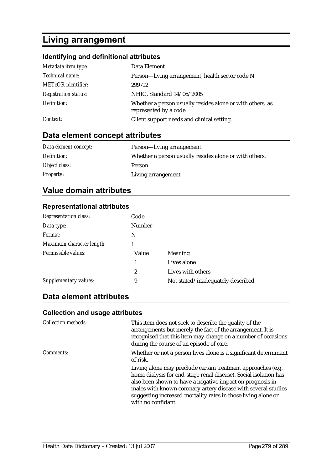# **Living arrangement**

# **Identifying and definitional attributes**

| Metadata item type:         | Data Element                                                                        |
|-----------------------------|-------------------------------------------------------------------------------------|
| Technical name:             | Person—living arrangement, health sector code N                                     |
| <b>METeOR</b> identifier:   | 299712                                                                              |
| <b>Registration status:</b> | NHIG, Standard 14/06/2005                                                           |
| Definition:                 | Whether a person usually resides alone or with others, as<br>represented by a code. |
| Context:                    | Client support needs and clinical setting.                                          |

# **Data element concept attributes**

| Data element concept: | Person—living arrangement                              |  |
|-----------------------|--------------------------------------------------------|--|
| Definition:           | Whether a person usually resides alone or with others. |  |
| Object class:         | Person                                                 |  |
| <i>Property:</i>      | Living arrangement                                     |  |

# **Value domain attributes**

#### **Representational attributes**

| Code           |                                   |
|----------------|-----------------------------------|
| <b>Number</b>  |                                   |
| N              |                                   |
|                |                                   |
| Value          | <b>Meaning</b>                    |
| 1              | Lives alone                       |
| $\overline{c}$ | Lives with others                 |
| 9              | Not stated/inadequately described |
|                |                                   |

## **Data element attributes**

| <b>Collection methods:</b> | This item does not seek to describe the quality of the<br>arrangements but merely the fact of the arrangement. It is<br>recognised that this item may change on a number of occasions<br>during the course of an episode of care.                                                                                                                     |
|----------------------------|-------------------------------------------------------------------------------------------------------------------------------------------------------------------------------------------------------------------------------------------------------------------------------------------------------------------------------------------------------|
| <i>Comments:</i>           | Whether or not a person lives alone is a significant determinant<br>of risk.                                                                                                                                                                                                                                                                          |
|                            | Living alone may preclude certain treatment approaches (e.g.<br>home dialysis for end-stage renal disease). Social isolation has<br>also been shown to have a negative impact on prognosis in<br>males with known coronary artery disease with several studies<br>suggesting increased mortality rates in those living alone or<br>with no confidant. |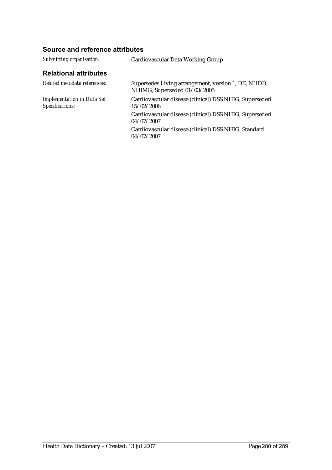| Submitting organisation:                             | Cardiovascular Data Working Group                                                   |
|------------------------------------------------------|-------------------------------------------------------------------------------------|
| <b>Relational attributes</b>                         |                                                                                     |
| Related metadata references:                         | Supersedes Living arrangement, version 1, DE, NHDD,<br>NHIMG, Superseded 01/03/2005 |
| <b>Implementation in Data Set</b><br>Specifications: | Cardiovascular disease (clinical) DSS NHIG, Superseded<br>15/02/2006                |
|                                                      | Cardiovascular disease (clinical) DSS NHIG, Superseded<br>04/07/2007                |
|                                                      | Cardiovascular disease (clinical) DSS NHIG, Standard<br>04/07/2007                  |
|                                                      |                                                                                     |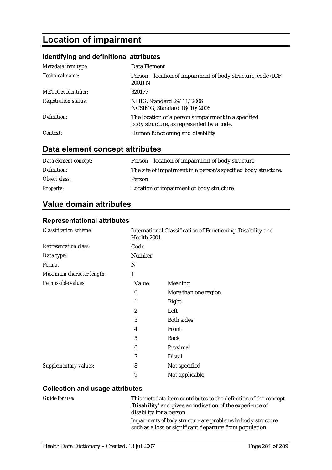# **Location of impairment**

### **Identifying and definitional attributes**

| Metadata item type:         | Data Element                                                                                      |
|-----------------------------|---------------------------------------------------------------------------------------------------|
| Technical name:             | Person-location of impairment of body structure, code (ICF)<br>2001) N                            |
| <b>METeOR</b> identifier:   | 320177                                                                                            |
| <b>Registration status:</b> | NHIG, Standard 29/11/2006<br>NCSIMG, Standard 16/10/2006                                          |
| Definition:                 | The location of a person's impairment in a specified<br>body structure, as represented by a code. |
| Context:                    | Human functioning and disability                                                                  |

# **Data element concept attributes**

| Data element concept: | Person-location of impairment of body structure                |
|-----------------------|----------------------------------------------------------------|
| Definition:           | The site of impairment in a person's specified body structure. |
| Object class:         | Person                                                         |
| <i>Property:</i>      | Location of impairment of body structure                       |

### **Value domain attributes**

#### **Representational attributes**

| <b>Classification scheme:</b> | International Classification of Functioning, Disability and<br>Health 2001 |                      |
|-------------------------------|----------------------------------------------------------------------------|----------------------|
| Representation class:         | Code                                                                       |                      |
| Data type:                    | Number                                                                     |                      |
| Format:                       | N                                                                          |                      |
| Maximum character length:     | 1                                                                          |                      |
| Permissible values:           | Value                                                                      | <b>Meaning</b>       |
|                               | $\boldsymbol{0}$                                                           | More than one region |
|                               |                                                                            | Right                |
|                               | $\overline{c}$                                                             | Left                 |
|                               | 3                                                                          | <b>Both sides</b>    |
|                               | 4                                                                          | Front                |
|                               | 5                                                                          | <b>Back</b>          |
|                               | 6                                                                          | Proximal             |
|                               | 7                                                                          | Distal               |
| <b>Supplementary values:</b>  | 8                                                                          | Not specified        |
|                               | 9                                                                          | Not applicable       |

#### **Collection and usage attributes**

*Guide for use:* This metadata item contributes to the definition of the concept '**Disability**' and gives an indication of the experience of disability for a person.

> *Impairments of body structure* are problems in body structure such as a loss or significant departure from population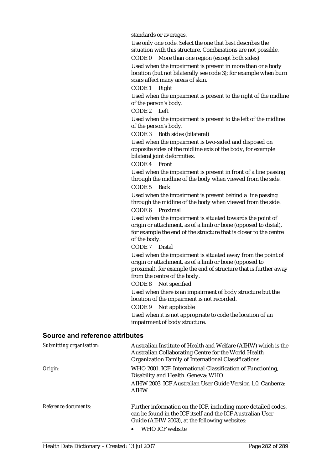standards or averages.

Use only one code. Select the one that best describes the situation with this structure. Combinations are not possible.

CODE 0 More than one region (except both sides) Used when the impairment is present in more than one body location (but not bilaterally see code 3); for example when burn scars affect many areas of skin.

CODE 1 Right

Used when the impairment is present to the right of the midline of the person's body.

CODE 2 Left

Used when the impairment is present to the left of the midline of the person's body.

CODE 3 Both sides (bilateral)

Used when the impairment is two-sided and disposed on opposite sides of the midline axis of the body, for example bilateral joint deformities.

CODE 4 Front

Used when the impairment is present in front of a line passing through the midline of the body when viewed from the side. CODE 5 Back

Used when the impairment is present behind a line passing through the midline of the body when viewed from the side. CODE 6 Proximal

Used when the impairment is situated towards the point of origin or attachment, as of a limb or bone (opposed to distal), for example the end of the structure that is closer to the centre of the body.

CODE 7 Distal

Used when the impairment is situated away from the point of origin or attachment, as of a limb or bone (opposed to proximal), for example the end of structure that is further away from the centre of the body.

CODE 8 Not specified

Used when there is an impairment of body structure but the location of the impairment is not recorded.

CODE 9 Not applicable

Used when it is not appropriate to code the location of an impairment of body structure.

| Submitting organisation: | Australian Institute of Health and Welfare (AIHW) which is the<br>Australian Collaborating Centre for the World Health<br>Organization Family of International Classifications. |
|--------------------------|---------------------------------------------------------------------------------------------------------------------------------------------------------------------------------|
| Origin:                  | WHO 2001. ICF: International Classification of Functioning,<br>Disability and Health. Geneva: WHO                                                                               |
|                          | AIHW 2003. ICF Australian User Guide Version 1.0. Canberra:<br><b>AIHW</b>                                                                                                      |
| Reference documents:     | Further information on the ICF, including more detailed codes,<br>can be found in the ICF itself and the ICF Australian User<br>Guide (AIHW 2003), at the following websites:   |
|                          | WHO ICF website                                                                                                                                                                 |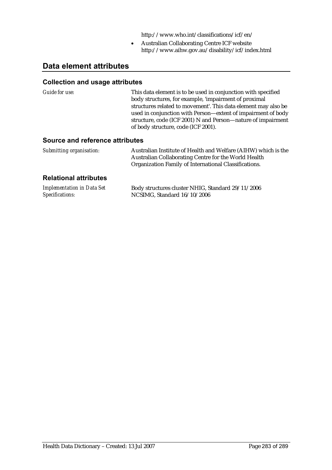http://www.who.int/classifications/icf/en/

• Australian Collaborating Centre ICF website http://www.aihw.gov.au/disability/icf/index.html

### **Data element attributes**

#### **Collection and usage attributes**

*Guide for use:* This data element is to be used in conjunction with specified body structures, for example, 'impairment of proximal structures related to movement'. This data element may also be used in conjunction with Person—extent of impairment of body structure, code (ICF 2001) N and Person—nature of impairment of body structure, code (ICF 2001).

#### **Source and reference attributes**

| Submitting organisation: | Australian Institute of Health and Welfare (AIHW) which is the |
|--------------------------|----------------------------------------------------------------|
|                          | Australian Collaborating Centre for the World Health           |
|                          | Organization Family of International Classifications.          |

#### **Relational attributes**

| <b>Implementation in Data Set</b> | Body structures cluster NHIG, Standard 29/11/2006 |
|-----------------------------------|---------------------------------------------------|
| Specifications:                   | NCSIMG, Standard 16/10/2006                       |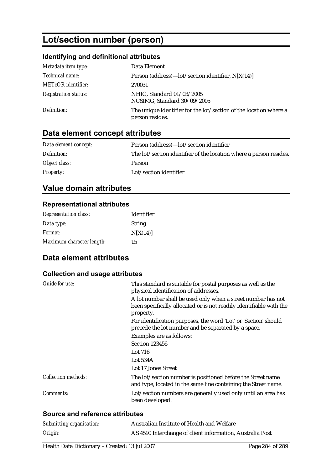# **Lot/section number (person)**

### **Identifying and definitional attributes**

| Metadata item type:         | Data Element                                                                         |
|-----------------------------|--------------------------------------------------------------------------------------|
| Technical name:             | Person (address)— $\left  \text{ot}/\text{section} \right $ identifier, N[X(14)]     |
| <b>METeOR</b> identifier:   | 270031                                                                               |
| <b>Registration status:</b> | NHIG, Standard 01/03/2005<br>NCSIMG, Standard 30/09/2005                             |
| Definition:                 | The unique identifier for the lot/section of the location where a<br>person resides. |

# **Data element concept attributes**

| Data element concept: | Person (address)—lot/section identifier                            |
|-----------------------|--------------------------------------------------------------------|
| Definition:           | The lot/section identifier of the location where a person resides. |
| Object class:         | <b>Person</b>                                                      |
| <i>Property:</i>      | Lot/section identifier                                             |

# **Value domain attributes**

#### **Representational attributes**

| <b>Representation class:</b> | Identifier    |
|------------------------------|---------------|
| Data type:                   | <b>String</b> |
| <i>Format:</i>               | N[X(14)]      |
| Maximum character length:    | 15            |

# **Data element attributes**

### **Collection and usage attributes**

| Guide for use:             | This standard is suitable for postal purposes as well as the<br>physical identification of addresses.<br>A lot number shall be used only when a street number has not<br>been specifically allocated or is not readily identifiable with the<br>property. |
|----------------------------|-----------------------------------------------------------------------------------------------------------------------------------------------------------------------------------------------------------------------------------------------------------|
|                            | For identification purposes, the word 'Lot' or 'Section' should<br>precede the lot number and be separated by a space.                                                                                                                                    |
|                            | Examples are as follows:                                                                                                                                                                                                                                  |
|                            | Section 123456                                                                                                                                                                                                                                            |
|                            | Lot 716                                                                                                                                                                                                                                                   |
|                            | Lot $534A$                                                                                                                                                                                                                                                |
|                            | Lot 17 Jones Street                                                                                                                                                                                                                                       |
| <b>Collection methods:</b> | The lot/section number is positioned before the Street name<br>and type, located in the same line containing the Street name.                                                                                                                             |
| Comments:                  | Lot/section numbers are generally used only until an area has<br>been developed.                                                                                                                                                                          |
|                            |                                                                                                                                                                                                                                                           |

| Submitting organisation: | Australian Institute of Health and Welfare                |
|--------------------------|-----------------------------------------------------------|
| Origin:                  | AS 4590 Interchange of client information, Australia Post |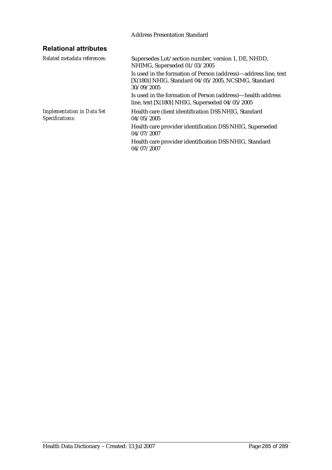#### Address Presentation Standard

# **Relational attributes**

| Supersedes Lot/section number, version 1, DE, NHDD,<br>NHIMG, Superseded 01/03/2005                                                     |
|-----------------------------------------------------------------------------------------------------------------------------------------|
| Is used in the formation of Person (address)—address line, text<br>$[X(180)]$ NHIG, Standard 04/05/2005, NCSIMG, Standard<br>30/09/2005 |
| Is used in the formation of Person (address)—health address<br>line, text $[X(180)]$ NHIG, Superseded 04/05/2005                        |
| Health care client identification DSS NHIG. Standard<br>04/05/2005                                                                      |
| Health care provider identification DSS NHIG, Superseded<br>04/07/2007                                                                  |
| Health care provider identification DSS NHIG, Standard<br>04/07/2007                                                                    |
|                                                                                                                                         |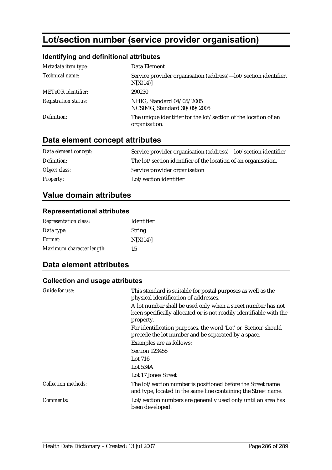# **Lot/section number (service provider organisation)**

### **Identifying and definitional attributes**

| Metadata item type:         | Data Element                                                                     |
|-----------------------------|----------------------------------------------------------------------------------|
| Technical name:             | Service provider organisation (address)—lot/section identifier,<br>N[X(14)]      |
| <b>METeOR</b> identifier:   | 290230                                                                           |
| <b>Registration status:</b> | NHIG, Standard 04/05/2005<br>NCSIMG, Standard 30/09/2005                         |
| Definition:                 | The unique identifier for the lot/section of the location of an<br>organisation. |

# **Data element concept attributes**

| Data element concept: | Service provider organisation (address)—lot/section identifier |
|-----------------------|----------------------------------------------------------------|
| Definition:           | The lot/section identifier of the location of an organisation. |
| Object class:         | Service provider organisation                                  |
| <i>Property:</i>      | Lot/section identifier                                         |

# **Value domain attributes**

### **Representational attributes**

| <b>Representation class:</b> | Identifier    |
|------------------------------|---------------|
| Data type:                   | <b>String</b> |
| <i>Format:</i>               | N[X(14)]      |
| Maximum character length:    | 15            |

### **Data element attributes**

| Guide for use:             | This standard is suitable for postal purposes as well as the<br>physical identification of addresses.                                            |
|----------------------------|--------------------------------------------------------------------------------------------------------------------------------------------------|
|                            | A lot number shall be used only when a street number has not<br>been specifically allocated or is not readily identifiable with the<br>property. |
|                            | For identification purposes, the word 'Lot' or 'Section' should<br>precede the lot number and be separated by a space.                           |
|                            | Examples are as follows:                                                                                                                         |
|                            | Section 123456                                                                                                                                   |
|                            | Lot 716                                                                                                                                          |
|                            | Lot $534A$                                                                                                                                       |
|                            | Lot 17 Jones Street                                                                                                                              |
| <b>Collection methods:</b> | The lot/section number is positioned before the Street name<br>and type, located in the same line containing the Street name.                    |
| Comments:                  | Lot/section numbers are generally used only until an area has<br>been developed.                                                                 |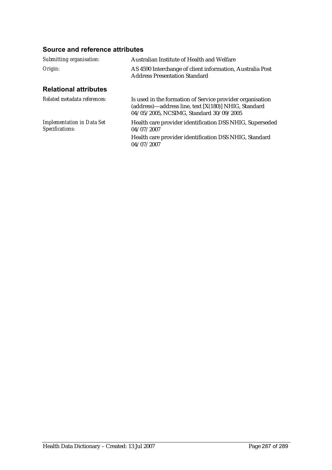| Submitting organisation:                             | Australian Institute of Health and Welfare                                                                                                                   |  |
|------------------------------------------------------|--------------------------------------------------------------------------------------------------------------------------------------------------------------|--|
| Origin:                                              | AS 4590 Interchange of client information, Australia Post<br><b>Address Presentation Standard</b>                                                            |  |
| <b>Relational attributes</b>                         |                                                                                                                                                              |  |
| Related metadata references:                         | Is used in the formation of Service provider organisation<br>(address)—address line, text [X(180)] NHIG, Standard<br>04/05/2005, NCSIMG, Standard 30/09/2005 |  |
| <b>Implementation in Data Set</b><br>Specifications: | Health care provider identification DSS NHIG, Superseded<br>04/07/2007                                                                                       |  |
|                                                      | Health care provider identification DSS NHIG, Standard<br>04/07/2007                                                                                         |  |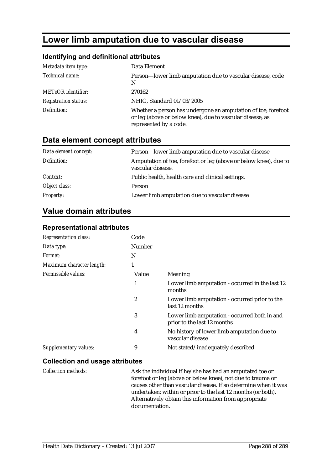# **Lower limb amputation due to vascular disease**

### **Identifying and definitional attributes**

| Metadata item type:         | Data Element                                                                                                                                         |
|-----------------------------|------------------------------------------------------------------------------------------------------------------------------------------------------|
| Technical name:             | Person-lower limb amputation due to vascular disease, code<br>N                                                                                      |
| <b>METeOR</b> identifier:   | 270162                                                                                                                                               |
| <b>Registration status:</b> | NHIG, Standard 01/03/2005                                                                                                                            |
| Definition:                 | Whether a person has undergone an amputation of toe, forefoot<br>or leg (above or below knee), due to vascular disease, as<br>represented by a code. |

### **Data element concept attributes**

| Data element concept: | Person-lower limb amputation due to vascular disease                                  |
|-----------------------|---------------------------------------------------------------------------------------|
| Definition:           | Amputation of toe, forefoot or leg (above or below knee), due to<br>vascular disease. |
| Context:              | Public health, health care and clinical settings.                                     |
| Object class:         | Person                                                                                |
| <b>Property:</b>      | Lower limb amputation due to vascular disease                                         |

# **Value domain attributes**

#### **Representational attributes**

| <b>Representation class:</b> | Code   |                                                                             |
|------------------------------|--------|-----------------------------------------------------------------------------|
| Data type:                   | Number |                                                                             |
| Format:                      | N      |                                                                             |
| Maximum character length:    | 1      |                                                                             |
| Permissible values:          | Value  | Meaning                                                                     |
|                              | 1      | Lower limb amputation - occurred in the last 12<br>months                   |
|                              | 2      | Lower limb amputation - occurred prior to the<br>last 12 months             |
|                              | 3      | Lower limb amputation - occurred both in and<br>prior to the last 12 months |
|                              | 4      | No history of lower limb amputation due to<br>vascular disease              |
| Supplementary values:        | 9      | Not stated/inadequately described                                           |

#### **Collection and usage attributes**

*Collection methods:* Ask the individual if he/she has had an amputated toe or forefoot or leg (above or below knee), not due to trauma or causes other than vascular disease. If so determine when it was undertaken; within or prior to the last 12 months (or both). Alternatively obtain this information from appropriate documentation.